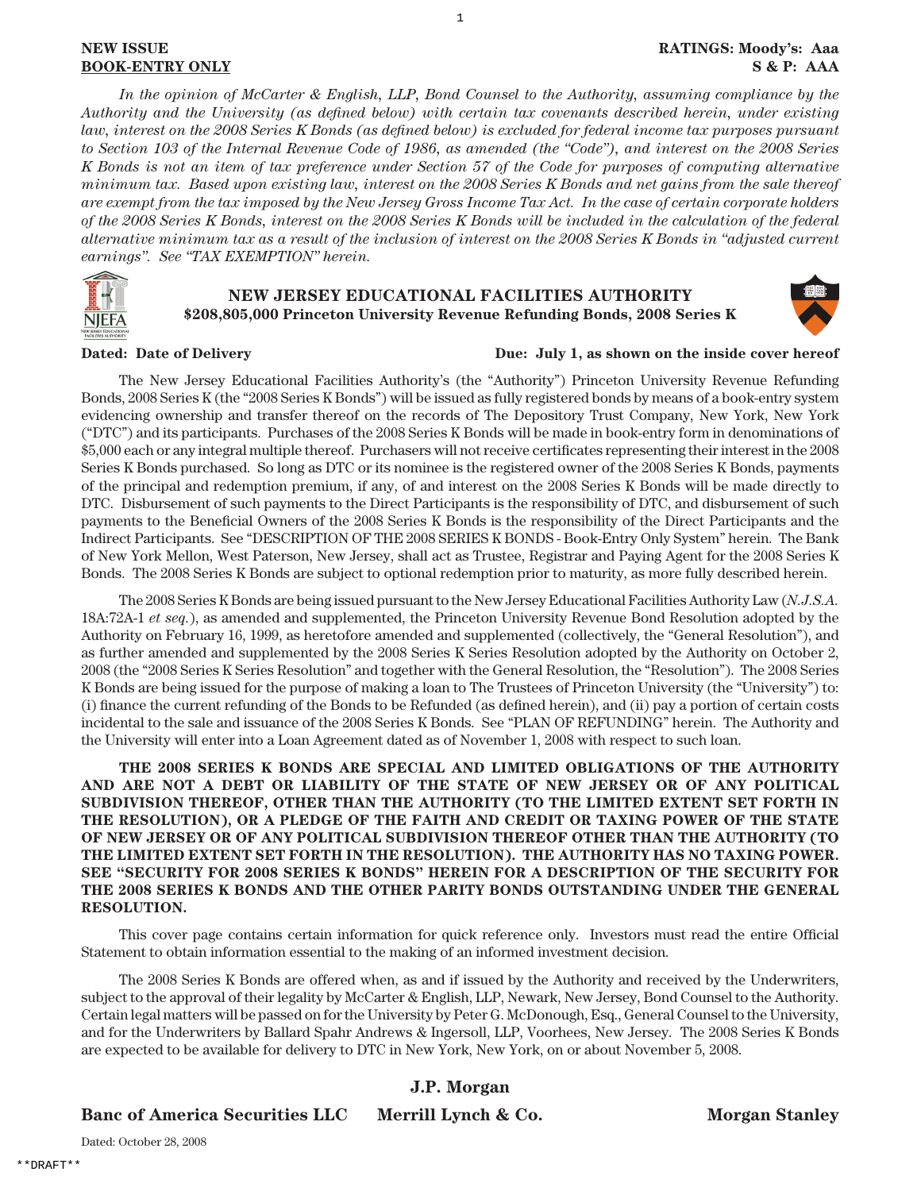# **NEW ISSUE RATINGS: Moody's: Aaa BOOK-ENTRY ONLY** S & P: AAA

*In the opinion of McCarter & English, LLP, Bond Counsel to the Authority, assuming compliance by the*  Authority and the University (as defined below) with certain tax covenants described herein, under existing *law, interest on the 2008 Series K Bonds (as defined below) is excluded for federal income tax purposes pursuant to Section 103 of the Internal Revenue Code of 1986, as amended (the "Code"), and interest on the 2008 Series K Bonds is not an item of tax preference under Section 57 of the Code for purposes of computing alternative minimum tax. Based upon existing law, interest on the 2008 Series K Bonds and net gains from the sale thereof are exempt from the tax imposed by the New Jersey Gross Income Tax Act. In the case of certain corporate holders of the 2008 Series K Bonds, interest on the 2008 Series K Bonds will be included in the calculation of the federal alternative minimum tax as a result of the inclusion of interest on the 2008 Series K Bonds in "adjusted current earnings". See "TAX EXEMPTION" herein.*



## **NEW JERSEY EDUCATIONAL FACILITIES AUTHORITY \$208,805,000 Princeton University Revenue Refunding Bonds, 2008 Series K**



#### **Dated: Date of Delivery Community Community Community Community Community Community Community Community Community Community Community Community Community Community Community Community Community Community Community Communi**

The New Jersey Educational Facilities Authority's (the "Authority") Princeton University Revenue Refunding Bonds, 2008 Series K (the "2008 Series K Bonds") will be issued as fully registered bonds by means of a book-entry system evidencing ownership and transfer thereof on the records of The Depository Trust Company, New York, New York ("DTC") and its participants. Purchases of the 2008 Series K Bonds will be made in book-entry form in denominations of \$5,000 each or any integral multiple thereof. Purchasers will not receive certificates representing their interest in the 2008 Series K Bonds purchased. So long as DTC or its nominee is the registered owner of the 2008 Series K Bonds, payments of the principal and redemption premium, if any, of and interest on the 2008 Series K Bonds will be made directly to DTC. Disbursement of such payments to the Direct Participants is the responsibility of DTC, and disbursement of such payments to the Beneficial Owners of the 2008 Series K Bonds is the responsibility of the Direct Participants and the Indirect Participants. See "DESCRIPTION OF THE 2008 SERIES K BONDS - Book-Entry Only System" herein. The Bank of New York Mellon, West Paterson, New Jersey, shall act as Trustee, Registrar and Paying Agent for the 2008 Series K Bonds. The 2008 Series K Bonds are subject to optional redemption prior to maturity, as more fully described herein.

The 2008 Series K Bonds are being issued pursuant to the New Jersey Educational Facilities Authority Law (*N.J.S.A.* 18A:72A-1 *et seq.*), as amended and supplemented, the Princeton University Revenue Bond Resolution adopted by the Authority on February 16, 1999, as heretofore amended and supplemented (collectively, the "General Resolution"), and as further amended and supplemented by the 2008 Series K Series Resolution adopted by the Authority on October 2, 2008 (the "2008 Series K Series Resolution" and together with the General Resolution, the "Resolution"). The 2008 Series K Bonds are being issued for the purpose of making a loan to The Trustees of Princeton University (the "University") to: (i) finance the current refunding of the Bonds to be Refunded (as defined herein), and (ii) pay a portion of certain costs incidental to the sale and issuance of the 2008 Series K Bonds. See "PLAN OF REFUNDING" herein. The Authority and the University will enter into a Loan Agreement dated as of November 1, 2008 with respect to such loan.

**THE 2008 SERIES K BONDS ARE SPECIAL AND LIMITED OBLIGATIONS OF THE AUTHORITY AND ARE NOT A DEBT OR LIABILITY OF THE STATE OF NEW JERSEY OR OF ANY POLITICAL SUBDIVISION THEREOF, OTHER THAN THE AUTHORITY (TO THE LIMITED EXTENT SET FORTH IN THE RESOLUTION), OR A PLEDGE OF THE FAITH AND CREDIT OR TAXING POWER OF THE STATE OF NEW JERSEY OR OF ANY POLITICAL SUBDIVISION THEREOF OTHER THAN THE AUTHORITY (TO THE LIMITED EXTENT SET FORTH IN THE RESOLUTION). THE AUTHORITY HAS NO TAXING POWER. SEE "SECURITY FOR 2008 SERIES K BONDS" HEREIN FOR A DESCRIPTION OF THE SECURITY FOR THE 2008 SERIES K BONDS AND THE OTHER PARITY BONDS OUTSTANDING UNDER THE GENERAL RESOLUTION.**

This cover page contains certain information for quick reference only. Investors must read the entire Official Statement to obtain information essential to the making of an informed investment decision.

The 2008 Series K Bonds are offered when, as and if issued by the Authority and received by the Underwriters, subject to the approval of their legality by McCarter & English, LLP, Newark, New Jersey, Bond Counsel to the Authority. Certain legal matters will be passed on for the University by Peter G. McDonough, Esq., General Counsel to the University, and for the Underwriters by Ballard Spahr Andrews & Ingersoll, LLP, Voorhees, New Jersey. The 2008 Series K Bonds are expected to be available for delivery to DTC in New York, New York, on or about November 5, 2008.

## **J.P. Morgan**

## **Banc of America Securities LLC Merrill Lynch & Co. Morgan Stanley**

Dated: October 28, 2008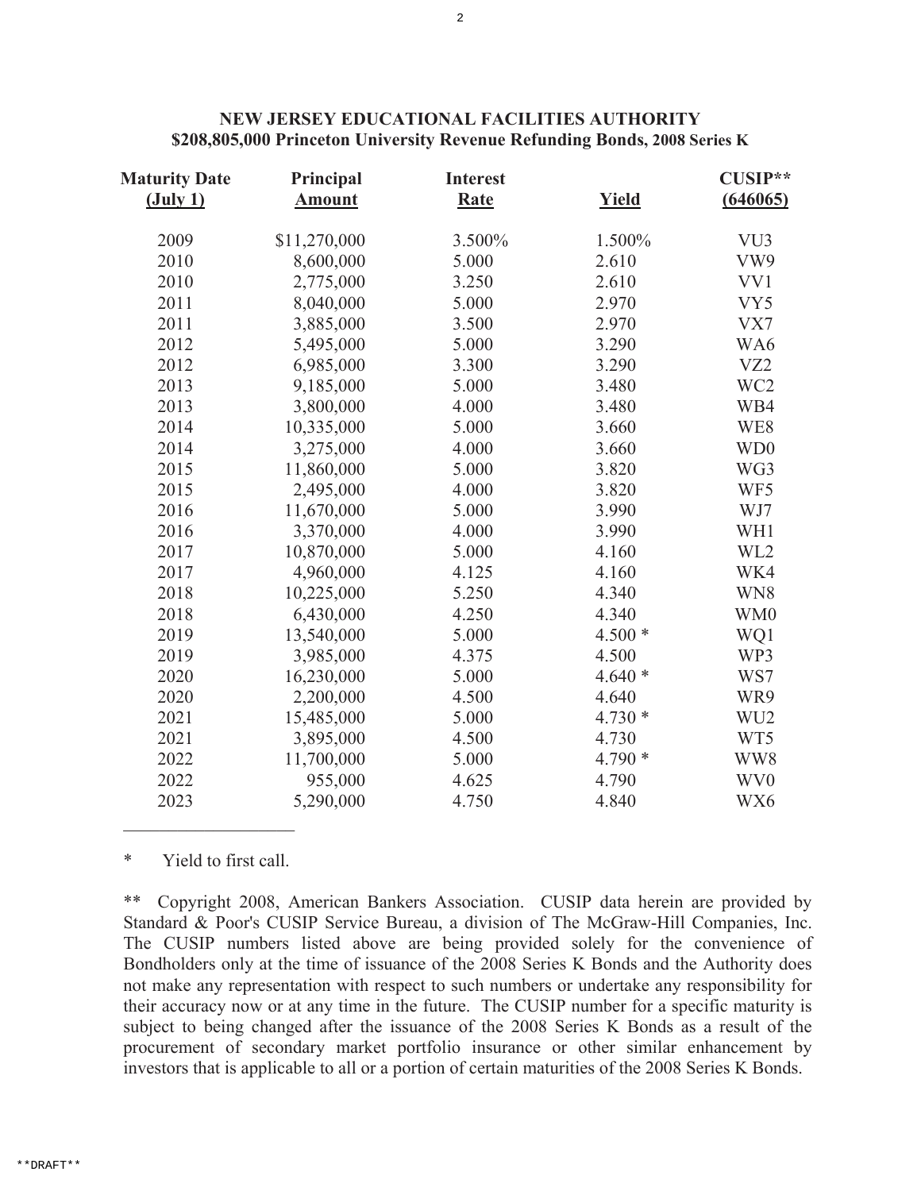| <b>Maturity Date</b> | Principal     | <b>Interest</b> |              | CUSIP**         |
|----------------------|---------------|-----------------|--------------|-----------------|
| (July 1)             | <b>Amount</b> | <b>Rate</b>     | <b>Yield</b> | (646065)        |
| 2009                 | \$11,270,000  | 3.500%          | 1.500%       | VU3             |
| 2010                 | 8,600,000     | 5.000           | 2.610        | VW9             |
| 2010                 | 2,775,000     | 3.250           | 2.610        | VV1             |
| 2011                 | 8,040,000     | 5.000           | 2.970        | VY5             |
| 2011                 | 3,885,000     | 3.500           | 2.970        | VX7             |
| 2012                 | 5,495,000     | 5.000           | 3.290        | WA6             |
| 2012                 | 6,985,000     | 3.300           | 3.290        | VZ <sub>2</sub> |
| 2013                 | 9,185,000     | 5.000           | 3.480        | WC <sub>2</sub> |
| 2013                 | 3,800,000     | 4.000           | 3.480        | WB4             |
| 2014                 | 10,335,000    | 5.000           | 3.660        | WE8             |
| 2014                 | 3,275,000     | 4.000           | 3.660        | WD <sub>0</sub> |
| 2015                 | 11,860,000    | 5.000           | 3.820        | WG3             |
| 2015                 | 2,495,000     | 4.000           | 3.820        | WF5             |
| 2016                 | 11,670,000    | 5.000           | 3.990        | WJ7             |
| 2016                 | 3,370,000     | 4.000           | 3.990        | WH1             |
| 2017                 | 10,870,000    | 5.000           | 4.160        | WL <sub>2</sub> |
| 2017                 | 4,960,000     | 4.125           | 4.160        | WK4             |
| 2018                 | 10,225,000    | 5.250           | 4.340        | WN8             |
| 2018                 | 6,430,000     | 4.250           | 4.340        | WM <sub>0</sub> |
| 2019                 | 13,540,000    | 5.000           | $4.500*$     | WQ1             |
| 2019                 | 3,985,000     | 4.375           | 4.500        | WP3             |
| 2020                 | 16,230,000    | 5.000           | $4.640*$     | WS7             |
| 2020                 | 2,200,000     | 4.500           | 4.640        | WR9             |
| 2021                 | 15,485,000    | 5.000           | $4.730*$     | WU <sub>2</sub> |
| 2021                 | 3,895,000     | 4.500           | 4.730        | WT5             |
| 2022                 | 11,700,000    | 5.000           | 4.790 *      | WW8             |
| 2022                 | 955,000       | 4.625           | 4.790        | WV <sub>0</sub> |
| 2023                 | 5,290,000     | 4.750           | 4.840        | WX6             |

## **NEW JERSEY EDUCATIONAL FACILITIES AUTHORITY \$208,805,000 Princeton University Revenue Refunding Bonds, 2008 Series K**

\* Yield to first call.

\*\* Copyright 2008, American Bankers Association. CUSIP data herein are provided by Standard & Poor's CUSIP Service Bureau, a division of The McGraw-Hill Companies, Inc. The CUSIP numbers listed above are being provided solely for the convenience of Bondholders only at the time of issuance of the 2008 Series K Bonds and the Authority does not make any representation with respect to such numbers or undertake any responsibility for their accuracy now or at any time in the future. The CUSIP number for a specific maturity is subject to being changed after the issuance of the 2008 Series K Bonds as a result of the procurement of secondary market portfolio insurance or other similar enhancement by investors that is applicable to all or a portion of certain maturities of the 2008 Series K Bonds.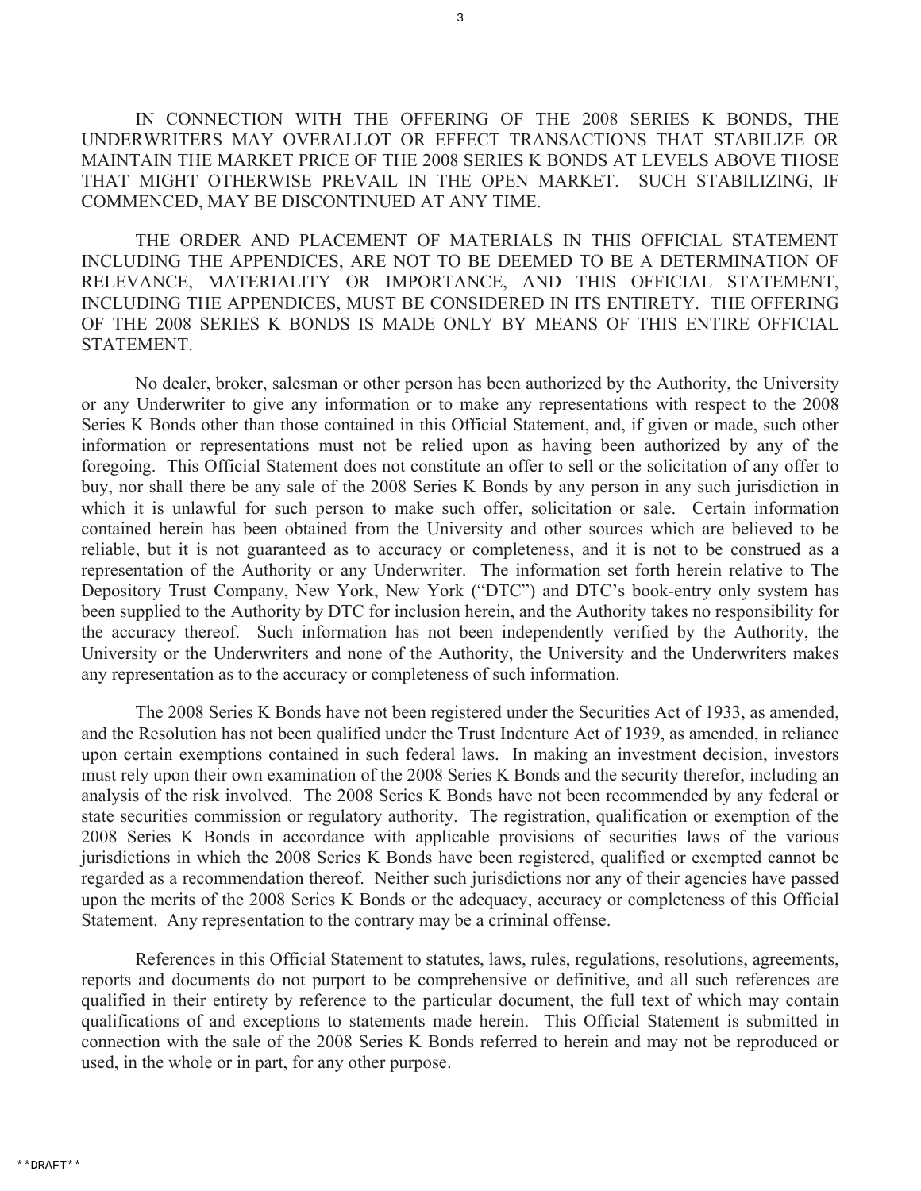IN CONNECTION WITH THE OFFERING OF THE 2008 SERIES K BONDS, THE UNDERWRITERS MAY OVERALLOT OR EFFECT TRANSACTIONS THAT STABILIZE OR MAINTAIN THE MARKET PRICE OF THE 2008 SERIES K BONDS AT LEVELS ABOVE THOSE THAT MIGHT OTHERWISE PREVAIL IN THE OPEN MARKET. SUCH STABILIZING, IF COMMENCED, MAY BE DISCONTINUED AT ANY TIME.

THE ORDER AND PLACEMENT OF MATERIALS IN THIS OFFICIAL STATEMENT INCLUDING THE APPENDICES, ARE NOT TO BE DEEMED TO BE A DETERMINATION OF RELEVANCE, MATERIALITY OR IMPORTANCE, AND THIS OFFICIAL STATEMENT, INCLUDING THE APPENDICES, MUST BE CONSIDERED IN ITS ENTIRETY. THE OFFERING OF THE 2008 SERIES K BONDS IS MADE ONLY BY MEANS OF THIS ENTIRE OFFICIAL STATEMENT.

No dealer, broker, salesman or other person has been authorized by the Authority, the University or any Underwriter to give any information or to make any representations with respect to the 2008 Series K Bonds other than those contained in this Official Statement, and, if given or made, such other information or representations must not be relied upon as having been authorized by any of the foregoing. This Official Statement does not constitute an offer to sell or the solicitation of any offer to buy, nor shall there be any sale of the 2008 Series K Bonds by any person in any such jurisdiction in which it is unlawful for such person to make such offer, solicitation or sale. Certain information contained herein has been obtained from the University and other sources which are believed to be reliable, but it is not guaranteed as to accuracy or completeness, and it is not to be construed as a representation of the Authority or any Underwriter. The information set forth herein relative to The Depository Trust Company, New York, New York ("DTC") and DTC's book-entry only system has been supplied to the Authority by DTC for inclusion herein, and the Authority takes no responsibility for the accuracy thereof. Such information has not been independently verified by the Authority, the University or the Underwriters and none of the Authority, the University and the Underwriters makes any representation as to the accuracy or completeness of such information.

The 2008 Series K Bonds have not been registered under the Securities Act of 1933, as amended, and the Resolution has not been qualified under the Trust Indenture Act of 1939, as amended, in reliance upon certain exemptions contained in such federal laws. In making an investment decision, investors must rely upon their own examination of the 2008 Series K Bonds and the security therefor, including an analysis of the risk involved. The 2008 Series K Bonds have not been recommended by any federal or state securities commission or regulatory authority. The registration, qualification or exemption of the 2008 Series K Bonds in accordance with applicable provisions of securities laws of the various jurisdictions in which the 2008 Series K Bonds have been registered, qualified or exempted cannot be regarded as a recommendation thereof. Neither such jurisdictions nor any of their agencies have passed upon the merits of the 2008 Series K Bonds or the adequacy, accuracy or completeness of this Official Statement. Any representation to the contrary may be a criminal offense.

References in this Official Statement to statutes, laws, rules, regulations, resolutions, agreements, reports and documents do not purport to be comprehensive or definitive, and all such references are qualified in their entirety by reference to the particular document, the full text of which may contain qualifications of and exceptions to statements made herein. This Official Statement is submitted in connection with the sale of the 2008 Series K Bonds referred to herein and may not be reproduced or used, in the whole or in part, for any other purpose.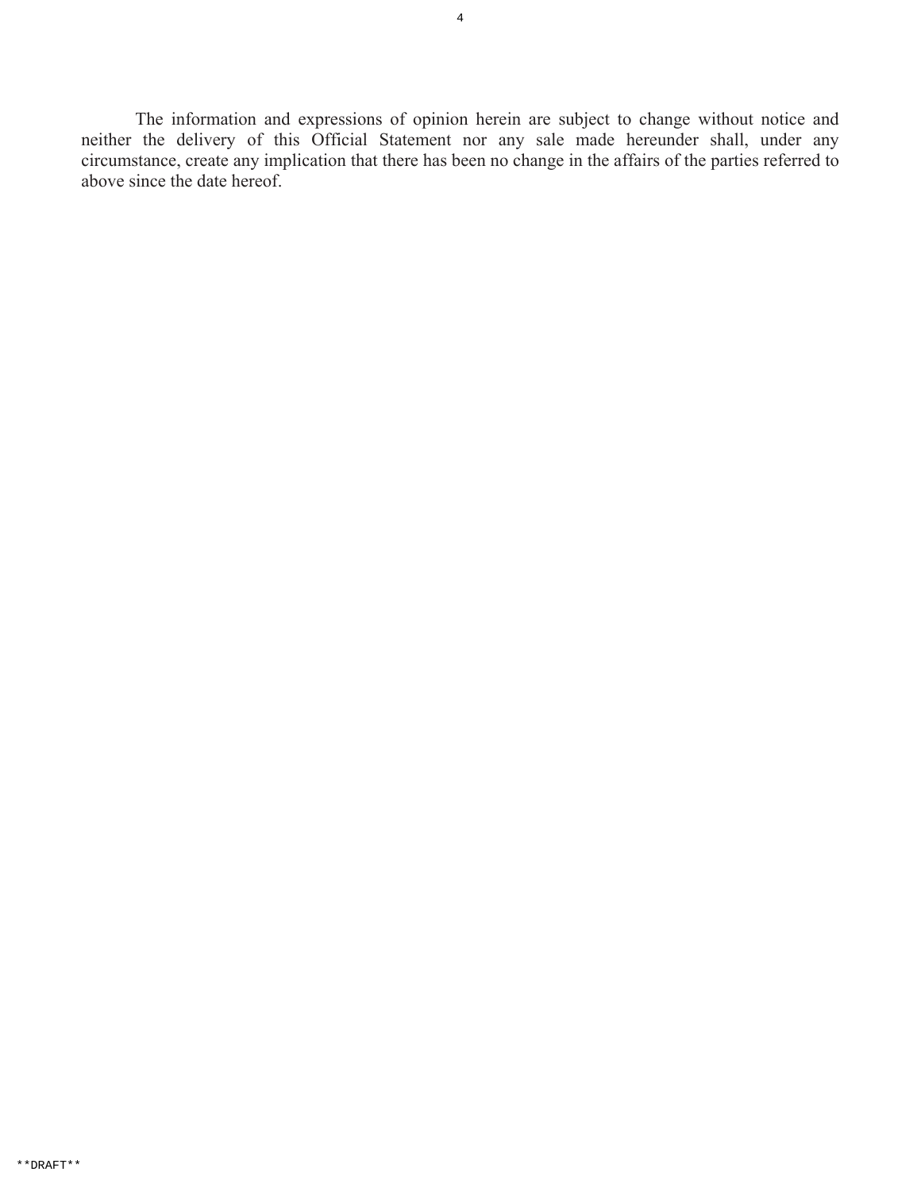The information and expressions of opinion herein are subject to change without notice and neither the delivery of this Official Statement nor any sale made hereunder shall, under any circumstance, create any implication that there has been no change in the affairs of the parties referred to above since the date hereof.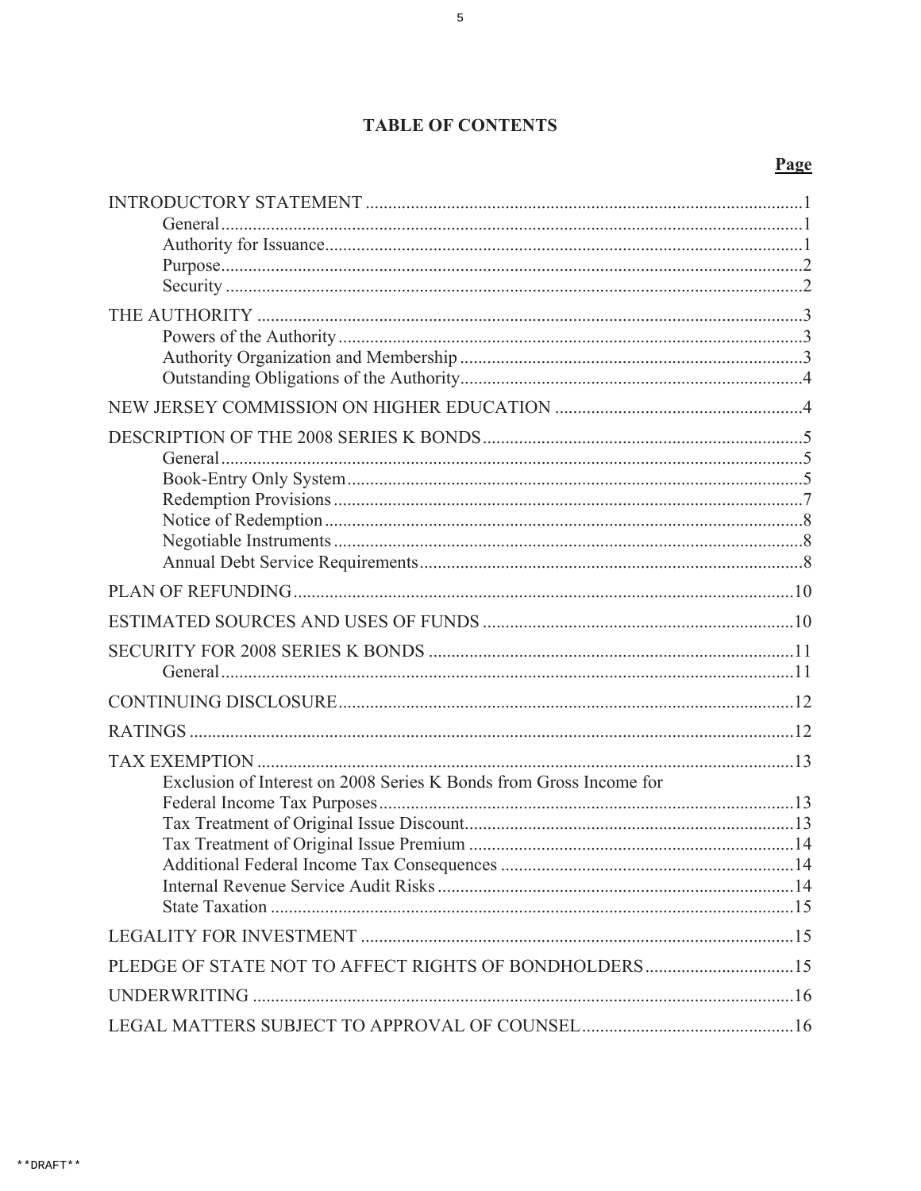## **TABLE OF CONTENTS**

## Page

| Exclusion of Interest on 2008 Series K Bonds from Gross Income for |  |
|--------------------------------------------------------------------|--|
|                                                                    |  |
|                                                                    |  |
|                                                                    |  |
|                                                                    |  |
|                                                                    |  |
|                                                                    |  |
|                                                                    |  |
|                                                                    |  |
|                                                                    |  |
|                                                                    |  |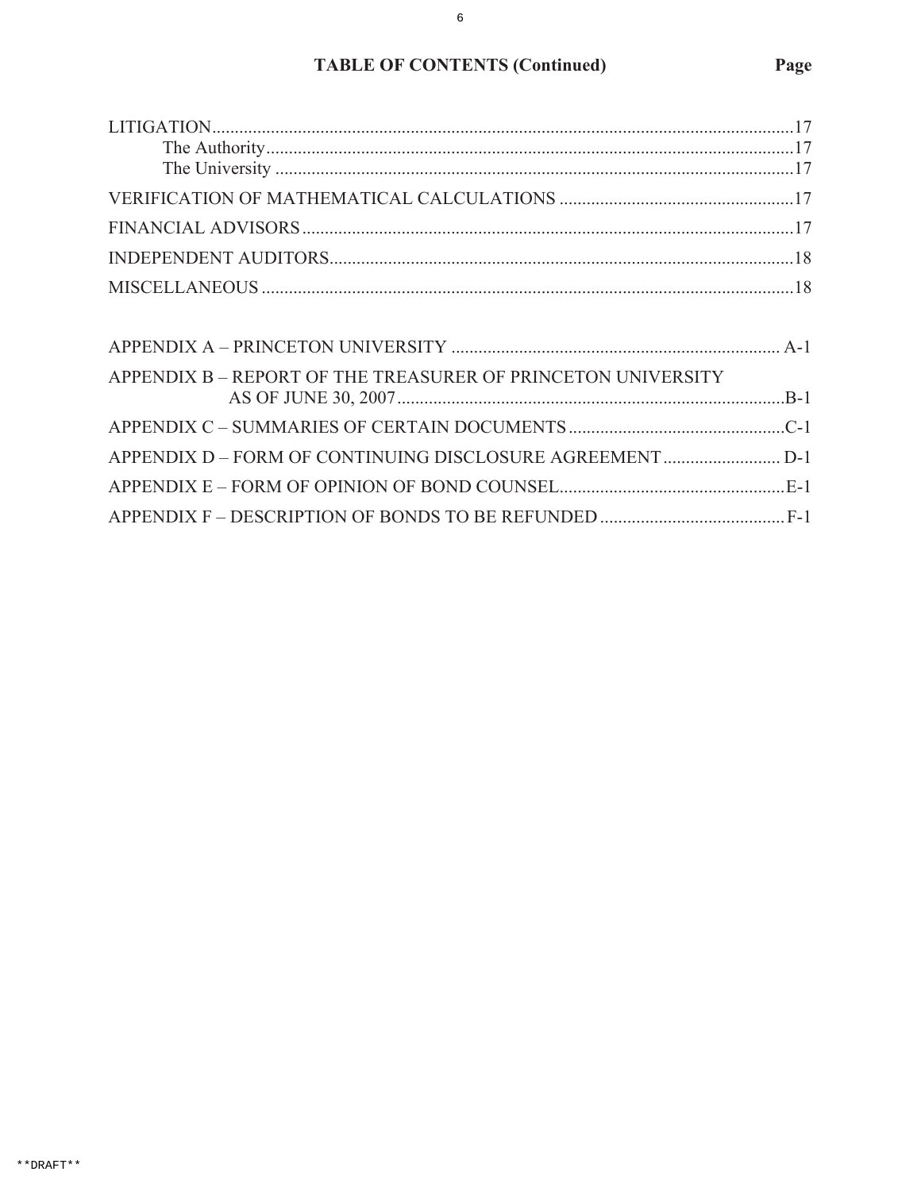# **TABLE OF CONTENTS (Continued)**

| APPENDIX B – REPORT OF THE TREASURER OF PRINCETON UNIVERSITY |  |
|--------------------------------------------------------------|--|
|                                                              |  |
|                                                              |  |
|                                                              |  |
|                                                              |  |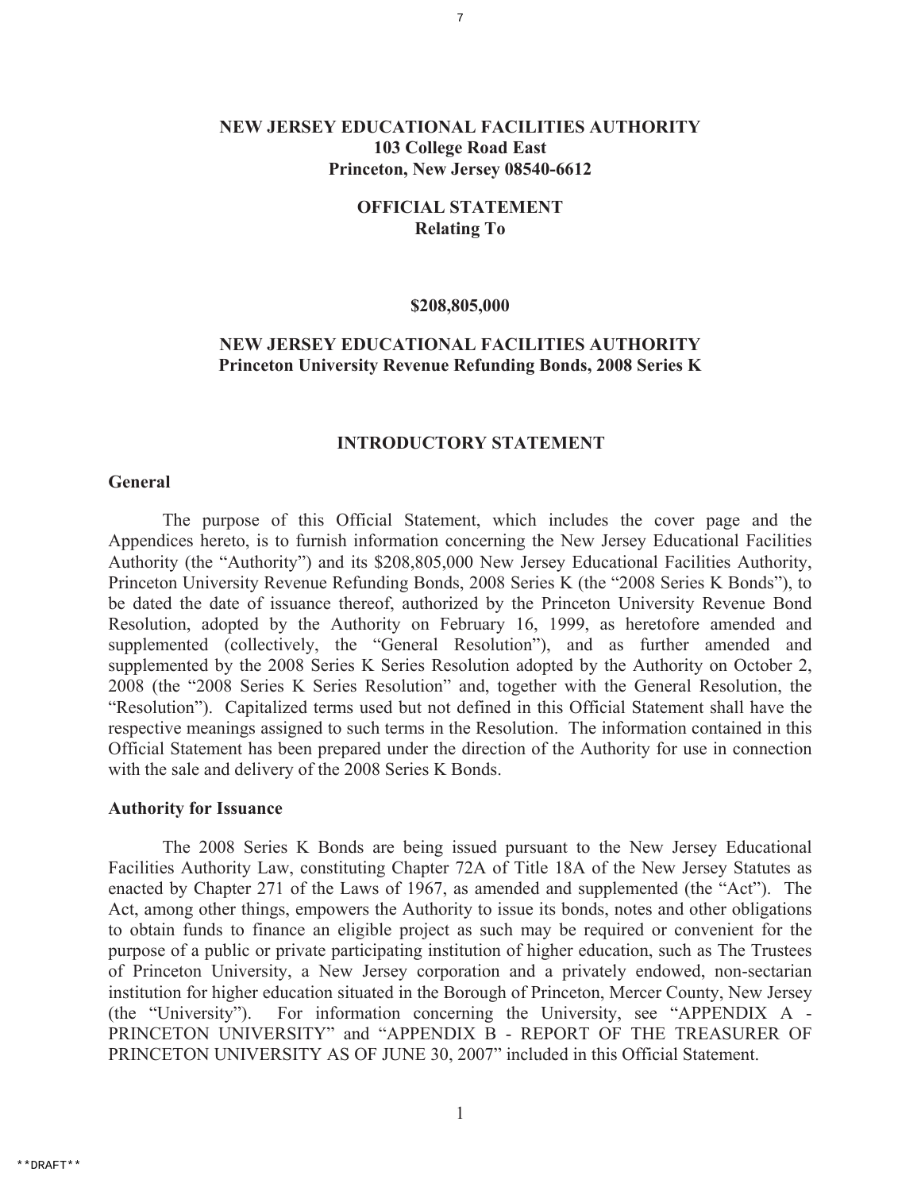## **NEW JERSEY EDUCATIONAL FACILITIES AUTHORITY 103 College Road East Princeton, New Jersey 08540-6612**

7

## **OFFICIAL STATEMENT Relating To**

## **\$208,805,000**

## **NEW JERSEY EDUCATIONAL FACILITIES AUTHORITY Princeton University Revenue Refunding Bonds, 2008 Series K**

## **INTRODUCTORY STATEMENT**

## **General**

The purpose of this Official Statement, which includes the cover page and the Appendices hereto, is to furnish information concerning the New Jersey Educational Facilities Authority (the "Authority") and its \$208,805,000 New Jersey Educational Facilities Authority, Princeton University Revenue Refunding Bonds, 2008 Series K (the "2008 Series K Bonds"), to be dated the date of issuance thereof, authorized by the Princeton University Revenue Bond Resolution, adopted by the Authority on February 16, 1999, as heretofore amended and supplemented (collectively, the "General Resolution"), and as further amended and supplemented by the 2008 Series K Series Resolution adopted by the Authority on October 2, 2008 (the "2008 Series K Series Resolution" and, together with the General Resolution, the "Resolution"). Capitalized terms used but not defined in this Official Statement shall have the respective meanings assigned to such terms in the Resolution. The information contained in this Official Statement has been prepared under the direction of the Authority for use in connection with the sale and delivery of the 2008 Series K Bonds.

### **Authority for Issuance**

The 2008 Series K Bonds are being issued pursuant to the New Jersey Educational Facilities Authority Law, constituting Chapter 72A of Title 18A of the New Jersey Statutes as enacted by Chapter 271 of the Laws of 1967, as amended and supplemented (the "Act"). The Act, among other things, empowers the Authority to issue its bonds, notes and other obligations to obtain funds to finance an eligible project as such may be required or convenient for the purpose of a public or private participating institution of higher education, such as The Trustees of Princeton University, a New Jersey corporation and a privately endowed, non-sectarian institution for higher education situated in the Borough of Princeton, Mercer County, New Jersey (the "University"). For information concerning the University, see "APPENDIX A - PRINCETON UNIVERSITY" and "APPENDIX B - REPORT OF THE TREASURER OF PRINCETON UNIVERSITY AS OF JUNE 30, 2007" included in this Official Statement.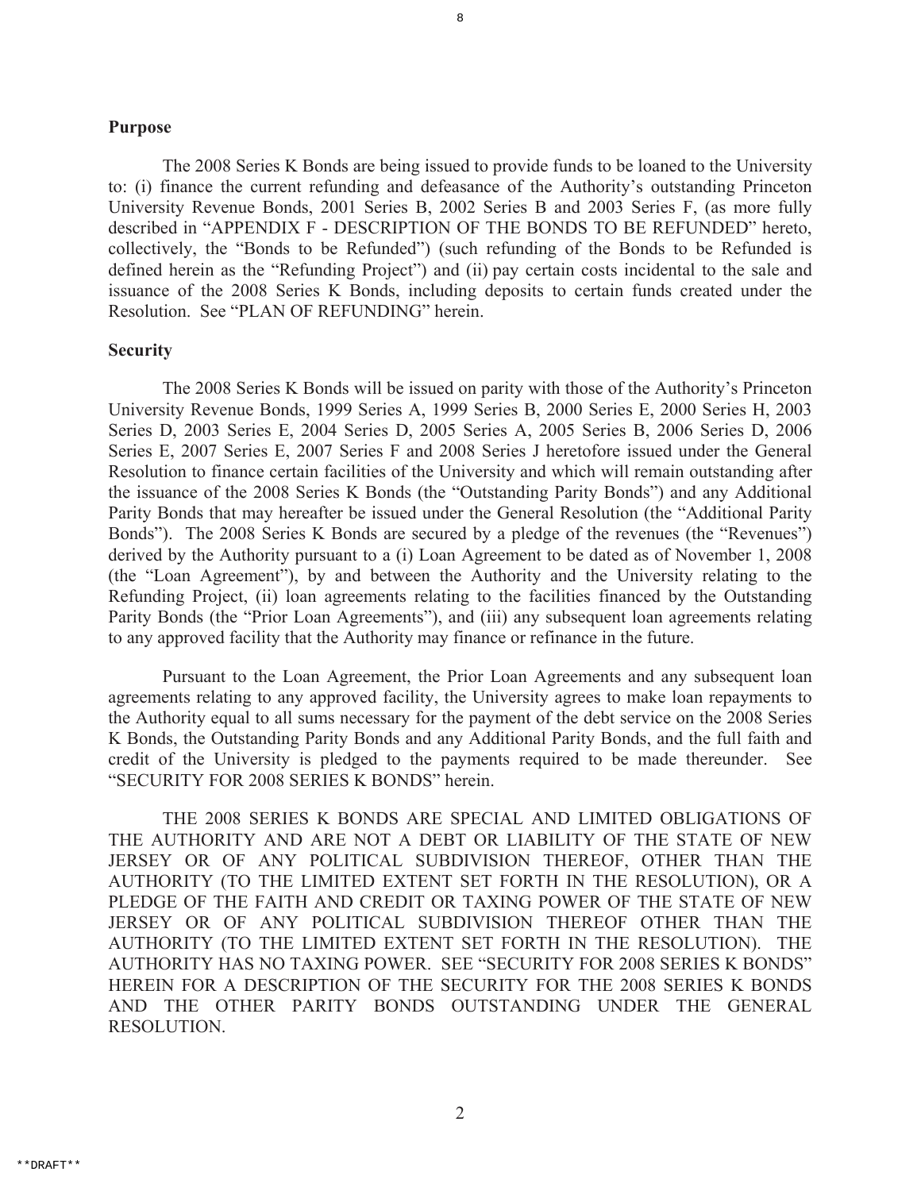### **Purpose**

The 2008 Series K Bonds are being issued to provide funds to be loaned to the University to: (i) finance the current refunding and defeasance of the Authority's outstanding Princeton University Revenue Bonds, 2001 Series B, 2002 Series B and 2003 Series F, (as more fully described in "APPENDIX F - DESCRIPTION OF THE BONDS TO BE REFUNDED" hereto, collectively, the "Bonds to be Refunded") (such refunding of the Bonds to be Refunded is defined herein as the "Refunding Project") and (ii) pay certain costs incidental to the sale and issuance of the 2008 Series K Bonds, including deposits to certain funds created under the Resolution. See "PLAN OF REFUNDING" herein.

## **Security**

The 2008 Series K Bonds will be issued on parity with those of the Authority's Princeton University Revenue Bonds, 1999 Series A, 1999 Series B, 2000 Series E, 2000 Series H, 2003 Series D, 2003 Series E, 2004 Series D, 2005 Series A, 2005 Series B, 2006 Series D, 2006 Series E, 2007 Series E, 2007 Series F and 2008 Series J heretofore issued under the General Resolution to finance certain facilities of the University and which will remain outstanding after the issuance of the 2008 Series K Bonds (the "Outstanding Parity Bonds") and any Additional Parity Bonds that may hereafter be issued under the General Resolution (the "Additional Parity Bonds"). The 2008 Series K Bonds are secured by a pledge of the revenues (the "Revenues") derived by the Authority pursuant to a (i) Loan Agreement to be dated as of November 1, 2008 (the "Loan Agreement"), by and between the Authority and the University relating to the Refunding Project, (ii) loan agreements relating to the facilities financed by the Outstanding Parity Bonds (the "Prior Loan Agreements"), and (iii) any subsequent loan agreements relating to any approved facility that the Authority may finance or refinance in the future.

Pursuant to the Loan Agreement, the Prior Loan Agreements and any subsequent loan agreements relating to any approved facility, the University agrees to make loan repayments to the Authority equal to all sums necessary for the payment of the debt service on the 2008 Series K Bonds, the Outstanding Parity Bonds and any Additional Parity Bonds, and the full faith and credit of the University is pledged to the payments required to be made thereunder. See "SECURITY FOR 2008 SERIES K BONDS" herein.

THE 2008 SERIES K BONDS ARE SPECIAL AND LIMITED OBLIGATIONS OF THE AUTHORITY AND ARE NOT A DEBT OR LIABILITY OF THE STATE OF NEW JERSEY OR OF ANY POLITICAL SUBDIVISION THEREOF, OTHER THAN THE AUTHORITY (TO THE LIMITED EXTENT SET FORTH IN THE RESOLUTION), OR A PLEDGE OF THE FAITH AND CREDIT OR TAXING POWER OF THE STATE OF NEW JERSEY OR OF ANY POLITICAL SUBDIVISION THEREOF OTHER THAN THE AUTHORITY (TO THE LIMITED EXTENT SET FORTH IN THE RESOLUTION). THE AUTHORITY HAS NO TAXING POWER. SEE "SECURITY FOR 2008 SERIES K BONDS" HEREIN FOR A DESCRIPTION OF THE SECURITY FOR THE 2008 SERIES K BONDS AND THE OTHER PARITY BONDS OUTSTANDING UNDER THE GENERAL RESOLUTION.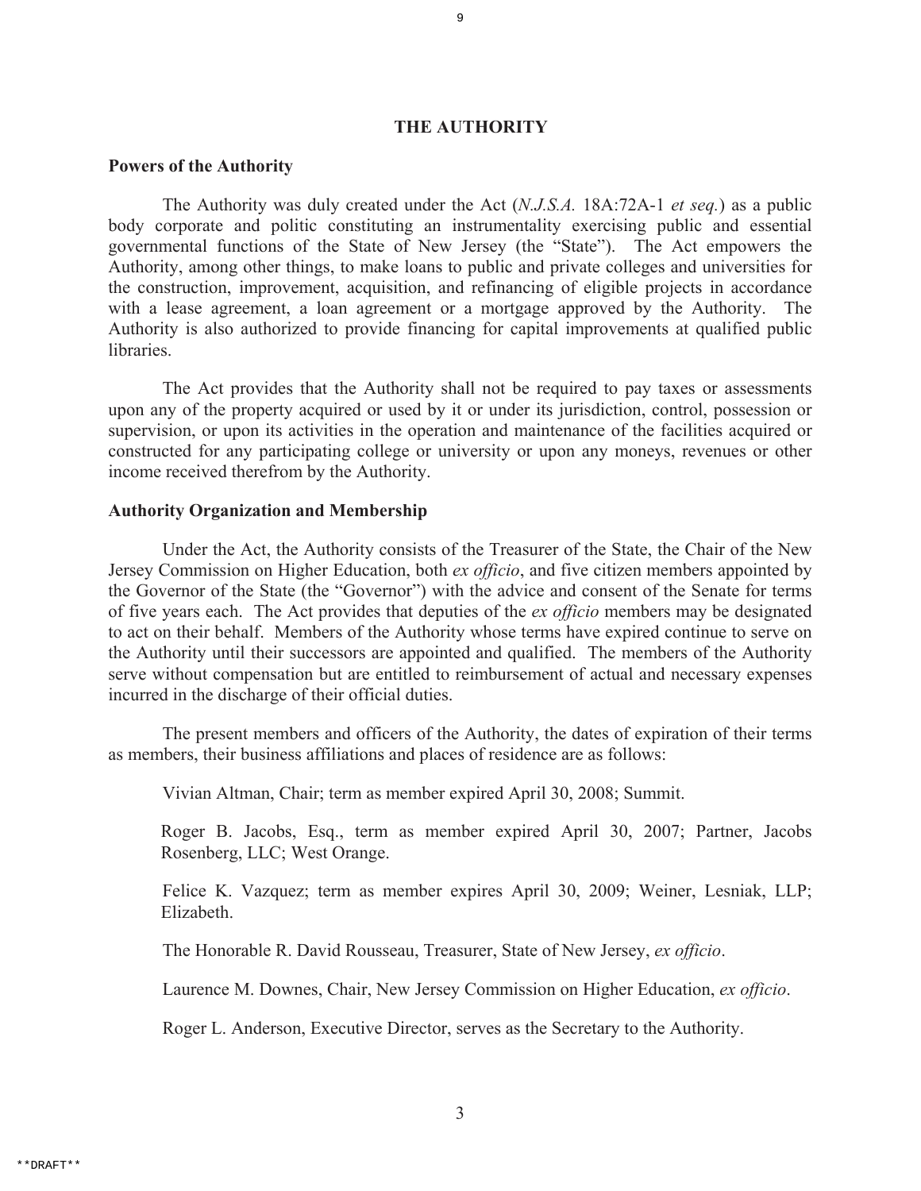## **THE AUTHORITY**

## **Powers of the Authority**

The Authority was duly created under the Act (*N.J.S.A.* 18A:72A-1 *et seq.*) as a public body corporate and politic constituting an instrumentality exercising public and essential governmental functions of the State of New Jersey (the "State"). The Act empowers the Authority, among other things, to make loans to public and private colleges and universities for the construction, improvement, acquisition, and refinancing of eligible projects in accordance with a lease agreement, a loan agreement or a mortgage approved by the Authority. The Authority is also authorized to provide financing for capital improvements at qualified public libraries.

The Act provides that the Authority shall not be required to pay taxes or assessments upon any of the property acquired or used by it or under its jurisdiction, control, possession or supervision, or upon its activities in the operation and maintenance of the facilities acquired or constructed for any participating college or university or upon any moneys, revenues or other income received therefrom by the Authority.

## **Authority Organization and Membership**

Under the Act, the Authority consists of the Treasurer of the State, the Chair of the New Jersey Commission on Higher Education, both *ex officio*, and five citizen members appointed by the Governor of the State (the "Governor") with the advice and consent of the Senate for terms of five years each. The Act provides that deputies of the *ex officio* members may be designated to act on their behalf. Members of the Authority whose terms have expired continue to serve on the Authority until their successors are appointed and qualified. The members of the Authority serve without compensation but are entitled to reimbursement of actual and necessary expenses incurred in the discharge of their official duties.

The present members and officers of the Authority, the dates of expiration of their terms as members, their business affiliations and places of residence are as follows:

Vivian Altman, Chair; term as member expired April 30, 2008; Summit.

Roger B. Jacobs, Esq., term as member expired April 30, 2007; Partner, Jacobs Rosenberg, LLC; West Orange.

Felice K. Vazquez; term as member expires April 30, 2009; Weiner, Lesniak, LLP; Elizabeth.

The Honorable R. David Rousseau, Treasurer, State of New Jersey, *ex officio*.

Laurence M. Downes, Chair, New Jersey Commission on Higher Education, *ex officio*.

Roger L. Anderson, Executive Director, serves as the Secretary to the Authority.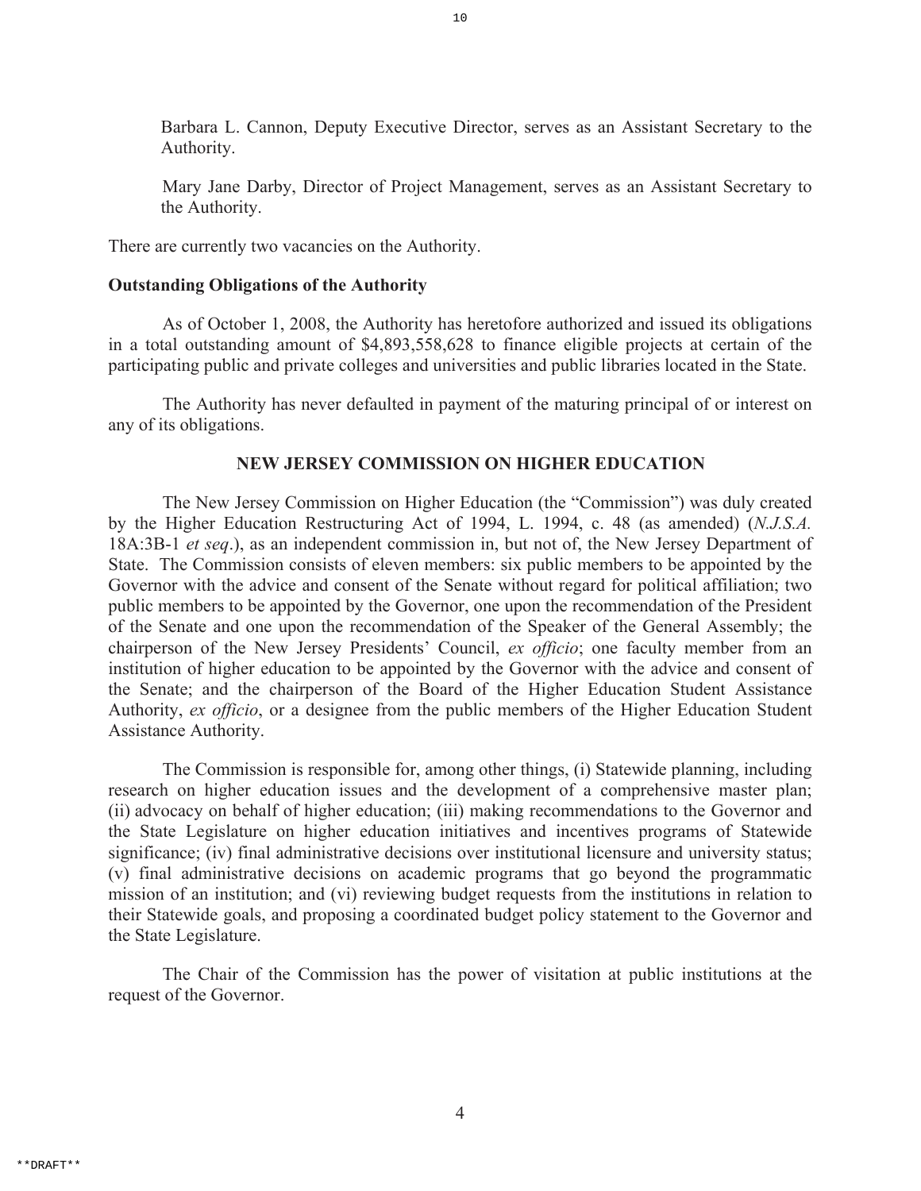Barbara L. Cannon, Deputy Executive Director, serves as an Assistant Secretary to the Authority.

Mary Jane Darby, Director of Project Management, serves as an Assistant Secretary to the Authority.

There are currently two vacancies on the Authority.

## **Outstanding Obligations of the Authority**

As of October 1, 2008, the Authority has heretofore authorized and issued its obligations in a total outstanding amount of \$4,893,558,628 to finance eligible projects at certain of the participating public and private colleges and universities and public libraries located in the State.

The Authority has never defaulted in payment of the maturing principal of or interest on any of its obligations.

## **NEW JERSEY COMMISSION ON HIGHER EDUCATION**

The New Jersey Commission on Higher Education (the "Commission") was duly created by the Higher Education Restructuring Act of 1994, L. 1994, c. 48 (as amended) (*N.J.S.A.* 18A:3B-1 *et seq*.), as an independent commission in, but not of, the New Jersey Department of State. The Commission consists of eleven members: six public members to be appointed by the Governor with the advice and consent of the Senate without regard for political affiliation; two public members to be appointed by the Governor, one upon the recommendation of the President of the Senate and one upon the recommendation of the Speaker of the General Assembly; the chairperson of the New Jersey Presidents' Council, *ex officio*; one faculty member from an institution of higher education to be appointed by the Governor with the advice and consent of the Senate; and the chairperson of the Board of the Higher Education Student Assistance Authority, *ex officio*, or a designee from the public members of the Higher Education Student Assistance Authority.

The Commission is responsible for, among other things, (i) Statewide planning, including research on higher education issues and the development of a comprehensive master plan; (ii) advocacy on behalf of higher education; (iii) making recommendations to the Governor and the State Legislature on higher education initiatives and incentives programs of Statewide significance; (iv) final administrative decisions over institutional licensure and university status; (v) final administrative decisions on academic programs that go beyond the programmatic mission of an institution; and (vi) reviewing budget requests from the institutions in relation to their Statewide goals, and proposing a coordinated budget policy statement to the Governor and the State Legislature.

The Chair of the Commission has the power of visitation at public institutions at the request of the Governor.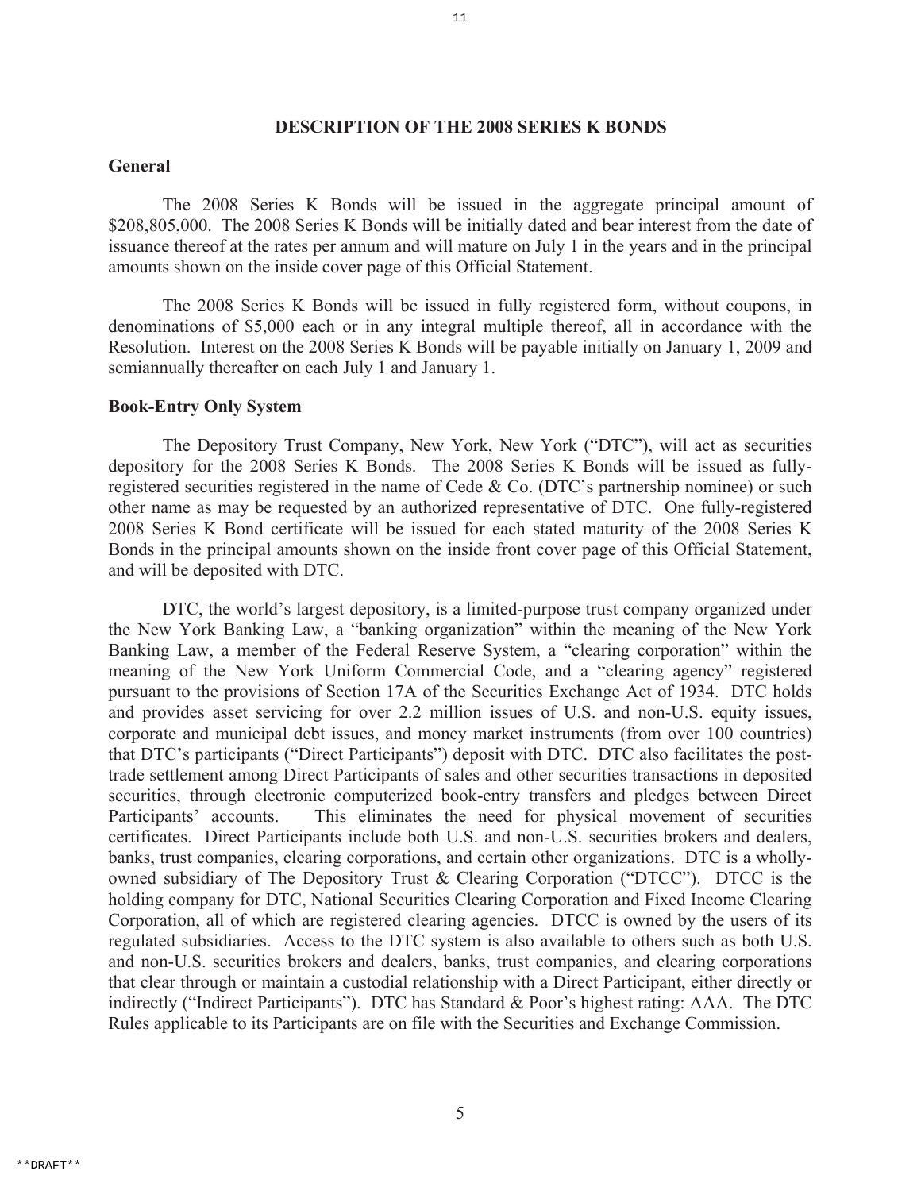## **DESCRIPTION OF THE 2008 SERIES K BONDS**

## **General**

The 2008 Series K Bonds will be issued in the aggregate principal amount of \$208,805,000. The 2008 Series K Bonds will be initially dated and bear interest from the date of issuance thereof at the rates per annum and will mature on July 1 in the years and in the principal amounts shown on the inside cover page of this Official Statement.

The 2008 Series K Bonds will be issued in fully registered form, without coupons, in denominations of \$5,000 each or in any integral multiple thereof, all in accordance with the Resolution. Interest on the 2008 Series K Bonds will be payable initially on January 1, 2009 and semiannually thereafter on each July 1 and January 1.

## **Book-Entry Only System**

The Depository Trust Company, New York, New York ("DTC"), will act as securities depository for the 2008 Series K Bonds. The 2008 Series K Bonds will be issued as fullyregistered securities registered in the name of Cede & Co. (DTC's partnership nominee) or such other name as may be requested by an authorized representative of DTC. One fully-registered 2008 Series K Bond certificate will be issued for each stated maturity of the 2008 Series K Bonds in the principal amounts shown on the inside front cover page of this Official Statement, and will be deposited with DTC.

DTC, the world's largest depository, is a limited-purpose trust company organized under the New York Banking Law, a "banking organization" within the meaning of the New York Banking Law, a member of the Federal Reserve System, a "clearing corporation" within the meaning of the New York Uniform Commercial Code, and a "clearing agency" registered pursuant to the provisions of Section 17A of the Securities Exchange Act of 1934. DTC holds and provides asset servicing for over 2.2 million issues of U.S. and non-U.S. equity issues, corporate and municipal debt issues, and money market instruments (from over 100 countries) that DTC's participants ("Direct Participants") deposit with DTC. DTC also facilitates the posttrade settlement among Direct Participants of sales and other securities transactions in deposited securities, through electronic computerized book-entry transfers and pledges between Direct Participants' accounts. This eliminates the need for physical movement of securities certificates. Direct Participants include both U.S. and non-U.S. securities brokers and dealers, banks, trust companies, clearing corporations, and certain other organizations. DTC is a whollyowned subsidiary of The Depository Trust & Clearing Corporation ("DTCC"). DTCC is the holding company for DTC, National Securities Clearing Corporation and Fixed Income Clearing Corporation, all of which are registered clearing agencies. DTCC is owned by the users of its regulated subsidiaries. Access to the DTC system is also available to others such as both U.S. and non-U.S. securities brokers and dealers, banks, trust companies, and clearing corporations that clear through or maintain a custodial relationship with a Direct Participant, either directly or indirectly ("Indirect Participants"). DTC has Standard & Poor's highest rating: AAA. The DTC Rules applicable to its Participants are on file with the Securities and Exchange Commission.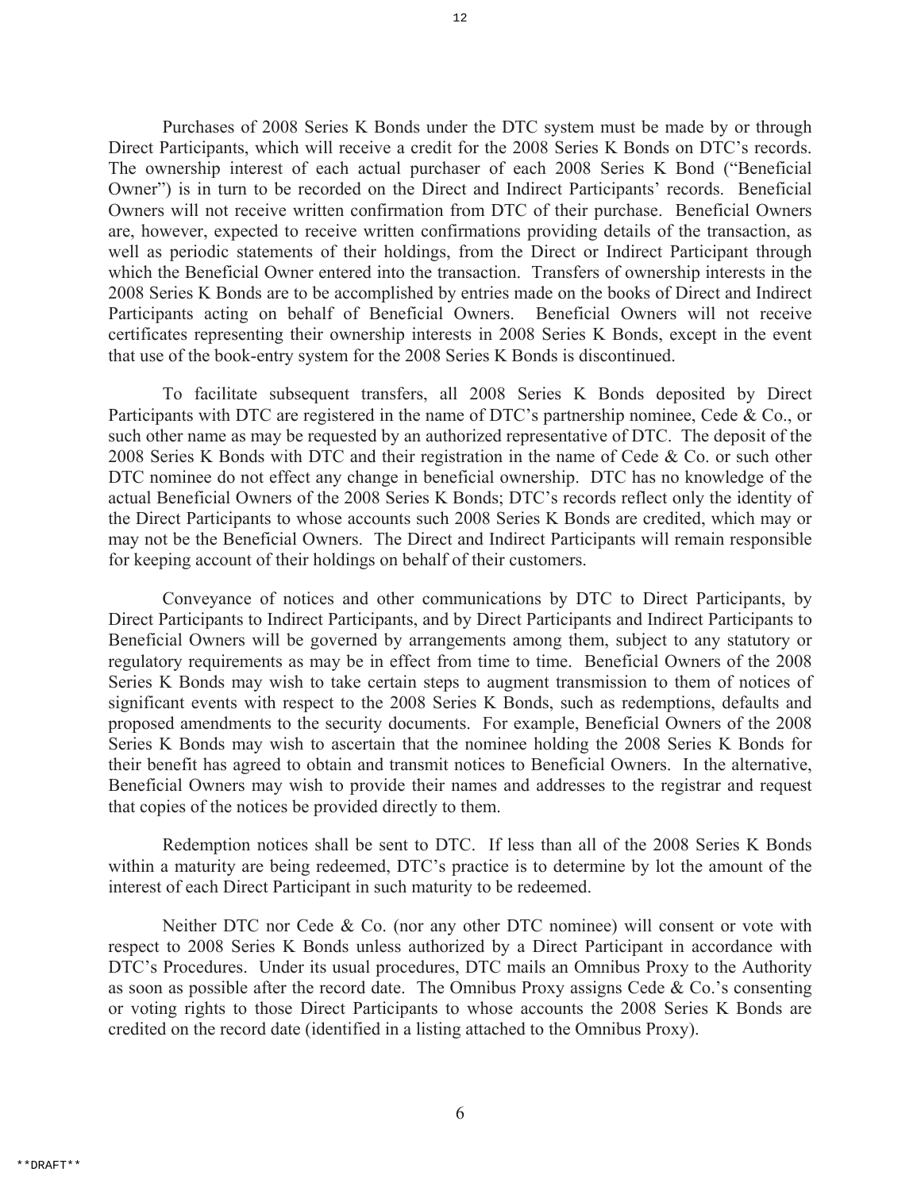Purchases of 2008 Series K Bonds under the DTC system must be made by or through Direct Participants, which will receive a credit for the 2008 Series K Bonds on DTC's records. The ownership interest of each actual purchaser of each 2008 Series K Bond ("Beneficial Owner") is in turn to be recorded on the Direct and Indirect Participants' records. Beneficial Owners will not receive written confirmation from DTC of their purchase. Beneficial Owners are, however, expected to receive written confirmations providing details of the transaction, as well as periodic statements of their holdings, from the Direct or Indirect Participant through which the Beneficial Owner entered into the transaction. Transfers of ownership interests in the 2008 Series K Bonds are to be accomplished by entries made on the books of Direct and Indirect Participants acting on behalf of Beneficial Owners. Beneficial Owners will not receive certificates representing their ownership interests in 2008 Series K Bonds, except in the event that use of the book-entry system for the 2008 Series K Bonds is discontinued.

To facilitate subsequent transfers, all 2008 Series K Bonds deposited by Direct Participants with DTC are registered in the name of DTC's partnership nominee, Cede & Co., or such other name as may be requested by an authorized representative of DTC. The deposit of the 2008 Series K Bonds with DTC and their registration in the name of Cede & Co. or such other DTC nominee do not effect any change in beneficial ownership. DTC has no knowledge of the actual Beneficial Owners of the 2008 Series K Bonds; DTC's records reflect only the identity of the Direct Participants to whose accounts such 2008 Series K Bonds are credited, which may or may not be the Beneficial Owners. The Direct and Indirect Participants will remain responsible for keeping account of their holdings on behalf of their customers.

Conveyance of notices and other communications by DTC to Direct Participants, by Direct Participants to Indirect Participants, and by Direct Participants and Indirect Participants to Beneficial Owners will be governed by arrangements among them, subject to any statutory or regulatory requirements as may be in effect from time to time. Beneficial Owners of the 2008 Series K Bonds may wish to take certain steps to augment transmission to them of notices of significant events with respect to the 2008 Series K Bonds, such as redemptions, defaults and proposed amendments to the security documents. For example, Beneficial Owners of the 2008 Series K Bonds may wish to ascertain that the nominee holding the 2008 Series K Bonds for their benefit has agreed to obtain and transmit notices to Beneficial Owners. In the alternative, Beneficial Owners may wish to provide their names and addresses to the registrar and request that copies of the notices be provided directly to them.

Redemption notices shall be sent to DTC. If less than all of the 2008 Series K Bonds within a maturity are being redeemed, DTC's practice is to determine by lot the amount of the interest of each Direct Participant in such maturity to be redeemed.

Neither DTC nor Cede & Co. (nor any other DTC nominee) will consent or vote with respect to 2008 Series K Bonds unless authorized by a Direct Participant in accordance with DTC's Procedures. Under its usual procedures, DTC mails an Omnibus Proxy to the Authority as soon as possible after the record date. The Omnibus Proxy assigns Cede & Co.'s consenting or voting rights to those Direct Participants to whose accounts the 2008 Series K Bonds are credited on the record date (identified in a listing attached to the Omnibus Proxy).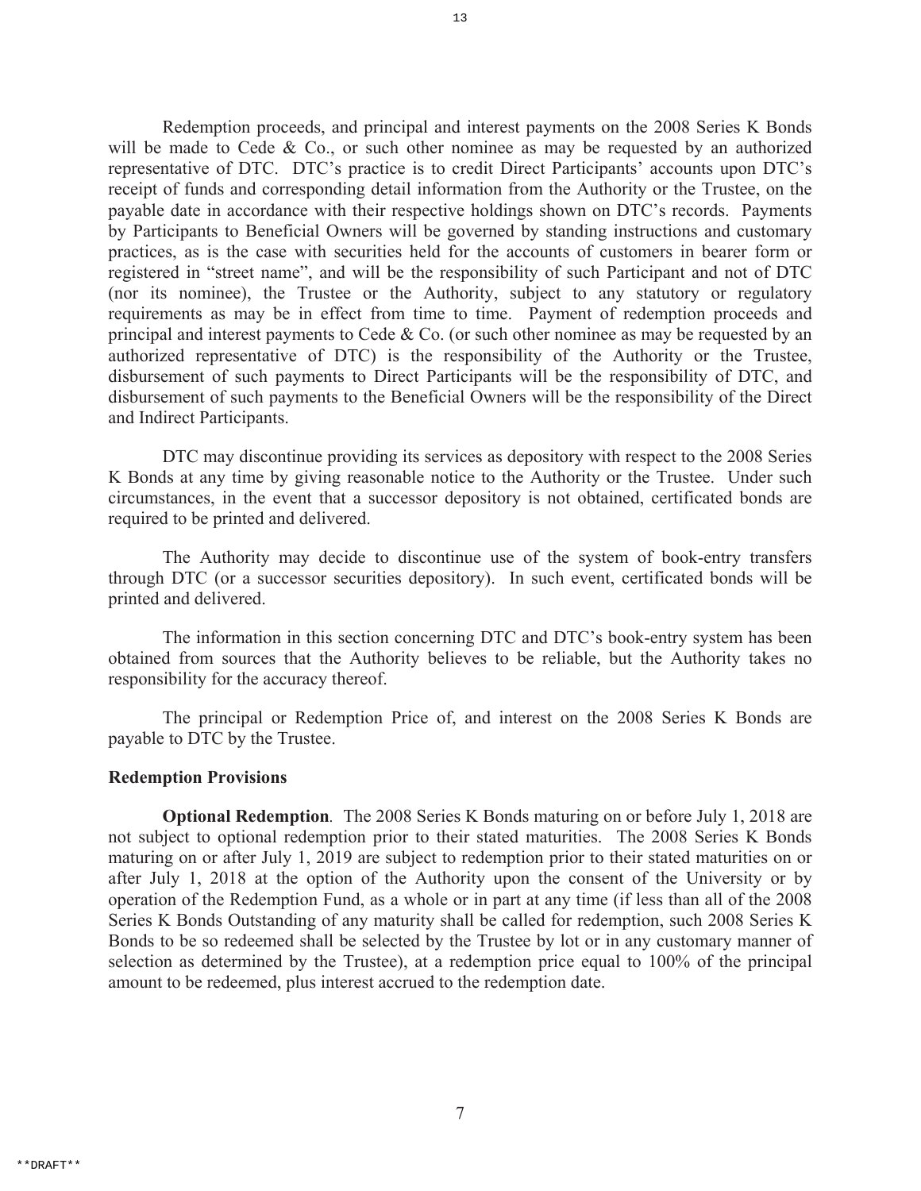Redemption proceeds, and principal and interest payments on the 2008 Series K Bonds will be made to Cede & Co., or such other nominee as may be requested by an authorized representative of DTC. DTC's practice is to credit Direct Participants' accounts upon DTC's receipt of funds and corresponding detail information from the Authority or the Trustee, on the payable date in accordance with their respective holdings shown on DTC's records. Payments by Participants to Beneficial Owners will be governed by standing instructions and customary practices, as is the case with securities held for the accounts of customers in bearer form or registered in "street name", and will be the responsibility of such Participant and not of DTC (nor its nominee), the Trustee or the Authority, subject to any statutory or regulatory requirements as may be in effect from time to time. Payment of redemption proceeds and principal and interest payments to Cede & Co. (or such other nominee as may be requested by an authorized representative of DTC) is the responsibility of the Authority or the Trustee, disbursement of such payments to Direct Participants will be the responsibility of DTC, and disbursement of such payments to the Beneficial Owners will be the responsibility of the Direct and Indirect Participants.

DTC may discontinue providing its services as depository with respect to the 2008 Series K Bonds at any time by giving reasonable notice to the Authority or the Trustee. Under such circumstances, in the event that a successor depository is not obtained, certificated bonds are required to be printed and delivered.

The Authority may decide to discontinue use of the system of book-entry transfers through DTC (or a successor securities depository). In such event, certificated bonds will be printed and delivered.

The information in this section concerning DTC and DTC's book-entry system has been obtained from sources that the Authority believes to be reliable, but the Authority takes no responsibility for the accuracy thereof.

The principal or Redemption Price of, and interest on the 2008 Series K Bonds are payable to DTC by the Trustee.

## **Redemption Provisions**

**Optional Redemption***.* The 2008 Series K Bonds maturing on or before July 1, 2018 are not subject to optional redemption prior to their stated maturities. The 2008 Series K Bonds maturing on or after July 1, 2019 are subject to redemption prior to their stated maturities on or after July 1, 2018 at the option of the Authority upon the consent of the University or by operation of the Redemption Fund, as a whole or in part at any time (if less than all of the 2008 Series K Bonds Outstanding of any maturity shall be called for redemption, such 2008 Series K Bonds to be so redeemed shall be selected by the Trustee by lot or in any customary manner of selection as determined by the Trustee), at a redemption price equal to 100% of the principal amount to be redeemed, plus interest accrued to the redemption date.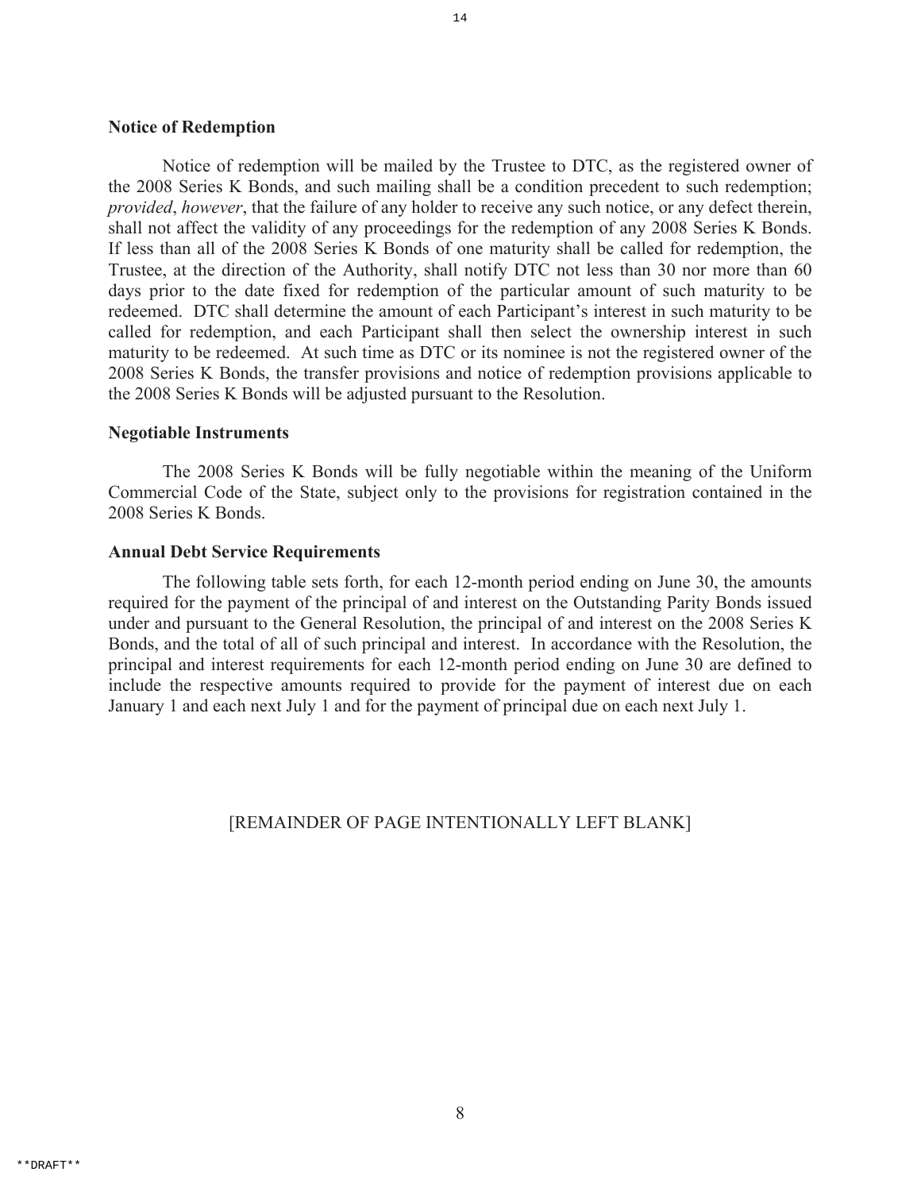## **Notice of Redemption**

Notice of redemption will be mailed by the Trustee to DTC, as the registered owner of the 2008 Series K Bonds, and such mailing shall be a condition precedent to such redemption; *provided*, *however*, that the failure of any holder to receive any such notice, or any defect therein, shall not affect the validity of any proceedings for the redemption of any 2008 Series K Bonds. If less than all of the 2008 Series K Bonds of one maturity shall be called for redemption, the Trustee, at the direction of the Authority, shall notify DTC not less than 30 nor more than 60 days prior to the date fixed for redemption of the particular amount of such maturity to be redeemed. DTC shall determine the amount of each Participant's interest in such maturity to be called for redemption, and each Participant shall then select the ownership interest in such maturity to be redeemed. At such time as DTC or its nominee is not the registered owner of the 2008 Series K Bonds, the transfer provisions and notice of redemption provisions applicable to the 2008 Series K Bonds will be adjusted pursuant to the Resolution.

## **Negotiable Instruments**

The 2008 Series K Bonds will be fully negotiable within the meaning of the Uniform Commercial Code of the State, subject only to the provisions for registration contained in the 2008 Series K Bonds.

## **Annual Debt Service Requirements**

The following table sets forth, for each 12-month period ending on June 30, the amounts required for the payment of the principal of and interest on the Outstanding Parity Bonds issued under and pursuant to the General Resolution, the principal of and interest on the 2008 Series K Bonds, and the total of all of such principal and interest. In accordance with the Resolution, the principal and interest requirements for each 12-month period ending on June 30 are defined to include the respective amounts required to provide for the payment of interest due on each January 1 and each next July 1 and for the payment of principal due on each next July 1.

## [REMAINDER OF PAGE INTENTIONALLY LEFT BLANK]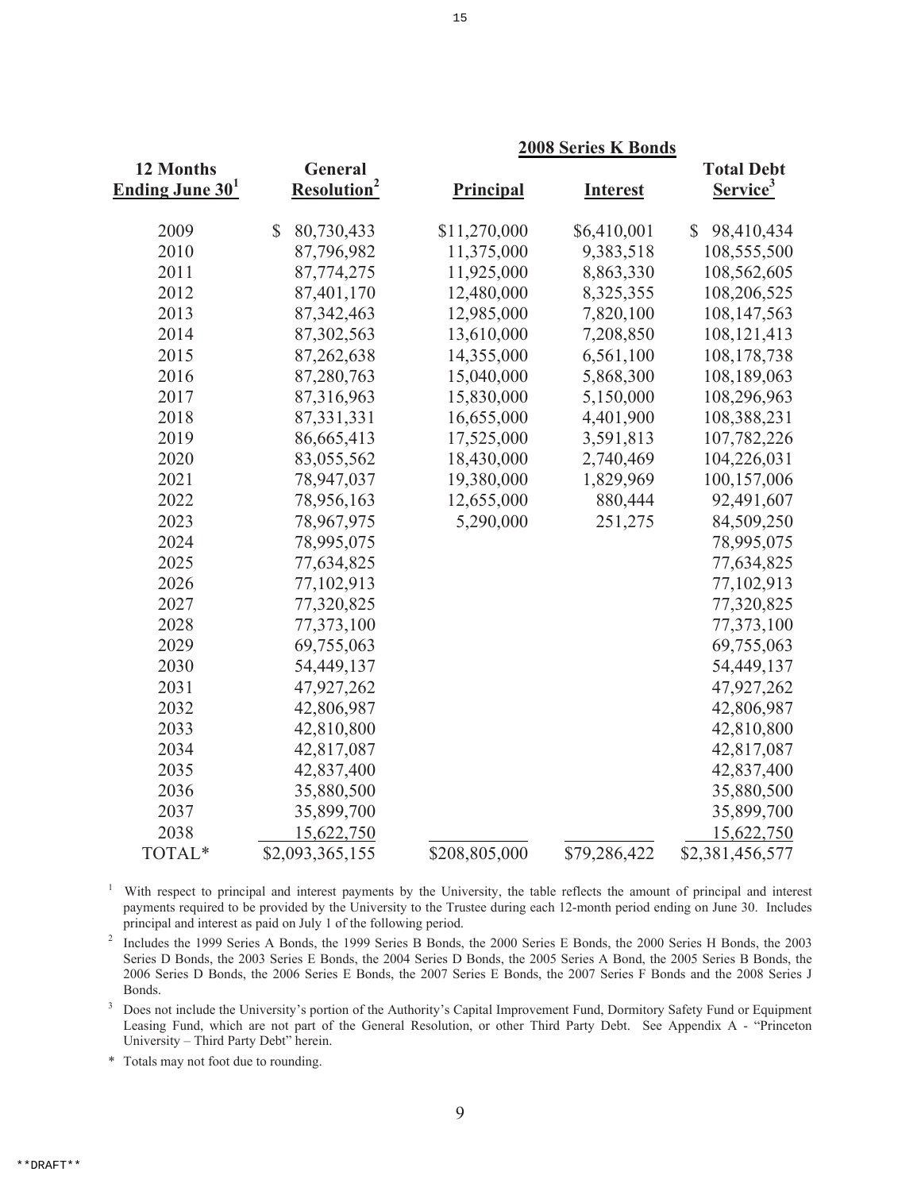|                                                |                                    | <u>ZUU8 Series K Bonas</u> |                 |                                           |
|------------------------------------------------|------------------------------------|----------------------------|-----------------|-------------------------------------------|
| 12 Months<br><b>Ending June 30<sup>1</sup></b> | General<br>Resolution <sup>2</sup> | <b>Principal</b>           | <b>Interest</b> | <b>Total Debt</b><br>Service <sup>3</sup> |
| 2009                                           | $\mathbb{S}$<br>80,730,433         | \$11,270,000               | \$6,410,001     | 98,410,434<br>$\mathbb{S}$                |
| 2010                                           | 87,796,982                         | 11,375,000                 | 9,383,518       | 108,555,500                               |
| 2011                                           | 87,774,275                         | 11,925,000                 | 8,863,330       | 108,562,605                               |
| 2012                                           | 87,401,170                         | 12,480,000                 | 8,325,355       | 108,206,525                               |
| 2013                                           | 87, 342, 463                       | 12,985,000                 | 7,820,100       | 108,147,563                               |
| 2014                                           | 87,302,563                         | 13,610,000                 | 7,208,850       | 108,121,413                               |
| 2015                                           | 87,262,638                         | 14,355,000                 | 6,561,100       | 108,178,738                               |
| 2016                                           | 87,280,763                         | 15,040,000                 | 5,868,300       | 108,189,063                               |
| 2017                                           | 87,316,963                         | 15,830,000                 | 5,150,000       | 108,296,963                               |
| 2018                                           | 87,331,331                         | 16,655,000                 | 4,401,900       | 108,388,231                               |
| 2019                                           | 86,665,413                         | 17,525,000                 | 3,591,813       | 107,782,226                               |
| 2020                                           | 83,055,562                         | 18,430,000                 | 2,740,469       | 104,226,031                               |
| 2021                                           | 78,947,037                         | 19,380,000                 | 1,829,969       | 100,157,006                               |
| 2022                                           | 78,956,163                         | 12,655,000                 | 880,444         | 92,491,607                                |
| 2023                                           | 78,967,975                         | 5,290,000                  | 251,275         | 84,509,250                                |
| 2024                                           | 78,995,075                         |                            |                 | 78,995,075                                |
| 2025                                           | 77,634,825                         |                            |                 | 77,634,825                                |
| 2026                                           | 77,102,913                         |                            |                 | 77,102,913                                |
| 2027                                           | 77,320,825                         |                            |                 | 77,320,825                                |
| 2028                                           | 77,373,100                         |                            |                 | 77,373,100                                |
| 2029                                           | 69,755,063                         |                            |                 | 69,755,063                                |
| 2030                                           | 54,449,137                         |                            |                 | 54,449,137                                |
| 2031                                           | 47,927,262                         |                            |                 | 47,927,262                                |
| 2032                                           | 42,806,987                         |                            |                 | 42,806,987                                |
| 2033                                           | 42,810,800                         |                            |                 | 42,810,800                                |
| 2034                                           | 42,817,087                         |                            |                 | 42,817,087                                |
| 2035                                           | 42,837,400                         |                            |                 | 42,837,400                                |
| 2036                                           | 35,880,500                         |                            |                 | 35,880,500                                |
| 2037                                           | 35,899,700                         |                            |                 | 35,899,700                                |
| 2038                                           | 15,622,750                         |                            |                 | 15,622,750                                |
| TOTAL*                                         | \$2,093,365,155                    | \$208,805,000              | \$79,286,422    | \$2,381,456,577                           |

1 With respect to principal and interest payments by the University, the table reflects the amount of principal and interest payments required to be provided by the University to the Trustee during each 12-month period ending on June 30. Includes principal and interest as paid on July 1 of the following period.

2 Includes the 1999 Series A Bonds, the 1999 Series B Bonds, the 2000 Series E Bonds, the 2000 Series H Bonds, the 2003 Series D Bonds, the 2003 Series E Bonds, the 2004 Series D Bonds, the 2005 Series A Bond, the 2005 Series B Bonds, the 2006 Series D Bonds, the 2006 Series E Bonds, the 2007 Series E Bonds, the 2007 Series F Bonds and the 2008 Series J Bonds.

<sup>3</sup> Does not include the University's portion of the Authority's Capital Improvement Fund, Dormitory Safety Fund or Equipment Leasing Fund, which are not part of the General Resolution, or other Third Party Debt. See Appendix A - "Princeton University – Third Party Debt" herein.

\* Totals may not foot due to rounding.

## **2008 Series K Bonds**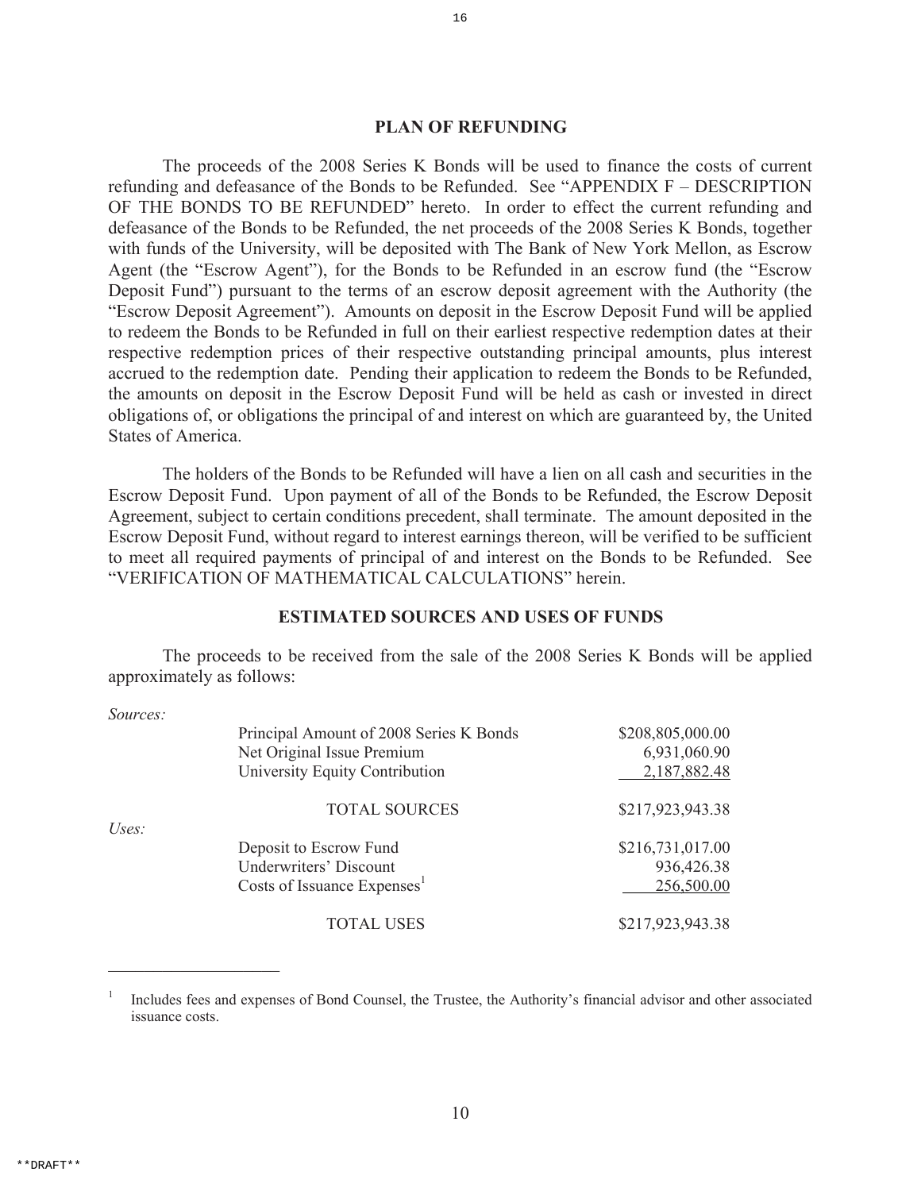## **PLAN OF REFUNDING**

16

The proceeds of the 2008 Series K Bonds will be used to finance the costs of current refunding and defeasance of the Bonds to be Refunded. See "APPENDIX F – DESCRIPTION OF THE BONDS TO BE REFUNDED" hereto. In order to effect the current refunding and defeasance of the Bonds to be Refunded, the net proceeds of the 2008 Series K Bonds, together with funds of the University, will be deposited with The Bank of New York Mellon, as Escrow Agent (the "Escrow Agent"), for the Bonds to be Refunded in an escrow fund (the "Escrow Deposit Fund") pursuant to the terms of an escrow deposit agreement with the Authority (the "Escrow Deposit Agreement"). Amounts on deposit in the Escrow Deposit Fund will be applied to redeem the Bonds to be Refunded in full on their earliest respective redemption dates at their respective redemption prices of their respective outstanding principal amounts, plus interest accrued to the redemption date. Pending their application to redeem the Bonds to be Refunded, the amounts on deposit in the Escrow Deposit Fund will be held as cash or invested in direct obligations of, or obligations the principal of and interest on which are guaranteed by, the United States of America.

The holders of the Bonds to be Refunded will have a lien on all cash and securities in the Escrow Deposit Fund. Upon payment of all of the Bonds to be Refunded, the Escrow Deposit Agreement, subject to certain conditions precedent, shall terminate. The amount deposited in the Escrow Deposit Fund, without regard to interest earnings thereon, will be verified to be sufficient to meet all required payments of principal of and interest on the Bonds to be Refunded. See "VERIFICATION OF MATHEMATICAL CALCULATIONS" herein.

## **ESTIMATED SOURCES AND USES OF FUNDS**

The proceeds to be received from the sale of the 2008 Series K Bonds will be applied approximately as follows:

*Sources:* 

 $\mathcal{L}_\text{max}$  , where  $\mathcal{L}_\text{max}$ 

|          | Principal Amount of 2008 Series K Bonds<br>Net Original Issue Premium<br>University Equity Contribution | \$208,805,000.00<br>6,931,060.90<br>2,187,882.48 |
|----------|---------------------------------------------------------------------------------------------------------|--------------------------------------------------|
|          | <b>TOTAL SOURCES</b>                                                                                    | \$217,923,943.38                                 |
| $Uses$ : | Deposit to Escrow Fund<br>Underwriters' Discount<br>Costs of Issuance Expenses <sup>1</sup>             | \$216,731,017.00<br>936,426.38<br>256,500.00     |
|          | <b>TOTAL USES</b>                                                                                       | \$217,923,943.38                                 |

<sup>1</sup> Includes fees and expenses of Bond Counsel, the Trustee, the Authority's financial advisor and other associated issuance costs.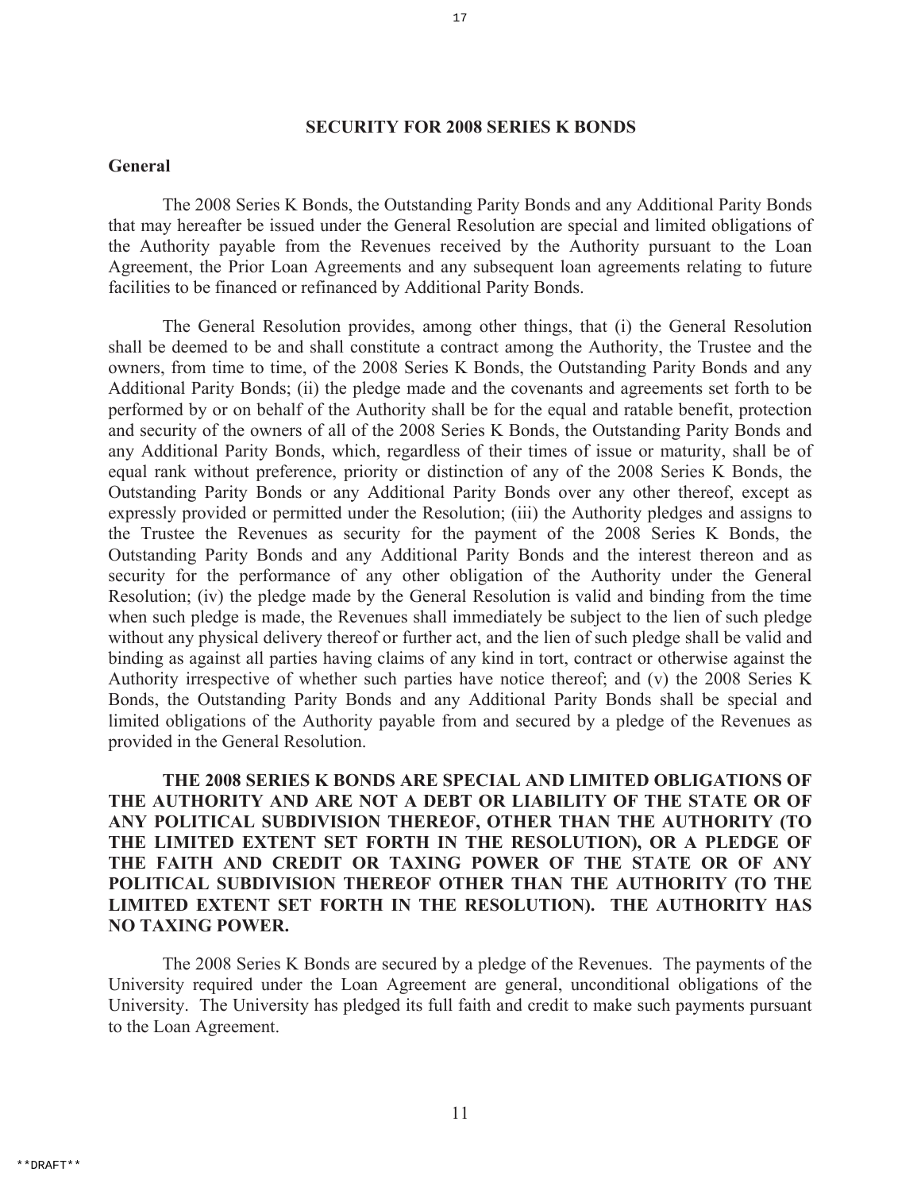## **SECURITY FOR 2008 SERIES K BONDS**

## **General**

The 2008 Series K Bonds, the Outstanding Parity Bonds and any Additional Parity Bonds that may hereafter be issued under the General Resolution are special and limited obligations of the Authority payable from the Revenues received by the Authority pursuant to the Loan Agreement, the Prior Loan Agreements and any subsequent loan agreements relating to future facilities to be financed or refinanced by Additional Parity Bonds.

The General Resolution provides, among other things, that (i) the General Resolution shall be deemed to be and shall constitute a contract among the Authority, the Trustee and the owners, from time to time, of the 2008 Series K Bonds, the Outstanding Parity Bonds and any Additional Parity Bonds; (ii) the pledge made and the covenants and agreements set forth to be performed by or on behalf of the Authority shall be for the equal and ratable benefit, protection and security of the owners of all of the 2008 Series K Bonds, the Outstanding Parity Bonds and any Additional Parity Bonds, which, regardless of their times of issue or maturity, shall be of equal rank without preference, priority or distinction of any of the 2008 Series K Bonds, the Outstanding Parity Bonds or any Additional Parity Bonds over any other thereof, except as expressly provided or permitted under the Resolution; (iii) the Authority pledges and assigns to the Trustee the Revenues as security for the payment of the 2008 Series K Bonds, the Outstanding Parity Bonds and any Additional Parity Bonds and the interest thereon and as security for the performance of any other obligation of the Authority under the General Resolution; (iv) the pledge made by the General Resolution is valid and binding from the time when such pledge is made, the Revenues shall immediately be subject to the lien of such pledge without any physical delivery thereof or further act, and the lien of such pledge shall be valid and binding as against all parties having claims of any kind in tort, contract or otherwise against the Authority irrespective of whether such parties have notice thereof; and (v) the 2008 Series K Bonds, the Outstanding Parity Bonds and any Additional Parity Bonds shall be special and limited obligations of the Authority payable from and secured by a pledge of the Revenues as provided in the General Resolution.

**THE 2008 SERIES K BONDS ARE SPECIAL AND LIMITED OBLIGATIONS OF THE AUTHORITY AND ARE NOT A DEBT OR LIABILITY OF THE STATE OR OF ANY POLITICAL SUBDIVISION THEREOF, OTHER THAN THE AUTHORITY (TO THE LIMITED EXTENT SET FORTH IN THE RESOLUTION), OR A PLEDGE OF THE FAITH AND CREDIT OR TAXING POWER OF THE STATE OR OF ANY POLITICAL SUBDIVISION THEREOF OTHER THAN THE AUTHORITY (TO THE LIMITED EXTENT SET FORTH IN THE RESOLUTION). THE AUTHORITY HAS NO TAXING POWER.** 

The 2008 Series K Bonds are secured by a pledge of the Revenues. The payments of the University required under the Loan Agreement are general, unconditional obligations of the University. The University has pledged its full faith and credit to make such payments pursuant to the Loan Agreement.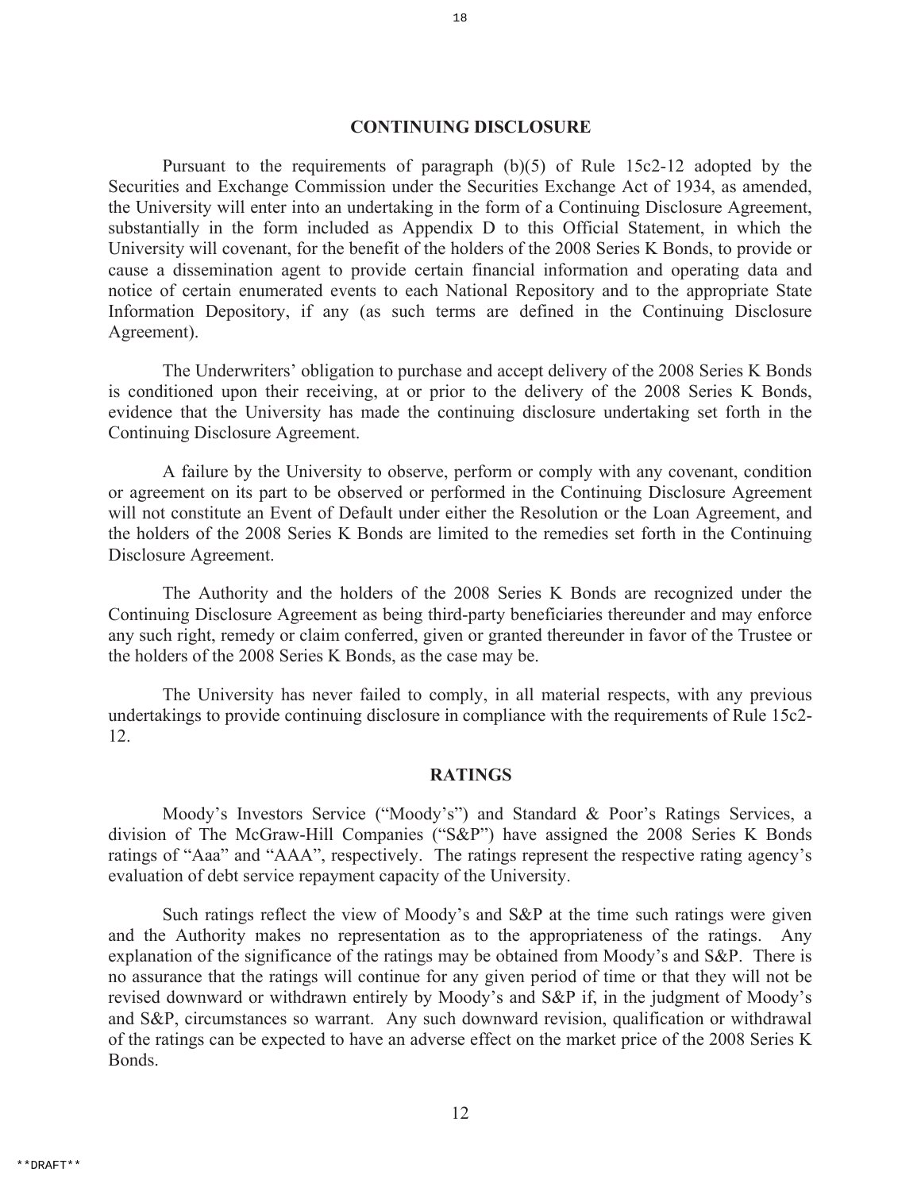## **CONTINUING DISCLOSURE**

Pursuant to the requirements of paragraph (b)(5) of Rule 15c2-12 adopted by the Securities and Exchange Commission under the Securities Exchange Act of 1934, as amended, the University will enter into an undertaking in the form of a Continuing Disclosure Agreement, substantially in the form included as Appendix D to this Official Statement, in which the University will covenant, for the benefit of the holders of the 2008 Series K Bonds, to provide or cause a dissemination agent to provide certain financial information and operating data and notice of certain enumerated events to each National Repository and to the appropriate State Information Depository, if any (as such terms are defined in the Continuing Disclosure Agreement).

The Underwriters' obligation to purchase and accept delivery of the 2008 Series K Bonds is conditioned upon their receiving, at or prior to the delivery of the 2008 Series K Bonds, evidence that the University has made the continuing disclosure undertaking set forth in the Continuing Disclosure Agreement.

A failure by the University to observe, perform or comply with any covenant, condition or agreement on its part to be observed or performed in the Continuing Disclosure Agreement will not constitute an Event of Default under either the Resolution or the Loan Agreement, and the holders of the 2008 Series K Bonds are limited to the remedies set forth in the Continuing Disclosure Agreement.

The Authority and the holders of the 2008 Series K Bonds are recognized under the Continuing Disclosure Agreement as being third-party beneficiaries thereunder and may enforce any such right, remedy or claim conferred, given or granted thereunder in favor of the Trustee or the holders of the 2008 Series K Bonds, as the case may be.

The University has never failed to comply, in all material respects, with any previous undertakings to provide continuing disclosure in compliance with the requirements of Rule 15c2- 12.

### **RATINGS**

Moody's Investors Service ("Moody's") and Standard & Poor's Ratings Services, a division of The McGraw-Hill Companies ("S&P") have assigned the 2008 Series K Bonds ratings of "Aaa" and "AAA", respectively. The ratings represent the respective rating agency's evaluation of debt service repayment capacity of the University.

Such ratings reflect the view of Moody's and S&P at the time such ratings were given and the Authority makes no representation as to the appropriateness of the ratings. Any explanation of the significance of the ratings may be obtained from Moody's and S&P. There is no assurance that the ratings will continue for any given period of time or that they will not be revised downward or withdrawn entirely by Moody's and S&P if, in the judgment of Moody's and S&P, circumstances so warrant. Any such downward revision, qualification or withdrawal of the ratings can be expected to have an adverse effect on the market price of the 2008 Series K Bonds.

18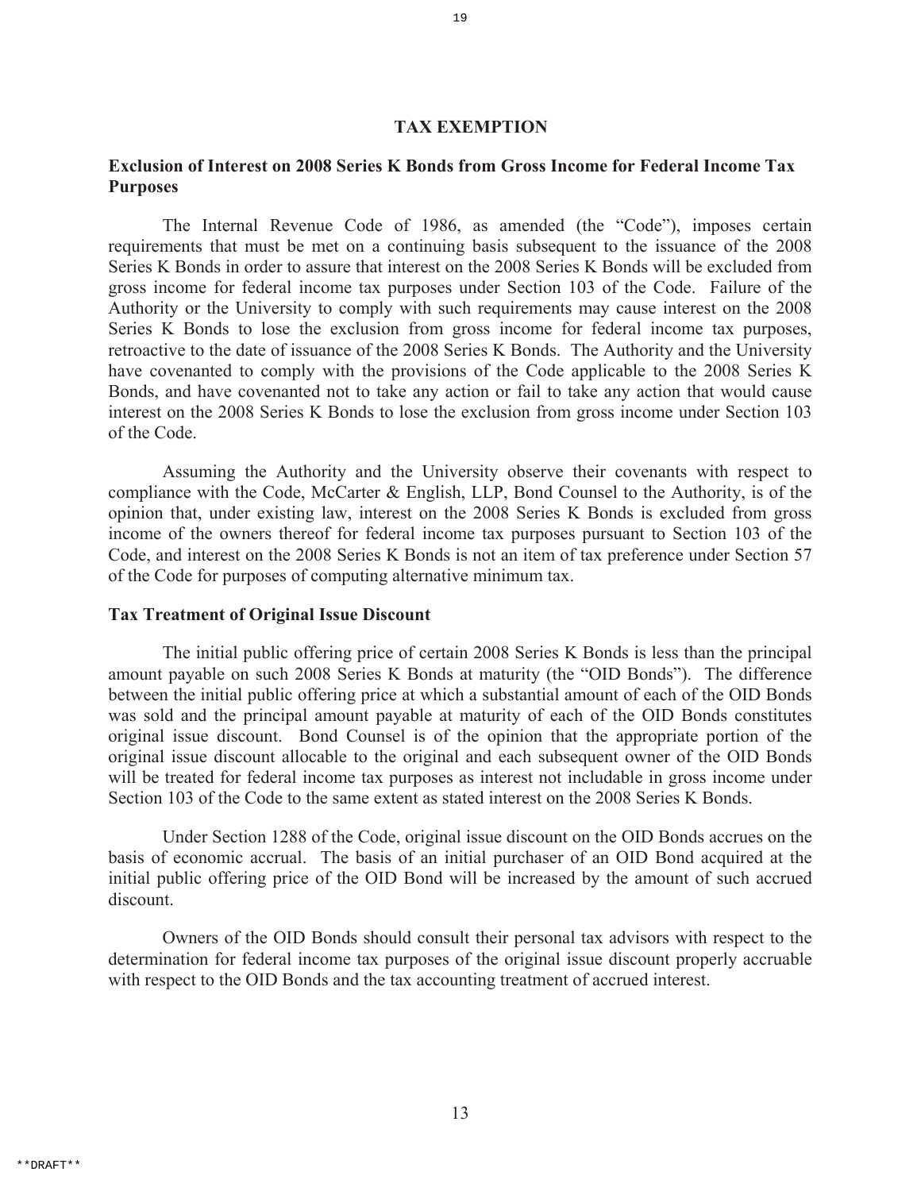## **TAX EXEMPTION**

## **Exclusion of Interest on 2008 Series K Bonds from Gross Income for Federal Income Tax Purposes**

The Internal Revenue Code of 1986, as amended (the "Code"), imposes certain requirements that must be met on a continuing basis subsequent to the issuance of the 2008 Series K Bonds in order to assure that interest on the 2008 Series K Bonds will be excluded from gross income for federal income tax purposes under Section 103 of the Code. Failure of the Authority or the University to comply with such requirements may cause interest on the 2008 Series K Bonds to lose the exclusion from gross income for federal income tax purposes, retroactive to the date of issuance of the 2008 Series K Bonds. The Authority and the University have covenanted to comply with the provisions of the Code applicable to the 2008 Series K Bonds, and have covenanted not to take any action or fail to take any action that would cause interest on the 2008 Series K Bonds to lose the exclusion from gross income under Section 103 of the Code.

Assuming the Authority and the University observe their covenants with respect to compliance with the Code, McCarter & English, LLP, Bond Counsel to the Authority, is of the opinion that, under existing law, interest on the 2008 Series K Bonds is excluded from gross income of the owners thereof for federal income tax purposes pursuant to Section 103 of the Code, and interest on the 2008 Series K Bonds is not an item of tax preference under Section 57 of the Code for purposes of computing alternative minimum tax.

## **Tax Treatment of Original Issue Discount**

The initial public offering price of certain 2008 Series K Bonds is less than the principal amount payable on such 2008 Series K Bonds at maturity (the "OID Bonds"). The difference between the initial public offering price at which a substantial amount of each of the OID Bonds was sold and the principal amount payable at maturity of each of the OID Bonds constitutes original issue discount. Bond Counsel is of the opinion that the appropriate portion of the original issue discount allocable to the original and each subsequent owner of the OID Bonds will be treated for federal income tax purposes as interest not includable in gross income under Section 103 of the Code to the same extent as stated interest on the 2008 Series K Bonds.

Under Section 1288 of the Code, original issue discount on the OID Bonds accrues on the basis of economic accrual. The basis of an initial purchaser of an OID Bond acquired at the initial public offering price of the OID Bond will be increased by the amount of such accrued discount.

Owners of the OID Bonds should consult their personal tax advisors with respect to the determination for federal income tax purposes of the original issue discount properly accruable with respect to the OID Bonds and the tax accounting treatment of accrued interest.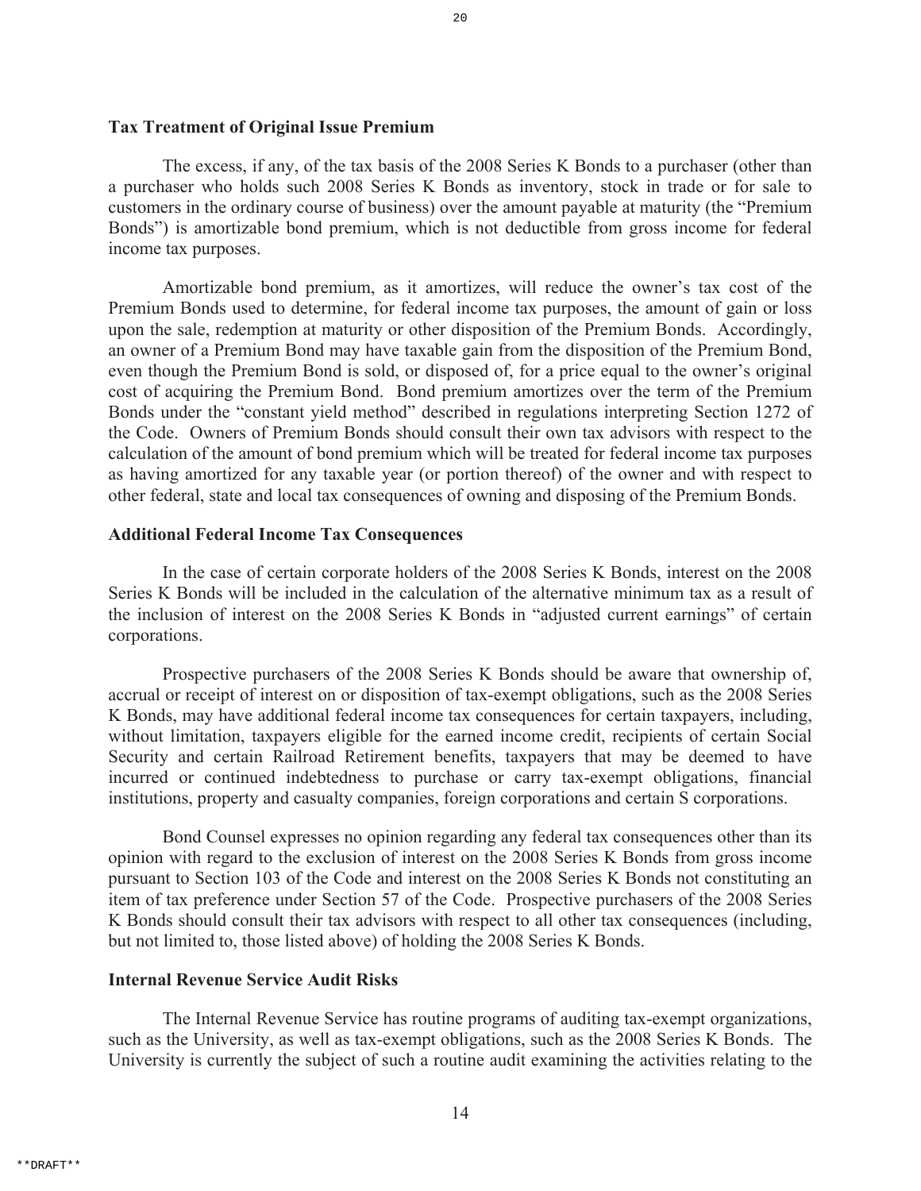$20$ 

## **Tax Treatment of Original Issue Premium**

The excess, if any, of the tax basis of the 2008 Series K Bonds to a purchaser (other than a purchaser who holds such 2008 Series K Bonds as inventory, stock in trade or for sale to customers in the ordinary course of business) over the amount payable at maturity (the "Premium Bonds") is amortizable bond premium, which is not deductible from gross income for federal income tax purposes.

Amortizable bond premium, as it amortizes, will reduce the owner's tax cost of the Premium Bonds used to determine, for federal income tax purposes, the amount of gain or loss upon the sale, redemption at maturity or other disposition of the Premium Bonds. Accordingly, an owner of a Premium Bond may have taxable gain from the disposition of the Premium Bond, even though the Premium Bond is sold, or disposed of, for a price equal to the owner's original cost of acquiring the Premium Bond. Bond premium amortizes over the term of the Premium Bonds under the "constant yield method" described in regulations interpreting Section 1272 of the Code. Owners of Premium Bonds should consult their own tax advisors with respect to the calculation of the amount of bond premium which will be treated for federal income tax purposes as having amortized for any taxable year (or portion thereof) of the owner and with respect to other federal, state and local tax consequences of owning and disposing of the Premium Bonds.

## **Additional Federal Income Tax Consequences**

In the case of certain corporate holders of the 2008 Series K Bonds, interest on the 2008 Series K Bonds will be included in the calculation of the alternative minimum tax as a result of the inclusion of interest on the 2008 Series K Bonds in "adjusted current earnings" of certain corporations.

Prospective purchasers of the 2008 Series K Bonds should be aware that ownership of, accrual or receipt of interest on or disposition of tax-exempt obligations, such as the 2008 Series K Bonds, may have additional federal income tax consequences for certain taxpayers, including, without limitation, taxpayers eligible for the earned income credit, recipients of certain Social Security and certain Railroad Retirement benefits, taxpayers that may be deemed to have incurred or continued indebtedness to purchase or carry tax-exempt obligations, financial institutions, property and casualty companies, foreign corporations and certain S corporations.

Bond Counsel expresses no opinion regarding any federal tax consequences other than its opinion with regard to the exclusion of interest on the 2008 Series K Bonds from gross income pursuant to Section 103 of the Code and interest on the 2008 Series K Bonds not constituting an item of tax preference under Section 57 of the Code. Prospective purchasers of the 2008 Series K Bonds should consult their tax advisors with respect to all other tax consequences (including, but not limited to, those listed above) of holding the 2008 Series K Bonds.

## **Internal Revenue Service Audit Risks**

The Internal Revenue Service has routine programs of auditing tax-exempt organizations, such as the University, as well as tax-exempt obligations, such as the 2008 Series K Bonds. The University is currently the subject of such a routine audit examining the activities relating to the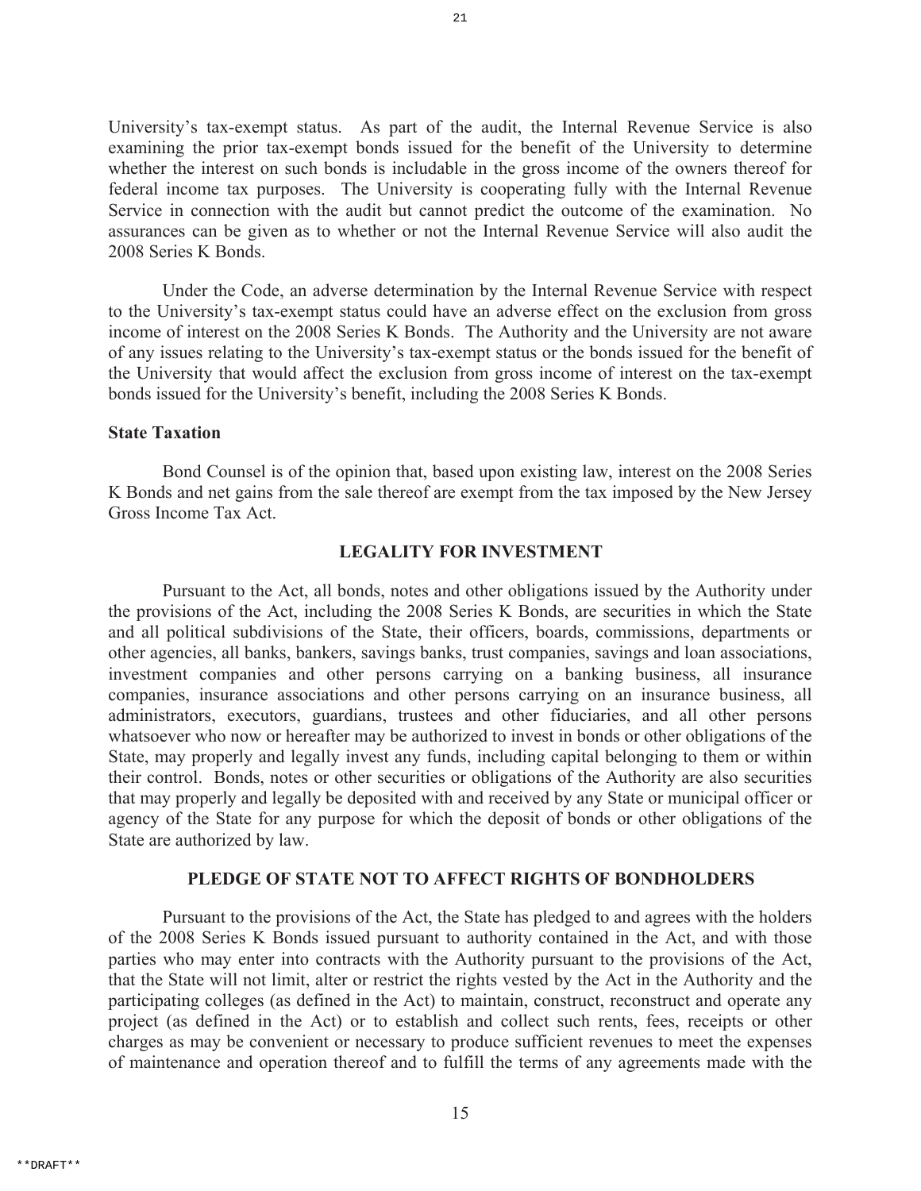University's tax-exempt status. As part of the audit, the Internal Revenue Service is also examining the prior tax-exempt bonds issued for the benefit of the University to determine whether the interest on such bonds is includable in the gross income of the owners thereof for federal income tax purposes. The University is cooperating fully with the Internal Revenue Service in connection with the audit but cannot predict the outcome of the examination. No assurances can be given as to whether or not the Internal Revenue Service will also audit the 2008 Series K Bonds.

Under the Code, an adverse determination by the Internal Revenue Service with respect to the University's tax-exempt status could have an adverse effect on the exclusion from gross income of interest on the 2008 Series K Bonds. The Authority and the University are not aware of any issues relating to the University's tax-exempt status or the bonds issued for the benefit of the University that would affect the exclusion from gross income of interest on the tax-exempt bonds issued for the University's benefit, including the 2008 Series K Bonds.

## **State Taxation**

Bond Counsel is of the opinion that, based upon existing law, interest on the 2008 Series K Bonds and net gains from the sale thereof are exempt from the tax imposed by the New Jersey Gross Income Tax Act.

## **LEGALITY FOR INVESTMENT**

Pursuant to the Act, all bonds, notes and other obligations issued by the Authority under the provisions of the Act, including the 2008 Series K Bonds, are securities in which the State and all political subdivisions of the State, their officers, boards, commissions, departments or other agencies, all banks, bankers, savings banks, trust companies, savings and loan associations, investment companies and other persons carrying on a banking business, all insurance companies, insurance associations and other persons carrying on an insurance business, all administrators, executors, guardians, trustees and other fiduciaries, and all other persons whatsoever who now or hereafter may be authorized to invest in bonds or other obligations of the State, may properly and legally invest any funds, including capital belonging to them or within their control. Bonds, notes or other securities or obligations of the Authority are also securities that may properly and legally be deposited with and received by any State or municipal officer or agency of the State for any purpose for which the deposit of bonds or other obligations of the State are authorized by law.

## **PLEDGE OF STATE NOT TO AFFECT RIGHTS OF BONDHOLDERS**

Pursuant to the provisions of the Act, the State has pledged to and agrees with the holders of the 2008 Series K Bonds issued pursuant to authority contained in the Act, and with those parties who may enter into contracts with the Authority pursuant to the provisions of the Act, that the State will not limit, alter or restrict the rights vested by the Act in the Authority and the participating colleges (as defined in the Act) to maintain, construct, reconstruct and operate any project (as defined in the Act) or to establish and collect such rents, fees, receipts or other charges as may be convenient or necessary to produce sufficient revenues to meet the expenses of maintenance and operation thereof and to fulfill the terms of any agreements made with the

21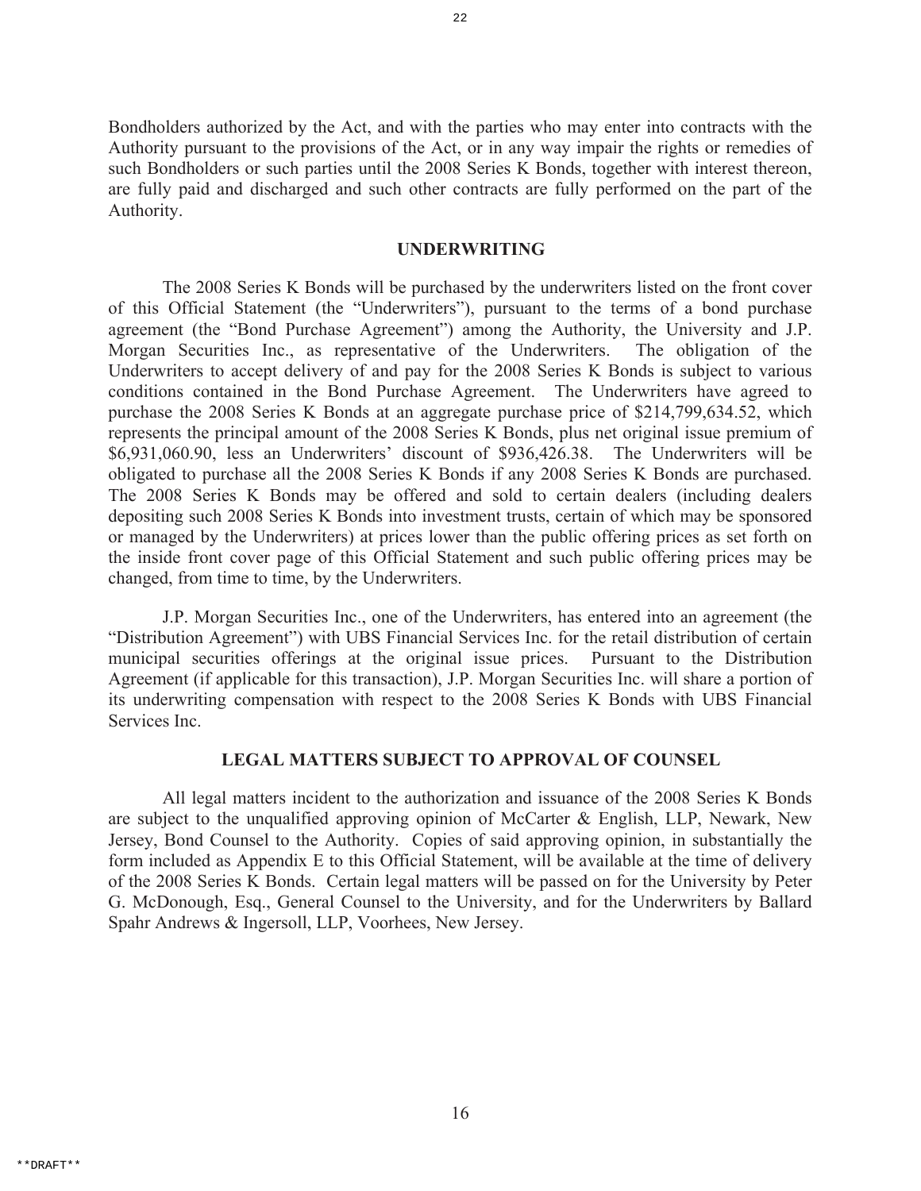Bondholders authorized by the Act, and with the parties who may enter into contracts with the Authority pursuant to the provisions of the Act, or in any way impair the rights or remedies of such Bondholders or such parties until the 2008 Series K Bonds, together with interest thereon, are fully paid and discharged and such other contracts are fully performed on the part of the Authority.

## **UNDERWRITING**

The 2008 Series K Bonds will be purchased by the underwriters listed on the front cover of this Official Statement (the "Underwriters"), pursuant to the terms of a bond purchase agreement (the "Bond Purchase Agreement") among the Authority, the University and J.P. Morgan Securities Inc., as representative of the Underwriters. The obligation of the Underwriters to accept delivery of and pay for the 2008 Series K Bonds is subject to various conditions contained in the Bond Purchase Agreement. The Underwriters have agreed to purchase the 2008 Series K Bonds at an aggregate purchase price of \$214,799,634.52, which represents the principal amount of the 2008 Series K Bonds, plus net original issue premium of \$6,931,060.90, less an Underwriters' discount of \$936,426.38. The Underwriters will be obligated to purchase all the 2008 Series K Bonds if any 2008 Series K Bonds are purchased. The 2008 Series K Bonds may be offered and sold to certain dealers (including dealers depositing such 2008 Series K Bonds into investment trusts, certain of which may be sponsored or managed by the Underwriters) at prices lower than the public offering prices as set forth on the inside front cover page of this Official Statement and such public offering prices may be changed, from time to time, by the Underwriters.

J.P. Morgan Securities Inc., one of the Underwriters, has entered into an agreement (the "Distribution Agreement") with UBS Financial Services Inc. for the retail distribution of certain municipal securities offerings at the original issue prices. Pursuant to the Distribution Agreement (if applicable for this transaction), J.P. Morgan Securities Inc. will share a portion of its underwriting compensation with respect to the 2008 Series K Bonds with UBS Financial Services Inc.

## **LEGAL MATTERS SUBJECT TO APPROVAL OF COUNSEL**

All legal matters incident to the authorization and issuance of the 2008 Series K Bonds are subject to the unqualified approving opinion of McCarter & English, LLP, Newark, New Jersey, Bond Counsel to the Authority. Copies of said approving opinion, in substantially the form included as Appendix E to this Official Statement, will be available at the time of delivery of the 2008 Series K Bonds. Certain legal matters will be passed on for the University by Peter G. McDonough, Esq., General Counsel to the University, and for the Underwriters by Ballard Spahr Andrews & Ingersoll, LLP, Voorhees, New Jersey.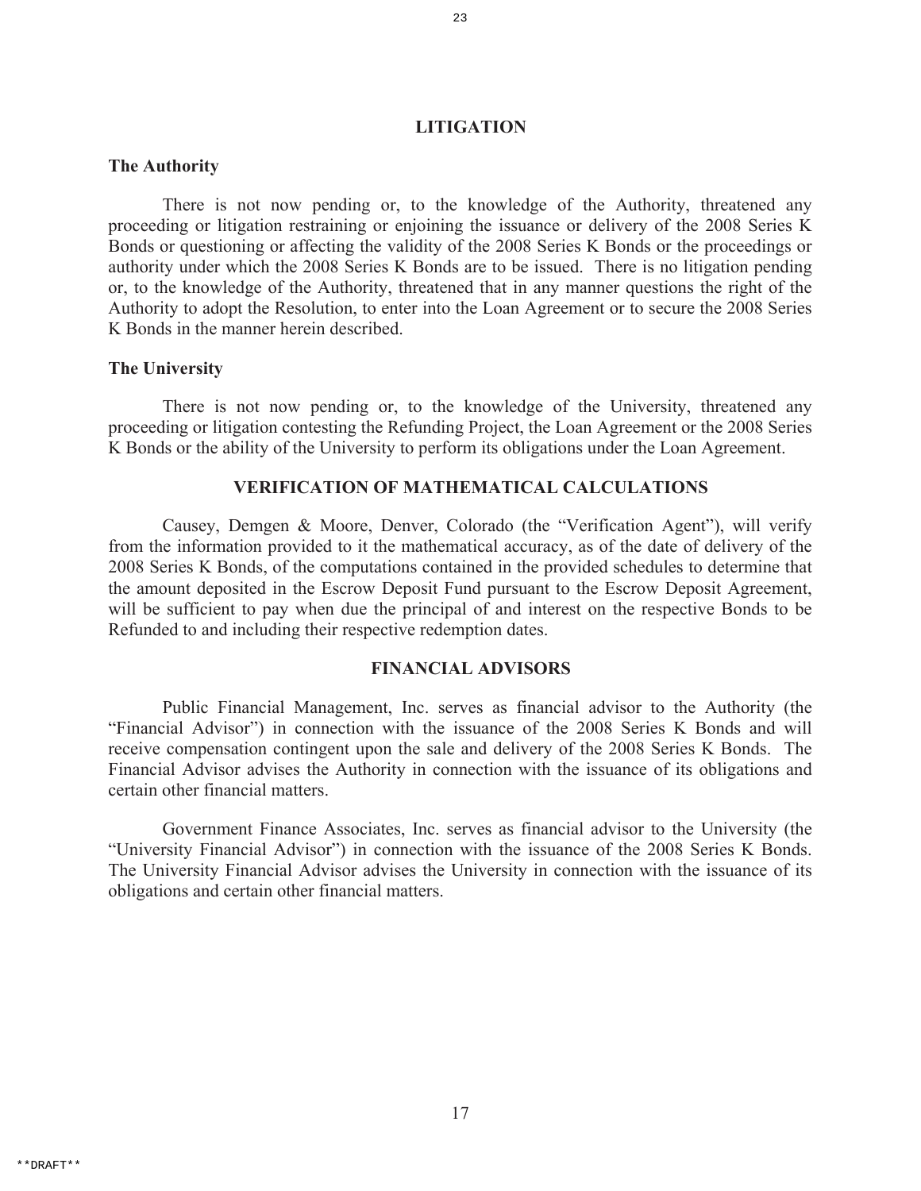## **LITIGATION**

## **The Authority**

There is not now pending or, to the knowledge of the Authority, threatened any proceeding or litigation restraining or enjoining the issuance or delivery of the 2008 Series K Bonds or questioning or affecting the validity of the 2008 Series K Bonds or the proceedings or authority under which the 2008 Series K Bonds are to be issued. There is no litigation pending or, to the knowledge of the Authority, threatened that in any manner questions the right of the Authority to adopt the Resolution, to enter into the Loan Agreement or to secure the 2008 Series K Bonds in the manner herein described.

## **The University**

There is not now pending or, to the knowledge of the University, threatened any proceeding or litigation contesting the Refunding Project, the Loan Agreement or the 2008 Series K Bonds or the ability of the University to perform its obligations under the Loan Agreement.

## **VERIFICATION OF MATHEMATICAL CALCULATIONS**

Causey, Demgen & Moore, Denver, Colorado (the "Verification Agent"), will verify from the information provided to it the mathematical accuracy, as of the date of delivery of the 2008 Series K Bonds, of the computations contained in the provided schedules to determine that the amount deposited in the Escrow Deposit Fund pursuant to the Escrow Deposit Agreement, will be sufficient to pay when due the principal of and interest on the respective Bonds to be Refunded to and including their respective redemption dates.

## **FINANCIAL ADVISORS**

Public Financial Management, Inc. serves as financial advisor to the Authority (the "Financial Advisor") in connection with the issuance of the 2008 Series K Bonds and will receive compensation contingent upon the sale and delivery of the 2008 Series K Bonds. The Financial Advisor advises the Authority in connection with the issuance of its obligations and certain other financial matters.

Government Finance Associates, Inc. serves as financial advisor to the University (the "University Financial Advisor") in connection with the issuance of the 2008 Series K Bonds. The University Financial Advisor advises the University in connection with the issuance of its obligations and certain other financial matters.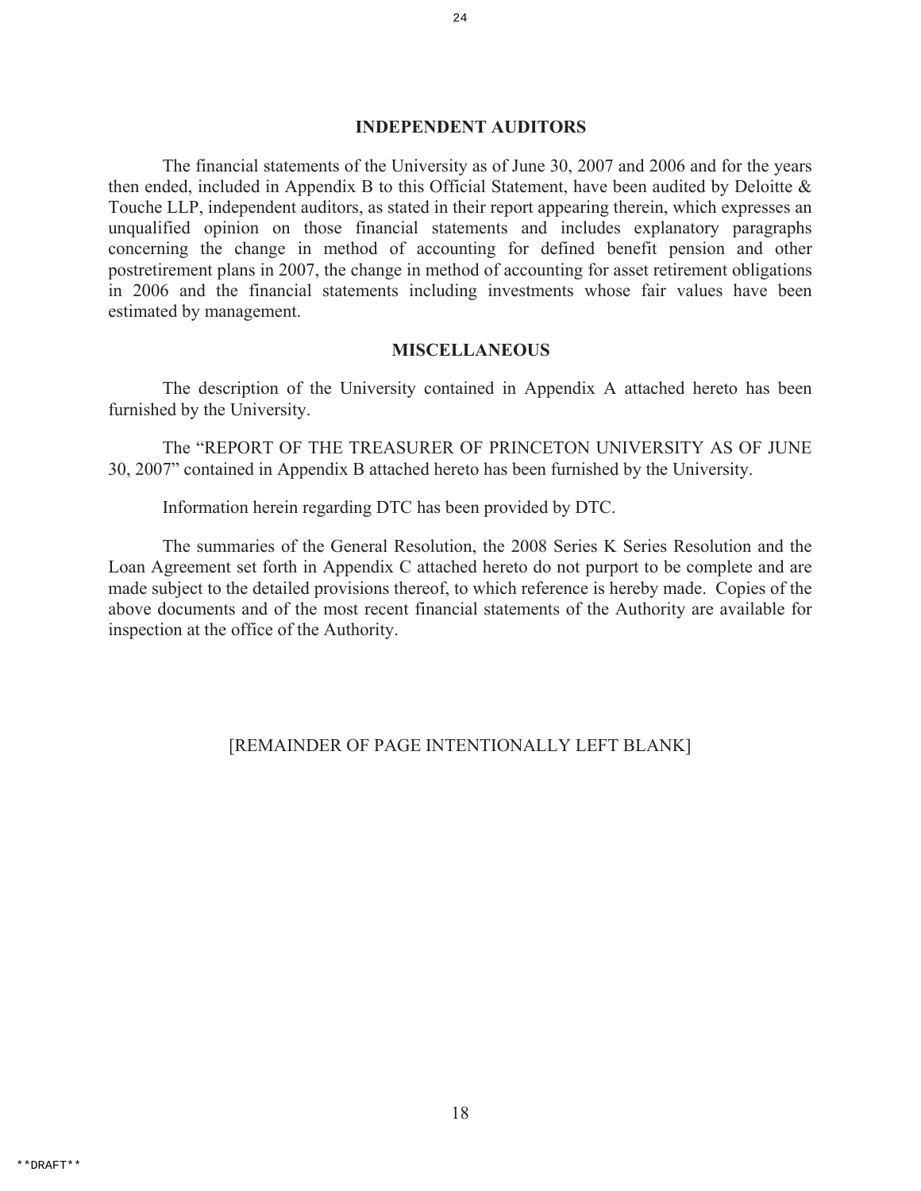## **INDEPENDENT AUDITORS**

The financial statements of the University as of June 30, 2007 and 2006 and for the years then ended, included in Appendix B to this Official Statement, have been audited by Deloitte & Touche LLP, independent auditors, as stated in their report appearing therein, which expresses an unqualified opinion on those financial statements and includes explanatory paragraphs concerning the change in method of accounting for defined benefit pension and other postretirement plans in 2007, the change in method of accounting for asset retirement obligations in 2006 and the financial statements including investments whose fair values have been estimated by management.

## **MISCELLANEOUS**

The description of the University contained in Appendix A attached hereto has been furnished by the University.

The "REPORT OF THE TREASURER OF PRINCETON UNIVERSITY AS OF JUNE 30, 2007" contained in Appendix B attached hereto has been furnished by the University.

Information herein regarding DTC has been provided by DTC.

The summaries of the General Resolution, the 2008 Series K Series Resolution and the Loan Agreement set forth in Appendix C attached hereto do not purport to be complete and are made subject to the detailed provisions thereof, to which reference is hereby made. Copies of the above documents and of the most recent financial statements of the Authority are available for inspection at the office of the Authority.

## [REMAINDER OF PAGE INTENTIONALLY LEFT BLANK]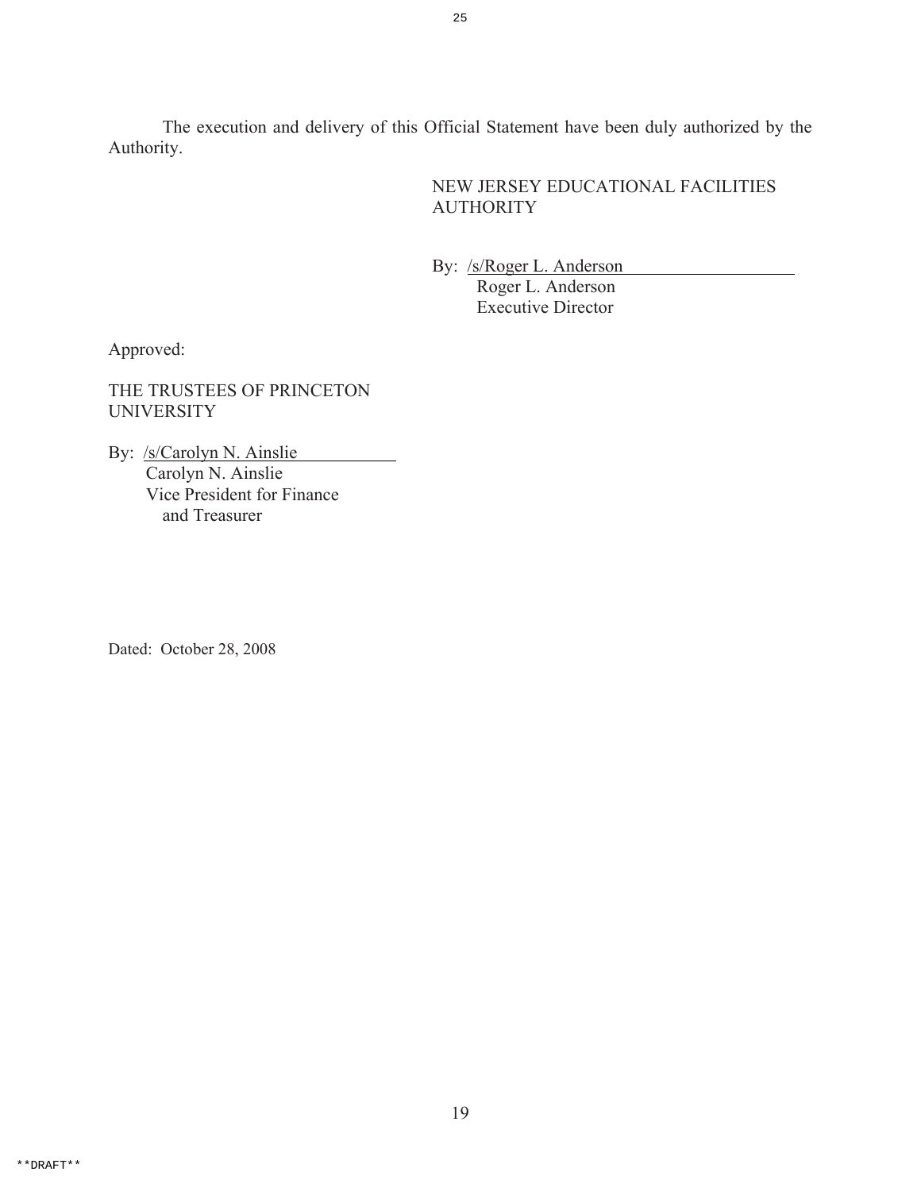The execution and delivery of this Official Statement have been duly authorized by the Authority.

> NEW JERSEY EDUCATIONAL FACILITIES **AUTHORITY**

By: /s/Roger L. Anderson

 Roger L. Anderson Executive Director

Approved:

THE TRUSTEES OF PRINCETON UNIVERSITY

By: /s/Carolyn N. Ainslie Carolyn N. Ainslie Vice President for Finance and Treasurer

Dated: October 28, 2008

25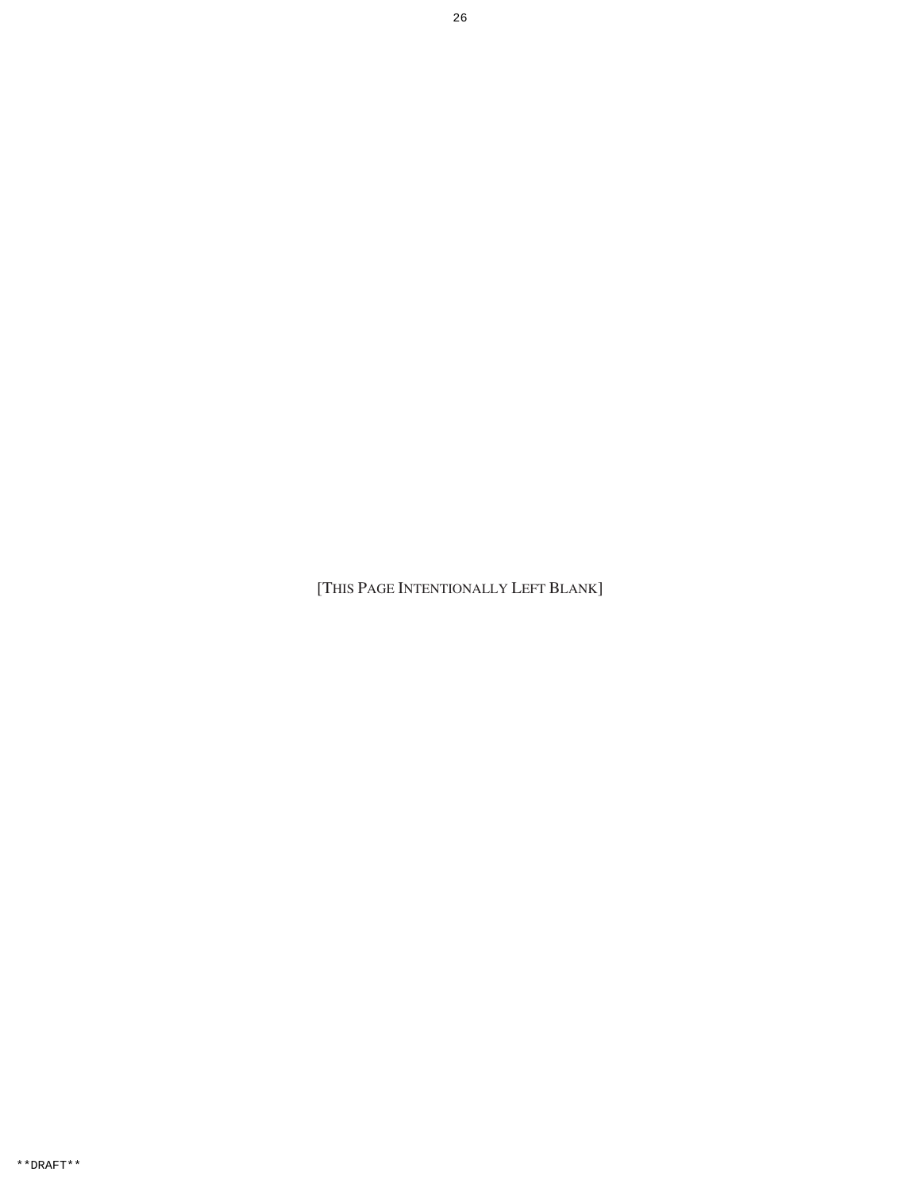[THIS PAGE INTENTIONALLY LEFT BLANK]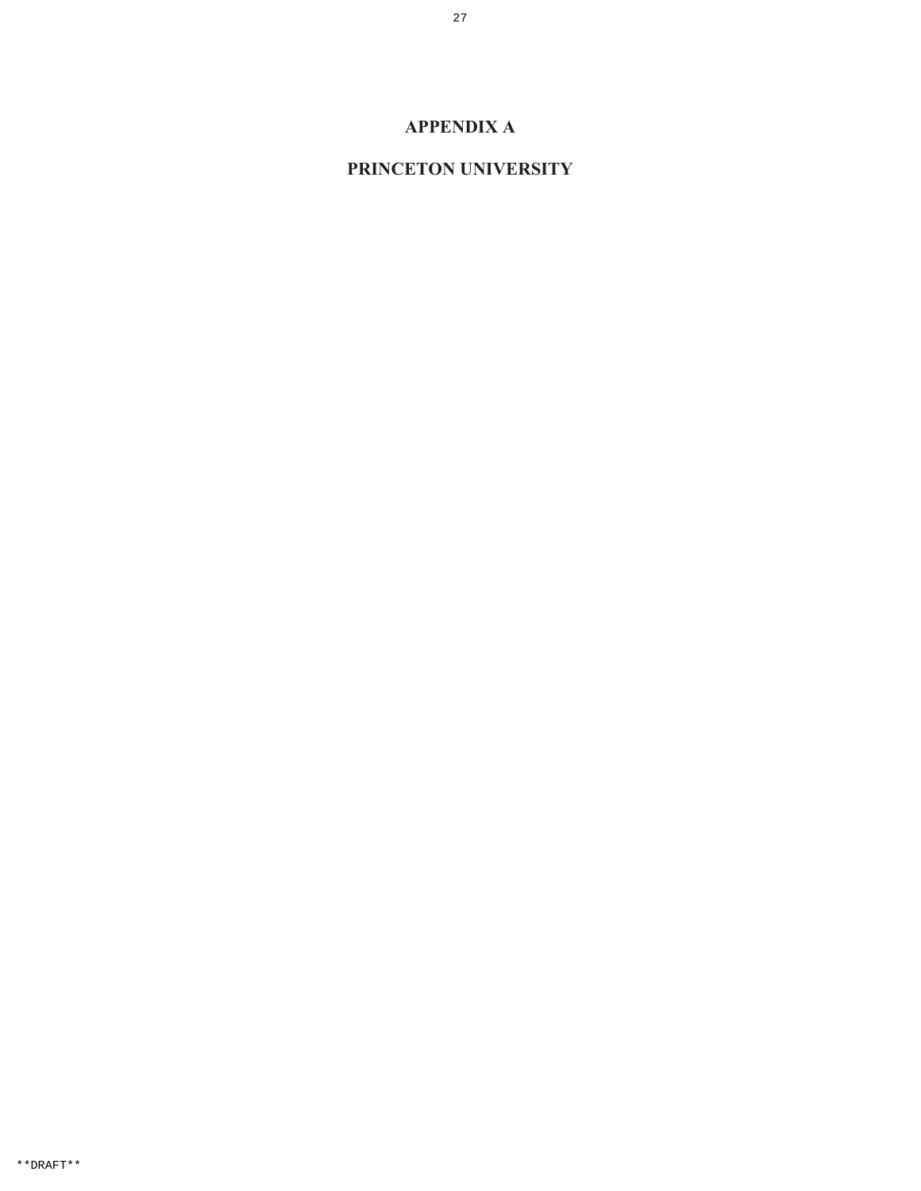## **APPENDIX A**

## **PRINCETON UNIVERSITY**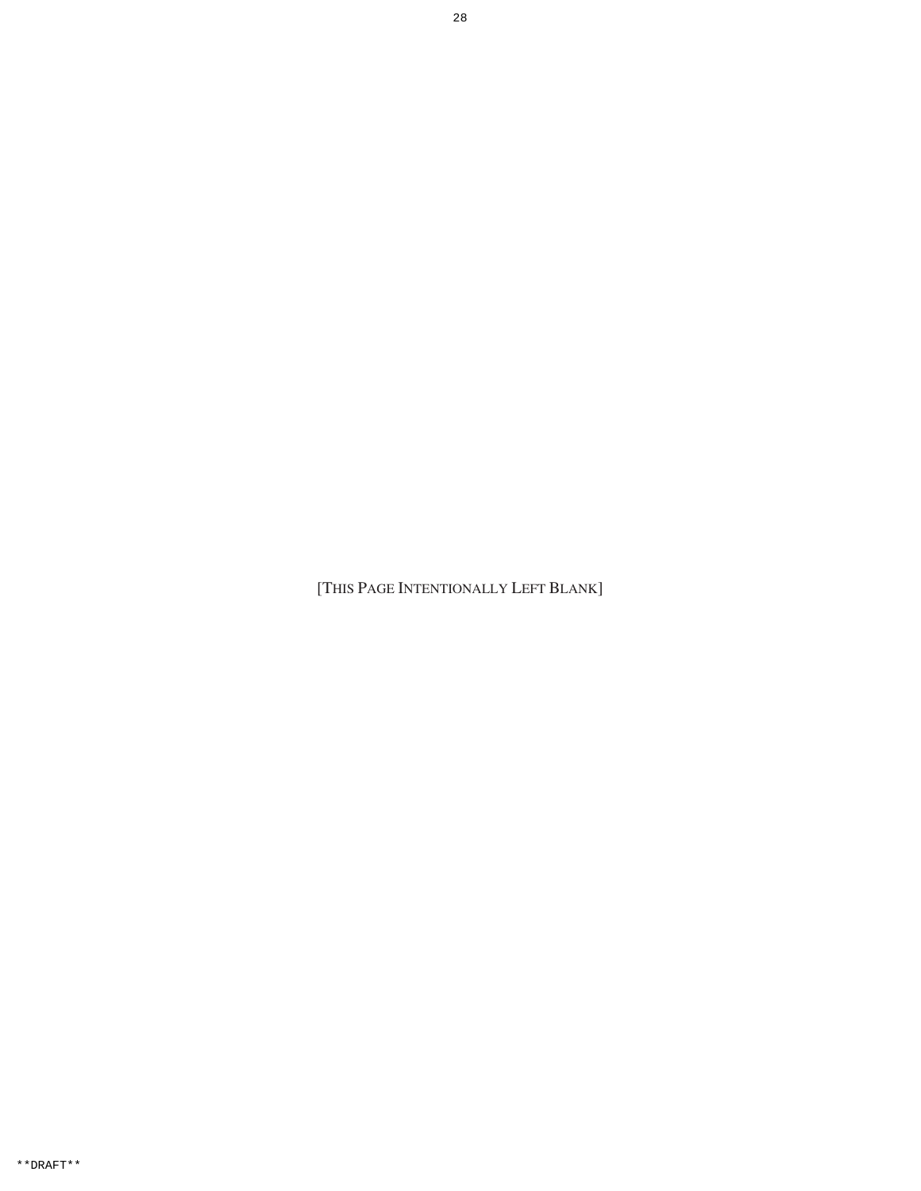[THIS PAGE INTENTIONALLY LEFT BLANK]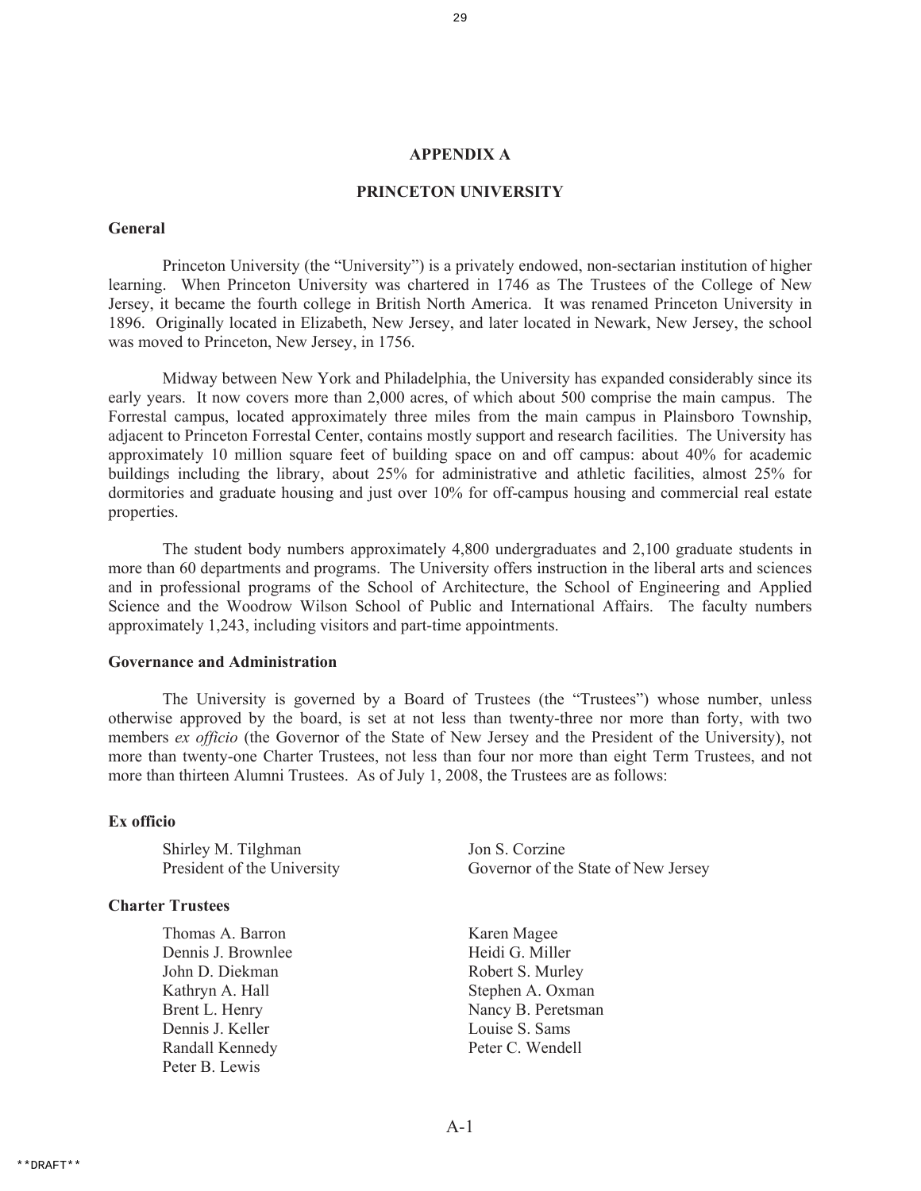#### **APPENDIX A**

## **PRINCETON UNIVERSITY**

#### **General**

Princeton University (the "University") is a privately endowed, non-sectarian institution of higher learning. When Princeton University was chartered in 1746 as The Trustees of the College of New Jersey, it became the fourth college in British North America. It was renamed Princeton University in 1896. Originally located in Elizabeth, New Jersey, and later located in Newark, New Jersey, the school was moved to Princeton, New Jersey, in 1756.

Midway between New York and Philadelphia, the University has expanded considerably since its early years. It now covers more than 2,000 acres, of which about 500 comprise the main campus. The Forrestal campus, located approximately three miles from the main campus in Plainsboro Township, adjacent to Princeton Forrestal Center, contains mostly support and research facilities. The University has approximately 10 million square feet of building space on and off campus: about 40% for academic buildings including the library, about 25% for administrative and athletic facilities, almost 25% for dormitories and graduate housing and just over 10% for off-campus housing and commercial real estate properties.

The student body numbers approximately 4,800 undergraduates and 2,100 graduate students in more than 60 departments and programs. The University offers instruction in the liberal arts and sciences and in professional programs of the School of Architecture, the School of Engineering and Applied Science and the Woodrow Wilson School of Public and International Affairs. The faculty numbers approximately 1,243, including visitors and part-time appointments.

## **Governance and Administration**

The University is governed by a Board of Trustees (the "Trustees") whose number, unless otherwise approved by the board, is set at not less than twenty-three nor more than forty, with two members *ex officio* (the Governor of the State of New Jersey and the President of the University), not more than twenty-one Charter Trustees, not less than four nor more than eight Term Trustees, and not more than thirteen Alumni Trustees. As of July 1, 2008, the Trustees are as follows:

## **Ex officio**

Shirley M. Tilghman Jon S. Corzine

#### **Charter Trustees**

Thomas A. Barron Dennis J. Brownlee John D. Diekman Kathryn A. Hall Brent L. Henry Dennis J. Keller Randall Kennedy Peter B. Lewis

President of the University Governor of the State of New Jersey

Karen Magee Heidi G. Miller Robert S. Murley Stephen A. Oxman Nancy B. Peretsman Louise S. Sams Peter C. Wendell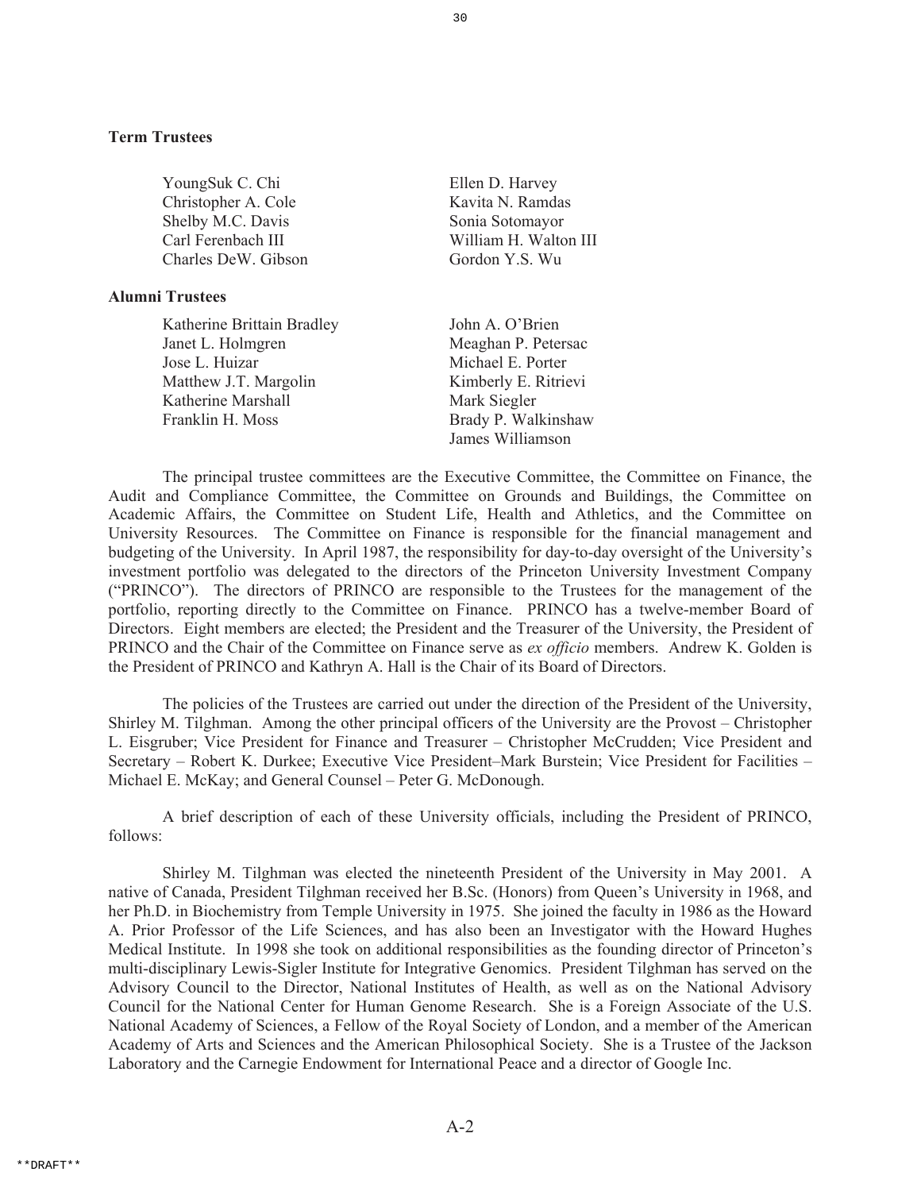30

## **Term Trustees**

| YoungSuk C. Chi            | Ellen D. Harvey       |  |
|----------------------------|-----------------------|--|
| Christopher A. Cole        | Kavita N. Ramdas      |  |
| Shelby M.C. Davis          | Sonia Sotomayor       |  |
| Carl Ferenbach III         | William H. Walton III |  |
| Charles DeW. Gibson        | Gordon Y.S. Wu        |  |
| <b>Alumni Trustees</b>     |                       |  |
| Katherine Brittain Bradley | John A. O'Brien       |  |
|                            |                       |  |

Janet L. Holmgren Jose L. Huizar Matthew J.T. Margolin Katherine Marshall Franklin H. Moss

Meaghan P. Petersac Michael E. Porter Kimberly E. Ritrievi Mark Siegler Brady P. Walkinshaw James Williamson

The principal trustee committees are the Executive Committee, the Committee on Finance, the Audit and Compliance Committee, the Committee on Grounds and Buildings, the Committee on Academic Affairs, the Committee on Student Life, Health and Athletics, and the Committee on University Resources. The Committee on Finance is responsible for the financial management and budgeting of the University. In April 1987, the responsibility for day-to-day oversight of the University's investment portfolio was delegated to the directors of the Princeton University Investment Company ("PRINCO"). The directors of PRINCO are responsible to the Trustees for the management of the portfolio, reporting directly to the Committee on Finance. PRINCO has a twelve-member Board of Directors. Eight members are elected; the President and the Treasurer of the University, the President of PRINCO and the Chair of the Committee on Finance serve as *ex officio* members. Andrew K. Golden is the President of PRINCO and Kathryn A. Hall is the Chair of its Board of Directors.

The policies of the Trustees are carried out under the direction of the President of the University, Shirley M. Tilghman. Among the other principal officers of the University are the Provost – Christopher L. Eisgruber; Vice President for Finance and Treasurer – Christopher McCrudden; Vice President and Secretary – Robert K. Durkee; Executive Vice President–Mark Burstein; Vice President for Facilities – Michael E. McKay; and General Counsel – Peter G. McDonough.

A brief description of each of these University officials, including the President of PRINCO, follows:

Shirley M. Tilghman was elected the nineteenth President of the University in May 2001. A native of Canada, President Tilghman received her B.Sc. (Honors) from Queen's University in 1968, and her Ph.D. in Biochemistry from Temple University in 1975. She joined the faculty in 1986 as the Howard A. Prior Professor of the Life Sciences, and has also been an Investigator with the Howard Hughes Medical Institute. In 1998 she took on additional responsibilities as the founding director of Princeton's multi-disciplinary Lewis-Sigler Institute for Integrative Genomics. President Tilghman has served on the Advisory Council to the Director, National Institutes of Health, as well as on the National Advisory Council for the National Center for Human Genome Research. She is a Foreign Associate of the U.S. National Academy of Sciences, a Fellow of the Royal Society of London, and a member of the American Academy of Arts and Sciences and the American Philosophical Society. She is a Trustee of the Jackson Laboratory and the Carnegie Endowment for International Peace and a director of Google Inc.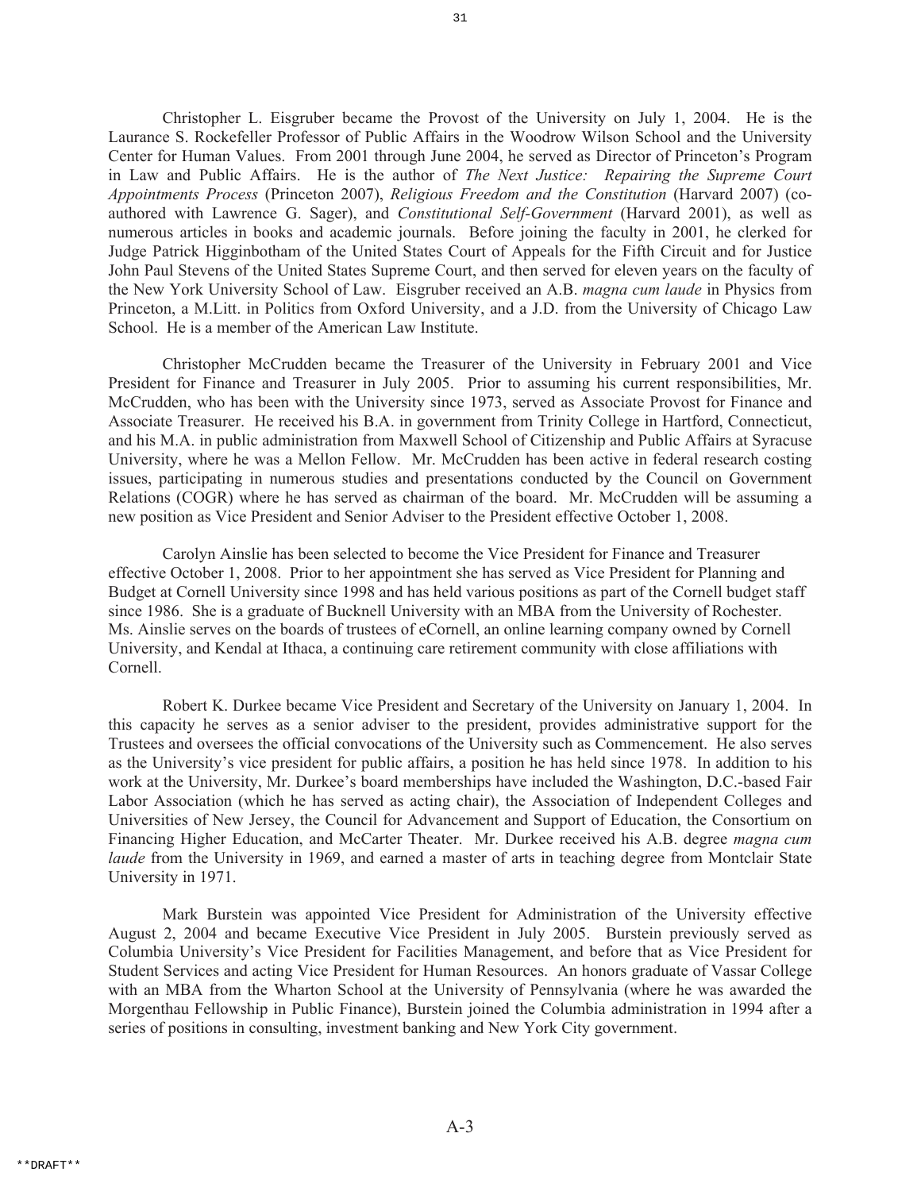Christopher L. Eisgruber became the Provost of the University on July 1, 2004. He is the Laurance S. Rockefeller Professor of Public Affairs in the Woodrow Wilson School and the University Center for Human Values. From 2001 through June 2004, he served as Director of Princeton's Program in Law and Public Affairs. He is the author of *The Next Justice: Repairing the Supreme Court Appointments Process* (Princeton 2007), *Religious Freedom and the Constitution* (Harvard 2007) (coauthored with Lawrence G. Sager), and *Constitutional Self-Government* (Harvard 2001), as well as numerous articles in books and academic journals. Before joining the faculty in 2001, he clerked for Judge Patrick Higginbotham of the United States Court of Appeals for the Fifth Circuit and for Justice John Paul Stevens of the United States Supreme Court, and then served for eleven years on the faculty of the New York University School of Law. Eisgruber received an A.B. *magna cum laude* in Physics from Princeton, a M.Litt. in Politics from Oxford University, and a J.D. from the University of Chicago Law School. He is a member of the American Law Institute.

Christopher McCrudden became the Treasurer of the University in February 2001 and Vice President for Finance and Treasurer in July 2005. Prior to assuming his current responsibilities, Mr. McCrudden, who has been with the University since 1973, served as Associate Provost for Finance and Associate Treasurer. He received his B.A. in government from Trinity College in Hartford, Connecticut, and his M.A. in public administration from Maxwell School of Citizenship and Public Affairs at Syracuse University, where he was a Mellon Fellow. Mr. McCrudden has been active in federal research costing issues, participating in numerous studies and presentations conducted by the Council on Government Relations (COGR) where he has served as chairman of the board. Mr. McCrudden will be assuming a new position as Vice President and Senior Adviser to the President effective October 1, 2008.

Carolyn Ainslie has been selected to become the Vice President for Finance and Treasurer effective October 1, 2008. Prior to her appointment she has served as Vice President for Planning and Budget at Cornell University since 1998 and has held various positions as part of the Cornell budget staff since 1986. She is a graduate of Bucknell University with an MBA from the University of Rochester. Ms. Ainslie serves on the boards of trustees of eCornell, an online learning company owned by Cornell University, and Kendal at Ithaca, a continuing care retirement community with close affiliations with Cornell.

Robert K. Durkee became Vice President and Secretary of the University on January 1, 2004. In this capacity he serves as a senior adviser to the president, provides administrative support for the Trustees and oversees the official convocations of the University such as Commencement. He also serves as the University's vice president for public affairs, a position he has held since 1978. In addition to his work at the University, Mr. Durkee's board memberships have included the Washington, D.C.-based Fair Labor Association (which he has served as acting chair), the Association of Independent Colleges and Universities of New Jersey, the Council for Advancement and Support of Education, the Consortium on Financing Higher Education, and McCarter Theater. Mr. Durkee received his A.B. degree *magna cum laude* from the University in 1969, and earned a master of arts in teaching degree from Montclair State University in 1971.

Mark Burstein was appointed Vice President for Administration of the University effective August 2, 2004 and became Executive Vice President in July 2005. Burstein previously served as Columbia University's Vice President for Facilities Management, and before that as Vice President for Student Services and acting Vice President for Human Resources. An honors graduate of Vassar College with an MBA from the Wharton School at the University of Pennsylvania (where he was awarded the Morgenthau Fellowship in Public Finance), Burstein joined the Columbia administration in 1994 after a series of positions in consulting, investment banking and New York City government.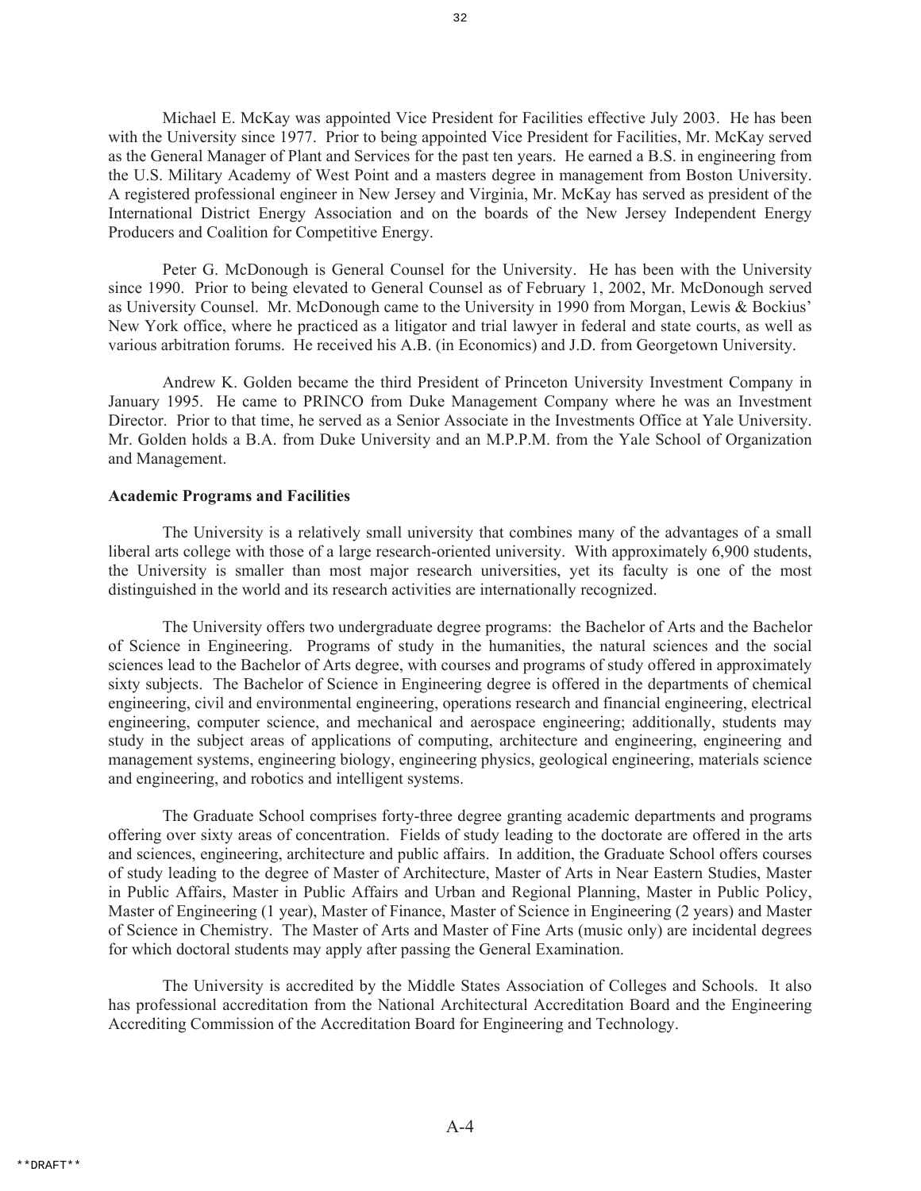Peter G. McDonough is General Counsel for the University. He has been with the University since 1990. Prior to being elevated to General Counsel as of February 1, 2002, Mr. McDonough served as University Counsel. Mr. McDonough came to the University in 1990 from Morgan, Lewis & Bockius' New York office, where he practiced as a litigator and trial lawyer in federal and state courts, as well as various arbitration forums. He received his A.B. (in Economics) and J.D. from Georgetown University.

Andrew K. Golden became the third President of Princeton University Investment Company in January 1995. He came to PRINCO from Duke Management Company where he was an Investment Director. Prior to that time, he served as a Senior Associate in the Investments Office at Yale University. Mr. Golden holds a B.A. from Duke University and an M.P.P.M. from the Yale School of Organization and Management.

## **Academic Programs and Facilities**

The University is a relatively small university that combines many of the advantages of a small liberal arts college with those of a large research-oriented university. With approximately 6,900 students, the University is smaller than most major research universities, yet its faculty is one of the most distinguished in the world and its research activities are internationally recognized.

The University offers two undergraduate degree programs: the Bachelor of Arts and the Bachelor of Science in Engineering. Programs of study in the humanities, the natural sciences and the social sciences lead to the Bachelor of Arts degree, with courses and programs of study offered in approximately sixty subjects. The Bachelor of Science in Engineering degree is offered in the departments of chemical engineering, civil and environmental engineering, operations research and financial engineering, electrical engineering, computer science, and mechanical and aerospace engineering; additionally, students may study in the subject areas of applications of computing, architecture and engineering, engineering and management systems, engineering biology, engineering physics, geological engineering, materials science and engineering, and robotics and intelligent systems.

The Graduate School comprises forty-three degree granting academic departments and programs offering over sixty areas of concentration. Fields of study leading to the doctorate are offered in the arts and sciences, engineering, architecture and public affairs. In addition, the Graduate School offers courses of study leading to the degree of Master of Architecture, Master of Arts in Near Eastern Studies, Master in Public Affairs, Master in Public Affairs and Urban and Regional Planning, Master in Public Policy, Master of Engineering (1 year), Master of Finance, Master of Science in Engineering (2 years) and Master of Science in Chemistry. The Master of Arts and Master of Fine Arts (music only) are incidental degrees for which doctoral students may apply after passing the General Examination.

The University is accredited by the Middle States Association of Colleges and Schools. It also has professional accreditation from the National Architectural Accreditation Board and the Engineering Accrediting Commission of the Accreditation Board for Engineering and Technology.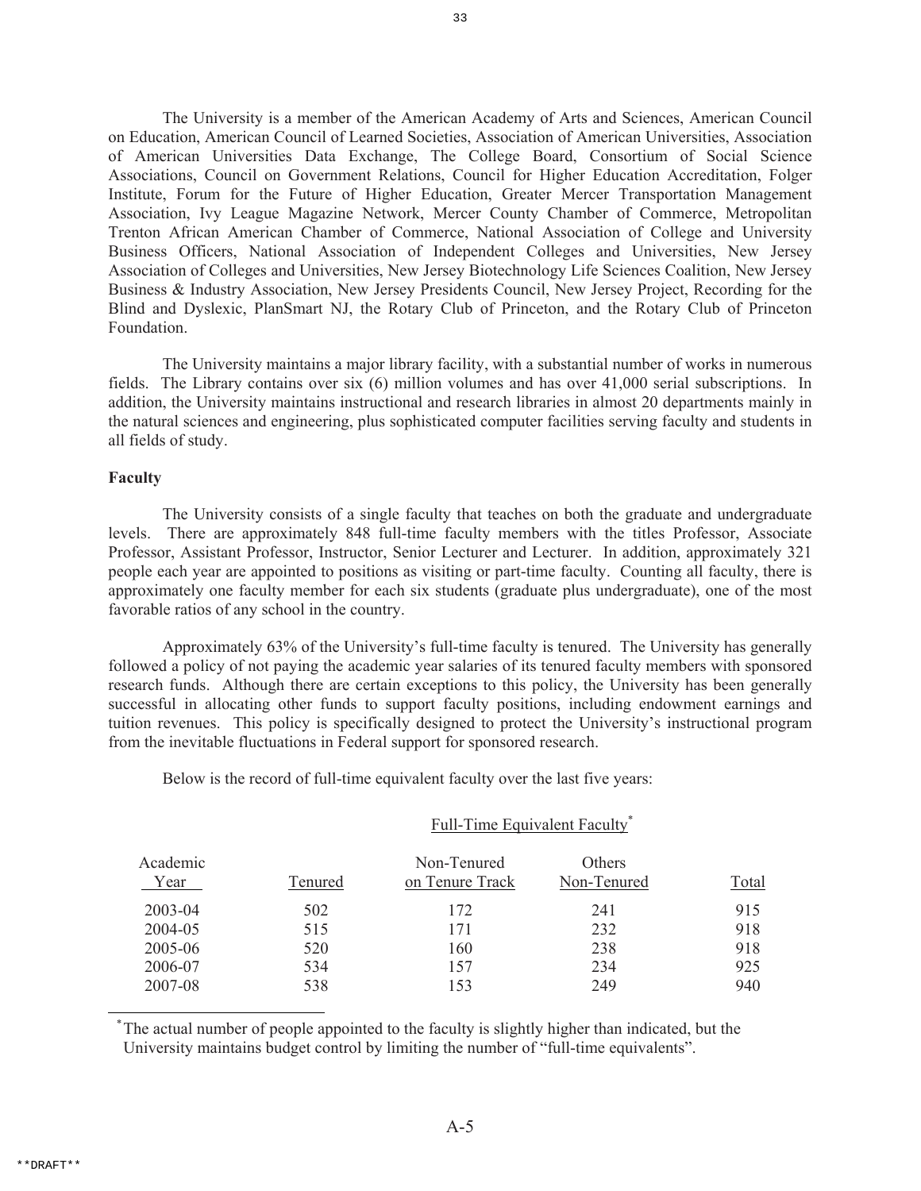The University is a member of the American Academy of Arts and Sciences, American Council on Education, American Council of Learned Societies, Association of American Universities, Association of American Universities Data Exchange, The College Board, Consortium of Social Science Associations, Council on Government Relations, Council for Higher Education Accreditation, Folger Institute, Forum for the Future of Higher Education, Greater Mercer Transportation Management Association, Ivy League Magazine Network, Mercer County Chamber of Commerce, Metropolitan Trenton African American Chamber of Commerce, National Association of College and University Business Officers, National Association of Independent Colleges and Universities, New Jersey Association of Colleges and Universities, New Jersey Biotechnology Life Sciences Coalition, New Jersey Business & Industry Association, New Jersey Presidents Council, New Jersey Project, Recording for the Blind and Dyslexic, PlanSmart NJ, the Rotary Club of Princeton, and the Rotary Club of Princeton Foundation.

The University maintains a major library facility, with a substantial number of works in numerous fields. The Library contains over six (6) million volumes and has over 41,000 serial subscriptions. In addition, the University maintains instructional and research libraries in almost 20 departments mainly in the natural sciences and engineering, plus sophisticated computer facilities serving faculty and students in all fields of study.

### **Faculty**

The University consists of a single faculty that teaches on both the graduate and undergraduate levels. There are approximately 848 full-time faculty members with the titles Professor, Associate Professor, Assistant Professor, Instructor, Senior Lecturer and Lecturer. In addition, approximately 321 people each year are appointed to positions as visiting or part-time faculty. Counting all faculty, there is approximately one faculty member for each six students (graduate plus undergraduate), one of the most favorable ratios of any school in the country.

Approximately 63% of the University's full-time faculty is tenured. The University has generally followed a policy of not paying the academic year salaries of its tenured faculty members with sponsored research funds. Although there are certain exceptions to this policy, the University has been generally successful in allocating other funds to support faculty positions, including endowment earnings and tuition revenues. This policy is specifically designed to protect the University's instructional program from the inevitable fluctuations in Federal support for sponsored research.

Below is the record of full-time equivalent faculty over the last five years:

|                  |         | Full-Time Equivalent Faculty   |                       |       |
|------------------|---------|--------------------------------|-----------------------|-------|
| Academic<br>Year | Tenured | Non-Tenured<br>on Tenure Track | Others<br>Non-Tenured | Total |
| 2003-04          | 502     | 172                            | 241                   | 915   |
| 2004-05          | 515     | 171                            | 232                   | 918   |
| 2005-06          | 520     | 160                            | 238                   | 918   |
| 2006-07          | 534     | 157                            | 234                   | 925   |
| 2007-08          | 538     | 153                            | 249                   | 940   |

 \* The actual number of people appointed to the faculty is slightly higher than indicated, but the University maintains budget control by limiting the number of "full-time equivalents".

l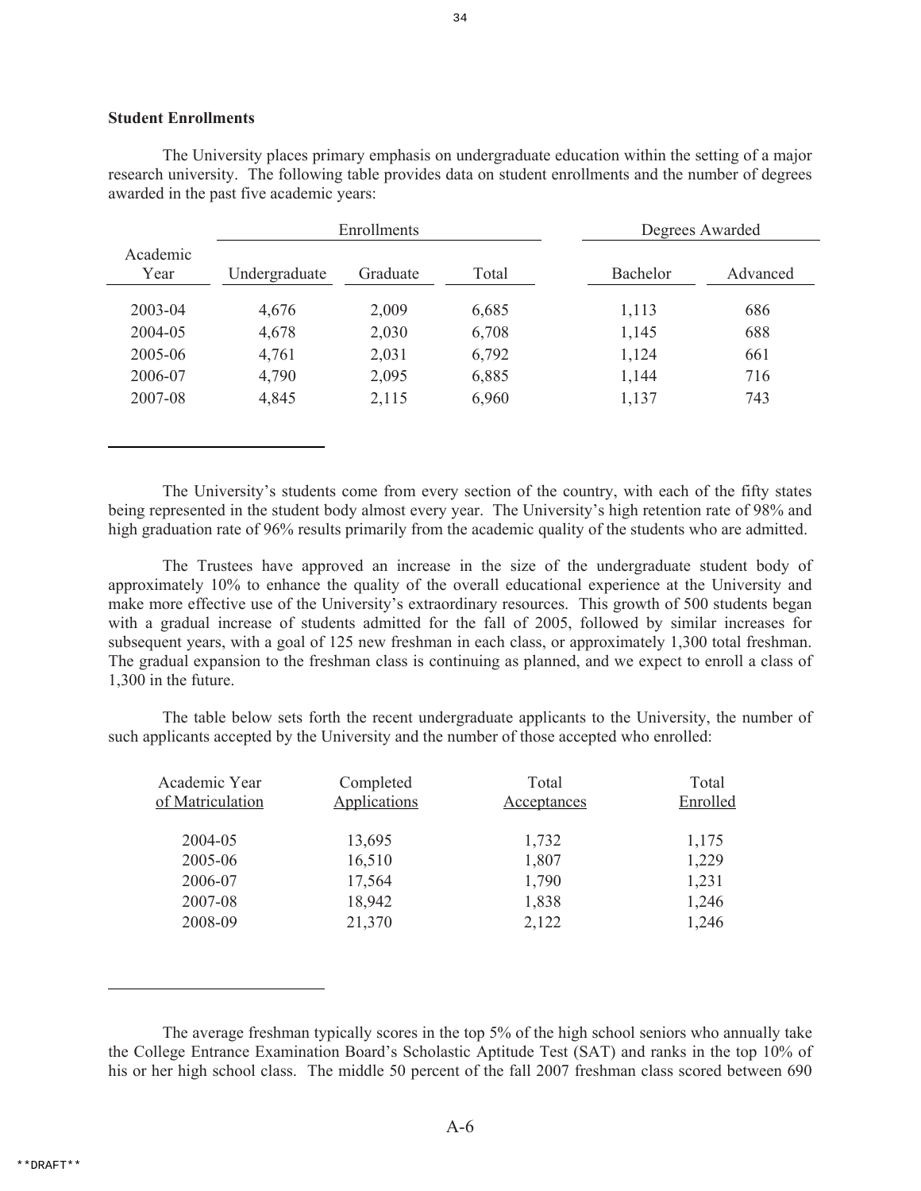### **Student Enrollments**

l

The University places primary emphasis on undergraduate education within the setting of a major research university. The following table provides data on student enrollments and the number of degrees awarded in the past five academic years:

|                  | Enrollments   |          |       |                 | Degrees Awarded |
|------------------|---------------|----------|-------|-----------------|-----------------|
| Academic<br>Year | Undergraduate | Graduate | Total | <b>Bachelor</b> | Advanced        |
| 2003-04          | 4,676         | 2,009    | 6,685 | 1,113           | 686             |
| 2004-05          | 4,678         | 2,030    | 6,708 | 1,145           | 688             |
| 2005-06          | 4,761         | 2,031    | 6,792 | 1,124           | 661             |
| 2006-07          | 4,790         | 2,095    | 6,885 | 1,144           | 716             |
| 2007-08          | 4,845         | 2,115    | 6,960 | 1,137           | 743             |

The University's students come from every section of the country, with each of the fifty states being represented in the student body almost every year. The University's high retention rate of 98% and high graduation rate of 96% results primarily from the academic quality of the students who are admitted.

The Trustees have approved an increase in the size of the undergraduate student body of approximately 10% to enhance the quality of the overall educational experience at the University and make more effective use of the University's extraordinary resources. This growth of 500 students began with a gradual increase of students admitted for the fall of 2005, followed by similar increases for subsequent years, with a goal of 125 new freshman in each class, or approximately 1,300 total freshman. The gradual expansion to the freshman class is continuing as planned, and we expect to enroll a class of 1,300 in the future.

The table below sets forth the recent undergraduate applicants to the University, the number of such applicants accepted by the University and the number of those accepted who enrolled:

| Academic Year<br>of Matriculation | Completed<br>Applications | Total<br>Acceptances | Total<br>Enrolled |
|-----------------------------------|---------------------------|----------------------|-------------------|
| 2004-05                           | 13,695                    | 1,732                | 1,175             |
| 2005-06                           | 16,510                    | 1,807                | 1,229             |
| 2006-07                           | 17,564                    | 1,790                | 1,231             |
| 2007-08                           | 18,942                    | 1,838                | 1,246             |
| 2008-09                           | 21,370                    | 2,122                | 1,246             |

 $\overline{a}$ 

The average freshman typically scores in the top 5% of the high school seniors who annually take the College Entrance Examination Board's Scholastic Aptitude Test (SAT) and ranks in the top 10% of his or her high school class. The middle 50 percent of the fall 2007 freshman class scored between 690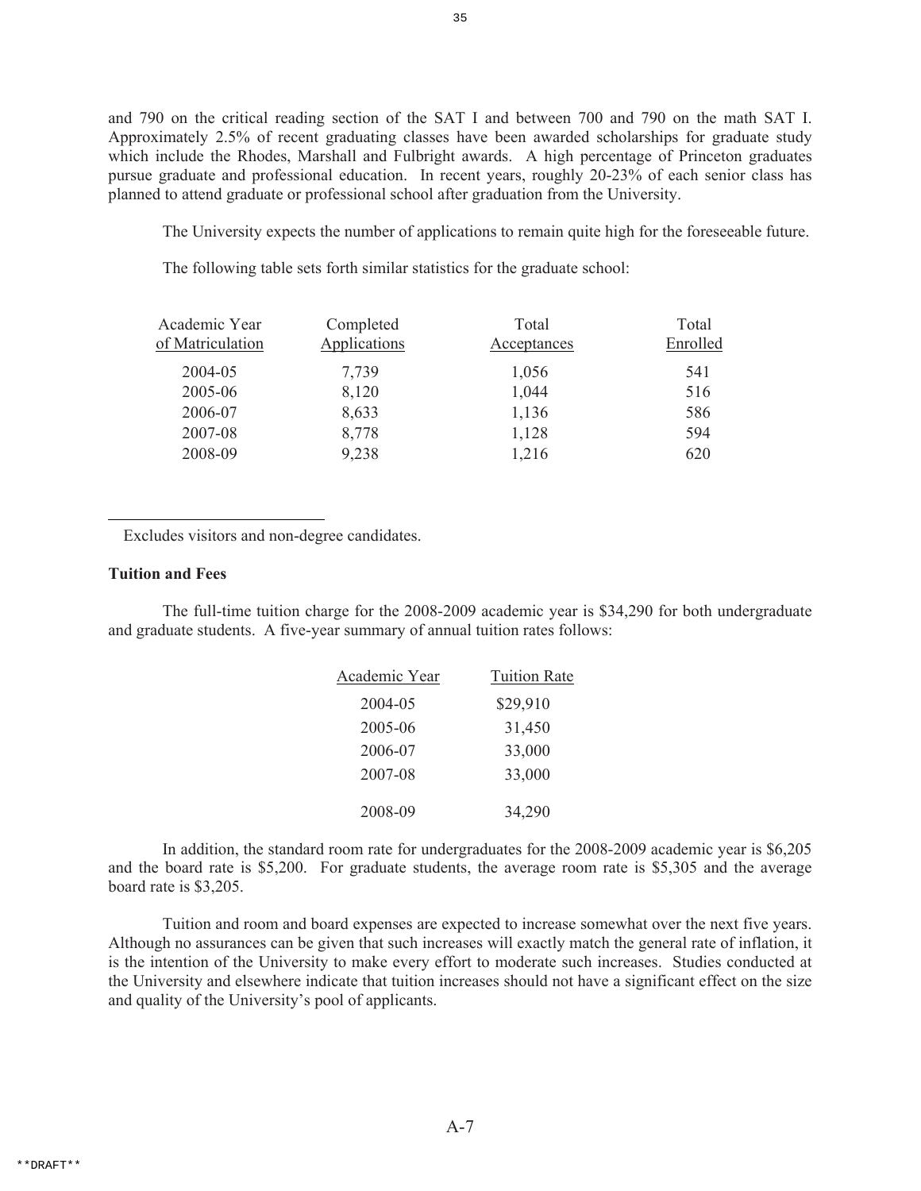and 790 on the critical reading section of the SAT I and between 700 and 790 on the math SAT I. Approximately 2.5% of recent graduating classes have been awarded scholarships for graduate study which include the Rhodes, Marshall and Fulbright awards. A high percentage of Princeton graduates pursue graduate and professional education. In recent years, roughly 20-23% of each senior class has planned to attend graduate or professional school after graduation from the University.

The University expects the number of applications to remain quite high for the foreseeable future.

The following table sets forth similar statistics for the graduate school:

| Academic Year    | Completed    | Total       | Total    |
|------------------|--------------|-------------|----------|
| of Matriculation | Applications | Acceptances | Enrolled |
| 2004-05          | 7,739        | 1,056       | 541      |
| 2005-06          | 8,120        | 1,044       | 516      |
| 2006-07          | 8,633        | 1,136       | 586      |
| 2007-08          | 8,778        | 1,128       | 594      |
| 2008-09          | 9,238        | 1,216       | 620      |
|                  |              |             |          |

Excludes visitors and non-degree candidates.

## **Tuition and Fees**

l

The full-time tuition charge for the 2008-2009 academic year is \$34,290 for both undergraduate and graduate students. A five-year summary of annual tuition rates follows:

| Academic Year | <b>Tuition Rate</b> |
|---------------|---------------------|
| 2004-05       | \$29,910            |
| 2005-06       | 31,450              |
| 2006-07       | 33,000              |
| 2007-08       | 33,000              |
| 2008-09       | 34,290              |

In addition, the standard room rate for undergraduates for the 2008-2009 academic year is \$6,205 and the board rate is \$5,200. For graduate students, the average room rate is \$5,305 and the average board rate is \$3,205.

Tuition and room and board expenses are expected to increase somewhat over the next five years. Although no assurances can be given that such increases will exactly match the general rate of inflation, it is the intention of the University to make every effort to moderate such increases. Studies conducted at the University and elsewhere indicate that tuition increases should not have a significant effect on the size and quality of the University's pool of applicants.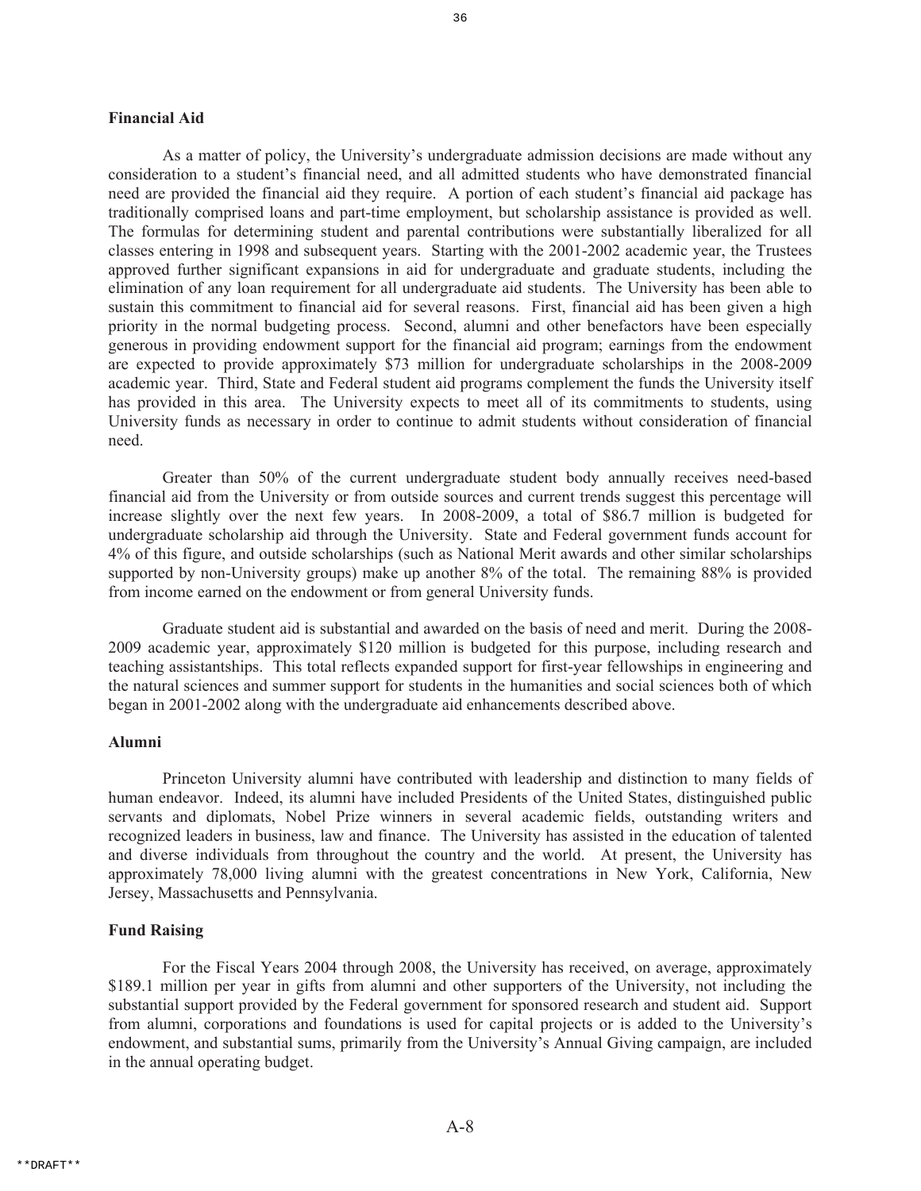#### 36

#### **Financial Aid**

As a matter of policy, the University's undergraduate admission decisions are made without any consideration to a student's financial need, and all admitted students who have demonstrated financial need are provided the financial aid they require. A portion of each student's financial aid package has traditionally comprised loans and part-time employment, but scholarship assistance is provided as well. The formulas for determining student and parental contributions were substantially liberalized for all classes entering in 1998 and subsequent years. Starting with the 2001-2002 academic year, the Trustees approved further significant expansions in aid for undergraduate and graduate students, including the elimination of any loan requirement for all undergraduate aid students. The University has been able to sustain this commitment to financial aid for several reasons. First, financial aid has been given a high priority in the normal budgeting process. Second, alumni and other benefactors have been especially generous in providing endowment support for the financial aid program; earnings from the endowment are expected to provide approximately \$73 million for undergraduate scholarships in the 2008-2009 academic year. Third, State and Federal student aid programs complement the funds the University itself has provided in this area. The University expects to meet all of its commitments to students, using University funds as necessary in order to continue to admit students without consideration of financial need.

Greater than 50% of the current undergraduate student body annually receives need-based financial aid from the University or from outside sources and current trends suggest this percentage will increase slightly over the next few years. In 2008-2009, a total of \$86.7 million is budgeted for undergraduate scholarship aid through the University. State and Federal government funds account for 4% of this figure, and outside scholarships (such as National Merit awards and other similar scholarships supported by non-University groups) make up another 8% of the total. The remaining 88% is provided from income earned on the endowment or from general University funds.

Graduate student aid is substantial and awarded on the basis of need and merit. During the 2008- 2009 academic year, approximately \$120 million is budgeted for this purpose, including research and teaching assistantships. This total reflects expanded support for first-year fellowships in engineering and the natural sciences and summer support for students in the humanities and social sciences both of which began in 2001-2002 along with the undergraduate aid enhancements described above.

#### **Alumni**

Princeton University alumni have contributed with leadership and distinction to many fields of human endeavor. Indeed, its alumni have included Presidents of the United States, distinguished public servants and diplomats, Nobel Prize winners in several academic fields, outstanding writers and recognized leaders in business, law and finance. The University has assisted in the education of talented and diverse individuals from throughout the country and the world. At present, the University has approximately 78,000 living alumni with the greatest concentrations in New York, California, New Jersey, Massachusetts and Pennsylvania.

#### **Fund Raising**

For the Fiscal Years 2004 through 2008, the University has received, on average, approximately \$189.1 million per year in gifts from alumni and other supporters of the University, not including the substantial support provided by the Federal government for sponsored research and student aid. Support from alumni, corporations and foundations is used for capital projects or is added to the University's endowment, and substantial sums, primarily from the University's Annual Giving campaign, are included in the annual operating budget.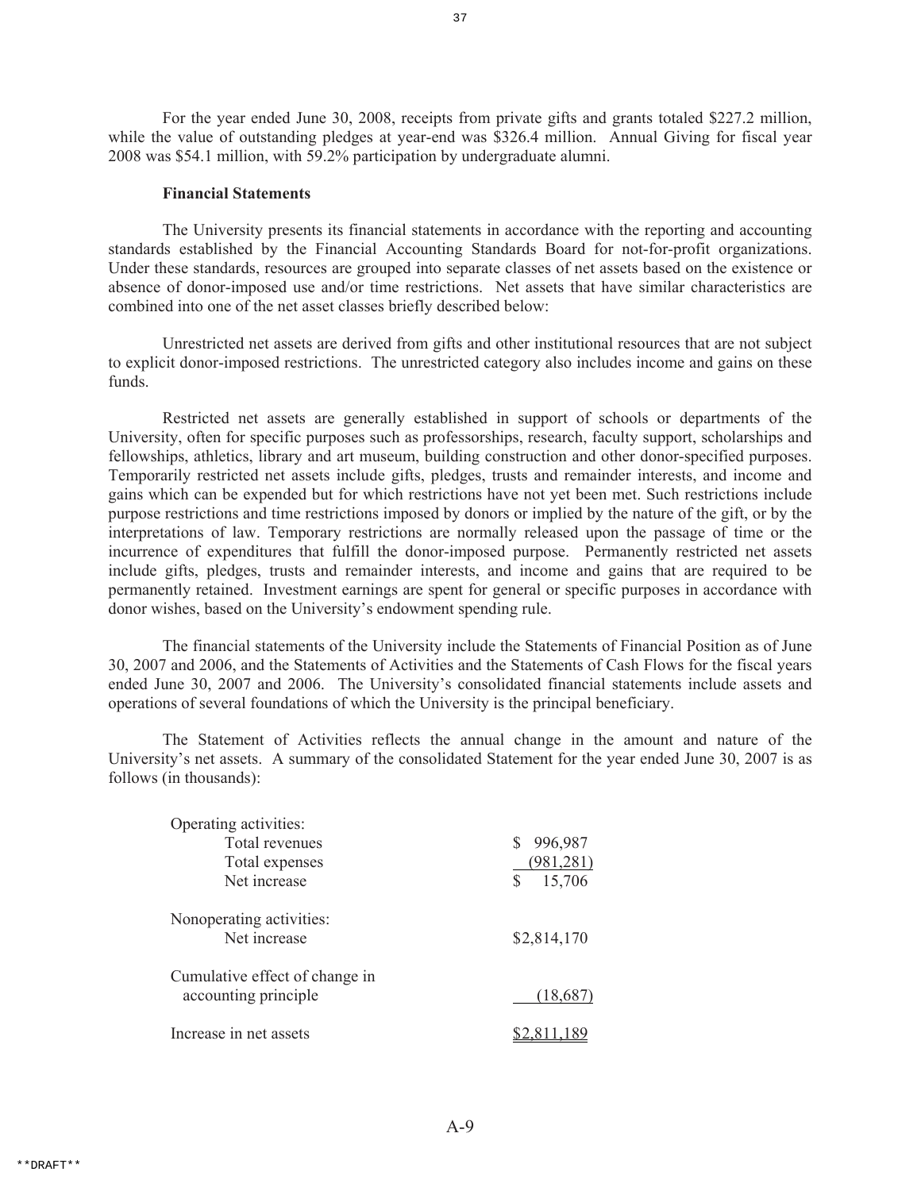For the year ended June 30, 2008, receipts from private gifts and grants totaled \$227.2 million, while the value of outstanding pledges at year-end was \$326.4 million. Annual Giving for fiscal year 2008 was \$54.1 million, with 59.2% participation by undergraduate alumni.

# **Financial Statements**

The University presents its financial statements in accordance with the reporting and accounting standards established by the Financial Accounting Standards Board for not-for-profit organizations. Under these standards, resources are grouped into separate classes of net assets based on the existence or absence of donor-imposed use and/or time restrictions. Net assets that have similar characteristics are combined into one of the net asset classes briefly described below:

Unrestricted net assets are derived from gifts and other institutional resources that are not subject to explicit donor-imposed restrictions. The unrestricted category also includes income and gains on these funds.

Restricted net assets are generally established in support of schools or departments of the University, often for specific purposes such as professorships, research, faculty support, scholarships and fellowships, athletics, library and art museum, building construction and other donor-specified purposes. Temporarily restricted net assets include gifts, pledges, trusts and remainder interests, and income and gains which can be expended but for which restrictions have not yet been met. Such restrictions include purpose restrictions and time restrictions imposed by donors or implied by the nature of the gift, or by the interpretations of law. Temporary restrictions are normally released upon the passage of time or the incurrence of expenditures that fulfill the donor-imposed purpose. Permanently restricted net assets include gifts, pledges, trusts and remainder interests, and income and gains that are required to be permanently retained. Investment earnings are spent for general or specific purposes in accordance with donor wishes, based on the University's endowment spending rule.

The financial statements of the University include the Statements of Financial Position as of June 30, 2007 and 2006, and the Statements of Activities and the Statements of Cash Flows for the fiscal years ended June 30, 2007 and 2006. The University's consolidated financial statements include assets and operations of several foundations of which the University is the principal beneficiary.

The Statement of Activities reflects the annual change in the amount and nature of the University's net assets. A summary of the consolidated Statement for the year ended June 30, 2007 is as follows (in thousands):

| Operating activities:                                  |              |
|--------------------------------------------------------|--------------|
| Total revenues                                         | 996,987<br>S |
| Total expenses                                         | (981, 281)   |
| Net increase                                           | 15,706<br>\$ |
| Nonoperating activities:<br>Net increase               | \$2,814,170  |
| Cumulative effect of change in<br>accounting principle | 18.681       |
| Increase in net assets                                 |              |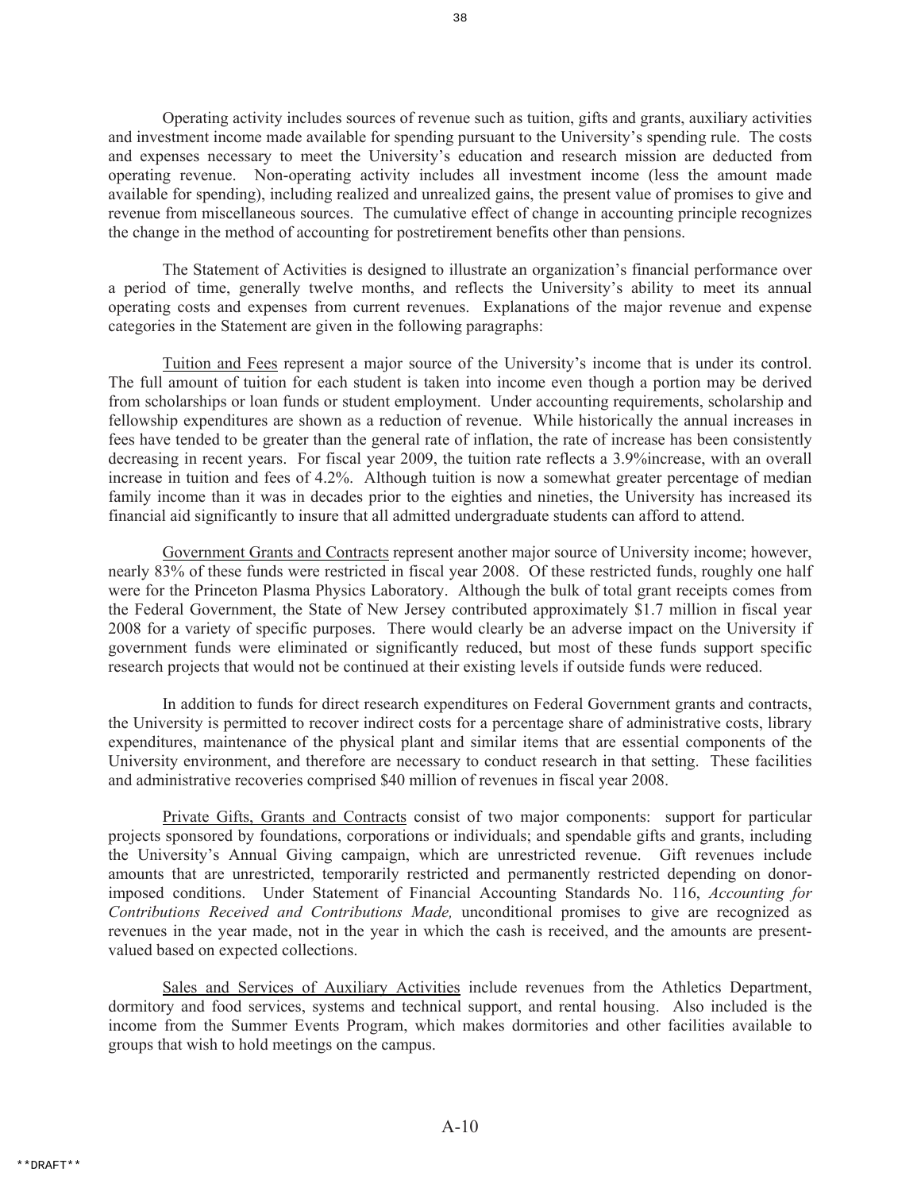Operating activity includes sources of revenue such as tuition, gifts and grants, auxiliary activities and investment income made available for spending pursuant to the University's spending rule. The costs and expenses necessary to meet the University's education and research mission are deducted from operating revenue. Non-operating activity includes all investment income (less the amount made available for spending), including realized and unrealized gains, the present value of promises to give and revenue from miscellaneous sources. The cumulative effect of change in accounting principle recognizes the change in the method of accounting for postretirement benefits other than pensions.

The Statement of Activities is designed to illustrate an organization's financial performance over a period of time, generally twelve months, and reflects the University's ability to meet its annual operating costs and expenses from current revenues. Explanations of the major revenue and expense categories in the Statement are given in the following paragraphs:

Tuition and Fees represent a major source of the University's income that is under its control. The full amount of tuition for each student is taken into income even though a portion may be derived from scholarships or loan funds or student employment. Under accounting requirements, scholarship and fellowship expenditures are shown as a reduction of revenue. While historically the annual increases in fees have tended to be greater than the general rate of inflation, the rate of increase has been consistently decreasing in recent years. For fiscal year 2009, the tuition rate reflects a 3.9%increase, with an overall increase in tuition and fees of 4.2%. Although tuition is now a somewhat greater percentage of median family income than it was in decades prior to the eighties and nineties, the University has increased its financial aid significantly to insure that all admitted undergraduate students can afford to attend.

Government Grants and Contracts represent another major source of University income; however, nearly 83% of these funds were restricted in fiscal year 2008. Of these restricted funds, roughly one half were for the Princeton Plasma Physics Laboratory. Although the bulk of total grant receipts comes from the Federal Government, the State of New Jersey contributed approximately \$1.7 million in fiscal year 2008 for a variety of specific purposes. There would clearly be an adverse impact on the University if government funds were eliminated or significantly reduced, but most of these funds support specific research projects that would not be continued at their existing levels if outside funds were reduced.

In addition to funds for direct research expenditures on Federal Government grants and contracts, the University is permitted to recover indirect costs for a percentage share of administrative costs, library expenditures, maintenance of the physical plant and similar items that are essential components of the University environment, and therefore are necessary to conduct research in that setting. These facilities and administrative recoveries comprised \$40 million of revenues in fiscal year 2008.

Private Gifts, Grants and Contracts consist of two major components: support for particular projects sponsored by foundations, corporations or individuals; and spendable gifts and grants, including the University's Annual Giving campaign, which are unrestricted revenue. Gift revenues include amounts that are unrestricted, temporarily restricted and permanently restricted depending on donorimposed conditions. Under Statement of Financial Accounting Standards No. 116, *Accounting for Contributions Received and Contributions Made,* unconditional promises to give are recognized as revenues in the year made, not in the year in which the cash is received, and the amounts are presentvalued based on expected collections.

Sales and Services of Auxiliary Activities include revenues from the Athletics Department, dormitory and food services, systems and technical support, and rental housing. Also included is the income from the Summer Events Program, which makes dormitories and other facilities available to groups that wish to hold meetings on the campus.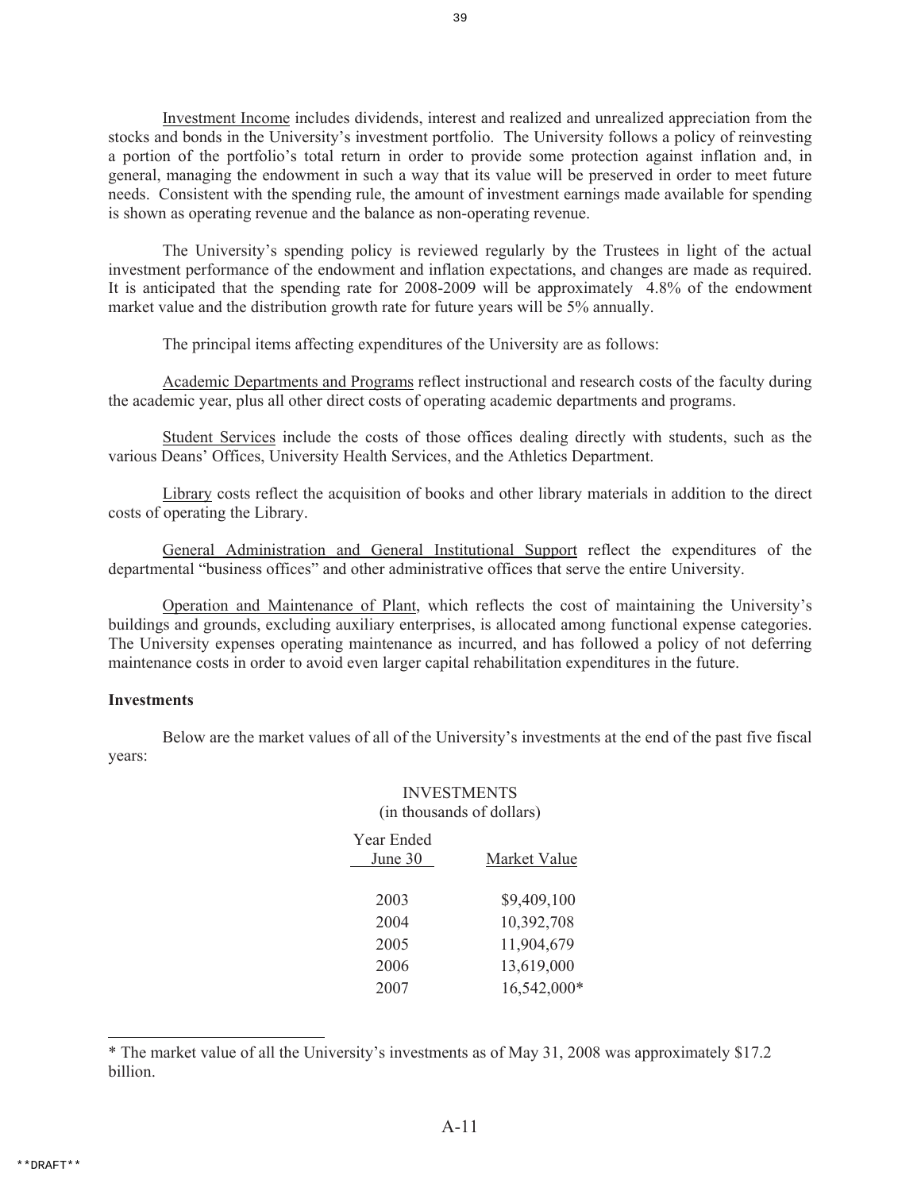Investment Income includes dividends, interest and realized and unrealized appreciation from the stocks and bonds in the University's investment portfolio. The University follows a policy of reinvesting a portion of the portfolio's total return in order to provide some protection against inflation and, in general, managing the endowment in such a way that its value will be preserved in order to meet future needs. Consistent with the spending rule, the amount of investment earnings made available for spending is shown as operating revenue and the balance as non-operating revenue.

The University's spending policy is reviewed regularly by the Trustees in light of the actual investment performance of the endowment and inflation expectations, and changes are made as required. It is anticipated that the spending rate for 2008-2009 will be approximately 4.8% of the endowment market value and the distribution growth rate for future years will be 5% annually.

The principal items affecting expenditures of the University are as follows:

Academic Departments and Programs reflect instructional and research costs of the faculty during the academic year, plus all other direct costs of operating academic departments and programs.

Student Services include the costs of those offices dealing directly with students, such as the various Deans' Offices, University Health Services, and the Athletics Department.

Library costs reflect the acquisition of books and other library materials in addition to the direct costs of operating the Library.

General Administration and General Institutional Support reflect the expenditures of the departmental "business offices" and other administrative offices that serve the entire University.

Operation and Maintenance of Plant, which reflects the cost of maintaining the University's buildings and grounds, excluding auxiliary enterprises, is allocated among functional expense categories. The University expenses operating maintenance as incurred, and has followed a policy of not deferring maintenance costs in order to avoid even larger capital rehabilitation expenditures in the future.

# **Investments**

Below are the market values of all of the University's investments at the end of the past five fiscal years:

# INVESTMENTS (in thousands of dollars)

| Year Ended<br>June 30 | Market Value |
|-----------------------|--------------|
|                       |              |
| 2003                  | \$9,409,100  |
| 2004                  | 10,392,708   |
| 2005                  | 11,904,679   |
| 2006                  | 13,619,000   |
| 2007                  | 16,542,000*  |

<sup>\*</sup> The market value of all the University's investments as of May 31, 2008 was approximately \$17.2 billion.

l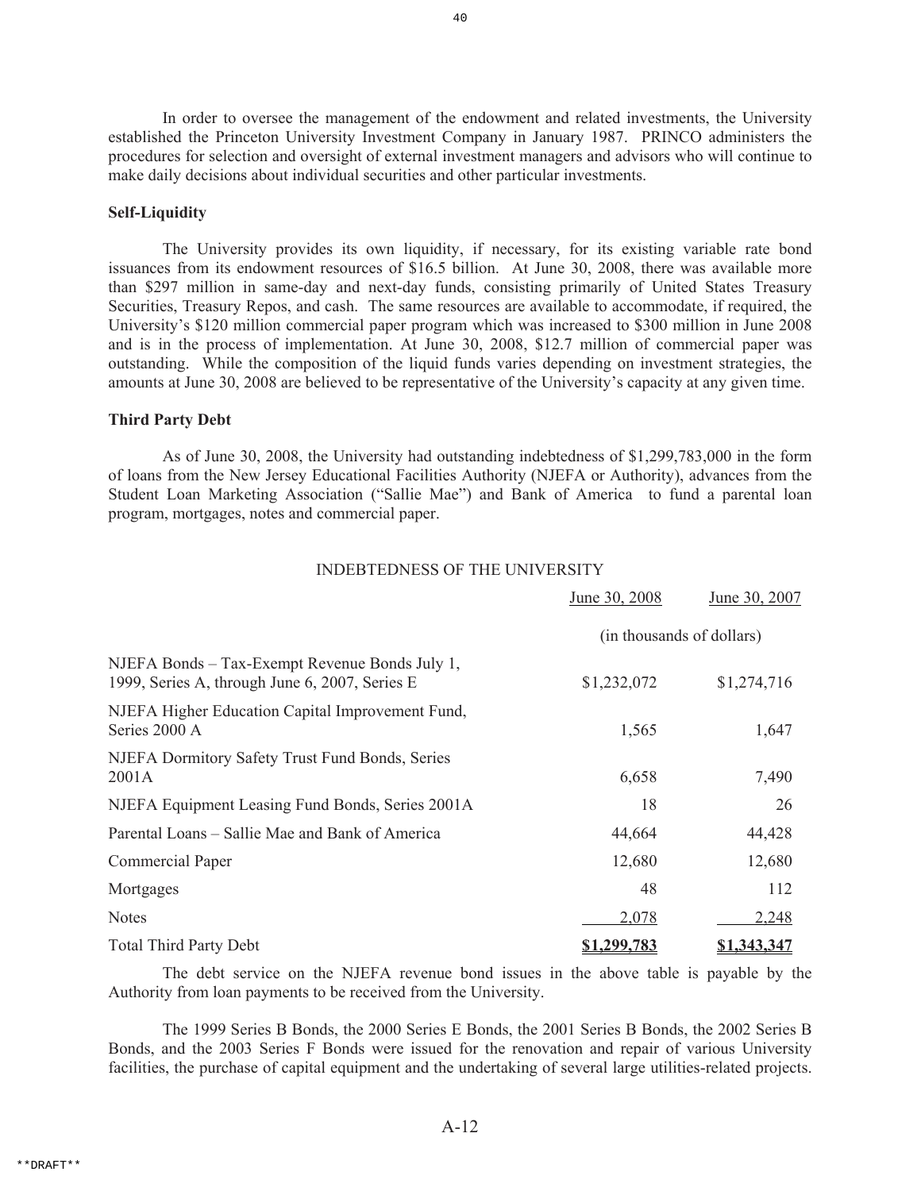In order to oversee the management of the endowment and related investments, the University established the Princeton University Investment Company in January 1987. PRINCO administers the procedures for selection and oversight of external investment managers and advisors who will continue to make daily decisions about individual securities and other particular investments.

## **Self-Liquidity**

The University provides its own liquidity, if necessary, for its existing variable rate bond issuances from its endowment resources of \$16.5 billion. At June 30, 2008, there was available more than \$297 million in same-day and next-day funds, consisting primarily of United States Treasury Securities, Treasury Repos, and cash. The same resources are available to accommodate, if required, the University's \$120 million commercial paper program which was increased to \$300 million in June 2008 and is in the process of implementation. At June 30, 2008, \$12.7 million of commercial paper was outstanding. While the composition of the liquid funds varies depending on investment strategies, the amounts at June 30, 2008 are believed to be representative of the University's capacity at any given time.

# **Third Party Debt**

As of June 30, 2008, the University had outstanding indebtedness of \$1,299,783,000 in the form of loans from the New Jersey Educational Facilities Authority (NJEFA or Authority), advances from the Student Loan Marketing Association ("Sallie Mae") and Bank of America to fund a parental loan program, mortgages, notes and commercial paper.

|                                                                                                  | June 30, 2008             | June 30, 2007      |  |
|--------------------------------------------------------------------------------------------------|---------------------------|--------------------|--|
|                                                                                                  | (in thousands of dollars) |                    |  |
| NJEFA Bonds – Tax-Exempt Revenue Bonds July 1,<br>1999, Series A, through June 6, 2007, Series E | \$1,232,072               | \$1,274,716        |  |
| NJEFA Higher Education Capital Improvement Fund,<br>Series 2000 A                                | 1,565                     | 1,647              |  |
| NJEFA Dormitory Safety Trust Fund Bonds, Series<br>2001A                                         | 6,658                     | 7,490              |  |
| NJEFA Equipment Leasing Fund Bonds, Series 2001A                                                 | 18                        | 26                 |  |
| Parental Loans – Sallie Mae and Bank of America                                                  | 44,664                    | 44,428             |  |
| Commercial Paper                                                                                 | 12,680                    | 12,680             |  |
| Mortgages                                                                                        | 48                        | 112                |  |
| <b>Notes</b>                                                                                     | 2,078                     | 2,248              |  |
| <b>Total Third Party Debt</b>                                                                    | <u>\$1,299,783</u>        | <u>\$1,343,347</u> |  |

The debt service on the NJEFA revenue bond issues in the above table is payable by the Authority from loan payments to be received from the University.

The 1999 Series B Bonds, the 2000 Series E Bonds, the 2001 Series B Bonds, the 2002 Series B Bonds, and the 2003 Series F Bonds were issued for the renovation and repair of various University facilities, the purchase of capital equipment and the undertaking of several large utilities-related projects.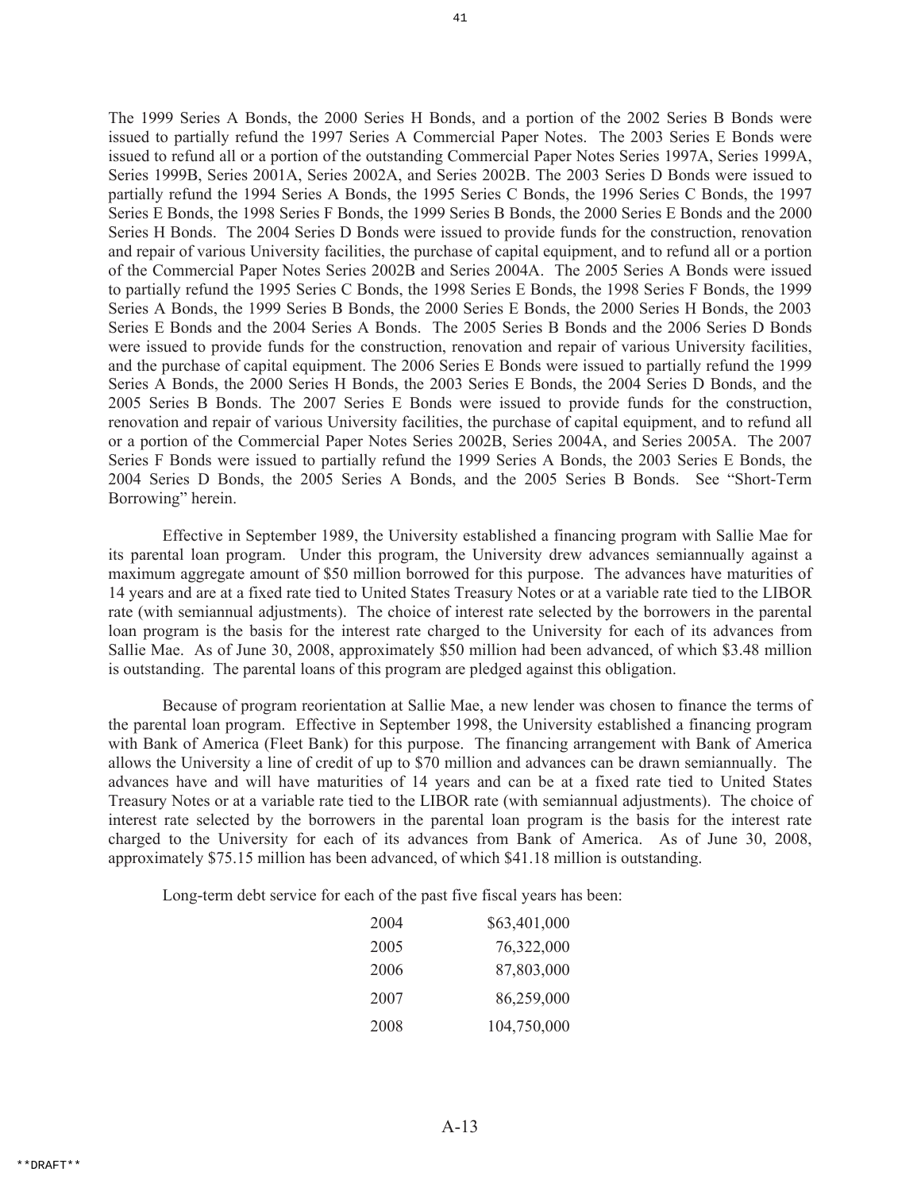The 1999 Series A Bonds, the 2000 Series H Bonds, and a portion of the 2002 Series B Bonds were issued to partially refund the 1997 Series A Commercial Paper Notes. The 2003 Series E Bonds were issued to refund all or a portion of the outstanding Commercial Paper Notes Series 1997A, Series 1999A, Series 1999B, Series 2001A, Series 2002A, and Series 2002B. The 2003 Series D Bonds were issued to partially refund the 1994 Series A Bonds, the 1995 Series C Bonds, the 1996 Series C Bonds, the 1997 Series E Bonds, the 1998 Series F Bonds, the 1999 Series B Bonds, the 2000 Series E Bonds and the 2000 Series H Bonds. The 2004 Series D Bonds were issued to provide funds for the construction, renovation and repair of various University facilities, the purchase of capital equipment, and to refund all or a portion of the Commercial Paper Notes Series 2002B and Series 2004A. The 2005 Series A Bonds were issued to partially refund the 1995 Series C Bonds, the 1998 Series E Bonds, the 1998 Series F Bonds, the 1999 Series A Bonds, the 1999 Series B Bonds, the 2000 Series E Bonds, the 2000 Series H Bonds, the 2003 Series E Bonds and the 2004 Series A Bonds. The 2005 Series B Bonds and the 2006 Series D Bonds were issued to provide funds for the construction, renovation and repair of various University facilities, and the purchase of capital equipment. The 2006 Series E Bonds were issued to partially refund the 1999 Series A Bonds, the 2000 Series H Bonds, the 2003 Series E Bonds, the 2004 Series D Bonds, and the 2005 Series B Bonds. The 2007 Series E Bonds were issued to provide funds for the construction, renovation and repair of various University facilities, the purchase of capital equipment, and to refund all or a portion of the Commercial Paper Notes Series 2002B, Series 2004A, and Series 2005A. The 2007 Series F Bonds were issued to partially refund the 1999 Series A Bonds, the 2003 Series E Bonds, the 2004 Series D Bonds, the 2005 Series A Bonds, and the 2005 Series B Bonds. See "Short-Term Borrowing" herein.

Effective in September 1989, the University established a financing program with Sallie Mae for its parental loan program. Under this program, the University drew advances semiannually against a maximum aggregate amount of \$50 million borrowed for this purpose. The advances have maturities of 14 years and are at a fixed rate tied to United States Treasury Notes or at a variable rate tied to the LIBOR rate (with semiannual adjustments). The choice of interest rate selected by the borrowers in the parental loan program is the basis for the interest rate charged to the University for each of its advances from Sallie Mae. As of June 30, 2008, approximately \$50 million had been advanced, of which \$3.48 million is outstanding. The parental loans of this program are pledged against this obligation.

Because of program reorientation at Sallie Mae, a new lender was chosen to finance the terms of the parental loan program. Effective in September 1998, the University established a financing program with Bank of America (Fleet Bank) for this purpose. The financing arrangement with Bank of America allows the University a line of credit of up to \$70 million and advances can be drawn semiannually. The advances have and will have maturities of 14 years and can be at a fixed rate tied to United States Treasury Notes or at a variable rate tied to the LIBOR rate (with semiannual adjustments). The choice of interest rate selected by the borrowers in the parental loan program is the basis for the interest rate charged to the University for each of its advances from Bank of America. As of June 30, 2008, approximately \$75.15 million has been advanced, of which \$41.18 million is outstanding.

Long-term debt service for each of the past five fiscal years has been:

| 2004 | \$63,401,000 |
|------|--------------|
| 2005 | 76,322,000   |
| 2006 | 87,803,000   |
| 2007 | 86,259,000   |
| 2008 | 104,750,000  |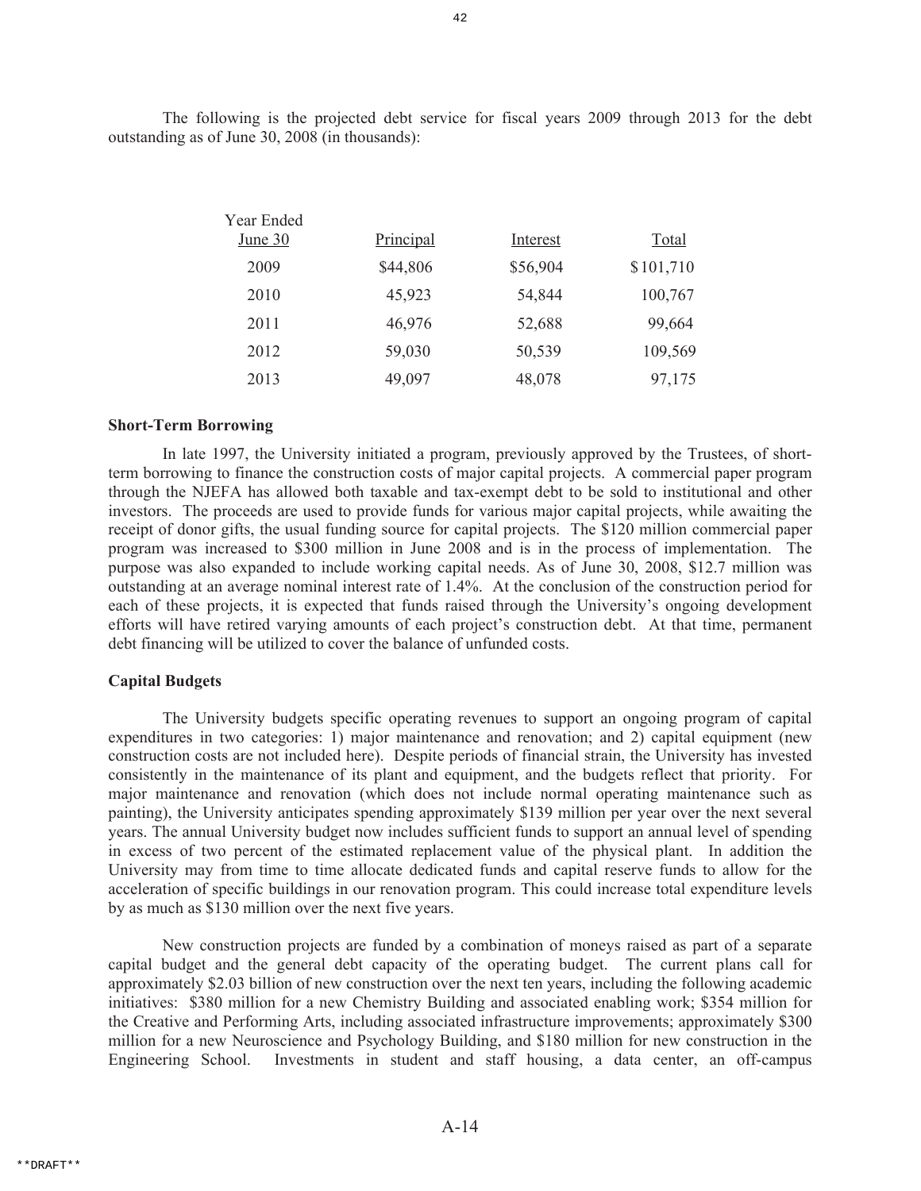The following is the projected debt service for fiscal years 2009 through 2013 for the debt outstanding as of June 30, 2008 (in thousands):

| Year Ended |           |          |           |
|------------|-----------|----------|-----------|
| June 30    | Principal | Interest | Total     |
| 2009       | \$44,806  | \$56,904 | \$101,710 |
| 2010       | 45,923    | 54,844   | 100,767   |
| 2011       | 46,976    | 52,688   | 99,664    |
| 2012       | 59,030    | 50,539   | 109,569   |
| 2013       | 49,097    | 48,078   | 97,175    |

## **Short-Term Borrowing**

In late 1997, the University initiated a program, previously approved by the Trustees, of shortterm borrowing to finance the construction costs of major capital projects. A commercial paper program through the NJEFA has allowed both taxable and tax-exempt debt to be sold to institutional and other investors. The proceeds are used to provide funds for various major capital projects, while awaiting the receipt of donor gifts, the usual funding source for capital projects. The \$120 million commercial paper program was increased to \$300 million in June 2008 and is in the process of implementation. The purpose was also expanded to include working capital needs. As of June 30, 2008, \$12.7 million was outstanding at an average nominal interest rate of 1.4%. At the conclusion of the construction period for each of these projects, it is expected that funds raised through the University's ongoing development efforts will have retired varying amounts of each project's construction debt. At that time, permanent debt financing will be utilized to cover the balance of unfunded costs.

# **Capital Budgets**

The University budgets specific operating revenues to support an ongoing program of capital expenditures in two categories: 1) major maintenance and renovation; and 2) capital equipment (new construction costs are not included here). Despite periods of financial strain, the University has invested consistently in the maintenance of its plant and equipment, and the budgets reflect that priority. For major maintenance and renovation (which does not include normal operating maintenance such as painting), the University anticipates spending approximately \$139 million per year over the next several years. The annual University budget now includes sufficient funds to support an annual level of spending in excess of two percent of the estimated replacement value of the physical plant. In addition the University may from time to time allocate dedicated funds and capital reserve funds to allow for the acceleration of specific buildings in our renovation program. This could increase total expenditure levels by as much as \$130 million over the next five years.

New construction projects are funded by a combination of moneys raised as part of a separate capital budget and the general debt capacity of the operating budget. The current plans call for approximately \$2.03 billion of new construction over the next ten years, including the following academic initiatives: \$380 million for a new Chemistry Building and associated enabling work; \$354 million for the Creative and Performing Arts, including associated infrastructure improvements; approximately \$300 million for a new Neuroscience and Psychology Building, and \$180 million for new construction in the Engineering School. Investments in student and staff housing, a data center, an off-campus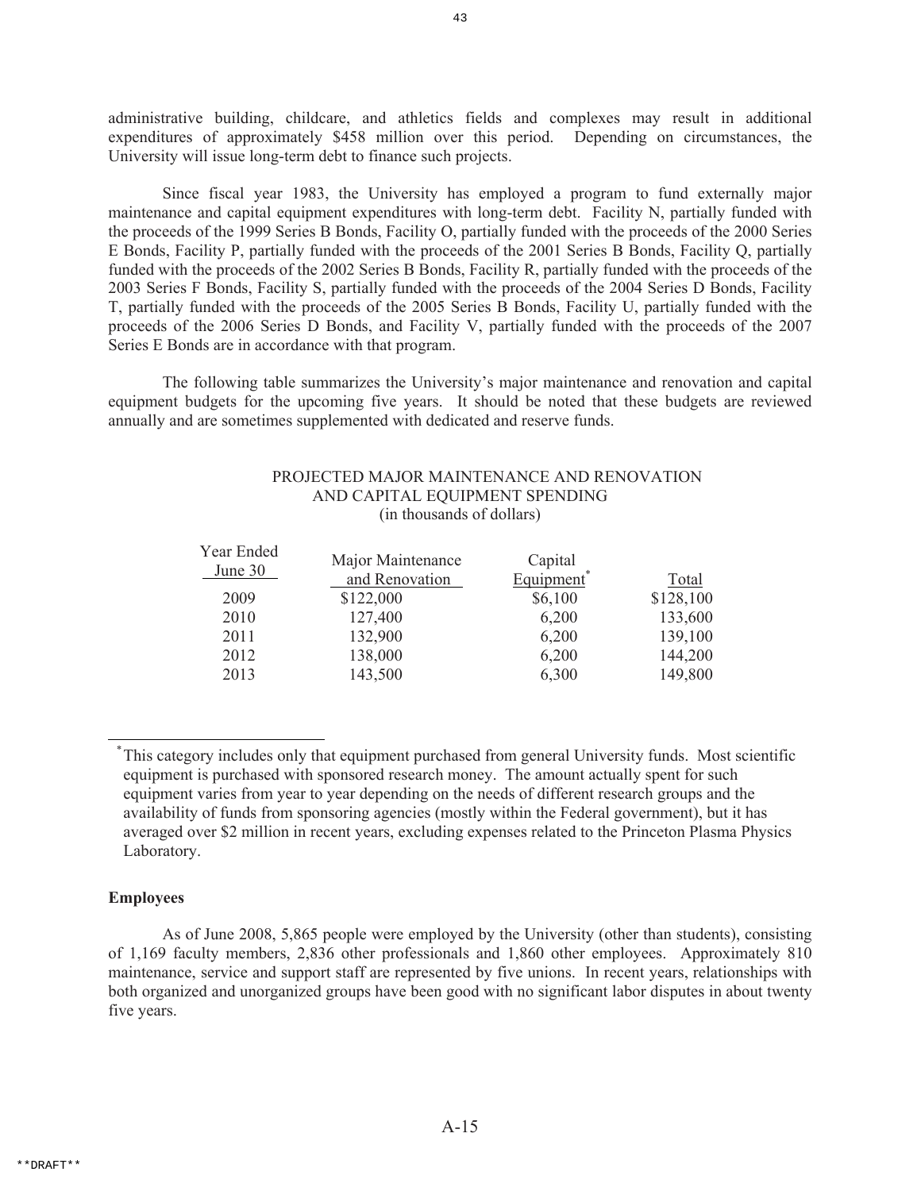administrative building, childcare, and athletics fields and complexes may result in additional expenditures of approximately \$458 million over this period. Depending on circumstances, the University will issue long-term debt to finance such projects.

Since fiscal year 1983, the University has employed a program to fund externally major maintenance and capital equipment expenditures with long-term debt. Facility N, partially funded with the proceeds of the 1999 Series B Bonds, Facility O, partially funded with the proceeds of the 2000 Series E Bonds, Facility P, partially funded with the proceeds of the 2001 Series B Bonds, Facility Q, partially funded with the proceeds of the 2002 Series B Bonds, Facility R, partially funded with the proceeds of the 2003 Series F Bonds, Facility S, partially funded with the proceeds of the 2004 Series D Bonds, Facility T, partially funded with the proceeds of the 2005 Series B Bonds, Facility U, partially funded with the proceeds of the 2006 Series D Bonds, and Facility V, partially funded with the proceeds of the 2007 Series E Bonds are in accordance with that program.

The following table summarizes the University's major maintenance and renovation and capital equipment budgets for the upcoming five years. It should be noted that these budgets are reviewed annually and are sometimes supplemented with dedicated and reserve funds.

# PROJECTED MAJOR MAINTENANCE AND RENOVATION AND CAPITAL EQUIPMENT SPENDING (in thousands of dollars)

| Year Ended<br>June 30 | Major Maintenance<br>and Renovation | Capital<br>Equipment | Total     |
|-----------------------|-------------------------------------|----------------------|-----------|
| 2009                  | \$122,000                           | \$6,100              | \$128,100 |
| 2010                  | 127,400                             | 6,200                | 133,600   |
| 2011                  | 132,900                             | 6,200                | 139,100   |
| 2012                  | 138,000                             | 6,200                | 144,200   |
| 2013                  | 143,500                             | 6,300                | 149,800   |
|                       |                                     |                      |           |

This category includes only that equipment purchased from general University funds. Most scientific equipment is purchased with sponsored research money. The amount actually spent for such equipment varies from year to year depending on the needs of different research groups and the availability of funds from sponsoring agencies (mostly within the Federal government), but it has averaged over \$2 million in recent years, excluding expenses related to the Princeton Plasma Physics Laboratory.

# **Employees**

l

As of June 2008, 5,865 people were employed by the University (other than students), consisting of 1,169 faculty members, 2,836 other professionals and 1,860 other employees. Approximately 810 maintenance, service and support staff are represented by five unions. In recent years, relationships with both organized and unorganized groups have been good with no significant labor disputes in about twenty five years.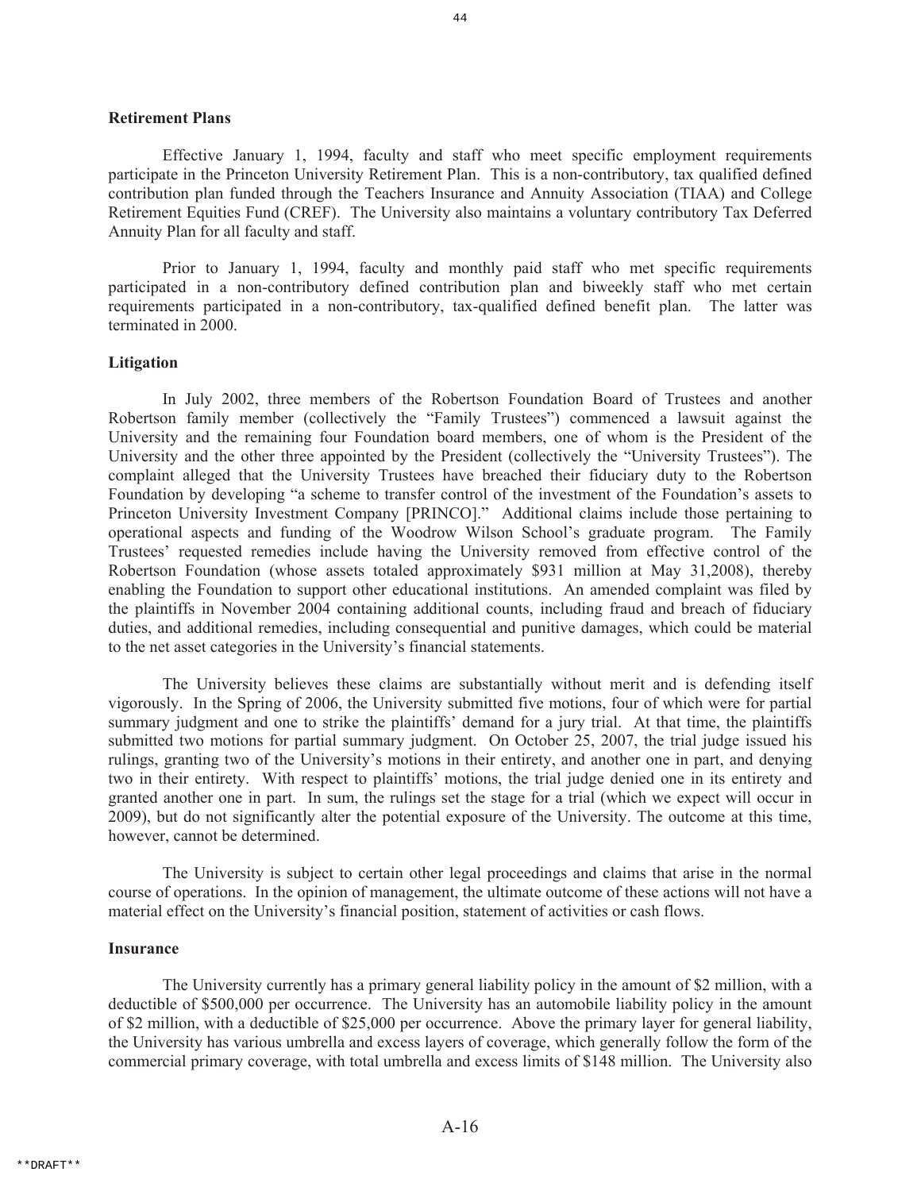# **Retirement Plans**

Effective January 1, 1994, faculty and staff who meet specific employment requirements participate in the Princeton University Retirement Plan. This is a non-contributory, tax qualified defined contribution plan funded through the Teachers Insurance and Annuity Association (TIAA) and College Retirement Equities Fund (CREF). The University also maintains a voluntary contributory Tax Deferred Annuity Plan for all faculty and staff.

Prior to January 1, 1994, faculty and monthly paid staff who met specific requirements participated in a non-contributory defined contribution plan and biweekly staff who met certain requirements participated in a non-contributory, tax-qualified defined benefit plan. The latter was terminated in 2000.

# **Litigation**

In July 2002, three members of the Robertson Foundation Board of Trustees and another Robertson family member (collectively the "Family Trustees") commenced a lawsuit against the University and the remaining four Foundation board members, one of whom is the President of the University and the other three appointed by the President (collectively the "University Trustees"). The complaint alleged that the University Trustees have breached their fiduciary duty to the Robertson Foundation by developing "a scheme to transfer control of the investment of the Foundation's assets to Princeton University Investment Company [PRINCO]." Additional claims include those pertaining to operational aspects and funding of the Woodrow Wilson School's graduate program. The Family Trustees' requested remedies include having the University removed from effective control of the Robertson Foundation (whose assets totaled approximately \$931 million at May 31,2008), thereby enabling the Foundation to support other educational institutions. An amended complaint was filed by the plaintiffs in November 2004 containing additional counts, including fraud and breach of fiduciary duties, and additional remedies, including consequential and punitive damages, which could be material to the net asset categories in the University's financial statements.

The University believes these claims are substantially without merit and is defending itself vigorously. In the Spring of 2006, the University submitted five motions, four of which were for partial summary judgment and one to strike the plaintiffs' demand for a jury trial. At that time, the plaintiffs submitted two motions for partial summary judgment. On October 25, 2007, the trial judge issued his rulings, granting two of the University's motions in their entirety, and another one in part, and denying two in their entirety. With respect to plaintiffs' motions, the trial judge denied one in its entirety and granted another one in part. In sum, the rulings set the stage for a trial (which we expect will occur in 2009), but do not significantly alter the potential exposure of the University. The outcome at this time, however, cannot be determined.

The University is subject to certain other legal proceedings and claims that arise in the normal course of operations. In the opinion of management, the ultimate outcome of these actions will not have a material effect on the University's financial position, statement of activities or cash flows.

# **Insurance**

The University currently has a primary general liability policy in the amount of \$2 million, with a deductible of \$500,000 per occurrence. The University has an automobile liability policy in the amount of \$2 million, with a deductible of \$25,000 per occurrence. Above the primary layer for general liability, the University has various umbrella and excess layers of coverage, which generally follow the form of the commercial primary coverage, with total umbrella and excess limits of \$148 million. The University also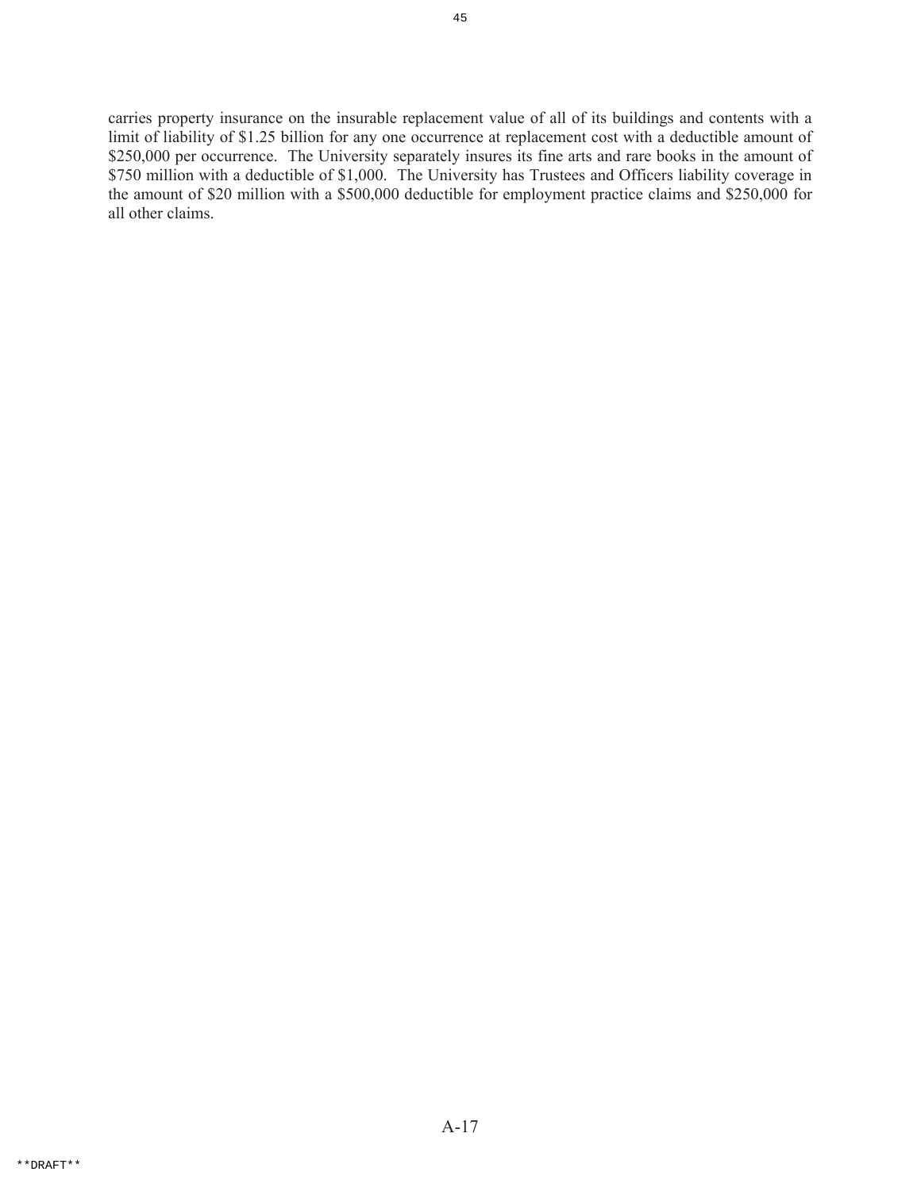carries property insurance on the insurable replacement value of all of its buildings and contents with a limit of liability of \$1.25 billion for any one occurrence at replacement cost with a deductible amount of \$250,000 per occurrence. The University separately insures its fine arts and rare books in the amount of \$750 million with a deductible of \$1,000. The University has Trustees and Officers liability coverage in the amount of \$20 million with a \$500,000 deductible for employment practice claims and \$250,000 for all other claims.

A-17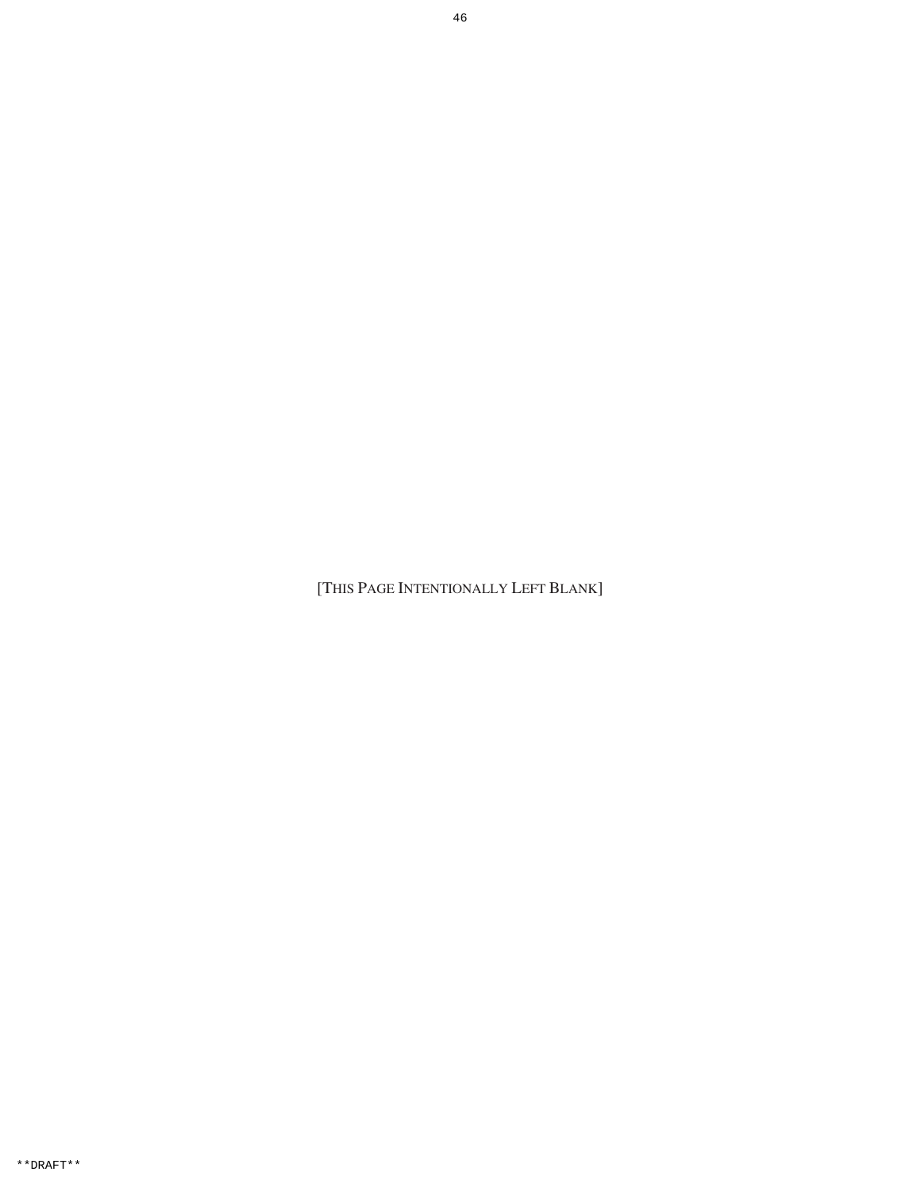[THIS PAGE INTENTIONALLY LEFT BLANK]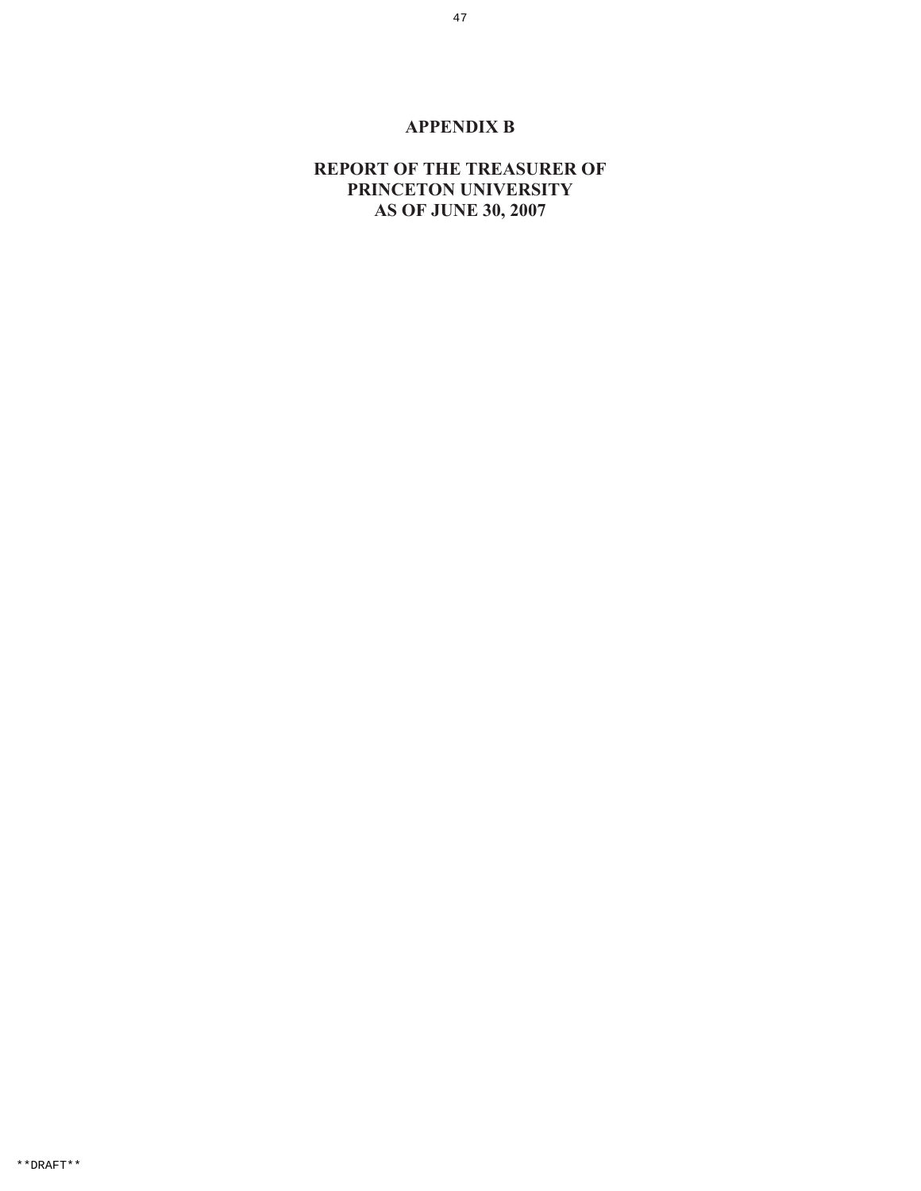# **APPENDIX B**

# **REPORT OF THE TREASURER OF PRINCETON UNIVERSITY AS OF JUNE 30, 2007**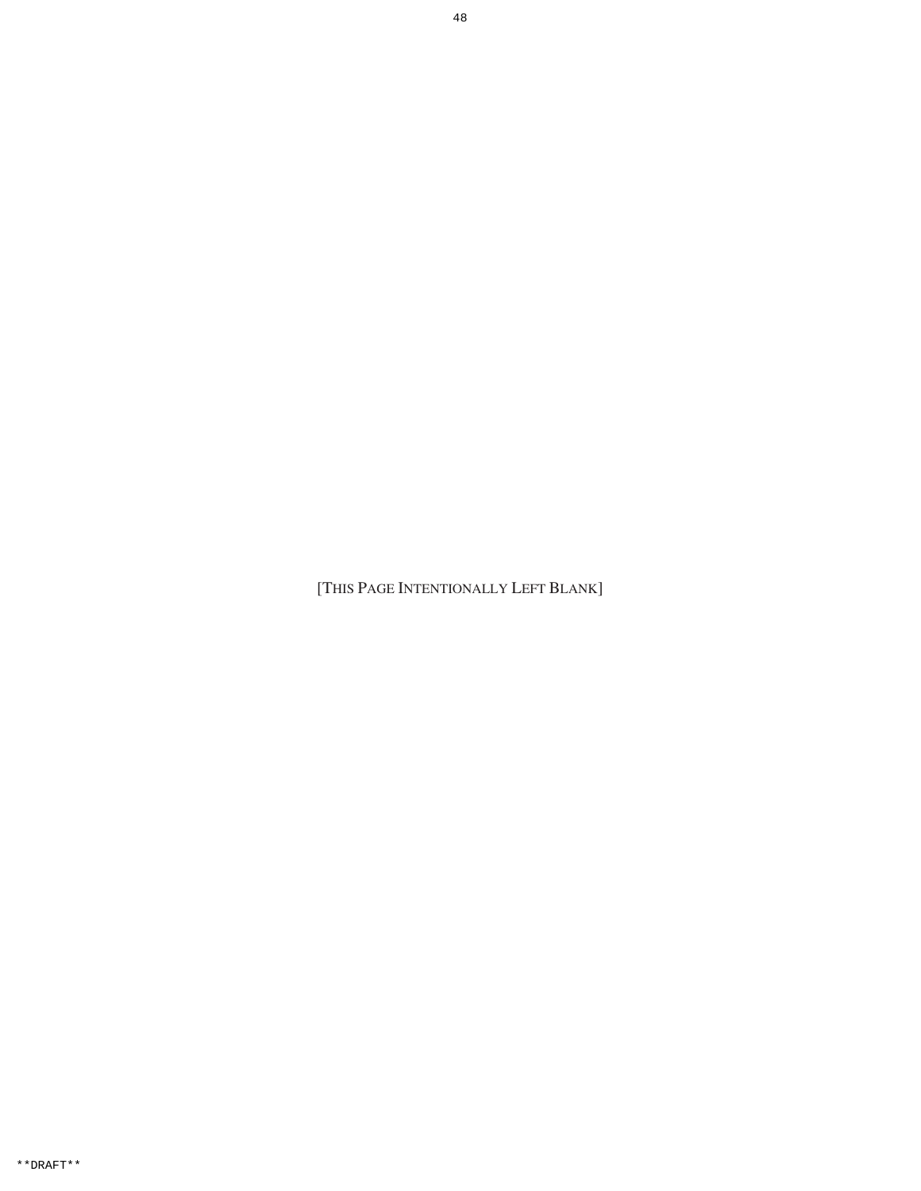[THIS PAGE INTENTIONALLY LEFT BLANK]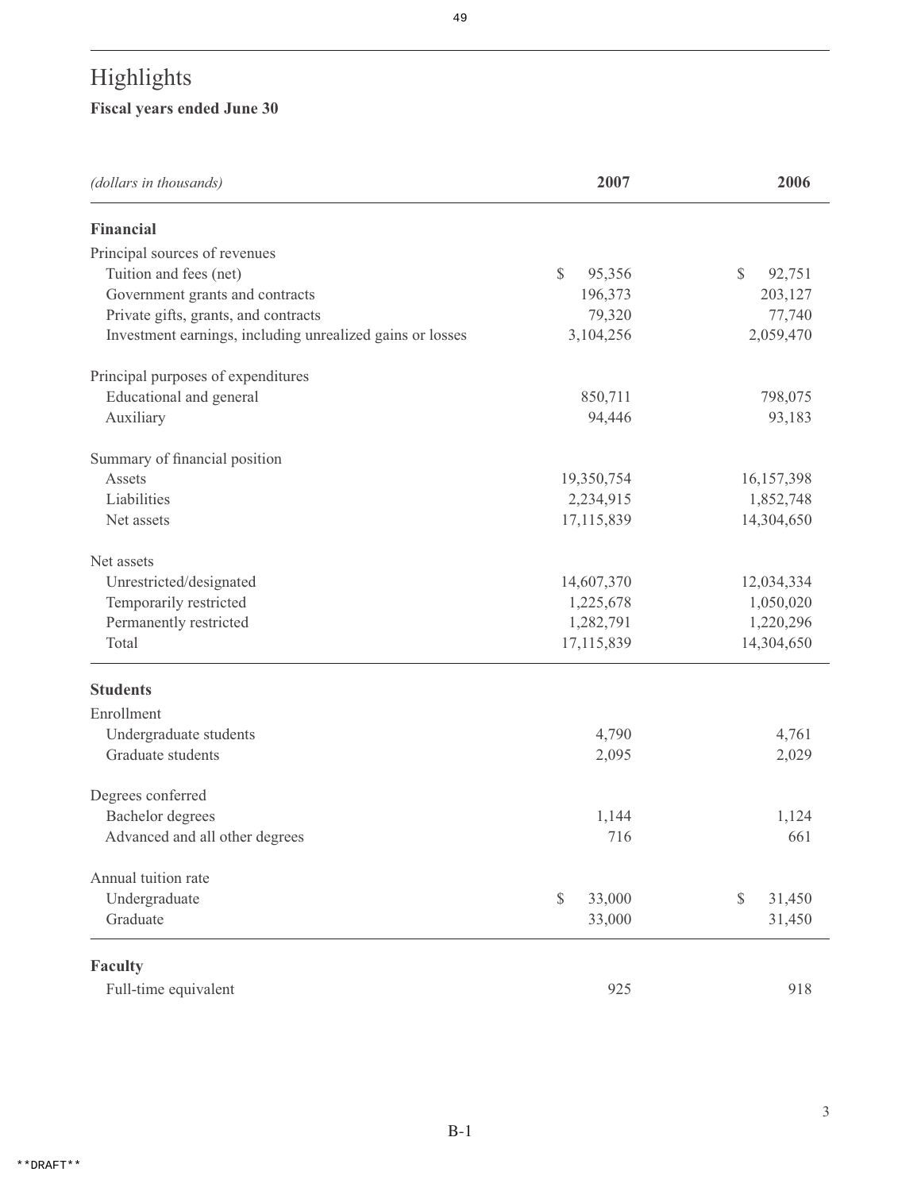# Highlights **Fiscal years ended June 30**

| (dollars in thousands)                                    | 2007                   | 2006                   |
|-----------------------------------------------------------|------------------------|------------------------|
| <b>Financial</b>                                          |                        |                        |
| Principal sources of revenues                             |                        |                        |
| Tuition and fees (net)                                    | $\mathbb{S}$<br>95,356 | $\mathbb{S}$<br>92,751 |
| Government grants and contracts                           | 196,373                | 203,127                |
| Private gifts, grants, and contracts                      | 79,320                 | 77,740                 |
| Investment earnings, including unrealized gains or losses | 3,104,256              | 2,059,470              |
| Principal purposes of expenditures                        |                        |                        |
| Educational and general                                   | 850,711                | 798,075                |
| Auxiliary                                                 | 94,446                 | 93,183                 |
| Summary of financial position                             |                        |                        |
| Assets                                                    | 19,350,754             | 16,157,398             |
| Liabilities                                               | 2,234,915              | 1,852,748              |
| Net assets                                                | 17,115,839             | 14,304,650             |
| Net assets                                                |                        |                        |
| Unrestricted/designated                                   | 14,607,370             | 12,034,334             |
| Temporarily restricted                                    | 1,225,678              | 1,050,020              |
| Permanently restricted                                    | 1,282,791              | 1,220,296              |
| Total                                                     | 17,115,839             | 14,304,650             |
| <b>Students</b>                                           |                        |                        |
| Enrollment                                                |                        |                        |
| Undergraduate students                                    | 4,790                  | 4,761                  |
| Graduate students                                         | 2,095                  | 2,029                  |
| Degrees conferred                                         |                        |                        |
| <b>Bachelor</b> degrees                                   | 1,144                  | 1,124                  |
| Advanced and all other degrees                            | 716                    | 661                    |
| Annual tuition rate                                       |                        |                        |
| Undergraduate                                             | $\mathbb{S}$<br>33,000 | $\mathbb{S}$<br>31,450 |
| Graduate                                                  | 33,000                 | 31,450                 |
| <b>Faculty</b>                                            |                        |                        |
| Full-time equivalent                                      | 925                    | 918                    |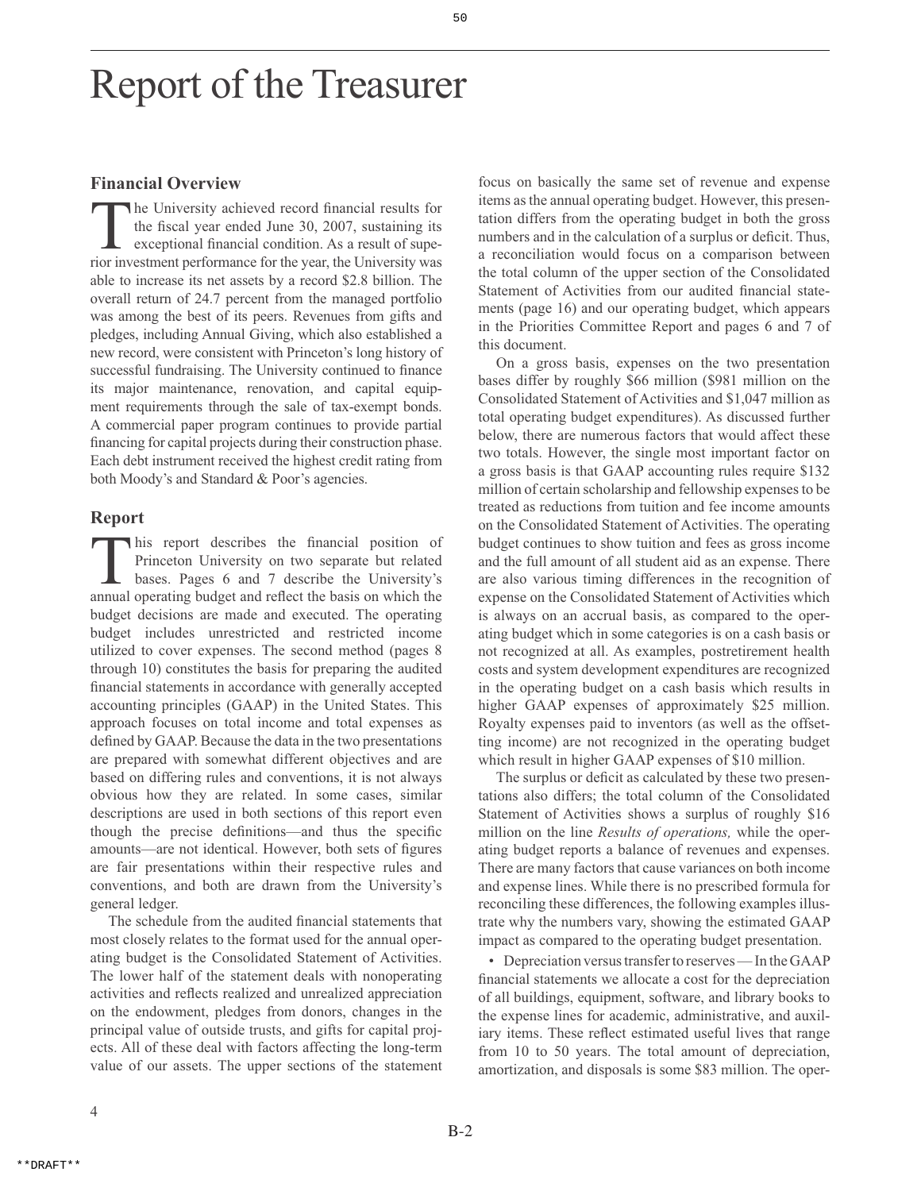# Report of the Treasurer

# **Financial Overview**

The University achieved record financial results for<br>the fiscal year ended June 30, 2007, sustaining its<br>exceptional financial condition. As a result of supe-<br>rior investment performance for the year the University was the fiscal year ended June 30, 2007, sustaining its exceptional financial condition. As a result of superior investment performance for the year, the University was able to increase its net assets by a record \$2.8 billion. The overall return of 24.7 percent from the managed portfolio was among the best of its peers. Revenues from gifts and pledges, including Annual Giving, which also established a new record, were consistent with Princeton's long history of successful fundraising. The University continued to finance its major maintenance, renovation, and capital equipment requirements through the sale of tax-exempt bonds. A commercial paper program continues to provide partial financing for capital projects during their construction phase. Each debt instrument received the highest credit rating from both Moody's and Standard & Poor's agencies.

# **Report**

This report describes the financial position of<br>Princeton University on two separate but related<br>bases. Pages 6 and 7 describe the University's<br>annual operating budget and reflect the basis on which the Princeton University on two separate but related bases. Pages 6 and 7 describe the University's annual operating budget and reflect the basis on which the budget decisions are made and executed. The operating budget includes unrestricted and restricted income utilized to cover expenses. The second method (pages 8 through 10) constitutes the basis for preparing the audited financial statements in accordance with generally accepted accounting principles (GAAP) in the United States. This approach focuses on total income and total expenses as defined by GAAP. Because the data in the two presentations are prepared with somewhat different objectives and are based on differing rules and conventions, it is not always obvious how they are related. In some cases, similar descriptions are used in both sections of this report even though the precise definitions—and thus the specific amounts—are not identical. However, both sets of figures are fair presentations within their respective rules and conventions, and both are drawn from the University's general ledger.

The schedule from the audited financial statements that most closely relates to the format used for the annual operating budget is the Consolidated Statement of Activities. The lower half of the statement deals with nonoperating activities and reflects realized and unrealized appreciation on the endowment, pledges from donors, changes in the principal value of outside trusts, and gifts for capital projects. All of these deal with factors affecting the long-term value of our assets. The upper sections of the statement

focus on basically the same set of revenue and expense items as the annual operating budget. However, this presentation differs from the operating budget in both the gross numbers and in the calculation of a surplus or deficit. Thus, a reconciliation would focus on a comparison between the total column of the upper section of the Consolidated Statement of Activities from our audited financial statements (page 16) and our operating budget, which appears in the Priorities Committee Report and pages 6 and 7 of this document.

On a gross basis, expenses on the two presentation bases differ by roughly \$66 million (\$981 million on the Consolidated Statement of Activities and \$1,047 million as total operating budget expenditures). As discussed further below, there are numerous factors that would affect these two totals. However, the single most important factor on a gross basis is that GAAP accounting rules require \$132 million of certain scholarship and fellowship expenses to be treated as reductions from tuition and fee income amounts on the Consolidated Statement of Activities. The operating budget continues to show tuition and fees as gross income and the full amount of all student aid as an expense. There are also various timing differences in the recognition of expense on the Consolidated Statement of Activities which is always on an accrual basis, as compared to the operating budget which in some categories is on a cash basis or not recognized at all. As examples, postretirement health costs and system development expenditures are recognized in the operating budget on a cash basis which results in higher GAAP expenses of approximately \$25 million. Royalty expenses paid to inventors (as well as the offsetting income) are not recognized in the operating budget which result in higher GAAP expenses of \$10 million.

The surplus or deficit as calculated by these two presentations also differs; the total column of the Consolidated Statement of Activities shows a surplus of roughly \$16 million on the line *Results of operations,* while the operating budget reports a balance of revenues and expenses. There are many factors that cause variances on both income and expense lines. While there is no prescribed formula for reconciling these differences, the following examples illustrate why the numbers vary, showing the estimated GAAP impact as compared to the operating budget presentation.

• Depreciation versus transfer to reserves — In the GAAP financial statements we allocate a cost for the depreciation of all buildings, equipment, software, and library books to the expense lines for academic, administrative, and auxiliary items. These reflect estimated useful lives that range from 10 to 50 years. The total amount of depreciation, amortization, and disposals is some \$83 million. The oper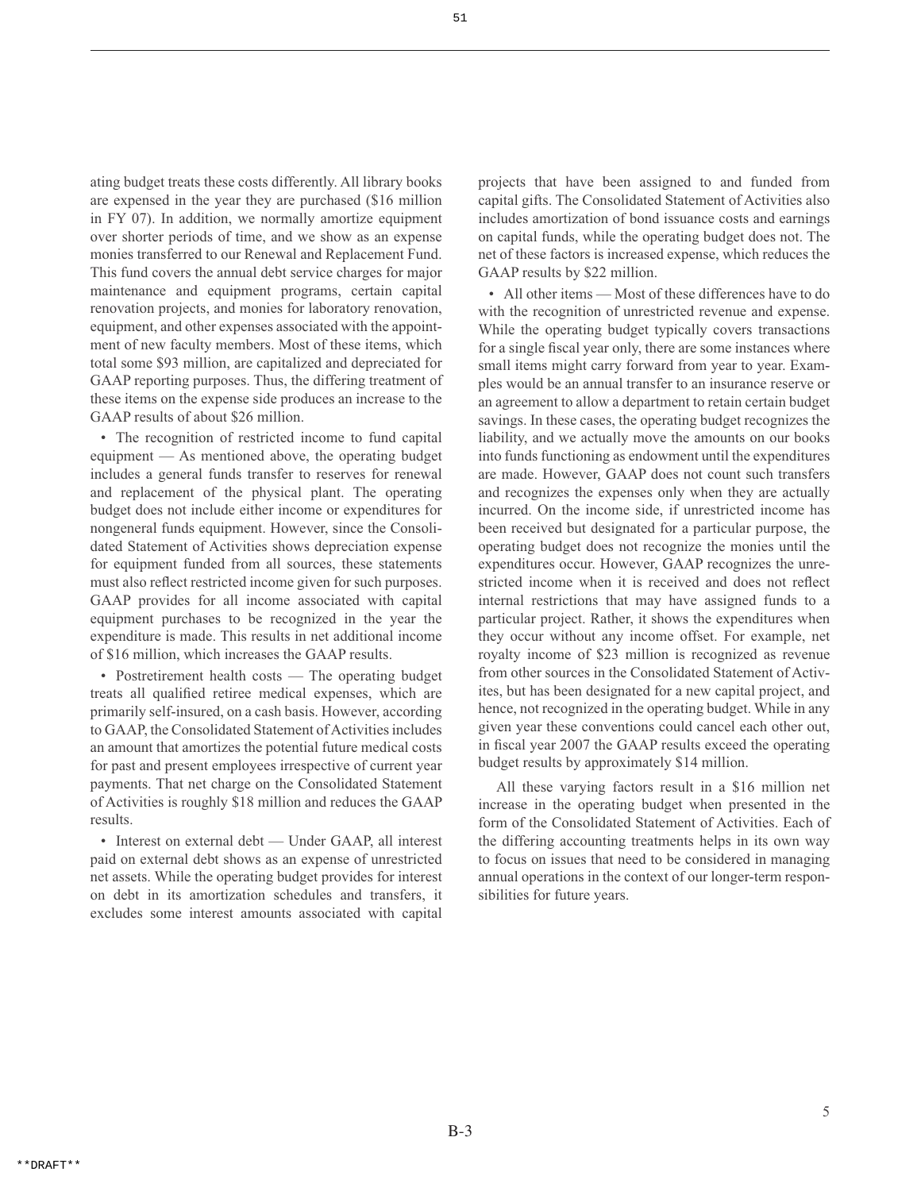ating budget treats these costs differently. All library books are expensed in the year they are purchased (\$16 million in FY 07). In addition, we normally amortize equipment over shorter periods of time, and we show as an expense monies transferred to our Renewal and Replacement Fund. This fund covers the annual debt service charges for major maintenance and equipment programs, certain capital renovation projects, and monies for laboratory renovation, equipment, and other expenses associated with the appointment of new faculty members. Most of these items, which total some \$93 million, are capitalized and depreciated for GAAP reporting purposes. Thus, the differing treatment of these items on the expense side produces an increase to the GAAP results of about \$26 million.

• The recognition of restricted income to fund capital equipment — As mentioned above, the operating budget includes a general funds transfer to reserves for renewal and replacement of the physical plant. The operating budget does not include either income or expenditures for nongeneral funds equipment. However, since the Consolidated Statement of Activities shows depreciation expense for equipment funded from all sources, these statements must also reflect restricted income given for such purposes. GAAP provides for all income associated with capital equipment purchases to be recognized in the year the expenditure is made. This results in net additional income of \$16 million, which increases the GAAP results.

• Postretirement health costs — The operating budget treats all qualified retiree medical expenses, which are primarily self-insured, on a cash basis. However, according to GAAP, the Consolidated Statement of Activities includes an amount that amortizes the potential future medical costs for past and present employees irrespective of current year payments. That net charge on the Consolidated Statement of Activities is roughly \$18 million and reduces the GAAP results.

• Interest on external debt — Under GAAP, all interest paid on external debt shows as an expense of unrestricted net assets. While the operating budget provides for interest on debt in its amortization schedules and transfers, it excludes some interest amounts associated with capital projects that have been assigned to and funded from capital gifts. The Consolidated Statement of Activities also includes amortization of bond issuance costs and earnings on capital funds, while the operating budget does not. The net of these factors is increased expense, which reduces the GAAP results by \$22 million.

• All other items — Most of these differences have to do with the recognition of unrestricted revenue and expense. While the operating budget typically covers transactions for a single fiscal year only, there are some instances where small items might carry forward from year to year. Examples would be an annual transfer to an insurance reserve or an agreement to allow a department to retain certain budget savings. In these cases, the operating budget recognizes the liability, and we actually move the amounts on our books into funds functioning as endowment until the expenditures are made. However, GAAP does not count such transfers and recognizes the expenses only when they are actually incurred. On the income side, if unrestricted income has been received but designated for a particular purpose, the operating budget does not recognize the monies until the expenditures occur. However, GAAP recognizes the unrestricted income when it is received and does not reflect internal restrictions that may have assigned funds to a particular project. Rather, it shows the expenditures when they occur without any income offset. For example, net royalty income of \$23 million is recognized as revenue from other sources in the Consolidated Statement of Activites, but has been designated for a new capital project, and hence, not recognized in the operating budget. While in any given year these conventions could cancel each other out, in fiscal year 2007 the GAAP results exceed the operating budget results by approximately \$14 million.

All these varying factors result in a \$16 million net increase in the operating budget when presented in the form of the Consolidated Statement of Activities. Each of the differing accounting treatments helps in its own way to focus on issues that need to be considered in managing annual operations in the context of our longer-term responsibilities for future years.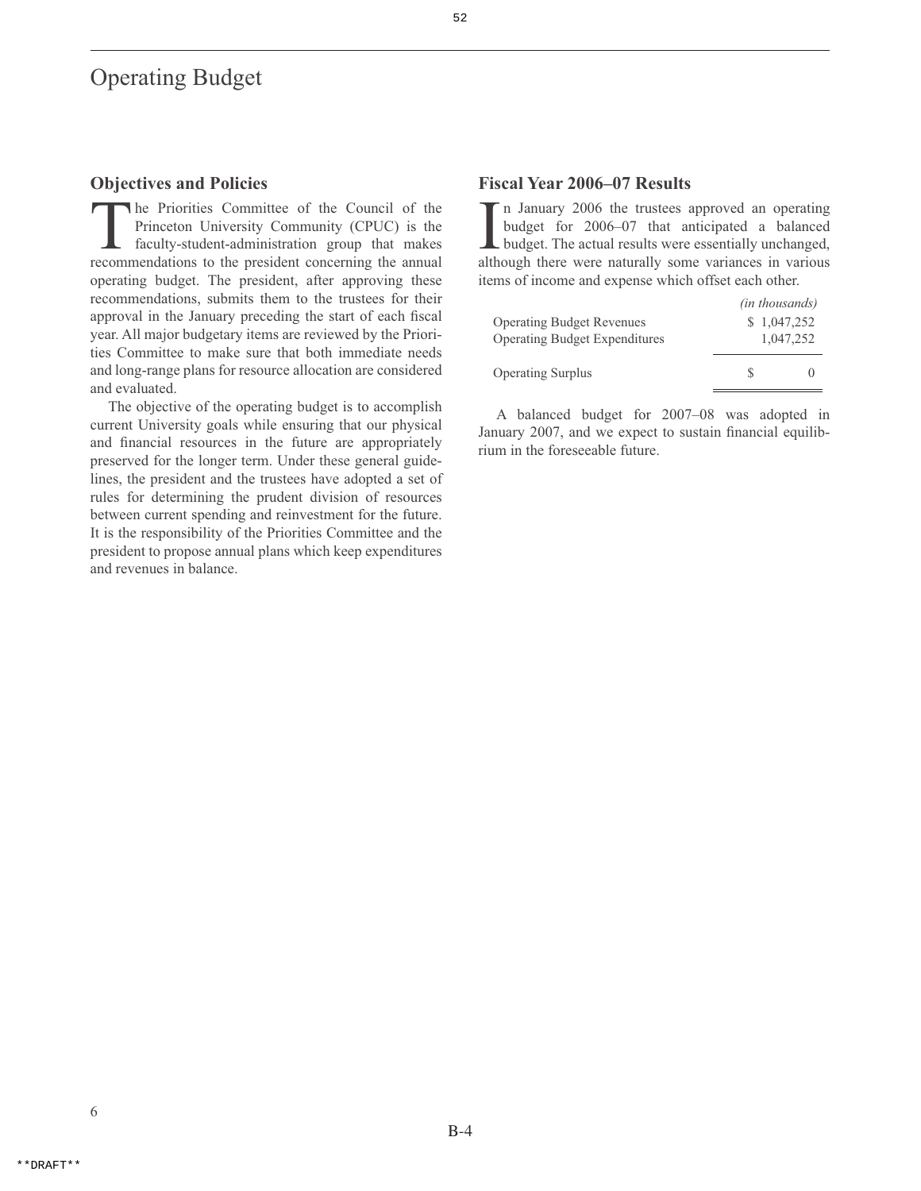# Operating Budget

# **Objectives and Policies**

The Priorities Committee of the Council of the<br>Princeton University Community (CPUC) is the<br>faculty-student-administration group that makes<br>recommendations to the president concerning the annual Princeton University Community (CPUC) is the faculty-student-administration group that makes recommendations to the president concerning the annual operating budget. The president, after approving these recommendations, submits them to the trustees for their approval in the January preceding the start of each fiscal year. All major budgetary items are reviewed by the Priorities Committee to make sure that both immediate needs and long-range plans for resource allocation are considered and evaluated.

The objective of the operating budget is to accomplish current University goals while ensuring that our physical and financial resources in the future are appropriately preserved for the longer term. Under these general guidelines, the president and the trustees have adopted a set of rules for determining the prudent division of resources between current spending and reinvestment for the future. It is the responsibility of the Priorities Committee and the president to propose annual plans which keep expenditures and revenues in balance.

# **Fiscal Year 2006–07 Results**

 $\prod_{\text{alth}}$ n January 2006 the trustees approved an operating budget for 2006–07 that anticipated a balanced budget. The actual results were essentially unchanged, although there were naturally some variances in various items of income and expense which offset each other.

|                                                                          | (in thousands)           |  |
|--------------------------------------------------------------------------|--------------------------|--|
| <b>Operating Budget Revenues</b><br><b>Operating Budget Expenditures</b> | \$1,047,252<br>1,047,252 |  |
| <b>Operating Surplus</b>                                                 | S                        |  |

A balanced budget for 2007–08 was adopted in January 2007, and we expect to sustain financial equilibrium in the foreseeable future.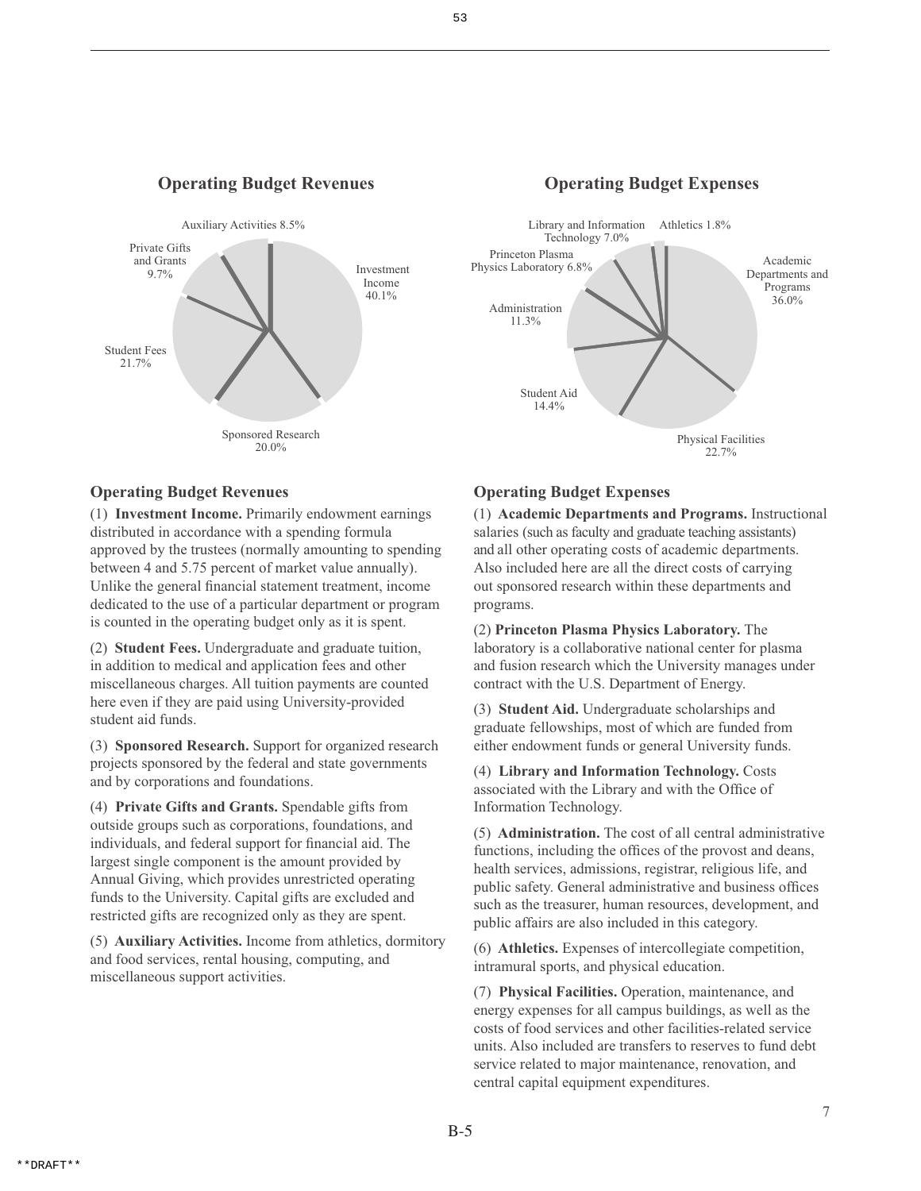# **Operating Budget Revenues Operating Budget Expenses**



## **Operating Budget Revenues**

(1) **Investment Income.** Primarily endowment earnings distributed in accordance with a spending formula approved by the trustees (normally amounting to spending between 4 and 5.75 percent of market value annually). Unlike the general financial statement treatment, income dedicated to the use of a particular department or program is counted in the operating budget only as it is spent.

(2) **Student Fees.** Undergraduate and graduate tuition, in addition to medical and application fees and other miscellaneous charges. All tuition payments are counted here even if they are paid using University-provided student aid funds.

(3) **Sponsored Research.** Support for organized research projects sponsored by the federal and state governments and by corporations and foundations.

(4) **Private Gifts and Grants.** Spendable gifts from outside groups such as corporations, foundations, and individuals, and federal support for financial aid. The largest single component is the amount provided by Annual Giving, which provides unrestricted operating funds to the University. Capital gifts are excluded and restricted gifts are recognized only as they are spent.

(5) **Auxiliary Activities.** Income from athletics, dormitory and food services, rental housing, computing, and miscellaneous support activities.



# **Operating Budget Expenses**

(1) **Academic Departments and Programs.** Instructional salaries (such as faculty and graduate teaching assistants) and all other operating costs of academic departments. Also included here are all the direct costs of carrying out sponsored research within these departments and programs.

(2) **Princeton Plasma Physics Laboratory.** The laboratory is a collaborative national center for plasma and fusion research which the University manages under contract with the U.S. Department of Energy.

(3) **Student Aid.** Undergraduate scholarships and graduate fellowships, most of which are funded from either endowment funds or general University funds.

(4) **Library and Information Technology.** Costs associated with the Library and with the Office of Information Technology.

(5) **Administration.** The cost of all central administrative functions, including the offices of the provost and deans, health services, admissions, registrar, religious life, and public safety. General administrative and business offices such as the treasurer, human resources, development, and public affairs are also included in this category.

(6) **Athletics.** Expenses of intercollegiate competition, intramural sports, and physical education.

(7) **Physical Facilities.** Operation, maintenance, and energy expenses for all campus buildings, as well as the costs of food services and other facilities-related service units. Also included are transfers to reserves to fund debt service related to major maintenance, renovation, and central capital equipment expenditures.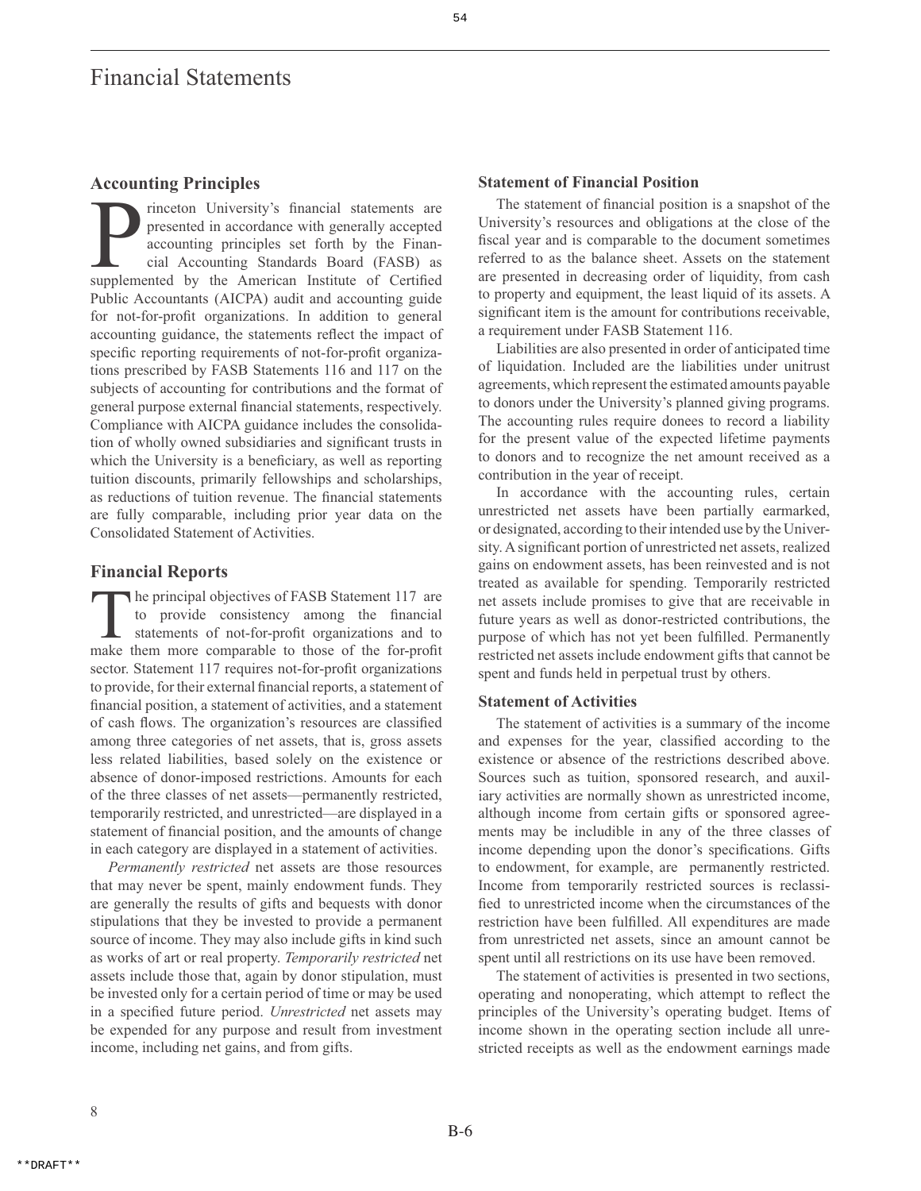# Financial Statements

## **Accounting Principles**

Frinceton University's financial statements are presented in accordance with generally accepted accounting principles set forth by the Financial Accounting Standards Board (FASB) as supplemented by the American Institute o presented in accordance with generally accepted accounting principles set forth by the Financial Accounting Standards Board (FASB) as Public Accountants (AICPA) audit and accounting guide for not-for-profit organizations. In addition to general accounting guidance, the statements reflect the impact of specific reporting requirements of not-for-profit organizations prescribed by FASB Statements 116 and 117 on the subjects of accounting for contributions and the format of general purpose external financial statements, respectively. Compliance with AICPA guidance includes the consolidation of wholly owned subsidiaries and significant trusts in which the University is a beneficiary, as well as reporting tuition discounts, primarily fellowships and scholarships, as reductions of tuition revenue. The financial statements are fully comparable, including prior year data on the Consolidated Statement of Activities.

## **Financial Reports**

The principal objectives of FASB Statement 117 are<br>to provide consistency among the financial<br>statements of not-for-profit organizations and to<br>make them more comparable to those of the for-profit to provide consistency among the financial statements of not-for-profit organizations and to make them more comparable to those of the for-profit sector. Statement 117 requires not-for-profit organizations to provide, for their external financial reports, a statement of financial position, a statement of activities, and a statement of cash flows. The organization's resources are classified among three categories of net assets, that is, gross assets less related liabilities, based solely on the existence or absence of donor-imposed restrictions. Amounts for each of the three classes of net assets—permanently restricted, temporarily restricted, and unrestricted—are displayed in a statement of financial position, and the amounts of change in each category are displayed in a statement of activities.

*Permanently restricted* net assets are those resources that may never be spent, mainly endowment funds. They are generally the results of gifts and bequests with donor stipulations that they be invested to provide a permanent source of income. They may also include gifts in kind such as works of art or real property. *Temporarily restricted* net assets include those that, again by donor stipulation, must be invested only for a certain period of time or may be used in a specified future period. *Unrestricted* net assets may be expended for any purpose and result from investment income, including net gains, and from gifts.

## **Statement of Financial Position**

54

The statement of financial position is a snapshot of the University's resources and obligations at the close of the fiscal year and is comparable to the document sometimes referred to as the balance sheet. Assets on the statement are presented in decreasing order of liquidity, from cash to property and equipment, the least liquid of its assets. A significant item is the amount for contributions receivable, a requirement under FASB Statement 116.

Liabilities are also presented in order of anticipated time of liquidation. Included are the liabilities under unitrust agreements, which represent the estimated amounts payable to donors under the University's planned giving programs. The accounting rules require donees to record a liability for the present value of the expected lifetime payments to donors and to recognize the net amount received as a contribution in the year of receipt.

In accordance with the accounting rules, certain unrestricted net assets have been partially earmarked, or designated, according to their intended use by the University. A significant portion of unrestricted net assets, realized gains on endowment assets, has been reinvested and is not treated as available for spending. Temporarily restricted net assets include promises to give that are receivable in future years as well as donor-restricted contributions, the purpose of which has not yet been fulfilled. Permanently restricted net assets include endowment gifts that cannot be spent and funds held in perpetual trust by others.

#### **Statement of Activities**

The statement of activities is a summary of the income and expenses for the year, classified according to the existence or absence of the restrictions described above. Sources such as tuition, sponsored research, and auxiliary activities are normally shown as unrestricted income, although income from certain gifts or sponsored agreements may be includible in any of the three classes of income depending upon the donor's specifications. Gifts to endowment, for example, are permanently restricted. Income from temporarily restricted sources is reclassified to unrestricted income when the circumstances of the restriction have been fulfilled. All expenditures are made from unrestricted net assets, since an amount cannot be spent until all restrictions on its use have been removed.

The statement of activities is presented in two sections, operating and nonoperating, which attempt to reflect the principles of the University's operating budget. Items of income shown in the operating section include all unrestricted receipts as well as the endowment earnings made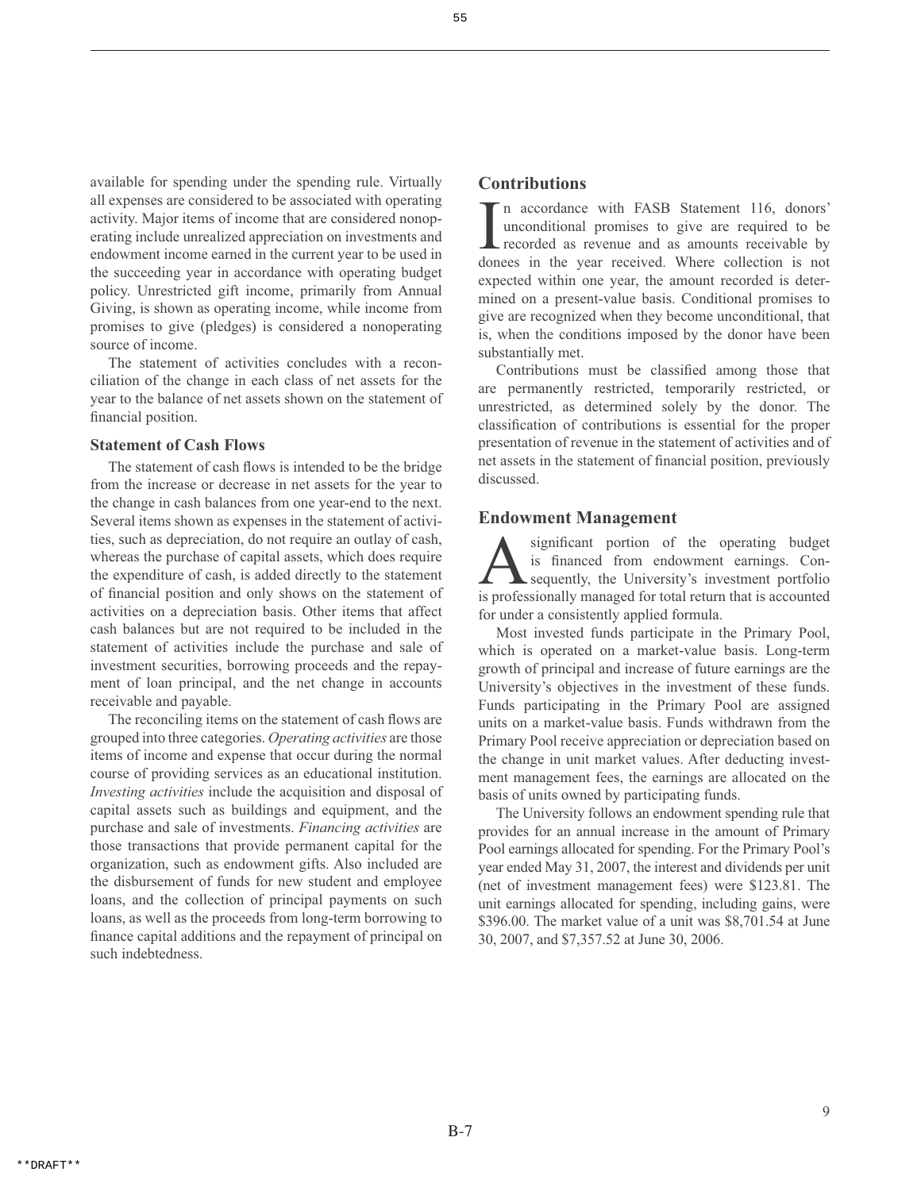available for spending under the spending rule. Virtually all expenses are considered to be associated with operating activity. Major items of income that are considered nonoperating include unrealized appreciation on investments and endowment income earned in the current year to be used in the succeeding year in accordance with operating budget policy. Unrestricted gift income, primarily from Annual Giving, is shown as operating income, while income from promises to give (pledges) is considered a nonoperating source of income.

The statement of activities concludes with a reconciliation of the change in each class of net assets for the year to the balance of net assets shown on the statement of financial position.

## **Statement of Cash Flows**

The statement of cash flows is intended to be the bridge from the increase or decrease in net assets for the year to the change in cash balances from one year-end to the next. Several items shown as expenses in the statement of activities, such as depreciation, do not require an outlay of cash, whereas the purchase of capital assets, which does require the expenditure of cash, is added directly to the statement of financial position and only shows on the statement of activities on a depreciation basis. Other items that affect cash balances but are not required to be included in the statement of activities include the purchase and sale of investment securities, borrowing proceeds and the repayment of loan principal, and the net change in accounts receivable and payable.

The reconciling items on the statement of cash flows are grouped into three categories. *Operating activities* are those items of income and expense that occur during the normal course of providing services as an educational institution. *Investing activities* include the acquisition and disposal of capital assets such as buildings and equipment, and the purchase and sale of investments. *Financing activities* are those transactions that provide permanent capital for the organization, such as endowment gifts. Also included are the disbursement of funds for new student and employee loans, and the collection of principal payments on such loans, as well as the proceeds from long-term borrowing to finance capital additions and the repayment of principal on such indebtedness.

# **Contributions**

55

In accordance with FASB Statement 116, donors' unconditional promises to give are required to be recorded as revenue and as amounts receivable by donees in the year received. Where collection is not n accordance with FASB Statement 116, donors' unconditional promises to give are required to be recorded as revenue and as amounts receivable by expected within one year, the amount recorded is determined on a present-value basis. Conditional promises to give are recognized when they become unconditional, that is, when the conditions imposed by the donor have been substantially met.

Contributions must be classified among those that are permanently restricted, temporarily restricted, or unrestricted, as determined solely by the donor. The classification of contributions is essential for the proper presentation of revenue in the statement of activities and of net assets in the statement of financial position, previously discussed.

## **Endowment Management**

Significant portion of the operating budget<br>is financed from endowment earnings. Con-<br>sequently, the University's investment portfolio<br>is professionally managed for total return that is accounted is financed from endowment earnings. Consequently, the University's investment portfolio is professionally managed for total return that is accounted for under a consistently applied formula.

Most invested funds participate in the Primary Pool, which is operated on a market-value basis. Long-term growth of principal and increase of future earnings are the University's objectives in the investment of these funds. Funds participating in the Primary Pool are assigned units on a market-value basis. Funds withdrawn from the Primary Pool receive appreciation or depreciation based on the change in unit market values. After deducting investment management fees, the earnings are allocated on the basis of units owned by participating funds.

The University follows an endowment spending rule that provides for an annual increase in the amount of Primary Pool earnings allocated for spending. For the Primary Pool's year ended May 31, 2007, the interest and dividends per unit (net of investment management fees) were \$123.81. The unit earnings allocated for spending, including gains, were \$396.00. The market value of a unit was \$8,701.54 at June 30, 2007, and \$7,357.52 at June 30, 2006.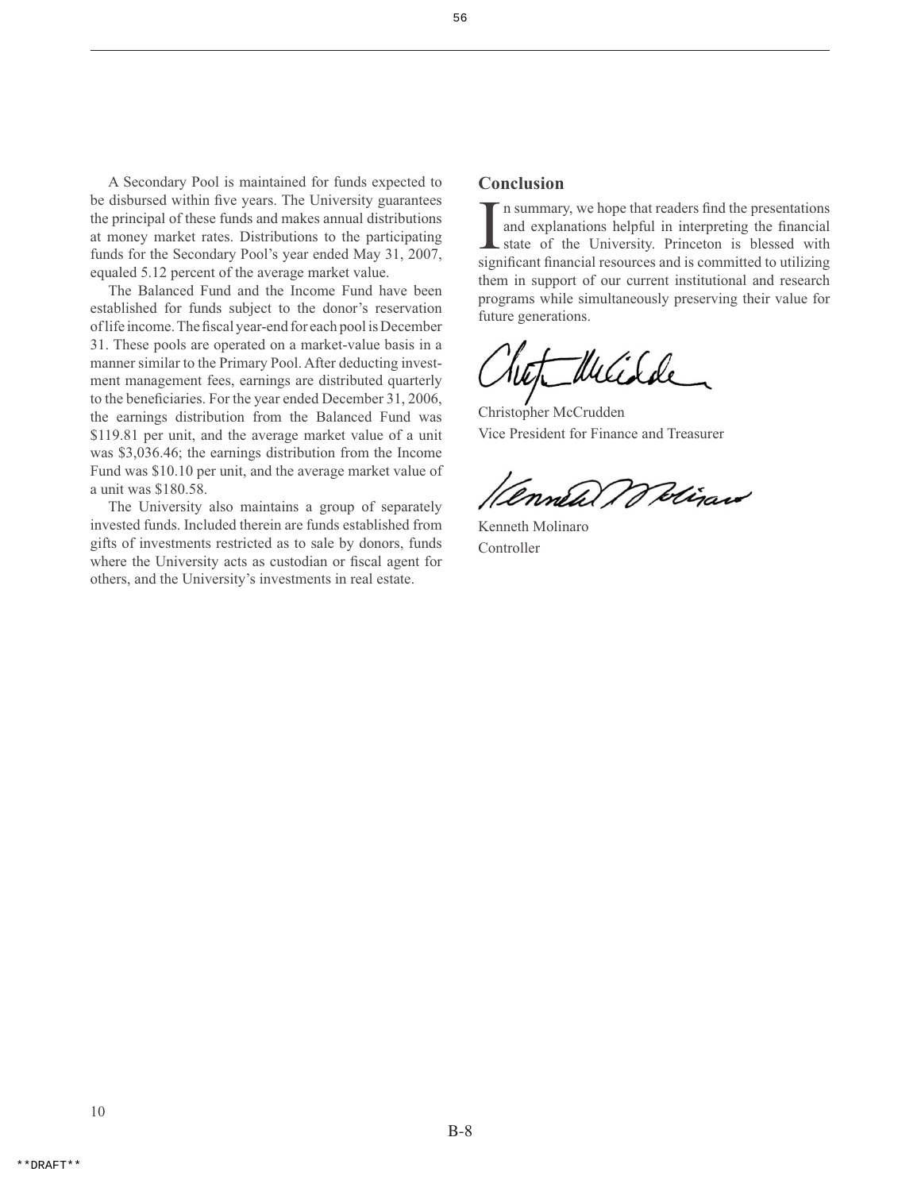A Secondary Pool is maintained for funds expected to be disbursed within five years. The University guarantees the principal of these funds and makes annual distributions at money market rates. Distributions to the participating funds for the Secondary Pool's year ended May 31, 2007, equaled 5.12 percent of the average market value.

The Balanced Fund and the Income Fund have been established for funds subject to the donor's reservation of life income. The fiscal year-end for each pool is December 31. These pools are operated on a market-value basis in a manner similar to the Primary Pool. After deducting investment management fees, earnings are distributed quarterly to the beneficiaries. For the year ended December 31, 2006, the earnings distribution from the Balanced Fund was \$119.81 per unit, and the average market value of a unit was \$3,036.46; the earnings distribution from the Income Fund was \$10.10 per unit, and the average market value of a unit was \$180.58.

The University also maintains a group of separately invested funds. Included therein are funds established from gifts of investments restricted as to sale by donors, funds where the University acts as custodian or fiscal agent for others, and the University's investments in real estate.

# **Conclusion**

In summary, we hope that readers find the presentations and explanations helpful in interpreting the financial state of the University. Princeton is blessed with significant financial resources and is committed to utilizin n summary, we hope that readers find the presentations and explanations helpful in interpreting the financial state of the University. Princeton is blessed with them in support of our current institutional and research programs while simultaneously preserving their value for future generations.

Ille Ci se d'e

Christopher McCrudden Vice President for Finance and Treasurer

Ennear Welizaw

Kenneth Molinaro Controller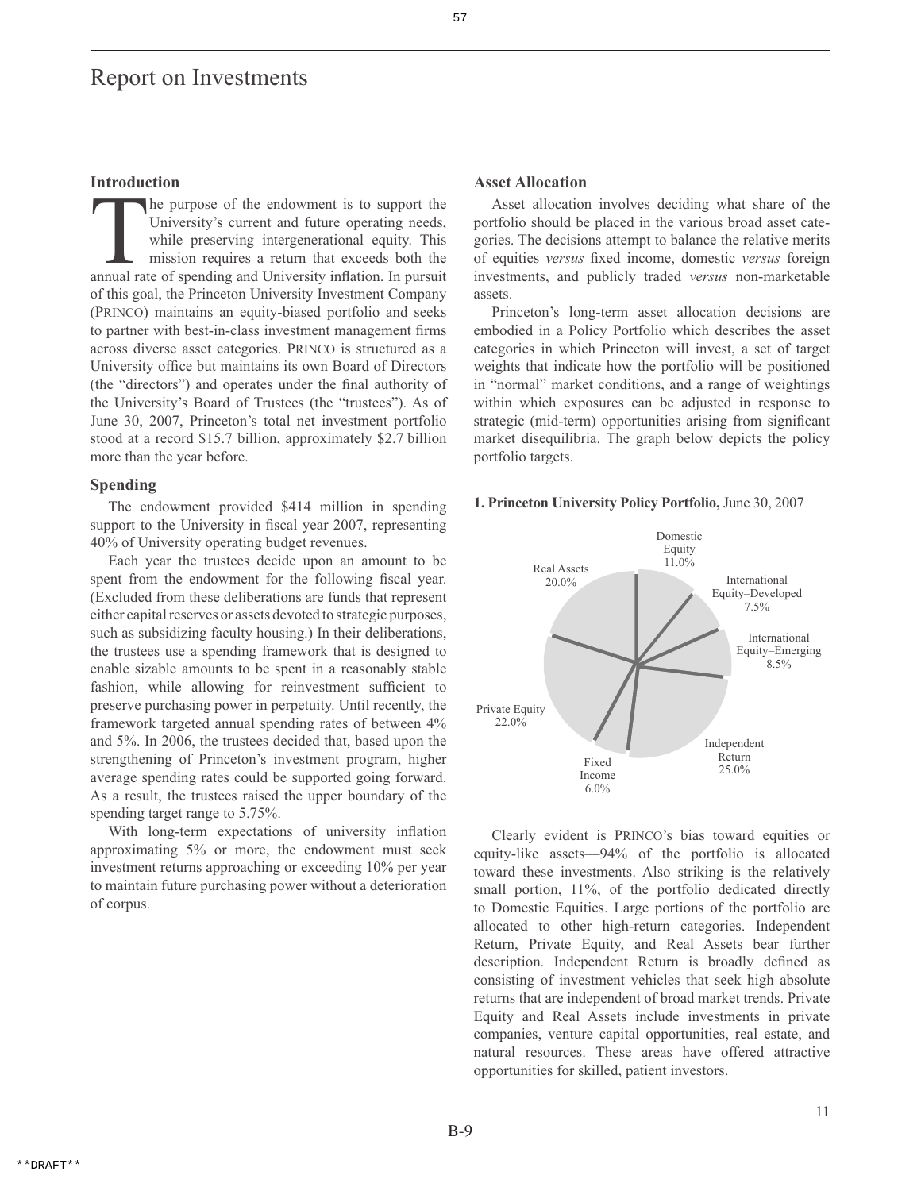# Report on Investments

## **Introduction**

The purpose of the endowment is to support the University's current and future operating needs, while preserving intergenerational equity. This mission requires a return that exceeds both the annual rate of spending and Un University's current and future operating needs, while preserving intergenerational equity. This mission requires a return that exceeds both the of this goal, the Princeton University Investment Company (PRINCO) maintains an equity-biased portfolio and seeks to partner with best-in-class investment management firms across diverse asset categories. PRINCO is structured as a University office but maintains its own Board of Directors (the "directors") and operates under the final authority of the University's Board of Trustees (the "trustees"). As of June 30, 2007, Princeton's total net investment portfolio stood at a record \$15.7 billion, approximately \$2.7 billion more than the year before.

#### **Spending**

The endowment provided \$414 million in spending support to the University in fiscal year 2007, representing 40% of University operating budget revenues.

Each year the trustees decide upon an amount to be spent from the endowment for the following fiscal year. (Excluded from these deliberations are funds that represent either capital reserves or assets devoted to strategic purposes, such as subsidizing faculty housing.) In their deliberations, the trustees use a spending framework that is designed to enable sizable amounts to be spent in a reasonably stable fashion, while allowing for reinvestment sufficient to preserve purchasing power in perpetuity. Until recently, the framework targeted annual spending rates of between 4% and 5%. In 2006, the trustees decided that, based upon the strengthening of Princeton's investment program, higher average spending rates could be supported going forward. As a result, the trustees raised the upper boundary of the spending target range to 5.75%.

With long-term expectations of university inflation approximating 5% or more, the endowment must seek investment returns approaching or exceeding 10% per year to maintain future purchasing power without a deterioration of corpus.

## **Asset Allocation**

Asset allocation involves deciding what share of the portfolio should be placed in the various broad asset categories. The decisions attempt to balance the relative merits of equities *versus* fixed income, domestic *versus* foreign investments, and publicly traded *versus* non-marketable assets.

Princeton's long-term asset allocation decisions are embodied in a Policy Portfolio which describes the asset categories in which Princeton will invest, a set of target weights that indicate how the portfolio will be positioned in "normal" market conditions, and a range of weightings within which exposures can be adjusted in response to strategic (mid-term) opportunities arising from significant market disequilibria. The graph below depicts the policy portfolio targets.

#### **1. Princeton University Policy Portfolio,** June 30, 2007



Clearly evident is PRINCO's bias toward equities or equity-like assets—94% of the portfolio is allocated toward these investments. Also striking is the relatively small portion,  $11\%$ , of the portfolio dedicated directly to Domestic Equities. Large portions of the portfolio are allocated to other high-return categories. Independent Return, Private Equity, and Real Assets bear further description. Independent Return is broadly defined as consisting of investment vehicles that seek high absolute returns that are independent of broad market trends. Private Equity and Real Assets include investments in private companies, venture capital opportunities, real estate, and natural resources. These areas have offered attractive opportunities for skilled, patient investors.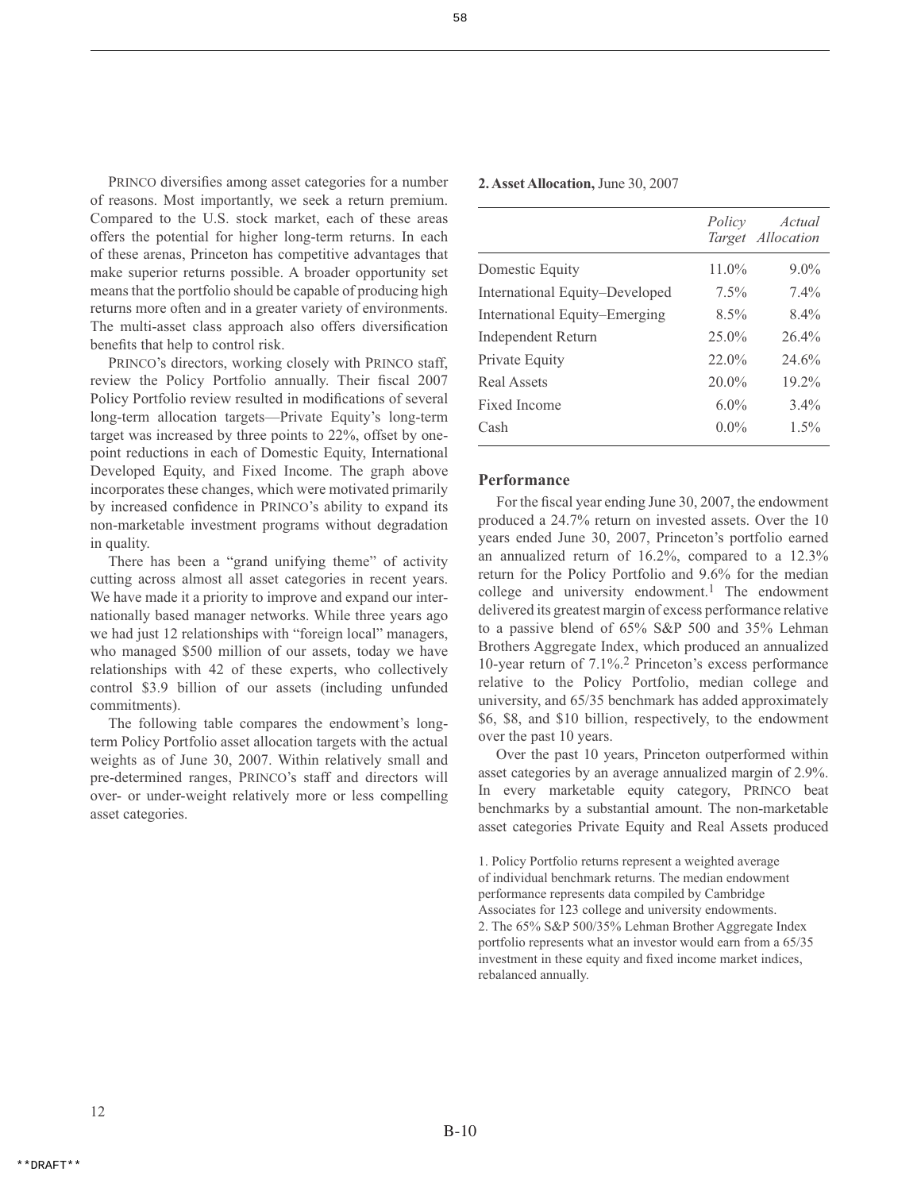PRINCO diversifies among asset categories for a number of reasons. Most importantly, we seek a return premium. Compared to the U.S. stock market, each of these areas offers the potential for higher long-term returns. In each of these arenas, Princeton has competitive advantages that make superior returns possible. A broader opportunity set means that the portfolio should be capable of producing high returns more often and in a greater variety of environments. The multi-asset class approach also offers diversification benefits that help to control risk.

PRINCO's directors, working closely with PRINCO staff, review the Policy Portfolio annually. Their fiscal 2007 Policy Portfolio review resulted in modifications of several long-term allocation targets—Private Equity's long-term target was increased by three points to 22%, offset by onepoint reductions in each of Domestic Equity, International Developed Equity, and Fixed Income. The graph above incorporates these changes, which were motivated primarily by increased confidence in PRINCO's ability to expand its non-marketable investment programs without degradation in quality.

There has been a "grand unifying theme" of activity cutting across almost all asset categories in recent years. We have made it a priority to improve and expand our internationally based manager networks. While three years ago we had just 12 relationships with "foreign local" managers, who managed \$500 million of our assets, today we have relationships with 42 of these experts, who collectively control \$3.9 billion of our assets (including unfunded commitments).

The following table compares the endowment's longterm Policy Portfolio asset allocation targets with the actual weights as of June 30, 2007. Within relatively small and pre-determined ranges, PRINCO's staff and directors will over- or under-weight relatively more or less compelling asset categories.

#### **2. Asset Allocation,** June 30, 2007

|                                | Policy   | Actual<br>Target Allocation |
|--------------------------------|----------|-----------------------------|
| Domestic Equity                | $11.0\%$ | $9.0\%$                     |
| International Equity–Developed | $7.5\%$  | $7.4\%$                     |
| International Equity–Emerging  | $8.5\%$  | $8.4\%$                     |
| Independent Return             | $25.0\%$ | $26.4\%$                    |
| Private Equity                 | 22.0%    | 24.6%                       |
| Real Assets                    | $20.0\%$ | $19.2\%$                    |
| Fixed Income                   | $6.0\%$  | $3.4\%$                     |
| Cash                           | $0.0\%$  | $1.5\%$                     |

#### **Performance**

For the fiscal year ending June 30, 2007, the endowment produced a 24.7% return on invested assets. Over the 10 years ended June 30, 2007, Princeton's portfolio earned an annualized return of 16.2%, compared to a 12.3% return for the Policy Portfolio and 9.6% for the median college and university endowment.<sup>1</sup> The endowment delivered its greatest margin of excess performance relative to a passive blend of 65% S&P 500 and 35% Lehman Brothers Aggregate Index, which produced an annualized 10-year return of 7.1%.2 Princeton's excess performance relative to the Policy Portfolio, median college and university, and 65/35 benchmark has added approximately \$6, \$8, and \$10 billion, respectively, to the endowment over the past 10 years.

Over the past 10 years, Princeton outperformed within asset categories by an average annualized margin of 2.9%. In every marketable equity category, PRINCO beat benchmarks by a substantial amount. The non-marketable asset categories Private Equity and Real Assets produced

1. Policy Portfolio returns represent a weighted average of individual benchmark returns. The median endowment performance represents data compiled by Cambridge Associates for 123 college and university endowments. 2. The 65% S&P 500/35% Lehman Brother Aggregate Index portfolio represents what an investor would earn from a 65/35 investment in these equity and fixed income market indices, rebalanced annually.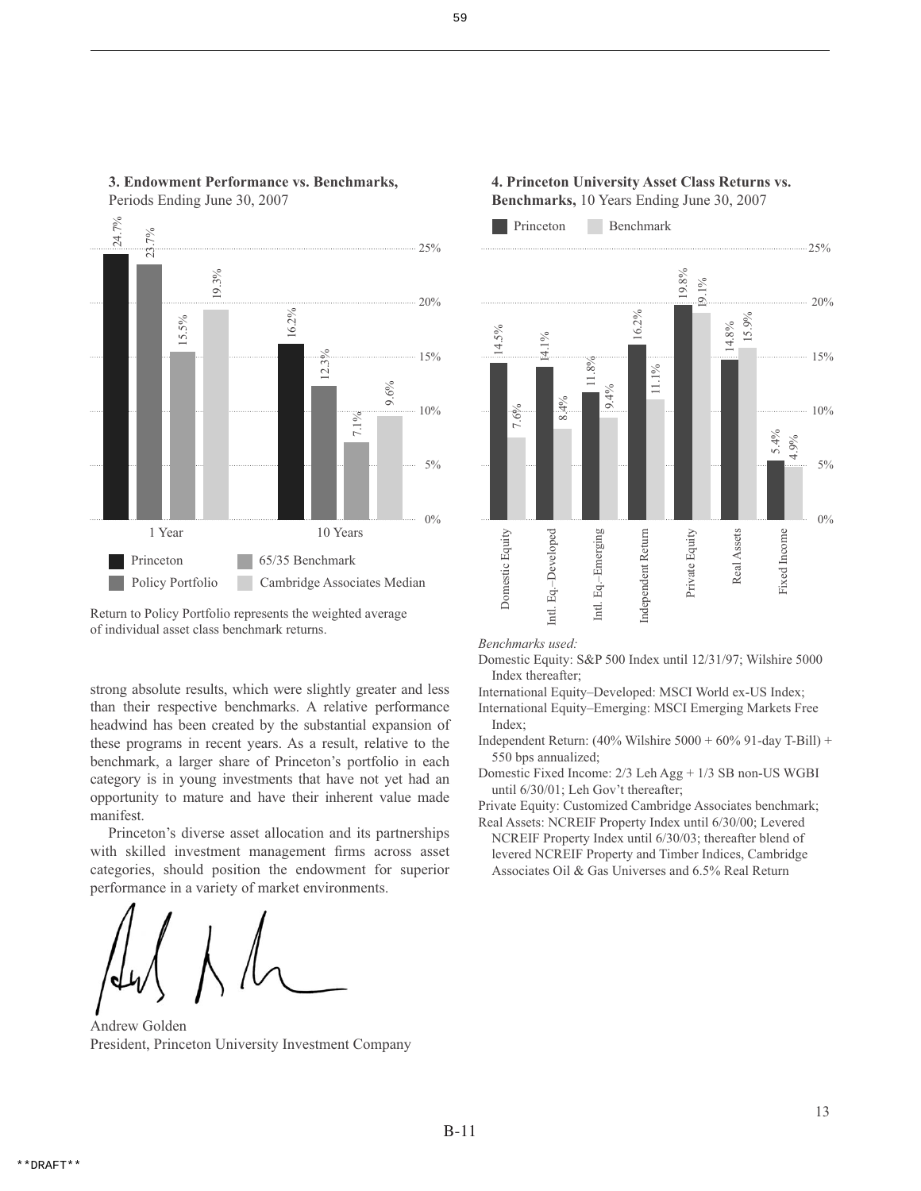

# **3. Endowment Performance vs. Benchmarks,**

Periods Ending June 30, 2007

Return to Policy Portfolio represents the weighted average of individual asset class benchmark returns.

strong absolute results, which were slightly greater and less than their respective benchmarks. A relative performance headwind has been created by the substantial expansion of these programs in recent years. As a result, relative to the benchmark, a larger share of Princeton's portfolio in each category is in young investments that have not yet had an opportunity to mature and have their inherent value made manifest.

Princeton's diverse asset allocation and its partnerships with skilled investment management firms across asset categories, should position the endowment for superior performance in a variety of market environments.

Andrew Golden President, Princeton University Investment Company

## **4. Princeton University Asset Class Returns vs. Benchmarks,** 10 Years Ending June 30, 2007



*Benchmarks used:*

- Domestic Equity: S&P 500 Index until 12/31/97; Wilshire 5000 Index thereafter;
- International Equity–Developed: MSCI World ex-US Index;
- International Equity–Emerging: MSCI Emerging Markets Free Index;
- Independent Return: (40% Wilshire 5000 + 60% 91-day T-Bill) + 550 bps annualized;
- Domestic Fixed Income: 2/3 Leh Agg + 1/3 SB non-US WGBI until 6/30/01; Leh Gov't thereafter;

Private Equity: Customized Cambridge Associates benchmark;

Real Assets: NCREIF Property Index until 6/30/00; Levered NCREIF Property Index until 6/30/03; thereafter blend of levered NCREIF Property and Timber Indices, Cambridge Associates Oil & Gas Universes and 6.5% Real Return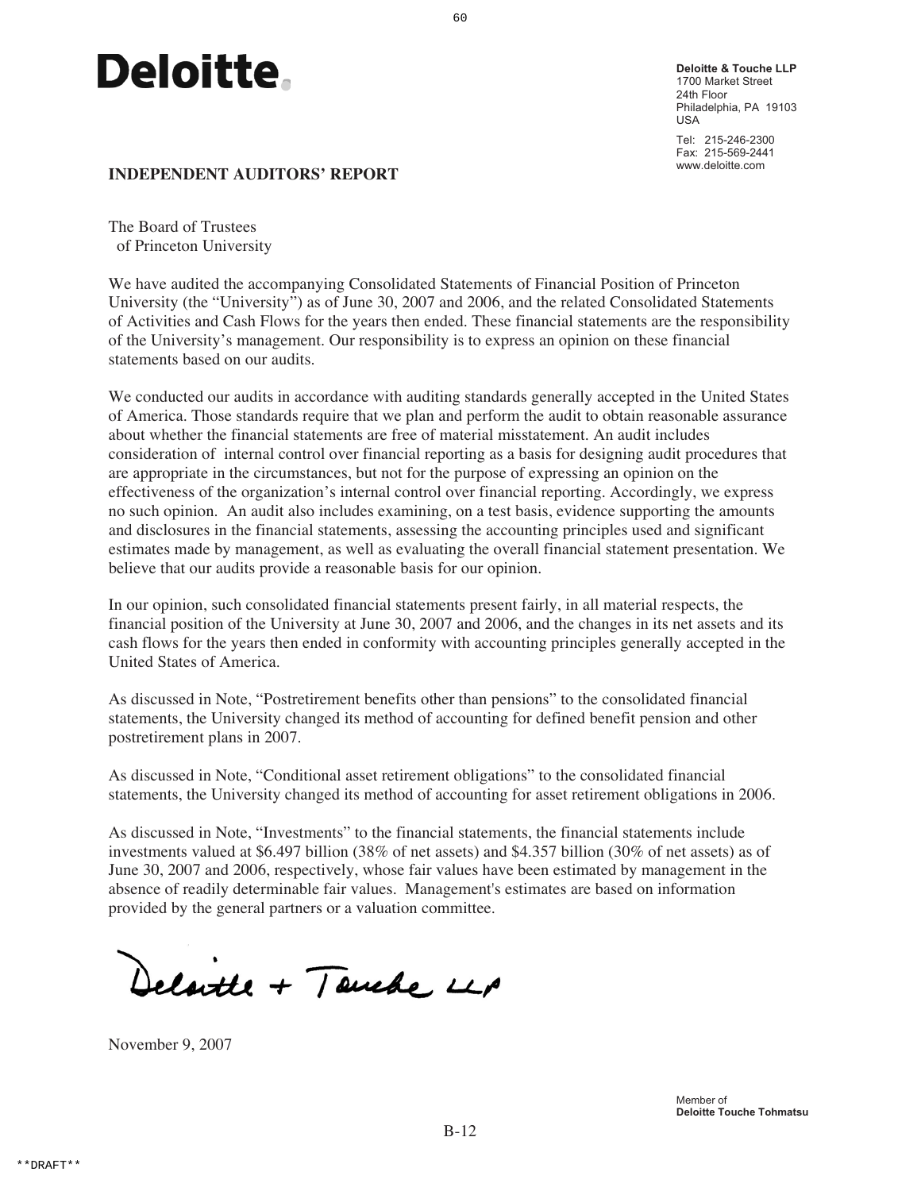# **Deloitte.**

**Deloitte & Touche LLP** 1700 Market Street 24th Floor Philadelphia, PA 19103 USA

Tel: 215-246-2300 Fax: 215-569-2441

# www.deloitte.com **INDEPENDENT AUDITORS' REPORT**

The Board of Trustees of Princeton University

We have audited the accompanying Consolidated Statements of Financial Position of Princeton University (the "University") as of June 30, 2007 and 2006, and the related Consolidated Statements of Activities and Cash Flows for the years then ended. These financial statements are the responsibility of the University's management. Our responsibility is to express an opinion on these financial statements based on our audits.

60

We conducted our audits in accordance with auditing standards generally accepted in the United States of America. Those standards require that we plan and perform the audit to obtain reasonable assurance about whether the financial statements are free of material misstatement. An audit includes consideration of internal control over financial reporting as a basis for designing audit procedures that are appropriate in the circumstances, but not for the purpose of expressing an opinion on the effectiveness of the organization's internal control over financial reporting. Accordingly, we express no such opinion. An audit also includes examining, on a test basis, evidence supporting the amounts and disclosures in the financial statements, assessing the accounting principles used and significant estimates made by management, as well as evaluating the overall financial statement presentation. We believe that our audits provide a reasonable basis for our opinion.

In our opinion, such consolidated financial statements present fairly, in all material respects, the financial position of the University at June 30, 2007 and 2006, and the changes in its net assets and its cash flows for the years then ended in conformity with accounting principles generally accepted in the United States of America.

As discussed in Note, "Postretirement benefits other than pensions" to the consolidated financial statements, the University changed its method of accounting for defined benefit pension and other postretirement plans in 2007.

As discussed in Note, "Conditional asset retirement obligations" to the consolidated financial statements, the University changed its method of accounting for asset retirement obligations in 2006.

As discussed in Note, "Investments" to the financial statements, the financial statements include investments valued at \$6.497 billion (38% of net assets) and \$4.357 billion (30% of net assets) as of June 30, 2007 and 2006, respectively, whose fair values have been estimated by management in the absence of readily determinable fair values. Management's estimates are based on information provided by the general partners or a valuation committee.

Delartte + Touche LLA

November 9, 2007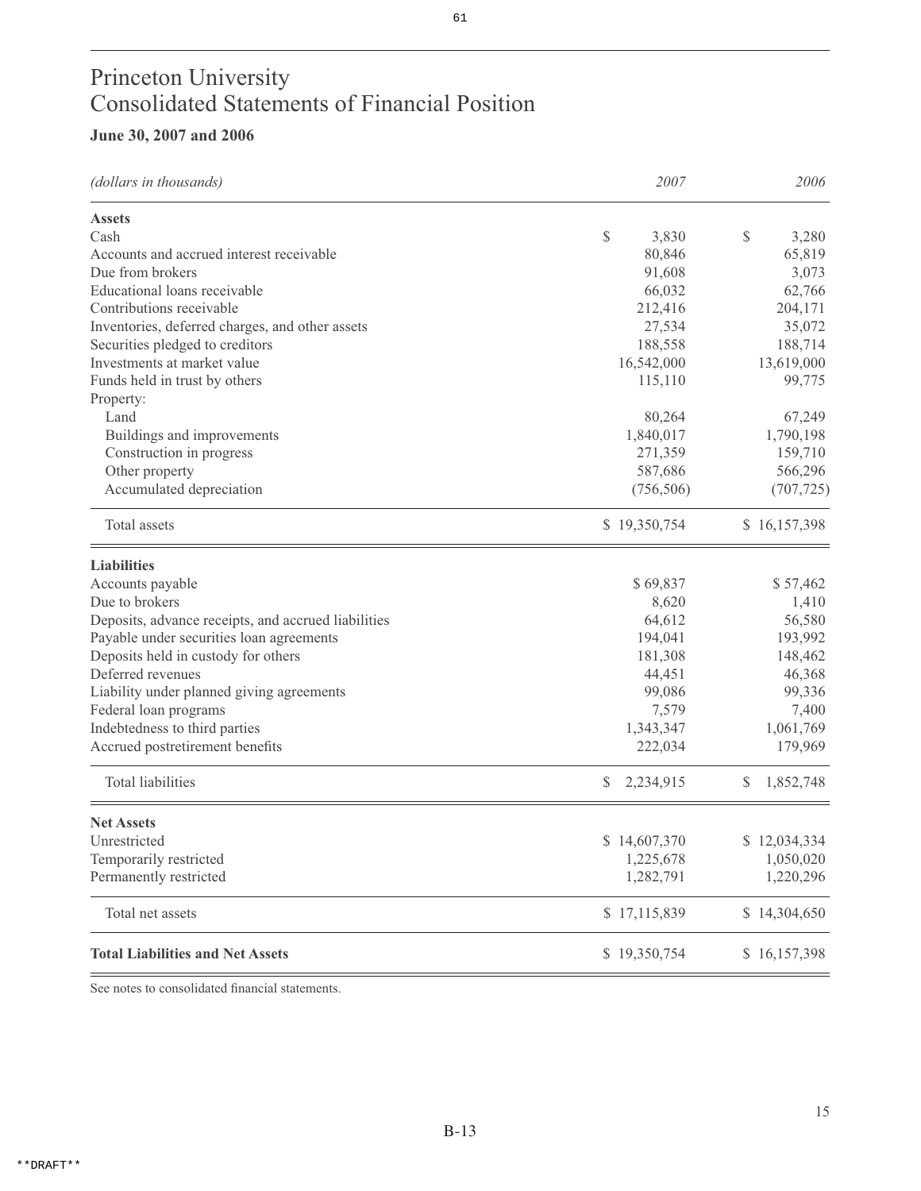# Princeton University Consolidated Statements of Financial Position

# **June 30, 2007 and 2006**

| <b>Assets</b>                                       |                 |                 |
|-----------------------------------------------------|-----------------|-----------------|
| Cash                                                | \$<br>3,830     | \$<br>3,280     |
| Accounts and accrued interest receivable            | 80,846          | 65,819          |
| Due from brokers                                    | 91,608          | 3,073           |
| Educational loans receivable                        | 66,032          | 62,766          |
| Contributions receivable                            | 212,416         | 204,171         |
| Inventories, deferred charges, and other assets     | 27,534          | 35,072          |
| Securities pledged to creditors                     | 188,558         | 188,714         |
| Investments at market value                         | 16,542,000      | 13,619,000      |
| Funds held in trust by others                       | 115,110         | 99,775          |
| Property:                                           |                 |                 |
| Land                                                | 80,264          | 67,249          |
| Buildings and improvements                          | 1,840,017       | 1,790,198       |
| Construction in progress                            | 271,359         | 159,710         |
| Other property                                      | 587,686         | 566,296         |
| Accumulated depreciation                            | (756, 506)      | (707, 725)      |
| Total assets                                        | \$19,350,754    | \$16,157,398    |
| <b>Liabilities</b>                                  |                 |                 |
| Accounts payable                                    | \$69,837        | \$57,462        |
| Due to brokers                                      | 8,620           | 1,410           |
| Deposits, advance receipts, and accrued liabilities | 64,612          | 56,580          |
| Payable under securities loan agreements            | 194,041         | 193,992         |
| Deposits held in custody for others                 | 181,308         | 148,462         |
| Deferred revenues                                   | 44,451          | 46,368          |
| Liability under planned giving agreements           | 99,086          | 99,336          |
| Federal loan programs                               | 7,579           | 7,400           |
| Indebtedness to third parties                       | 1,343,347       | 1,061,769       |
| Accrued postretirement benefits                     | 222,034         | 179,969         |
| <b>Total liabilities</b>                            | \$<br>2,234,915 | \$<br>1,852,748 |
| <b>Net Assets</b>                                   |                 |                 |
| Unrestricted                                        | \$14,607,370    | \$12,034,334    |
| Temporarily restricted                              | 1,225,678       | 1,050,020       |
| Permanently restricted                              | 1,282,791       | 1,220,296       |
| Total net assets                                    | \$17,115,839    | \$14,304,650    |
| <b>Total Liabilities and Net Assets</b>             | \$19,350,754    | \$16,157,398    |

61

See notes to consolidated financial statements.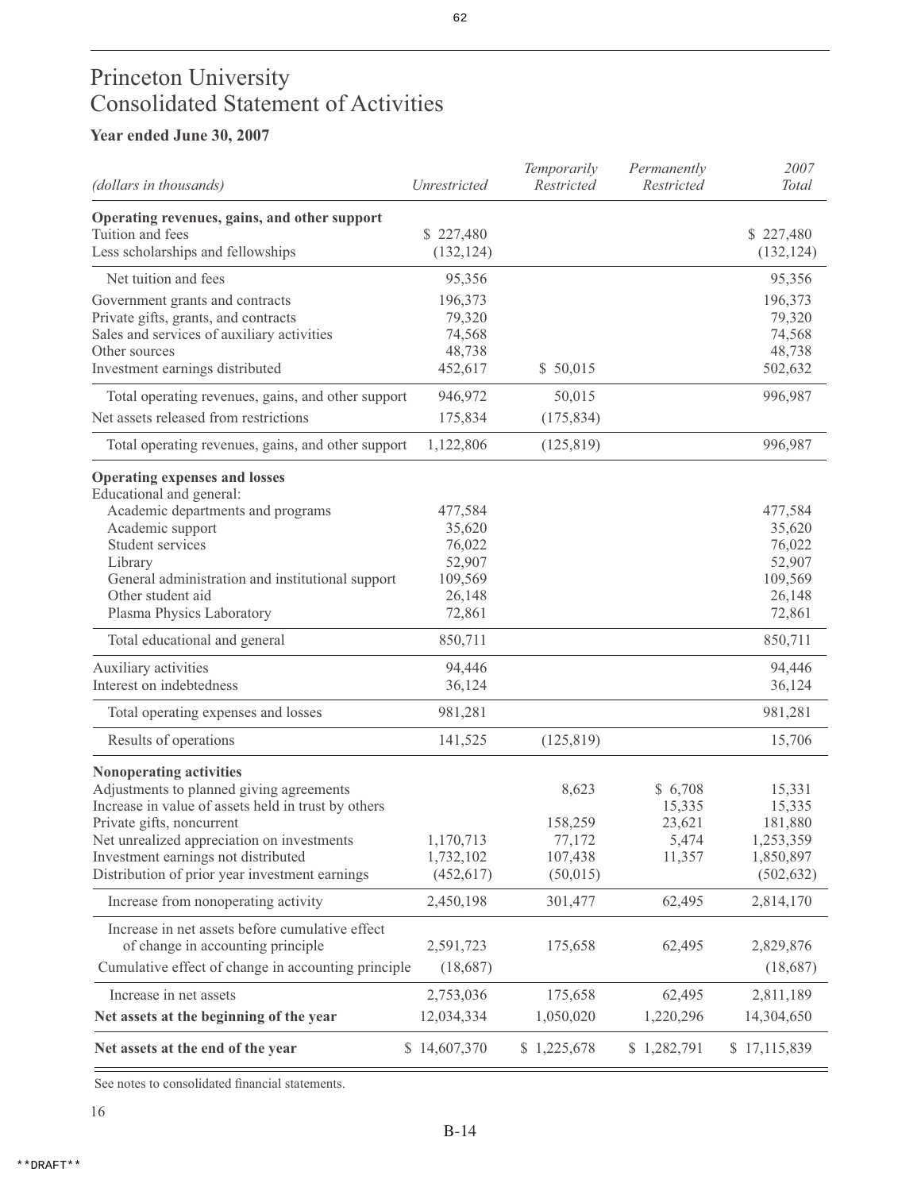# Princeton University Consolidated Statement of Activities

# **Year ended June 30, 2007**

| (dollars in thousands)                                                                | Unrestricted            | Temporarily<br>Restricted | Permanently<br>Restricted | 2007<br><b>Total</b>    |
|---------------------------------------------------------------------------------------|-------------------------|---------------------------|---------------------------|-------------------------|
| Operating revenues, gains, and other support                                          |                         |                           |                           |                         |
| Tuition and fees                                                                      | \$227,480               |                           |                           | \$227,480               |
| Less scholarships and fellowships                                                     | (132, 124)              |                           |                           | (132, 124)              |
| Net tuition and fees                                                                  | 95,356                  |                           |                           | 95,356                  |
| Government grants and contracts                                                       | 196,373                 |                           |                           | 196,373                 |
| Private gifts, grants, and contracts                                                  | 79,320                  |                           |                           | 79,320                  |
| Sales and services of auxiliary activities                                            | 74,568                  |                           |                           | 74,568                  |
| Other sources<br>Investment earnings distributed                                      | 48,738<br>452,617       | \$50,015                  |                           | 48,738<br>502,632       |
|                                                                                       |                         |                           |                           |                         |
| Total operating revenues, gains, and other support                                    | 946,972                 | 50,015                    |                           | 996,987                 |
| Net assets released from restrictions                                                 | 175,834                 | (175, 834)                |                           |                         |
| Total operating revenues, gains, and other support                                    | 1,122,806               | (125, 819)                |                           | 996,987                 |
| <b>Operating expenses and losses</b>                                                  |                         |                           |                           |                         |
| Educational and general:                                                              |                         |                           |                           |                         |
| Academic departments and programs                                                     | 477,584                 |                           |                           | 477,584                 |
| Academic support                                                                      | 35,620                  |                           |                           | 35,620                  |
| Student services<br>Library                                                           | 76,022<br>52,907        |                           |                           | 76,022<br>52,907        |
| General administration and institutional support                                      | 109,569                 |                           |                           | 109,569                 |
| Other student aid                                                                     | 26,148                  |                           |                           | 26,148                  |
| Plasma Physics Laboratory                                                             | 72,861                  |                           |                           | 72,861                  |
| Total educational and general                                                         | 850,711                 |                           |                           | 850,711                 |
| Auxiliary activities                                                                  | 94,446                  |                           |                           | 94,446                  |
| Interest on indebtedness                                                              | 36,124                  |                           |                           | 36,124                  |
| Total operating expenses and losses                                                   | 981,281                 |                           |                           | 981,281                 |
| Results of operations                                                                 | 141,525                 | (125, 819)                |                           | 15,706                  |
| Nonoperating activities                                                               |                         |                           |                           |                         |
| Adjustments to planned giving agreements                                              |                         | 8,623                     | \$6,708                   | 15,331                  |
| Increase in value of assets held in trust by others                                   |                         |                           | 15,335                    | 15,335                  |
| Private gifts, noncurrent                                                             |                         | 158,259                   | 23,621                    | 181,880                 |
| Net unrealized appreciation on investments                                            | 1,170,713               | 77,172                    | 5,474                     | 1,253,359               |
| Investment earnings not distributed<br>Distribution of prior year investment earnings | 1,732,102<br>(452, 617) | 107,438<br>(50, 015)      | 11,357                    | 1,850,897<br>(502, 632) |
|                                                                                       |                         |                           |                           |                         |
| Increase from nonoperating activity                                                   | 2,450,198               | 301,477                   | 62,495                    | 2,814,170               |
| Increase in net assets before cumulative effect<br>of change in accounting principle  | 2,591,723               | 175,658                   | 62,495                    | 2,829,876               |
| Cumulative effect of change in accounting principle                                   | (18,687)                |                           |                           | (18,687)                |
| Increase in net assets                                                                | 2,753,036               | 175,658                   | 62,495                    | 2,811,189               |
| Net assets at the beginning of the year                                               | 12,034,334              | 1,050,020                 | 1,220,296                 | 14,304,650              |
| Net assets at the end of the year                                                     | \$14,607,370            | \$1,225,678               | \$1,282,791               | \$17,115,839            |
|                                                                                       |                         |                           |                           |                         |

See notes to consolidated financial statements.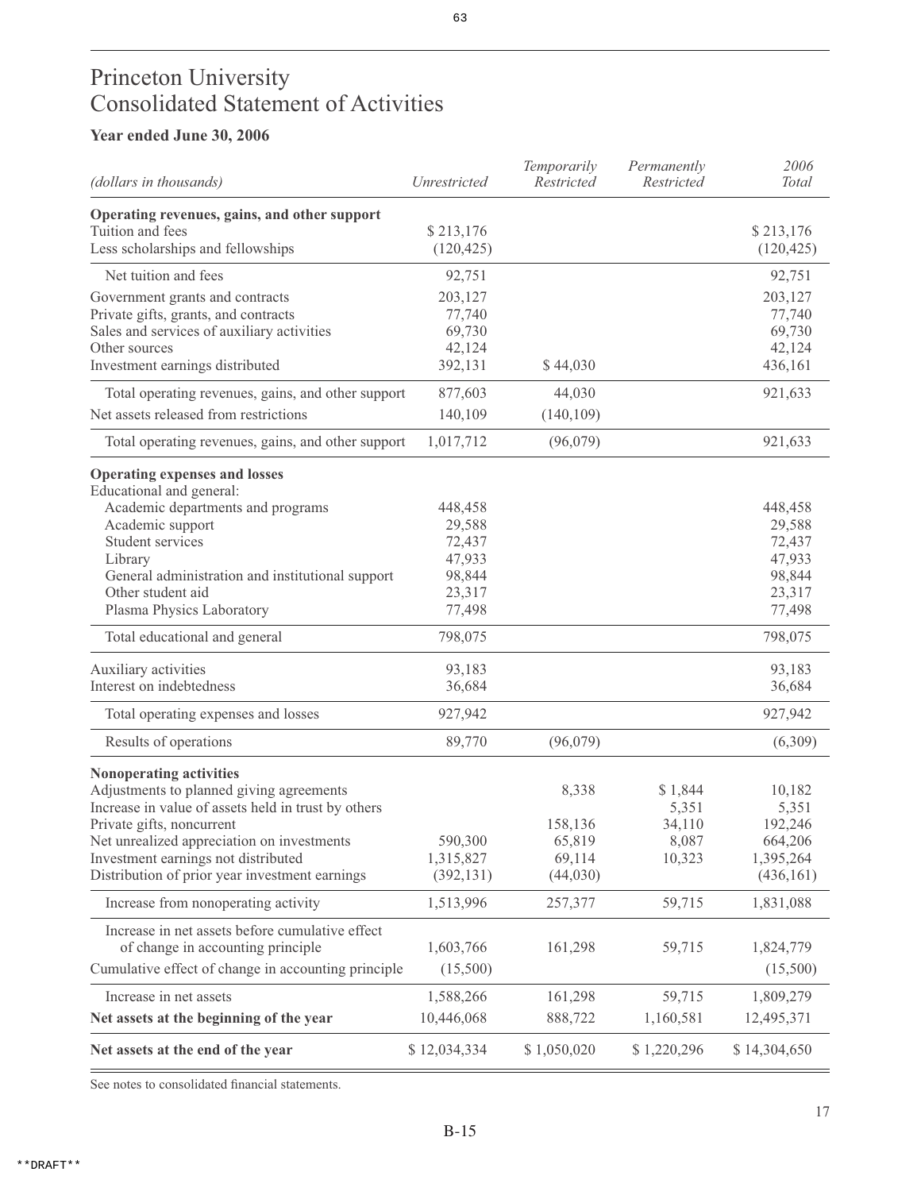# Princeton University Consolidated Statement of Activities

# **Year ended June 30, 2006**

| (dollars in thousands)                                                                | Unrestricted            | Temporarily<br>Restricted | Permanently<br><b>Restricted</b> | 2006<br><b>Total</b>    |
|---------------------------------------------------------------------------------------|-------------------------|---------------------------|----------------------------------|-------------------------|
| Operating revenues, gains, and other support                                          |                         |                           |                                  |                         |
| Tuition and fees                                                                      | \$213,176               |                           |                                  | \$213,176               |
| Less scholarships and fellowships                                                     | (120, 425)              |                           |                                  | (120, 425)              |
| Net tuition and fees                                                                  | 92,751                  |                           |                                  | 92,751                  |
| Government grants and contracts                                                       | 203,127                 |                           |                                  | 203,127                 |
| Private gifts, grants, and contracts                                                  | 77,740                  |                           |                                  | 77,740                  |
| Sales and services of auxiliary activities                                            | 69,730                  |                           |                                  | 69,730                  |
| Other sources                                                                         | 42,124<br>392,131       |                           |                                  | 42,124                  |
| Investment earnings distributed                                                       |                         | \$44,030                  |                                  | 436,161                 |
| Total operating revenues, gains, and other support                                    | 877,603                 | 44,030                    |                                  | 921,633                 |
| Net assets released from restrictions                                                 | 140,109                 | (140, 109)                |                                  |                         |
| Total operating revenues, gains, and other support                                    | 1,017,712               | (96,079)                  |                                  | 921,633                 |
| <b>Operating expenses and losses</b>                                                  |                         |                           |                                  |                         |
| Educational and general:                                                              |                         |                           |                                  |                         |
| Academic departments and programs<br>Academic support                                 | 448,458<br>29,588       |                           |                                  | 448,458                 |
| Student services                                                                      | 72,437                  |                           |                                  | 29,588<br>72,437        |
| Library                                                                               | 47,933                  |                           |                                  | 47,933                  |
| General administration and institutional support                                      | 98,844                  |                           |                                  | 98,844                  |
| Other student aid                                                                     | 23,317                  |                           |                                  | 23,317                  |
| Plasma Physics Laboratory                                                             | 77,498                  |                           |                                  | 77,498                  |
| Total educational and general                                                         | 798,075                 |                           |                                  | 798,075                 |
| Auxiliary activities                                                                  | 93,183                  |                           |                                  | 93,183                  |
| Interest on indebtedness                                                              | 36,684                  |                           |                                  | 36,684                  |
| Total operating expenses and losses                                                   | 927,942                 |                           |                                  | 927,942                 |
| Results of operations                                                                 | 89,770                  | (96,079)                  |                                  | (6,309)                 |
| <b>Nonoperating activities</b>                                                        |                         |                           |                                  |                         |
| Adjustments to planned giving agreements                                              |                         | 8,338                     | \$1,844                          | 10,182                  |
| Increase in value of assets held in trust by others                                   |                         |                           | 5,351                            | 5,351                   |
| Private gifts, noncurrent                                                             |                         | 158,136                   | 34,110                           | 192,246                 |
| Net unrealized appreciation on investments                                            | 590,300                 | 65,819                    | 8,087                            | 664,206                 |
| Investment earnings not distributed<br>Distribution of prior year investment earnings | 1,315,827<br>(392, 131) | 69,114<br>(44, 030)       | 10,323                           | 1,395,264<br>(436, 161) |
|                                                                                       |                         |                           |                                  |                         |
| Increase from nonoperating activity                                                   | 1,513,996               | 257,377                   | 59,715                           | 1,831,088               |
| Increase in net assets before cumulative effect                                       |                         |                           |                                  |                         |
| of change in accounting principle                                                     | 1,603,766               | 161,298                   | 59,715                           | 1,824,779               |
| Cumulative effect of change in accounting principle                                   | (15,500)                |                           |                                  | (15,500)                |
| Increase in net assets                                                                | 1,588,266               | 161,298                   | 59,715                           | 1,809,279               |
| Net assets at the beginning of the year                                               | 10,446,068              | 888,722                   | 1,160,581                        | 12,495,371              |
| Net assets at the end of the year                                                     | \$12,034,334            | \$1,050,020               | \$1,220,296                      | \$14,304,650            |

See notes to consolidated financial statements.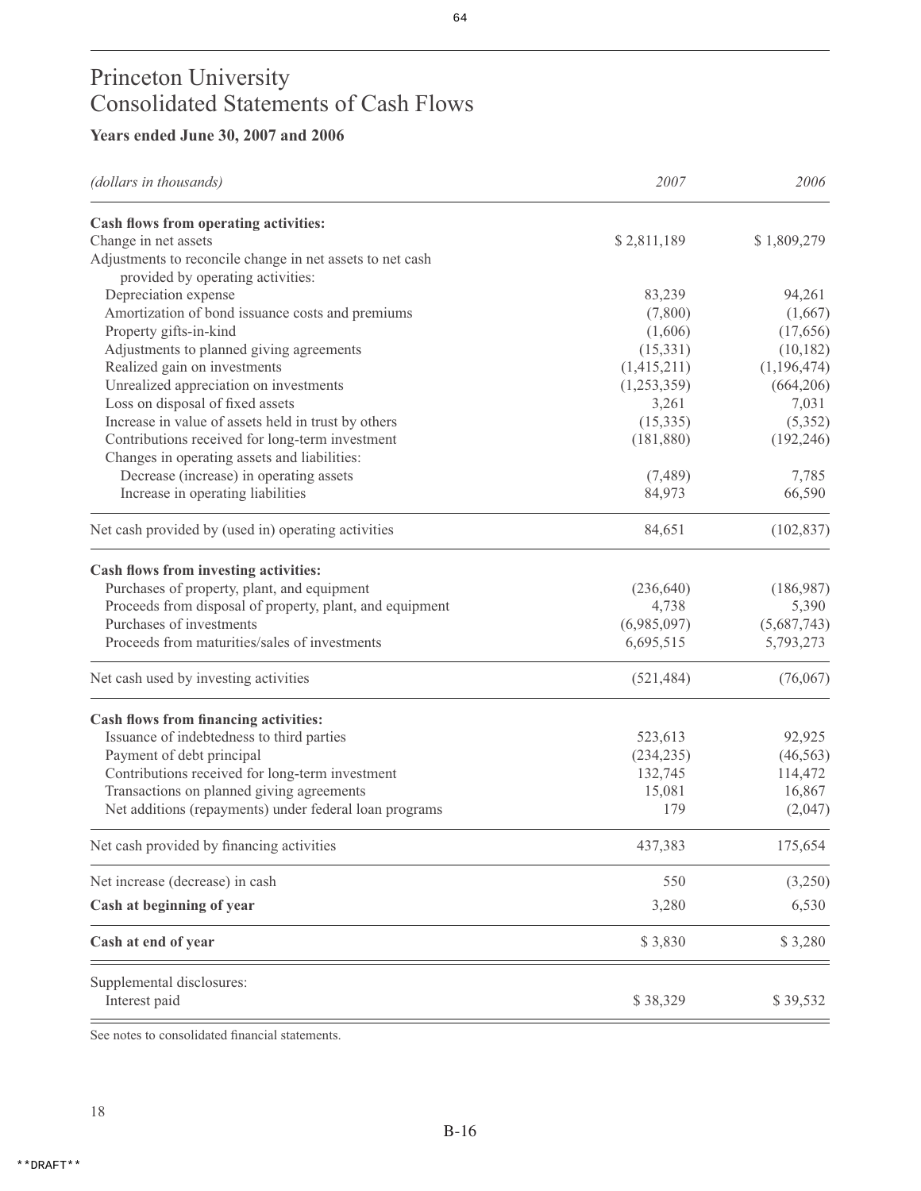# Princeton University Consolidated Statements of Cash Flows

# **Years ended June 30, 2007 and 2006**

| (dollars in thousands)                                                                  | 2007              | 2006          |  |
|-----------------------------------------------------------------------------------------|-------------------|---------------|--|
| Cash flows from operating activities:                                                   |                   |               |  |
| Change in net assets                                                                    | \$2,811,189       | \$1,809,279   |  |
| Adjustments to reconcile change in net assets to net cash                               |                   |               |  |
| provided by operating activities:                                                       |                   |               |  |
| Depreciation expense                                                                    | 83,239            | 94,261        |  |
| Amortization of bond issuance costs and premiums                                        | (7,800)           | (1,667)       |  |
| Property gifts-in-kind                                                                  | (1,606)           | (17,656)      |  |
| Adjustments to planned giving agreements                                                | (15,331)          | (10, 182)     |  |
| Realized gain on investments                                                            | (1,415,211)       | (1, 196, 474) |  |
| Unrealized appreciation on investments                                                  | (1,253,359)       | (664,206)     |  |
| Loss on disposal of fixed assets                                                        | 3,261             | 7,031         |  |
| Increase in value of assets held in trust by others                                     | (15, 335)         | (5,352)       |  |
| Contributions received for long-term investment                                         | (181, 880)        | (192, 246)    |  |
| Changes in operating assets and liabilities:<br>Decrease (increase) in operating assets |                   | 7,785         |  |
| Increase in operating liabilities                                                       | (7,489)<br>84,973 | 66,590        |  |
|                                                                                         |                   |               |  |
| Net cash provided by (used in) operating activities                                     | 84,651            | (102, 837)    |  |
| Cash flows from investing activities:                                                   |                   |               |  |
| Purchases of property, plant, and equipment                                             | (236, 640)        | (186,987)     |  |
| Proceeds from disposal of property, plant, and equipment                                | 4,738             | 5,390         |  |
| Purchases of investments                                                                | (6,985,097)       | (5,687,743)   |  |
| Proceeds from maturities/sales of investments                                           | 6,695,515         | 5,793,273     |  |
| Net cash used by investing activities                                                   | (521, 484)        | (76,067)      |  |
| Cash flows from financing activities:                                                   |                   |               |  |
| Issuance of indebtedness to third parties                                               | 523,613           | 92,925        |  |
| Payment of debt principal                                                               | (234, 235)        | (46, 563)     |  |
| Contributions received for long-term investment                                         | 132,745           | 114,472       |  |
| Transactions on planned giving agreements                                               | 15,081            | 16,867        |  |
| Net additions (repayments) under federal loan programs                                  | 179               | (2,047)       |  |
| Net cash provided by financing activities                                               | 437,383           | 175,654       |  |
| Net increase (decrease) in cash                                                         | 550               | (3,250)       |  |
| Cash at beginning of year                                                               | 3,280             | 6,530         |  |
| Cash at end of year                                                                     | \$3,830           | \$3,280       |  |
| Supplemental disclosures:                                                               |                   |               |  |
| Interest paid                                                                           | \$38,329          | \$39,532      |  |

See notes to consolidated financial statements.

\*\*DRAFT\*\*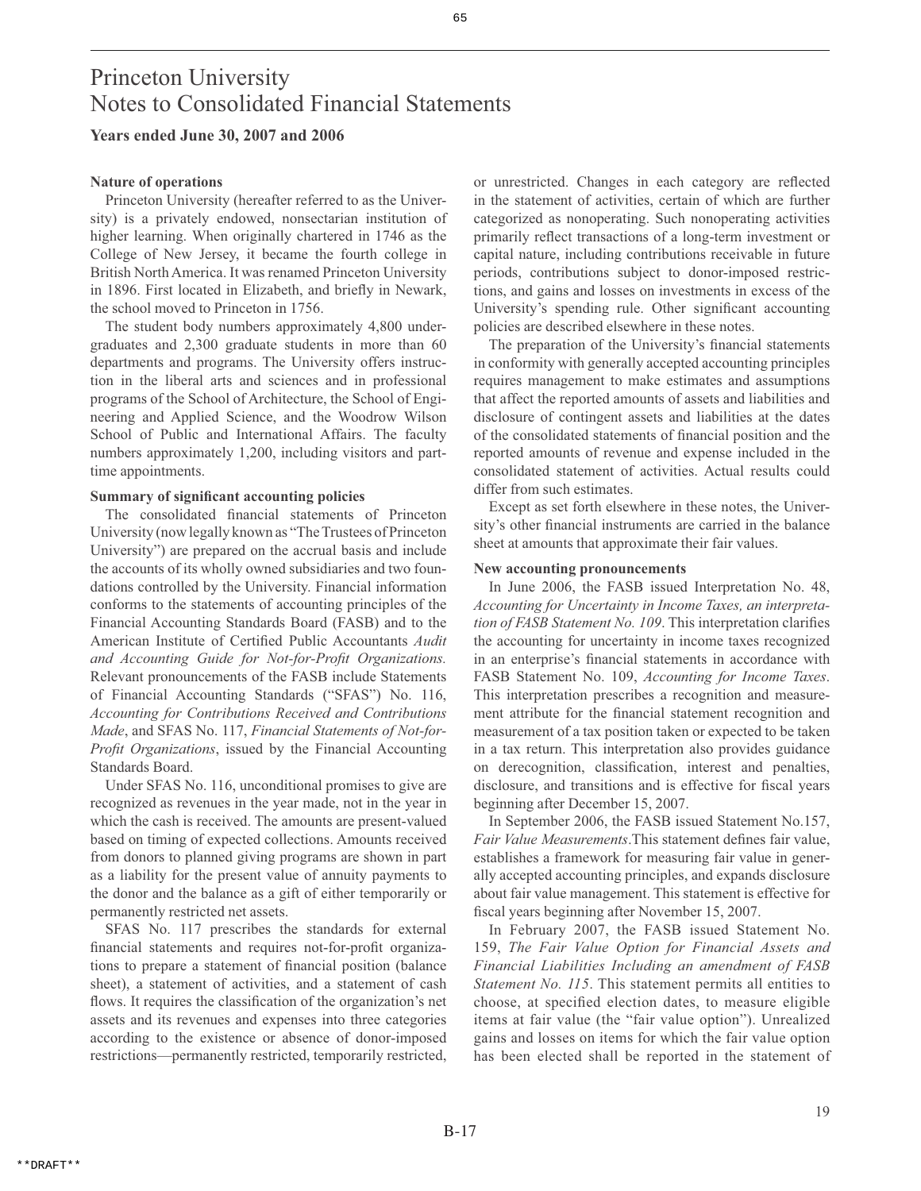# Princeton University Notes to Consolidated Financial Statements

# **Years ended June 30, 2007 and 2006**

## **Nature of operations**

Princeton University (hereafter referred to as the University) is a privately endowed, nonsectarian institution of higher learning. When originally chartered in 1746 as the College of New Jersey, it became the fourth college in British North America. It was renamed Princeton University in 1896. First located in Elizabeth, and briefly in Newark, the school moved to Princeton in 1756.

The student body numbers approximately 4,800 undergraduates and 2,300 graduate students in more than 60 departments and programs. The University offers instruction in the liberal arts and sciences and in professional programs of the School of Architecture, the School of Engineering and Applied Science, and the Woodrow Wilson School of Public and International Affairs. The faculty numbers approximately 1,200, including visitors and parttime appointments.

## **Summary of significant accounting policies**

The consolidated financial statements of Princeton University (now legally known as "The Trustees of Princeton University") are prepared on the accrual basis and include the accounts of its wholly owned subsidiaries and two foundations controlled by the University. Financial information conforms to the statements of accounting principles of the Financial Accounting Standards Board (FASB) and to the American Institute of Certified Public Accountants *Audit and Accounting Guide for Not-for-Profit Organizations.*  Relevant pronouncements of the FASB include Statements of Financial Accounting Standards ("SFAS") No. 116, *Accounting for Contributions Received and Contributions Made*, and SFAS No. 117, *Financial Statements of Not-for-Profit Organizations*, issued by the Financial Accounting Standards Board.

Under SFAS No. 116, unconditional promises to give are recognized as revenues in the year made, not in the year in which the cash is received. The amounts are present-valued based on timing of expected collections. Amounts received from donors to planned giving programs are shown in part as a liability for the present value of annuity payments to the donor and the balance as a gift of either temporarily or permanently restricted net assets.

SFAS No. 117 prescribes the standards for external financial statements and requires not-for-profit organizations to prepare a statement of financial position (balance sheet), a statement of activities, and a statement of cash flows. It requires the classification of the organization's net assets and its revenues and expenses into three categories according to the existence or absence of donor-imposed restrictions—permanently restricted, temporarily restricted, or unrestricted. Changes in each category are reflected in the statement of activities, certain of which are further categorized as nonoperating. Such nonoperating activities primarily reflect transactions of a long-term investment or capital nature, including contributions receivable in future periods, contributions subject to donor-imposed restrictions, and gains and losses on investments in excess of the University's spending rule. Other significant accounting policies are described elsewhere in these notes.

The preparation of the University's financial statements in conformity with generally accepted accounting principles requires management to make estimates and assumptions that affect the reported amounts of assets and liabilities and disclosure of contingent assets and liabilities at the dates of the consolidated statements of financial position and the reported amounts of revenue and expense included in the consolidated statement of activities. Actual results could differ from such estimates.

Except as set forth elsewhere in these notes, the University's other financial instruments are carried in the balance sheet at amounts that approximate their fair values.

## **New accounting pronouncements**

In June 2006, the FASB issued Interpretation No. 48, *Accounting for Uncertainty in Income Taxes, an interpretation of FASB Statement No. 109*. This interpretation clarifies the accounting for uncertainty in income taxes recognized in an enterprise's financial statements in accordance with FASB Statement No. 109, *Accounting for Income Taxes*. This interpretation prescribes a recognition and measurement attribute for the financial statement recognition and measurement of a tax position taken or expected to be taken in a tax return. This interpretation also provides guidance on derecognition, classification, interest and penalties, disclosure, and transitions and is effective for fiscal years beginning after December 15, 2007.

In September 2006, the FASB issued Statement No.157, *Fair Value Measurements*.This statement defines fair value, establishes a framework for measuring fair value in generally accepted accounting principles, and expands disclosure about fair value management. This statement is effective for fiscal years beginning after November 15, 2007.

In February 2007, the FASB issued Statement No. 159, *The Fair Value Option for Financial Assets and Financial Liabilities Including an amendment of FASB Statement No. 115*. This statement permits all entities to choose, at specified election dates, to measure eligible items at fair value (the "fair value option"). Unrealized gains and losses on items for which the fair value option has been elected shall be reported in the statement of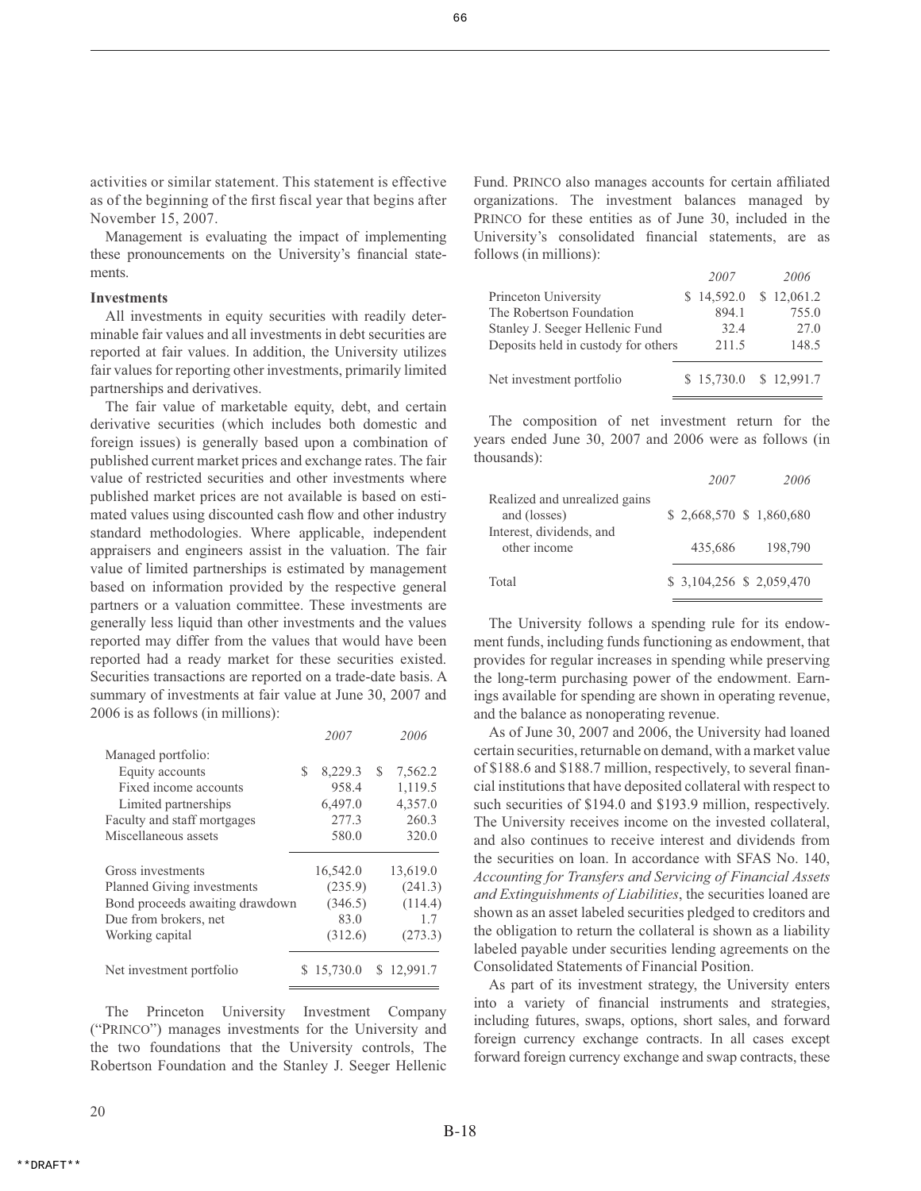activities or similar statement. This statement is effective as of the beginning of the first fiscal year that begins after November 15, 2007.

Management is evaluating the impact of implementing these pronouncements on the University's financial statements.

#### **Investments**

All investments in equity securities with readily determinable fair values and all investments in debt securities are reported at fair values. In addition, the University utilizes fair values for reporting other investments, primarily limited partnerships and derivatives.

The fair value of marketable equity, debt, and certain derivative securities (which includes both domestic and foreign issues) is generally based upon a combination of published current market prices and exchange rates. The fair value of restricted securities and other investments where published market prices are not available is based on estimated values using discounted cash flow and other industry standard methodologies. Where applicable, independent appraisers and engineers assist in the valuation. The fair value of limited partnerships is estimated by management based on information provided by the respective general partners or a valuation committee. These investments are generally less liquid than other investments and the values reported may differ from the values that would have been reported had a ready market for these securities existed. Securities transactions are reported on a trade-date basis. A summary of investments at fair value at June 30, 2007 and 2006 is as follows (in millions):

|                                 |   | 2007     |   | 2006       |
|---------------------------------|---|----------|---|------------|
| Managed portfolio:              |   |          |   |            |
| Equity accounts                 | S | 8,229.3  | S | 7,562.2    |
| Fixed income accounts           |   | 958.4    |   | 1,119.5    |
| Limited partnerships            |   | 6,497.0  |   | 4,357.0    |
| Faculty and staff mortgages     |   | 277.3    |   | 260.3      |
| Miscellaneous assets            |   | 580.0    |   | 320.0      |
| Gross investments               |   | 16,542.0 |   | 13,619.0   |
| Planned Giving investments      |   | (235.9)  |   | (241.3)    |
| Bond proceeds awaiting drawdown |   | (346.5)  |   | (114.4)    |
| Due from brokers, net           |   | 83.0     |   | 1.7        |
| Working capital                 |   | (312.6)  |   | (273.3)    |
| Net investment portfolio        |   | 15,730.0 |   | \$12,991.7 |
|                                 |   |          |   |            |

The Princeton University Investment Company ("PRINCO") manages investments for the University and the two foundations that the University controls, The Robertson Foundation and the Stanley J. Seeger Hellenic Fund. PRINCO also manages accounts for certain affiliated organizations. The investment balances managed by PRINCO for these entities as of June 30, included in the University's consolidated financial statements, are as follows (in millions):

|                                     | 2007       | 2006       |
|-------------------------------------|------------|------------|
| Princeton University                | \$14,592.0 | \$12,061.2 |
| The Robertson Foundation            | 894.1      | 755.0      |
| Stanley J. Seeger Hellenic Fund     | 32.4       | 27.0       |
| Deposits held in custody for others | 211.5      | 148.5      |
| Net investment portfolio            | \$15,730.0 | \$12,991.7 |

The composition of net investment return for the years ended June 30, 2007 and 2006 were as follows (in thousands):

|                                               | 2006<br>2007              |  |
|-----------------------------------------------|---------------------------|--|
| Realized and unrealized gains<br>and (losses) | \$2,668,570 \$1,860,680   |  |
| Interest, dividends, and<br>other income      | 198,790<br>435,686        |  |
| Total                                         | \$ 3,104,256 \$ 2,059,470 |  |

The University follows a spending rule for its endowment funds, including funds functioning as endowment, that provides for regular increases in spending while preserving the long-term purchasing power of the endowment. Earnings available for spending are shown in operating revenue, and the balance as nonoperating revenue.

As of June 30, 2007 and 2006, the University had loaned certain securities, returnable on demand, with a market value of \$188.6 and \$188.7 million, respectively, to several financial institutions that have deposited collateral with respect to such securities of \$194.0 and \$193.9 million, respectively. The University receives income on the invested collateral, and also continues to receive interest and dividends from the securities on loan. In accordance with SFAS No. 140, *Accounting for Transfers and Servicing of Financial Assets and Extinguishments of Liabilities*, the securities loaned are shown as an asset labeled securities pledged to creditors and the obligation to return the collateral is shown as a liability labeled payable under securities lending agreements on the Consolidated Statements of Financial Position.

As part of its investment strategy, the University enters into a variety of financial instruments and strategies, including futures, swaps, options, short sales, and forward foreign currency exchange contracts. In all cases except forward foreign currency exchange and swap contracts, these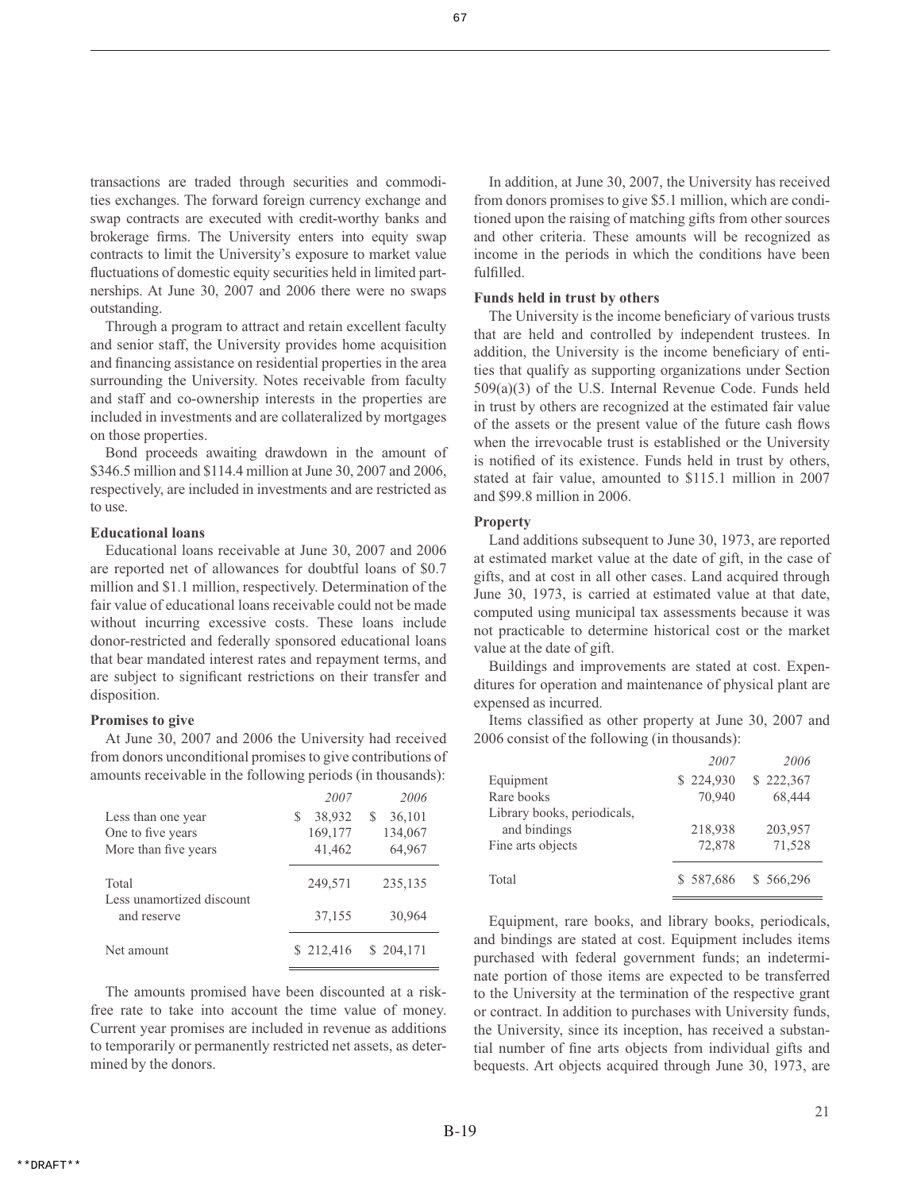transactions are traded through securities and commodities exchanges. The forward foreign currency exchange and swap contracts are executed with credit-worthy banks and brokerage firms. The University enters into equity swap contracts to limit the University's exposure to market value fluctuations of domestic equity securities held in limited partnerships. At June 30, 2007 and 2006 there were no swaps outstanding.

Through a program to attract and retain excellent faculty and senior staff, the University provides home acquisition and financing assistance on residential properties in the area surrounding the University. Notes receivable from faculty and staff and co-ownership interests in the properties are included in investments and are collateralized by mortgages on those properties.

Bond proceeds awaiting drawdown in the amount of \$346.5 million and \$114.4 million at June 30, 2007 and 2006, respectively, are included in investments and are restricted as to use.

#### **Educational loans**

Educational loans receivable at June 30, 2007 and 2006 are reported net of allowances for doubtful loans of \$0.7 million and \$1.1 million, respectively. Determination of the fair value of educational loans receivable could not be made without incurring excessive costs. These loans include donor-restricted and federally sponsored educational loans that bear mandated interest rates and repayment terms, and are subject to significant restrictions on their transfer and disposition.

#### **Promises to give**

At June 30, 2007 and 2006 the University had received from donors unconditional promises to give contributions of amounts receivable in the following periods (in thousands):

|                                    | 2007        | 2006        |
|------------------------------------|-------------|-------------|
| Less than one year                 | 38,932<br>S | 36,101<br>S |
| One to five years                  | 169,177     | 134,067     |
| More than five years               | 41,462      | 64,967      |
| Total<br>Less unamortized discount | 249,571     | 235,135     |
| and reserve                        | 37,155      | 30,964      |
| Net amount                         | \$212,416   | \$204,171   |

The amounts promised have been discounted at a riskfree rate to take into account the time value of money. Current year promises are included in revenue as additions to temporarily or permanently restricted net assets, as determined by the donors.

In addition, at June 30, 2007, the University has received from donors promises to give \$5.1 million, which are conditioned upon the raising of matching gifts from other sources and other criteria. These amounts will be recognized as income in the periods in which the conditions have been fulfilled.

#### **Funds held in trust by others**

The University is the income beneficiary of various trusts that are held and controlled by independent trustees. In addition, the University is the income beneficiary of entities that qualify as supporting organizations under Section 509(a)(3) of the U.S. Internal Revenue Code. Funds held in trust by others are recognized at the estimated fair value of the assets or the present value of the future cash flows when the irrevocable trust is established or the University is notified of its existence. Funds held in trust by others, stated at fair value, amounted to \$115.1 million in 2007 and \$99.8 million in 2006.

#### **Property**

Land additions subsequent to June 30, 1973, are reported at estimated market value at the date of gift, in the case of gifts, and at cost in all other cases. Land acquired through June 30, 1973, is carried at estimated value at that date, computed using municipal tax assessments because it was not practicable to determine historical cost or the market value at the date of gift.

Buildings and improvements are stated at cost. Expenditures for operation and maintenance of physical plant are expensed as incurred.

Items classified as other property at June 30, 2007 and 2006 consist of the following (in thousands):

|                             | 2007      | 2006      |
|-----------------------------|-----------|-----------|
| Equipment                   | \$224,930 | \$222,367 |
| Rare books                  | 70,940    | 68,444    |
| Library books, periodicals, |           |           |
| and bindings                | 218,938   | 203,957   |
| Fine arts objects           | 72,878    | 71,528    |
| Total                       | \$587,686 | \$566,296 |

Equipment, rare books, and library books, periodicals, and bindings are stated at cost. Equipment includes items purchased with federal government funds; an indeterminate portion of those items are expected to be transferred to the University at the termination of the respective grant or contract. In addition to purchases with University funds, the University, since its inception, has received a substantial number of fine arts objects from individual gifts and bequests. Art objects acquired through June 30, 1973, are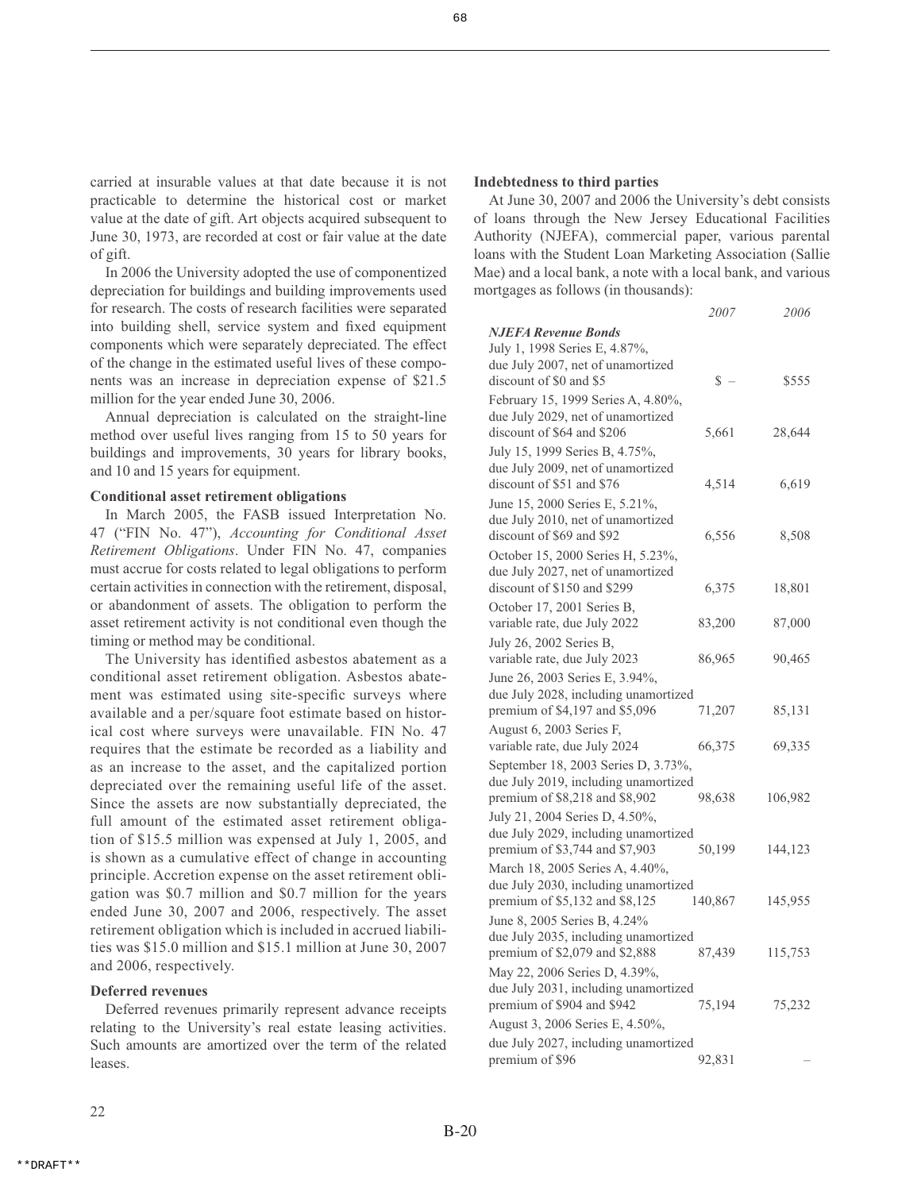carried at insurable values at that date because it is not practicable to determine the historical cost or market value at the date of gift. Art objects acquired subsequent to

of gift. In 2006 the University adopted the use of componentized depreciation for buildings and building improvements used for research. The costs of research facilities were separated into building shell, service system and fixed equipment components which were separately depreciated. The effect of the change in the estimated useful lives of these components was an increase in depreciation expense of \$21.5 million for the year ended June 30, 2006.

June 30, 1973, are recorded at cost or fair value at the date

Annual depreciation is calculated on the straight-line method over useful lives ranging from 15 to 50 years for buildings and improvements, 30 years for library books, and 10 and 15 years for equipment.

#### **Conditional asset retirement obligations**

In March 2005, the FASB issued Interpretation No. 47 ("FIN No. 47"), *Accounting for Conditional Asset Retirement Obligations*. Under FIN No. 47, companies must accrue for costs related to legal obligations to perform certain activities in connection with the retirement, disposal, or abandonment of assets. The obligation to perform the asset retirement activity is not conditional even though the timing or method may be conditional.

The University has identified asbestos abatement as a conditional asset retirement obligation. Asbestos abatement was estimated using site-specific surveys where available and a per/square foot estimate based on historical cost where surveys were unavailable. FIN No. 47 requires that the estimate be recorded as a liability and as an increase to the asset, and the capitalized portion depreciated over the remaining useful life of the asset. Since the assets are now substantially depreciated, the full amount of the estimated asset retirement obligation of \$15.5 million was expensed at July 1, 2005, and is shown as a cumulative effect of change in accounting principle. Accretion expense on the asset retirement obligation was \$0.7 million and \$0.7 million for the years ended June 30, 2007 and 2006, respectively. The asset retirement obligation which is included in accrued liabilities was \$15.0 million and \$15.1 million at June 30, 2007 and 2006, respectively.

#### **Deferred revenues**

Deferred revenues primarily represent advance receipts relating to the University's real estate leasing activities. Such amounts are amortized over the term of the related leases.

#### **Indebtedness to third parties**

At June 30, 2007 and 2006 the University's debt consists of loans through the New Jersey Educational Facilities Authority (NJEFA), commercial paper, various parental loans with the Student Loan Marketing Association (Sallie Mae) and a local bank, a note with a local bank, and various mortgages as follows (in thousands):

|                                      | 2007    | 2006    |
|--------------------------------------|---------|---------|
| <b>NJEFA Revenue Bonds</b>           |         |         |
| July 1, 1998 Series E, 4.87%,        |         |         |
| due July 2007, net of unamortized    |         |         |
| discount of \$0 and \$5              | $S -$   | \$555   |
| February 15, 1999 Series A, 4.80%,   |         |         |
| due July 2029, net of unamortized    |         |         |
| discount of \$64 and \$206           | 5,661   | 28,644  |
| July 15, 1999 Series B, 4.75%,       |         |         |
| due July 2009, net of unamortized    |         |         |
| discount of \$51 and \$76            | 4,514   | 6,619   |
| June 15, 2000 Series E, 5.21%,       |         |         |
| due July 2010, net of unamortized    |         |         |
| discount of \$69 and \$92            | 6,556   | 8,508   |
| October 15, 2000 Series H, 5.23%,    |         |         |
| due July 2027, net of unamortized    |         |         |
| discount of \$150 and \$299          | 6,375   | 18,801  |
| October 17, 2001 Series B,           |         |         |
| variable rate, due July 2022         | 83,200  | 87,000  |
| July 26, 2002 Series B,              |         |         |
| variable rate, due July 2023         | 86,965  | 90,465  |
| June 26, 2003 Series E, 3.94%,       |         |         |
| due July 2028, including unamortized |         |         |
| premium of $$4,197$ and $$5,096$     | 71,207  | 85,131  |
| August 6, 2003 Series F,             |         |         |
| variable rate, due July 2024         | 66,375  | 69,335  |
| September 18, 2003 Series D, 3.73%,  |         |         |
| due July 2019, including unamortized |         |         |
| premium of $$8,218$ and $$8,902$     | 98,638  | 106,982 |
| July 21, 2004 Series D, 4.50%,       |         |         |
| due July 2029, including unamortized |         |         |
| premium of \$3,744 and \$7,903       | 50,199  | 144,123 |
| March 18, 2005 Series A, 4.40%,      |         |         |
| due July 2030, including unamortized |         |         |
| premium of \$5,132 and \$8,125       | 140,867 | 145,955 |
| June 8, 2005 Series B, 4.24%         |         |         |
| due July 2035, including unamortized |         |         |
| premium of \$2,079 and \$2,888       | 87,439  | 115,753 |
| May 22, 2006 Series D, 4.39%,        |         |         |
| due July 2031, including unamortized |         |         |
| premium of \$904 and \$942           | 75,194  | 75,232  |
| August 3, 2006 Series E, 4.50%,      |         |         |
| due July 2027, including unamortized |         |         |
| premium of \$96                      | 92,831  |         |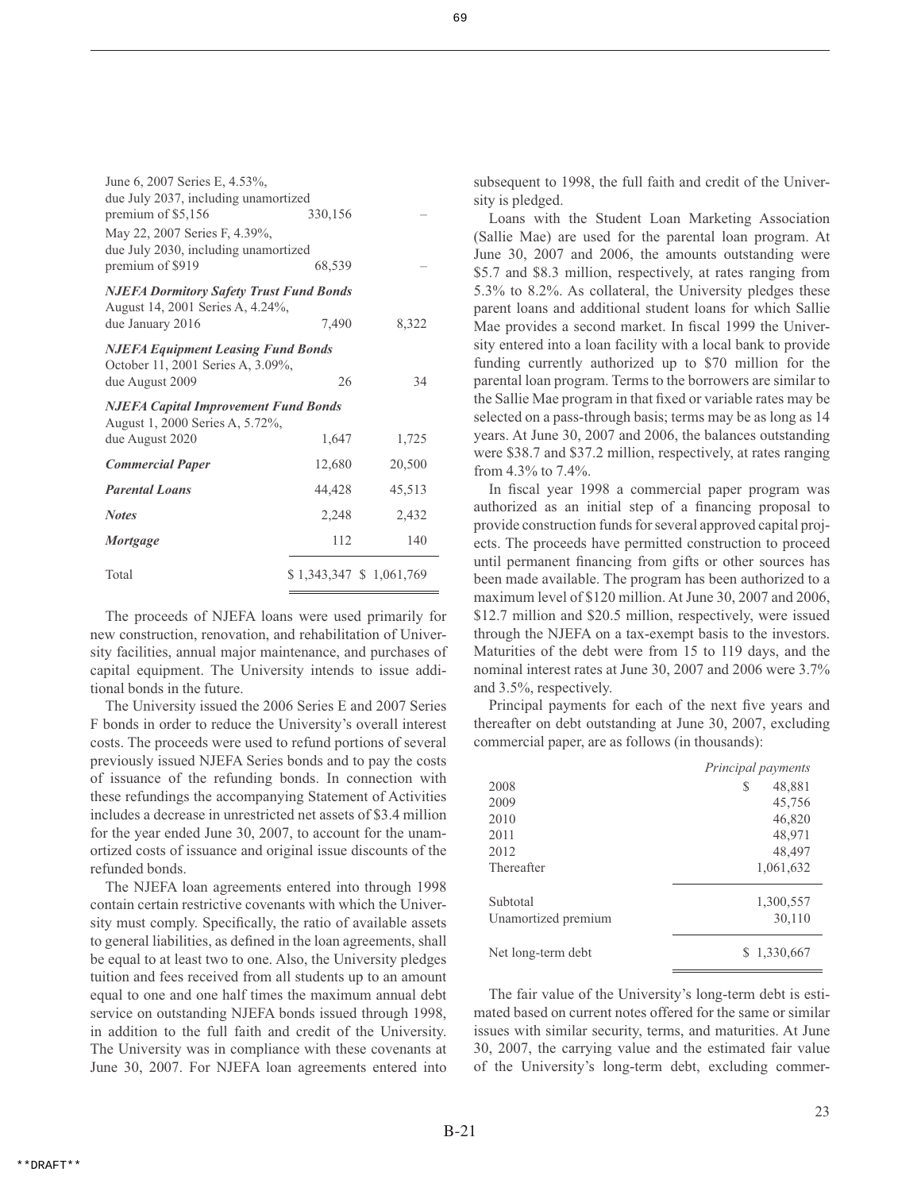June 6, 2007 Series E, 4.53%, due July 2037, including unamortized premium of \$5,156 330,156 May 22, 2007 Series F, 4.39%, due July 2030, including unamortized premium of \$919 68,539 *NJEFA Dormitory Safety Trust Fund Bonds*  August 14, 2001 Series A, 4.24%, due January 2016 7,490 8,322 *NJEFA Equipment Leasing Fund Bonds*  October 11, 2001 Series A, 3.09%, due August 2009 26 34 *NJEFA Capital Improvement Fund Bonds*  August 1, 2000 Series A, 5.72%, due August 2020 1,647 1,725 *Commercial Paper* 12,680 20,500 **Parental Loans** 44,428 45,513 *Notes* 2,248 2,432 *Mortgage* 112 140 Total \$1,343,347 \$1,061,769

The proceeds of NJEFA loans were used primarily for new construction, renovation, and rehabilitation of University facilities, annual major maintenance, and purchases of capital equipment. The University intends to issue additional bonds in the future.

The University issued the 2006 Series E and 2007 Series F bonds in order to reduce the University's overall interest costs. The proceeds were used to refund portions of several previously issued NJEFA Series bonds and to pay the costs of issuance of the refunding bonds. In connection with these refundings the accompanying Statement of Activities includes a decrease in unrestricted net assets of \$3.4 million for the year ended June 30, 2007, to account for the unamortized costs of issuance and original issue discounts of the refunded bonds.

The NJEFA loan agreements entered into through 1998 contain certain restrictive covenants with which the University must comply. Specifically, the ratio of available assets to general liabilities, as defined in the loan agreements, shall be equal to at least two to one. Also, the University pledges tuition and fees received from all students up to an amount equal to one and one half times the maximum annual debt service on outstanding NJEFA bonds issued through 1998, in addition to the full faith and credit of the University. The University was in compliance with these covenants at June 30, 2007. For NJEFA loan agreements entered into subsequent to 1998, the full faith and credit of the University is pledged.

Loans with the Student Loan Marketing Association (Sallie Mae) are used for the parental loan program. At June 30, 2007 and 2006, the amounts outstanding were \$5.7 and \$8.3 million, respectively, at rates ranging from 5.3% to 8.2%. As collateral, the University pledges these parent loans and additional student loans for which Sallie Mae provides a second market. In fiscal 1999 the University entered into a loan facility with a local bank to provide funding currently authorized up to \$70 million for the parental loan program. Terms to the borrowers are similar to the Sallie Mae program in that fixed or variable rates may be selected on a pass-through basis; terms may be as long as 14 years. At June 30, 2007 and 2006, the balances outstanding were \$38.7 and \$37.2 million, respectively, at rates ranging from 4.3% to 7.4%.

In fiscal year 1998 a commercial paper program was authorized as an initial step of a financing proposal to provide construction funds for several approved capital projects. The proceeds have permitted construction to proceed until permanent financing from gifts or other sources has been made available. The program has been authorized to a maximum level of \$120 million. At June 30, 2007 and 2006, \$12.7 million and \$20.5 million, respectively, were issued through the NJEFA on a tax-exempt basis to the investors. Maturities of the debt were from 15 to 119 days, and the nominal interest rates at June 30, 2007 and 2006 were 3.7% and 3.5%, respectively.

Principal payments for each of the next five years and thereafter on debt outstanding at June 30, 2007, excluding commercial paper, are as follows (in thousands):

|                     | Principal payments |
|---------------------|--------------------|
| 2008                | 48,881<br>S        |
| 2009                | 45,756             |
| 2010                | 46,820             |
| 2011                | 48,971             |
| 2012                | 48,497             |
| Thereafter          | 1,061,632          |
| Subtotal            | 1,300,557          |
| Unamortized premium | 30,110             |
| Net long-term debt  | \$1,330,667        |

The fair value of the University's long-term debt is estimated based on current notes offered for the same or similar issues with similar security, terms, and maturities. At June 30, 2007, the carrying value and the estimated fair value of the University's long-term debt, excluding commer-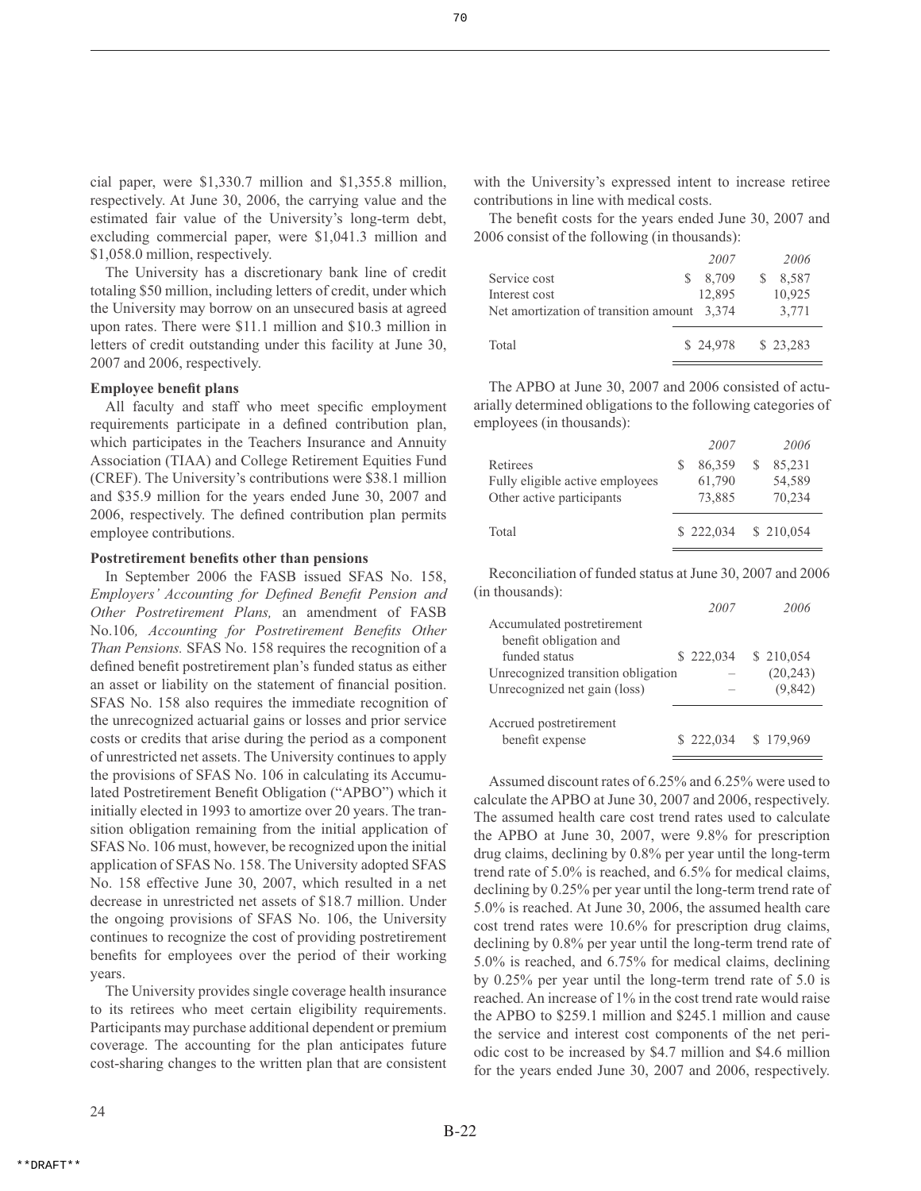cial paper, were \$1,330.7 million and \$1,355.8 million, respectively. At June 30, 2006, the carrying value and the estimated fair value of the University's long-term debt, excluding commercial paper, were \$1,041.3 million and \$1,058.0 million, respectively.

The University has a discretionary bank line of credit totaling \$50 million, including letters of credit, under which the University may borrow on an unsecured basis at agreed upon rates. There were \$11.1 million and \$10.3 million in letters of credit outstanding under this facility at June 30, 2007 and 2006, respectively.

#### **Employee benefit plans**

All faculty and staff who meet specific employment requirements participate in a defined contribution plan, which participates in the Teachers Insurance and Annuity Association (TIAA) and College Retirement Equities Fund (CREF). The University's contributions were \$38.1 million and \$35.9 million for the years ended June 30, 2007 and 2006, respectively. The defined contribution plan permits employee contributions.

#### **Postretirement benefits other than pensions**

In September 2006 the FASB issued SFAS No. 158, *Employers' Accounting for Defined Benefit Pension and Other Postretirement Plans,* an amendment of FASB No.106*, Accounting for Postretirement Benefits Other Than Pensions.* SFAS No. 158 requires the recognition of a defined benefit postretirement plan's funded status as either an asset or liability on the statement of financial position. SFAS No. 158 also requires the immediate recognition of the unrecognized actuarial gains or losses and prior service costs or credits that arise during the period as a component of unrestricted net assets. The University continues to apply the provisions of SFAS No. 106 in calculating its Accumulated Postretirement Benefit Obligation ("APBO") which it initially elected in 1993 to amortize over 20 years. The transition obligation remaining from the initial application of SFAS No. 106 must, however, be recognized upon the initial application of SFAS No. 158. The University adopted SFAS No. 158 effective June 30, 2007, which resulted in a net decrease in unrestricted net assets of \$18.7 million. Under the ongoing provisions of SFAS No. 106, the University continues to recognize the cost of providing postretirement benefits for employees over the period of their working years.

The University provides single coverage health insurance to its retirees who meet certain eligibility requirements. Participants may purchase additional dependent or premium coverage. The accounting for the plan anticipates future cost-sharing changes to the written plan that are consistent

24

with the University's expressed intent to increase retiree contributions in line with medical costs.

The benefit costs for the years ended June 30, 2007 and 2006 consist of the following (in thousands):

|                                             | 2007     | 2006     |
|---------------------------------------------|----------|----------|
| Service cost                                | 8,709    | 8,587    |
| Interest cost                               | 12,895   | 10,925   |
| Net amortization of transition amount 3,374 |          | 3,771    |
| Total                                       | \$24,978 | \$23,283 |

The APBO at June 30, 2007 and 2006 consisted of actuarially determined obligations to the following categories of employees (in thousands):

|                                 | 2007      | 2006      |
|---------------------------------|-----------|-----------|
| Retirees                        | 86,359    | 85.231    |
| Fully eligible active employees | 61,790    | 54,589    |
| Other active participants       | 73,885    | 70.234    |
| Total                           | \$222,034 | \$210,054 |

Reconciliation of funded status at June 30, 2007 and 2006 (in thousands):

| Accumulated postretirement         | 2007      | 2006      |
|------------------------------------|-----------|-----------|
| benefit obligation and             |           |           |
| funded status                      | \$222,034 | \$210,054 |
| Unrecognized transition obligation |           | (20, 243) |
| Unrecognized net gain (loss)       |           | (9,842)   |
| Accrued postretirement             |           | \$179,969 |
| benefit expense                    | \$222,034 |           |

Assumed discount rates of 6.25% and 6.25% were used to calculate the APBO at June 30, 2007 and 2006, respectively. The assumed health care cost trend rates used to calculate the APBO at June 30, 2007, were 9.8% for prescription drug claims, declining by 0.8% per year until the long-term trend rate of 5.0% is reached, and 6.5% for medical claims, declining by 0.25% per year until the long-term trend rate of 5.0% is reached. At June 30, 2006, the assumed health care cost trend rates were 10.6% for prescription drug claims, declining by 0.8% per year until the long-term trend rate of 5.0% is reached, and 6.75% for medical claims, declining by 0.25% per year until the long-term trend rate of 5.0 is reached. An increase of 1% in the cost trend rate would raise the APBO to \$259.1 million and \$245.1 million and cause the service and interest cost components of the net periodic cost to be increased by \$4.7 million and \$4.6 million for the years ended June 30, 2007 and 2006, respectively.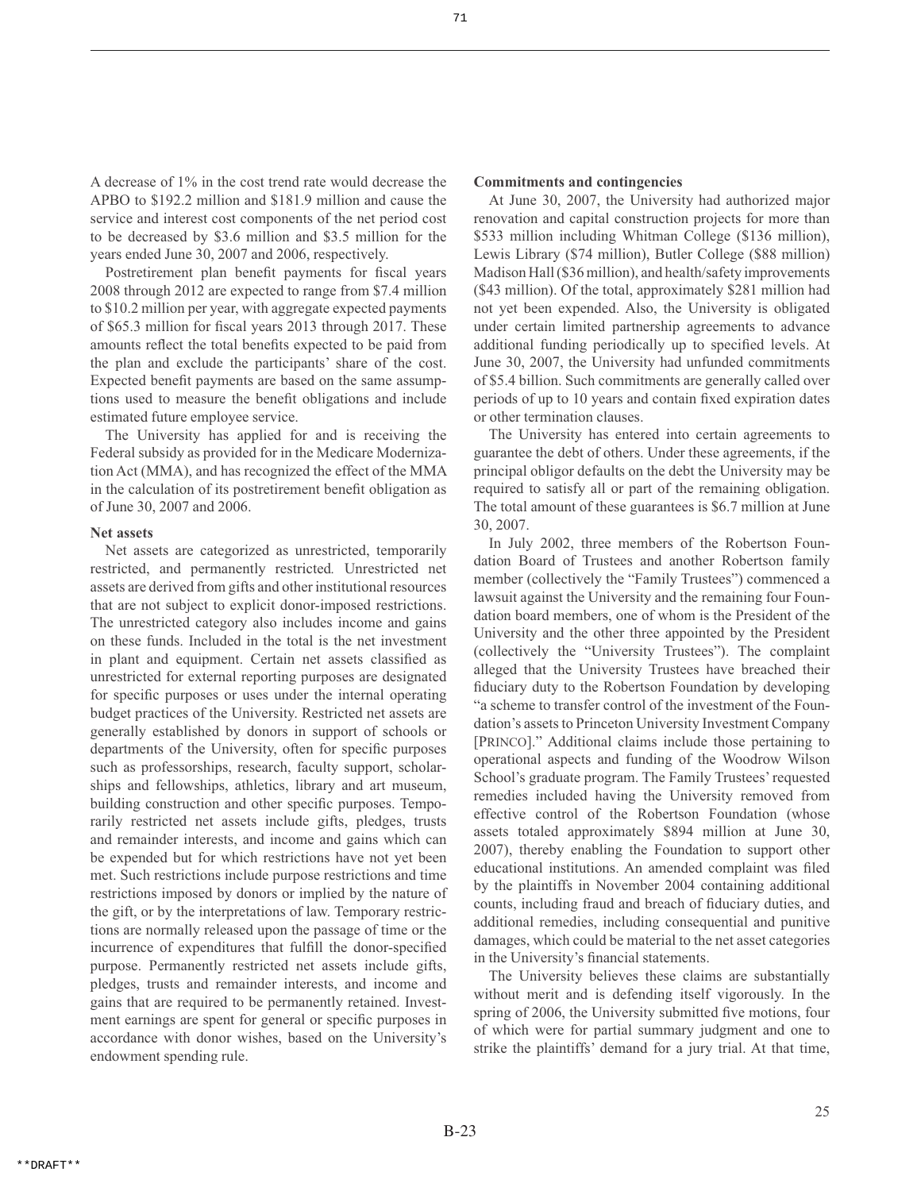A decrease of 1% in the cost trend rate would decrease the APBO to \$192.2 million and \$181.9 million and cause the service and interest cost components of the net period cost to be decreased by \$3.6 million and \$3.5 million for the years ended June 30, 2007 and 2006, respectively.

Postretirement plan benefit payments for fiscal years 2008 through 2012 are expected to range from \$7.4 million to \$10.2 million per year, with aggregate expected payments of \$65.3 million for fiscal years 2013 through 2017. These amounts reflect the total benefits expected to be paid from the plan and exclude the participants' share of the cost. Expected benefit payments are based on the same assumptions used to measure the benefit obligations and include estimated future employee service.

The University has applied for and is receiving the Federal subsidy as provided for in the Medicare Modernization Act (MMA), and has recognized the effect of the MMA in the calculation of its postretirement benefit obligation as of June 30, 2007 and 2006.

#### **Net assets**

Net assets are categorized as unrestricted, temporarily restricted, and permanently restricted*.* Unrestricted net assets are derived from gifts and other institutional resources that are not subject to explicit donor-imposed restrictions. The unrestricted category also includes income and gains on these funds. Included in the total is the net investment in plant and equipment. Certain net assets classified as unrestricted for external reporting purposes are designated for specific purposes or uses under the internal operating budget practices of the University. Restricted net assets are generally established by donors in support of schools or departments of the University, often for specific purposes such as professorships, research, faculty support, scholarships and fellowships, athletics, library and art museum, building construction and other specific purposes. Temporarily restricted net assets include gifts, pledges, trusts and remainder interests, and income and gains which can be expended but for which restrictions have not yet been met. Such restrictions include purpose restrictions and time restrictions imposed by donors or implied by the nature of the gift, or by the interpretations of law. Temporary restrictions are normally released upon the passage of time or the incurrence of expenditures that fulfill the donor-specified purpose. Permanently restricted net assets include gifts, pledges, trusts and remainder interests, and income and gains that are required to be permanently retained. Investment earnings are spent for general or specific purposes in accordance with donor wishes, based on the University's endowment spending rule.

#### **Commitments and contingencies**

71

At June 30, 2007, the University had authorized major renovation and capital construction projects for more than \$533 million including Whitman College (\$136 million), Lewis Library (\$74 million), Butler College (\$88 million) Madison Hall (\$36 million), and health/safety improvements (\$43 million). Of the total, approximately \$281 million had not yet been expended. Also, the University is obligated under certain limited partnership agreements to advance additional funding periodically up to specified levels. At June 30, 2007, the University had unfunded commitments of \$5.4 billion. Such commitments are generally called over periods of up to 10 years and contain fixed expiration dates or other termination clauses.

The University has entered into certain agreements to guarantee the debt of others. Under these agreements, if the principal obligor defaults on the debt the University may be required to satisfy all or part of the remaining obligation. The total amount of these guarantees is \$6.7 million at June 30, 2007.

In July 2002, three members of the Robertson Foundation Board of Trustees and another Robertson family member (collectively the "Family Trustees") commenced a lawsuit against the University and the remaining four Foundation board members, one of whom is the President of the University and the other three appointed by the President (collectively the "University Trustees"). The complaint alleged that the University Trustees have breached their fiduciary duty to the Robertson Foundation by developing "a scheme to transfer control of the investment of the Foundation's assets to Princeton University Investment Company [PRINCO]." Additional claims include those pertaining to operational aspects and funding of the Woodrow Wilson School's graduate program. The Family Trustees' requested remedies included having the University removed from effective control of the Robertson Foundation (whose assets totaled approximately \$894 million at June 30, 2007), thereby enabling the Foundation to support other educational institutions. An amended complaint was filed by the plaintiffs in November 2004 containing additional counts, including fraud and breach of fiduciary duties, and additional remedies, including consequential and punitive damages, which could be material to the net asset categories in the University's financial statements.

The University believes these claims are substantially without merit and is defending itself vigorously. In the spring of 2006, the University submitted five motions, four of which were for partial summary judgment and one to strike the plaintiffs' demand for a jury trial. At that time,

\*\*DRAFT\*\*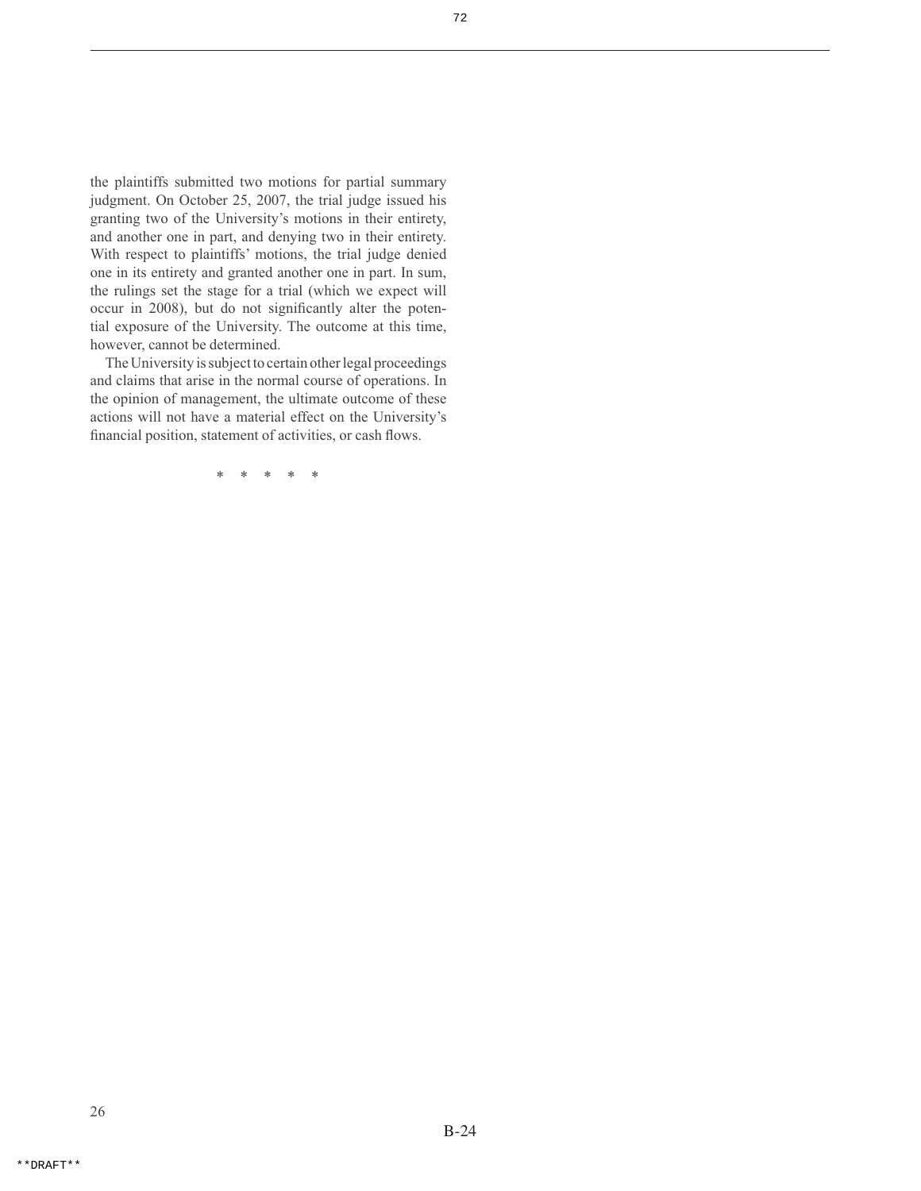the plaintiffs submitted two motions for partial summary judgment. On October 25, 2007, the trial judge issued his granting two of the University's motions in their entirety, and another one in part, and denying two in their entirety. With respect to plaintiffs' motions, the trial judge denied one in its entirety and granted another one in part. In sum, the rulings set the stage for a trial (which we expect will occur in 2008), but do not significantly alter the potential exposure of the University. The outcome at this time, however, cannot be determined.

The University is subject to certain other legal proceedings and claims that arise in the normal course of operations. In the opinion of management, the ultimate outcome of these actions will not have a material effect on the University's financial position, statement of activities, or cash flows.

\* \* \* \* \*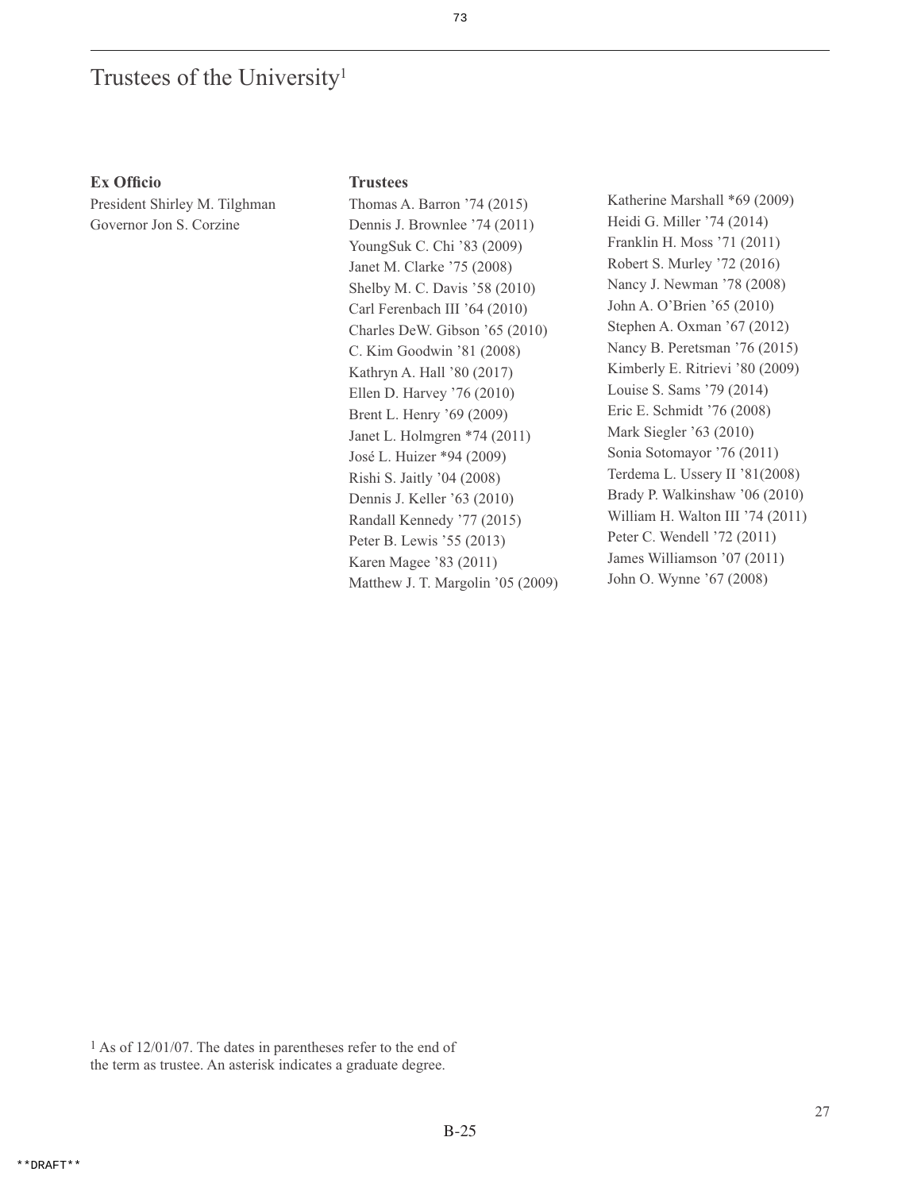# Trustees of the University<sup>1</sup>

**Ex Officio**

President Shirley M. Tilghman Governor Jon S. Corzine

#### **Trustees**

Thomas A. Barron '74 (2015) Dennis J. Brownlee '74 (2011) YoungSuk C. Chi '83 (2009) Janet M. Clarke '75 (2008) Shelby M. C. Davis '58 (2010) Carl Ferenbach III '64 (2010) Charles DeW. Gibson '65 (2010) C. Kim Goodwin '81 (2008) Kathryn A. Hall '80 (2017) Ellen D. Harvey '76 (2010) Brent L. Henry '69 (2009) Janet L. Holmgren \*74 (2011) José L. Huizer \*94 (2009) Rishi S. Jaitly '04 (2008) Dennis J. Keller '63 (2010) Randall Kennedy '77 (2015) Peter B. Lewis '55 (2013) Karen Magee '83 (2011) Matthew J. T. Margolin '05 (2009) Katherine Marshall \*69 (2009) Heidi G. Miller '74 (2014) Franklin H. Moss '71 (2011) Robert S. Murley '72 (2016) Nancy J. Newman '78 (2008) John A. O'Brien '65 (2010) Stephen A. Oxman '67 (2012) Nancy B. Peretsman '76 (2015) Kimberly E. Ritrievi '80 (2009) Louise S. Sams '79 (2014) Eric E. Schmidt '76 (2008) Mark Siegler '63 (2010) Sonia Sotomayor '76 (2011) Terdema L. Ussery II '81(2008) Brady P. Walkinshaw '06 (2010) William H. Walton III '74 (2011) Peter C. Wendell '72 (2011) James Williamson '07 (2011) John O. Wynne '67 (2008)

1 As of 12/01/07. The dates in parentheses refer to the end of the term as trustee. An asterisk indicates a graduate degree.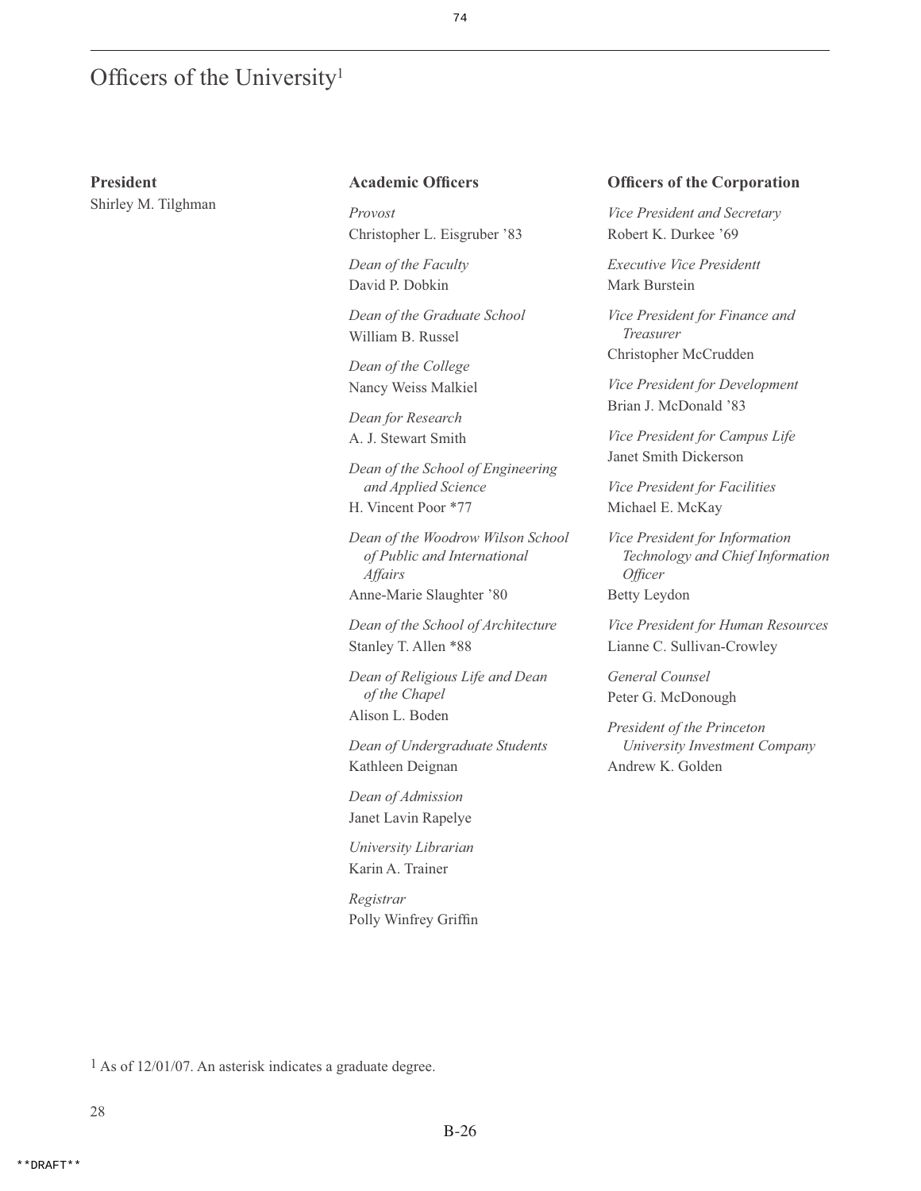# Officers of the University1

**President** Shirley M. Tilghman

#### **Academic Officers**

*Provost* Christopher L. Eisgruber '83

*Dean of the Faculty* David P. Dobkin

*Dean of the Graduate School* William B. Russel

*Dean of the College* Nancy Weiss Malkiel

*Dean for Research* A. J. Stewart Smith

*Dean of the School of Engineering and Applied Science*

H. Vincent Poor \*77

*Dean of the Woodrow Wilson School of Public and International Affairs* Anne-Marie Slaughter '80

*Dean of the School of Architecture* Stanley T. Allen \*88

*Dean of Religious Life and Dean of the Chapel* Alison L. Boden

*Dean of Undergraduate Students* Kathleen Deignan

*Dean of Admission* Janet Lavin Rapelye

*University Librarian* Karin A. Trainer

*Registrar* Polly Winfrey Griffin

#### **Officers of the Corporation**

*Vice President and Secretary* Robert K. Durkee '69

*Executive Vice Presidentt* Mark Burstein

*Vice President for Finance and Treasurer*

Christopher McCrudden

*Vice President for Development* Brian J. McDonald '83

*Vice President for Campus Life* Janet Smith Dickerson

*Vice President for Facilities* Michael E. McKay

*Vice President for Information Technology and Chief Information Officer* Betty Leydon

*Vice President for Human Resources* Lianne C. Sullivan-Crowley

*General Counsel* Peter G. McDonough

*President of the Princeton University Investment Company* Andrew K. Golden

1 As of 12/01/07. An asterisk indicates a graduate degree.

74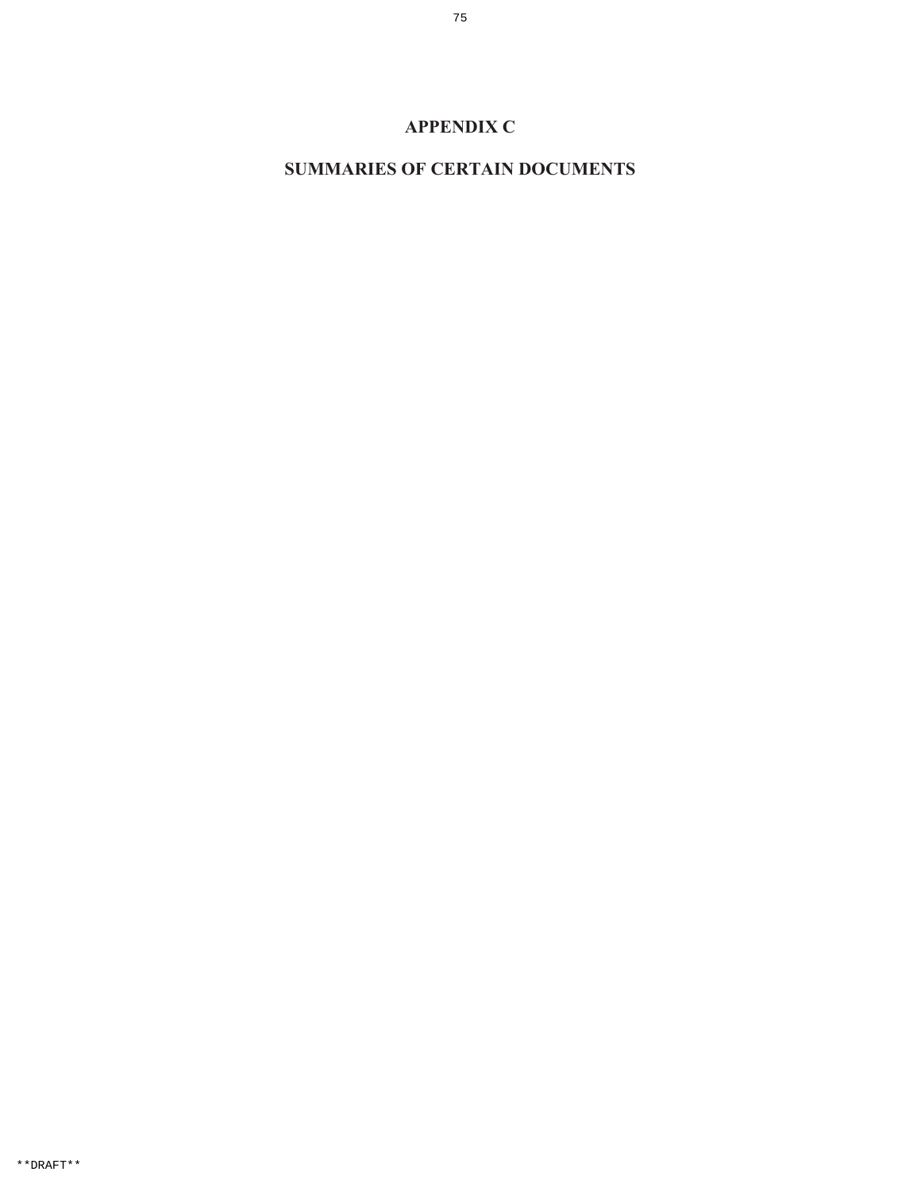# **APPENDIX C**

# **SUMMARIES OF CERTAIN DOCUMENTS**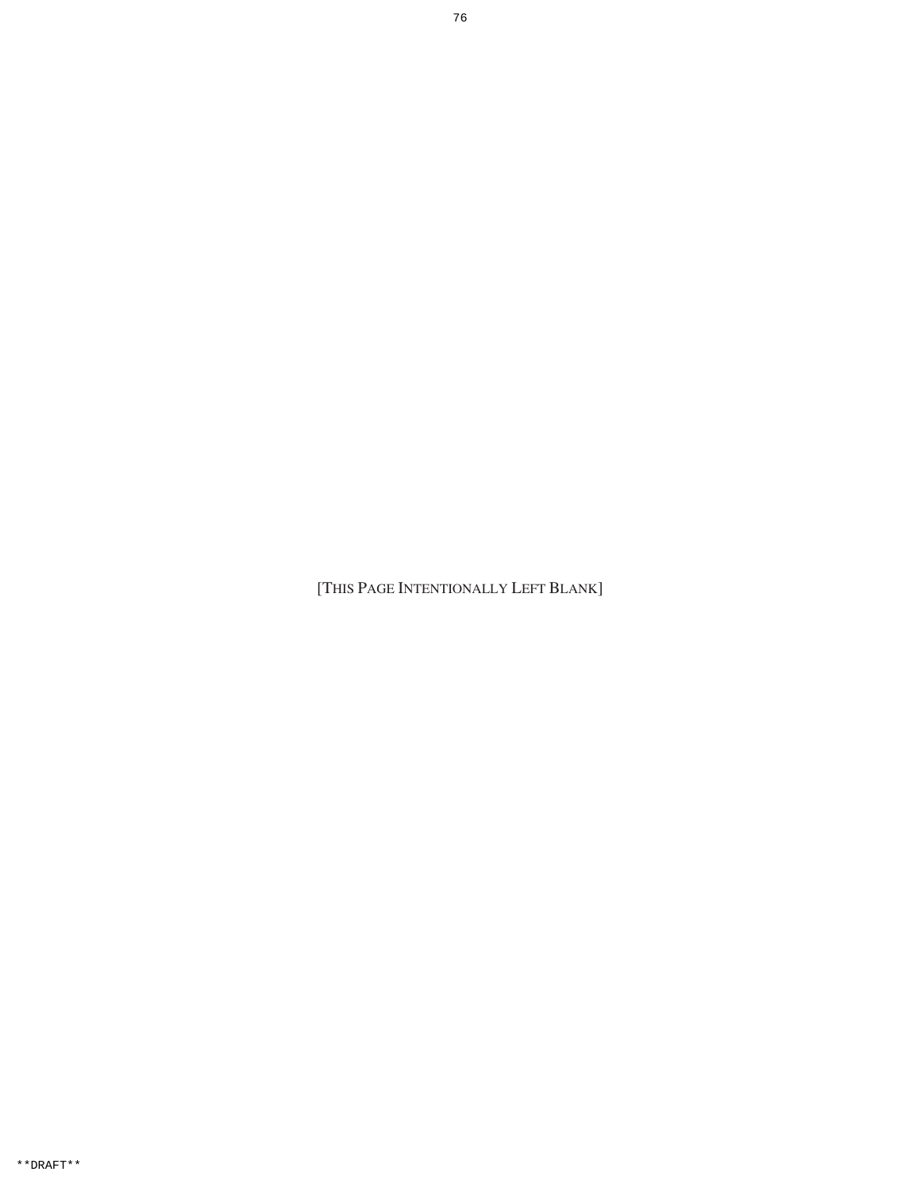[THIS PAGE INTENTIONALLY LEFT BLANK]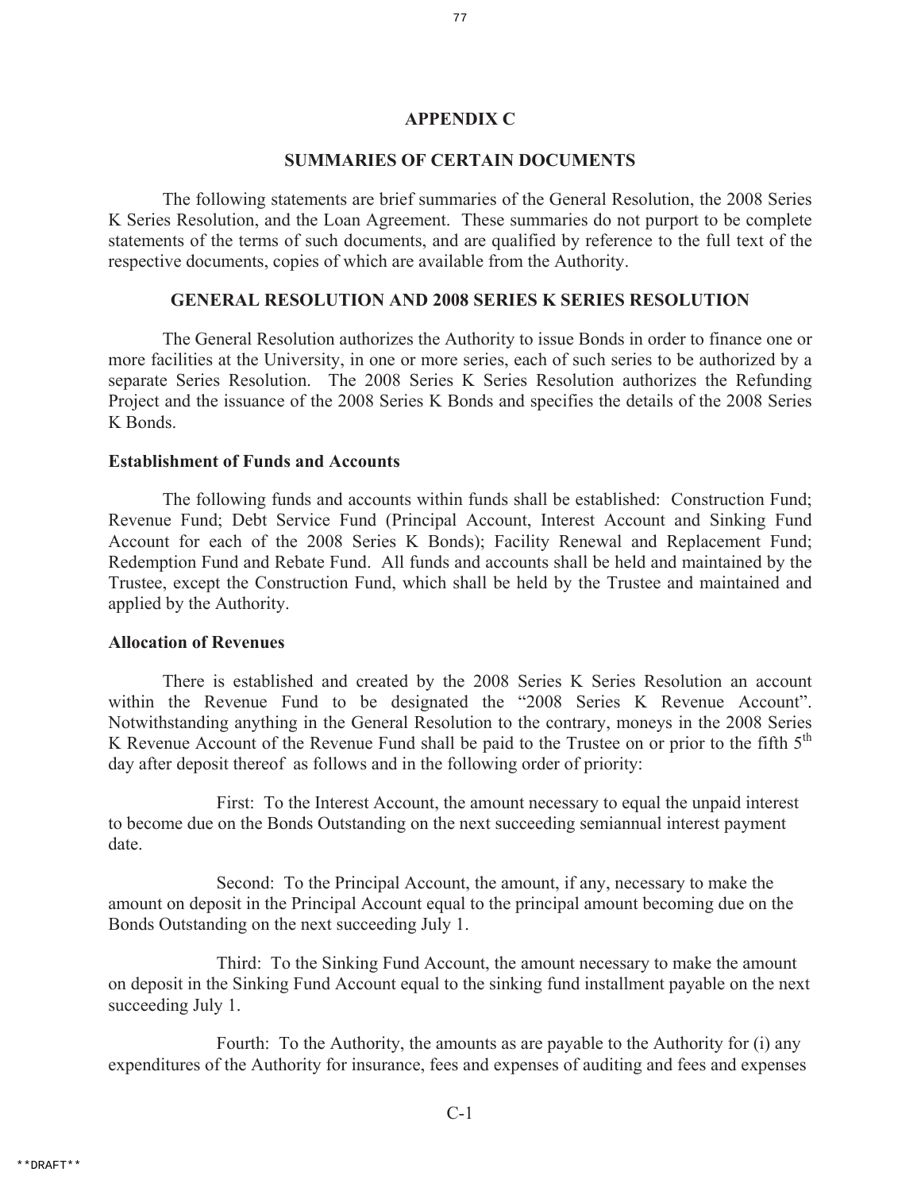### **APPENDIX C**

## **SUMMARIES OF CERTAIN DOCUMENTS**

The following statements are brief summaries of the General Resolution, the 2008 Series K Series Resolution, and the Loan Agreement. These summaries do not purport to be complete statements of the terms of such documents, and are qualified by reference to the full text of the respective documents, copies of which are available from the Authority.

## **GENERAL RESOLUTION AND 2008 SERIES K SERIES RESOLUTION**

The General Resolution authorizes the Authority to issue Bonds in order to finance one or more facilities at the University, in one or more series, each of such series to be authorized by a separate Series Resolution. The 2008 Series K Series Resolution authorizes the Refunding Project and the issuance of the 2008 Series K Bonds and specifies the details of the 2008 Series K Bonds.

#### **Establishment of Funds and Accounts**

The following funds and accounts within funds shall be established: Construction Fund; Revenue Fund; Debt Service Fund (Principal Account, Interest Account and Sinking Fund Account for each of the 2008 Series K Bonds); Facility Renewal and Replacement Fund; Redemption Fund and Rebate Fund. All funds and accounts shall be held and maintained by the Trustee, except the Construction Fund, which shall be held by the Trustee and maintained and applied by the Authority.

#### **Allocation of Revenues**

There is established and created by the 2008 Series K Series Resolution an account within the Revenue Fund to be designated the "2008 Series K Revenue Account". Notwithstanding anything in the General Resolution to the contrary, moneys in the 2008 Series K Revenue Account of the Revenue Fund shall be paid to the Trustee on or prior to the fifth  $5<sup>th</sup>$ day after deposit thereof as follows and in the following order of priority:

First: To the Interest Account, the amount necessary to equal the unpaid interest to become due on the Bonds Outstanding on the next succeeding semiannual interest payment date.

Second: To the Principal Account, the amount, if any, necessary to make the amount on deposit in the Principal Account equal to the principal amount becoming due on the Bonds Outstanding on the next succeeding July 1.

Third: To the Sinking Fund Account, the amount necessary to make the amount on deposit in the Sinking Fund Account equal to the sinking fund installment payable on the next succeeding July 1.

Fourth: To the Authority, the amounts as are payable to the Authority for (i) any expenditures of the Authority for insurance, fees and expenses of auditing and fees and expenses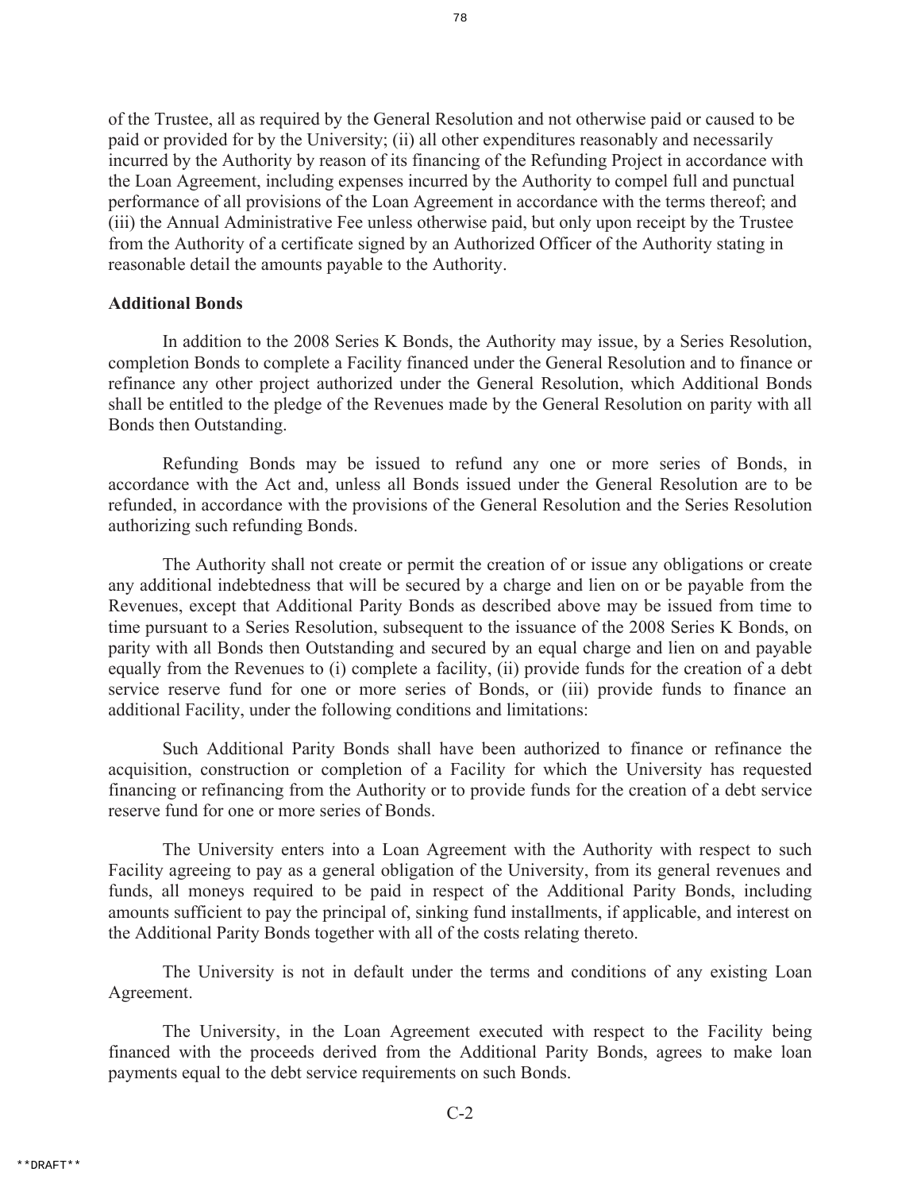of the Trustee, all as required by the General Resolution and not otherwise paid or caused to be paid or provided for by the University; (ii) all other expenditures reasonably and necessarily incurred by the Authority by reason of its financing of the Refunding Project in accordance with the Loan Agreement, including expenses incurred by the Authority to compel full and punctual performance of all provisions of the Loan Agreement in accordance with the terms thereof; and (iii) the Annual Administrative Fee unless otherwise paid, but only upon receipt by the Trustee from the Authority of a certificate signed by an Authorized Officer of the Authority stating in reasonable detail the amounts payable to the Authority.

#### **Additional Bonds**

In addition to the 2008 Series K Bonds, the Authority may issue, by a Series Resolution, completion Bonds to complete a Facility financed under the General Resolution and to finance or refinance any other project authorized under the General Resolution, which Additional Bonds shall be entitled to the pledge of the Revenues made by the General Resolution on parity with all Bonds then Outstanding.

Refunding Bonds may be issued to refund any one or more series of Bonds, in accordance with the Act and, unless all Bonds issued under the General Resolution are to be refunded, in accordance with the provisions of the General Resolution and the Series Resolution authorizing such refunding Bonds.

The Authority shall not create or permit the creation of or issue any obligations or create any additional indebtedness that will be secured by a charge and lien on or be payable from the Revenues, except that Additional Parity Bonds as described above may be issued from time to time pursuant to a Series Resolution, subsequent to the issuance of the 2008 Series K Bonds, on parity with all Bonds then Outstanding and secured by an equal charge and lien on and payable equally from the Revenues to (i) complete a facility, (ii) provide funds for the creation of a debt service reserve fund for one or more series of Bonds, or (iii) provide funds to finance an additional Facility, under the following conditions and limitations:

Such Additional Parity Bonds shall have been authorized to finance or refinance the acquisition, construction or completion of a Facility for which the University has requested financing or refinancing from the Authority or to provide funds for the creation of a debt service reserve fund for one or more series of Bonds.

The University enters into a Loan Agreement with the Authority with respect to such Facility agreeing to pay as a general obligation of the University, from its general revenues and funds, all moneys required to be paid in respect of the Additional Parity Bonds, including amounts sufficient to pay the principal of, sinking fund installments, if applicable, and interest on the Additional Parity Bonds together with all of the costs relating thereto.

The University is not in default under the terms and conditions of any existing Loan Agreement.

The University, in the Loan Agreement executed with respect to the Facility being financed with the proceeds derived from the Additional Parity Bonds, agrees to make loan payments equal to the debt service requirements on such Bonds.

78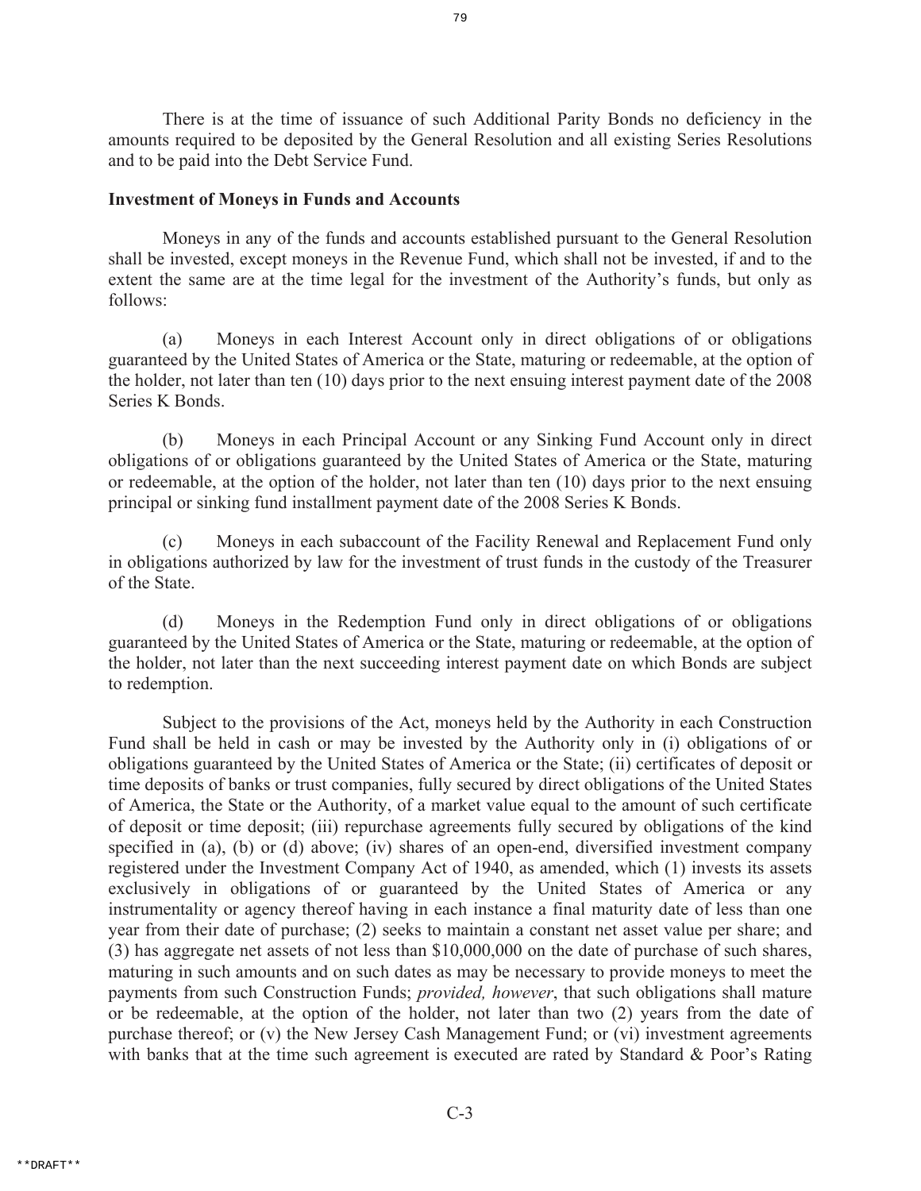There is at the time of issuance of such Additional Parity Bonds no deficiency in the amounts required to be deposited by the General Resolution and all existing Series Resolutions and to be paid into the Debt Service Fund.

### **Investment of Moneys in Funds and Accounts**

Moneys in any of the funds and accounts established pursuant to the General Resolution shall be invested, except moneys in the Revenue Fund, which shall not be invested, if and to the extent the same are at the time legal for the investment of the Authority's funds, but only as follows:

(a) Moneys in each Interest Account only in direct obligations of or obligations guaranteed by the United States of America or the State, maturing or redeemable, at the option of the holder, not later than ten (10) days prior to the next ensuing interest payment date of the 2008 Series K Bonds.

(b) Moneys in each Principal Account or any Sinking Fund Account only in direct obligations of or obligations guaranteed by the United States of America or the State, maturing or redeemable, at the option of the holder, not later than ten (10) days prior to the next ensuing principal or sinking fund installment payment date of the 2008 Series K Bonds.

(c) Moneys in each subaccount of the Facility Renewal and Replacement Fund only in obligations authorized by law for the investment of trust funds in the custody of the Treasurer of the State.

(d) Moneys in the Redemption Fund only in direct obligations of or obligations guaranteed by the United States of America or the State, maturing or redeemable, at the option of the holder, not later than the next succeeding interest payment date on which Bonds are subject to redemption.

Subject to the provisions of the Act, moneys held by the Authority in each Construction Fund shall be held in cash or may be invested by the Authority only in (i) obligations of or obligations guaranteed by the United States of America or the State; (ii) certificates of deposit or time deposits of banks or trust companies, fully secured by direct obligations of the United States of America, the State or the Authority, of a market value equal to the amount of such certificate of deposit or time deposit; (iii) repurchase agreements fully secured by obligations of the kind specified in (a), (b) or (d) above; (iv) shares of an open-end, diversified investment company registered under the Investment Company Act of 1940, as amended, which (1) invests its assets exclusively in obligations of or guaranteed by the United States of America or any instrumentality or agency thereof having in each instance a final maturity date of less than one year from their date of purchase; (2) seeks to maintain a constant net asset value per share; and (3) has aggregate net assets of not less than \$10,000,000 on the date of purchase of such shares, maturing in such amounts and on such dates as may be necessary to provide moneys to meet the payments from such Construction Funds; *provided, however*, that such obligations shall mature or be redeemable, at the option of the holder, not later than two (2) years from the date of purchase thereof; or (v) the New Jersey Cash Management Fund; or (vi) investment agreements with banks that at the time such agreement is executed are rated by Standard & Poor's Rating

79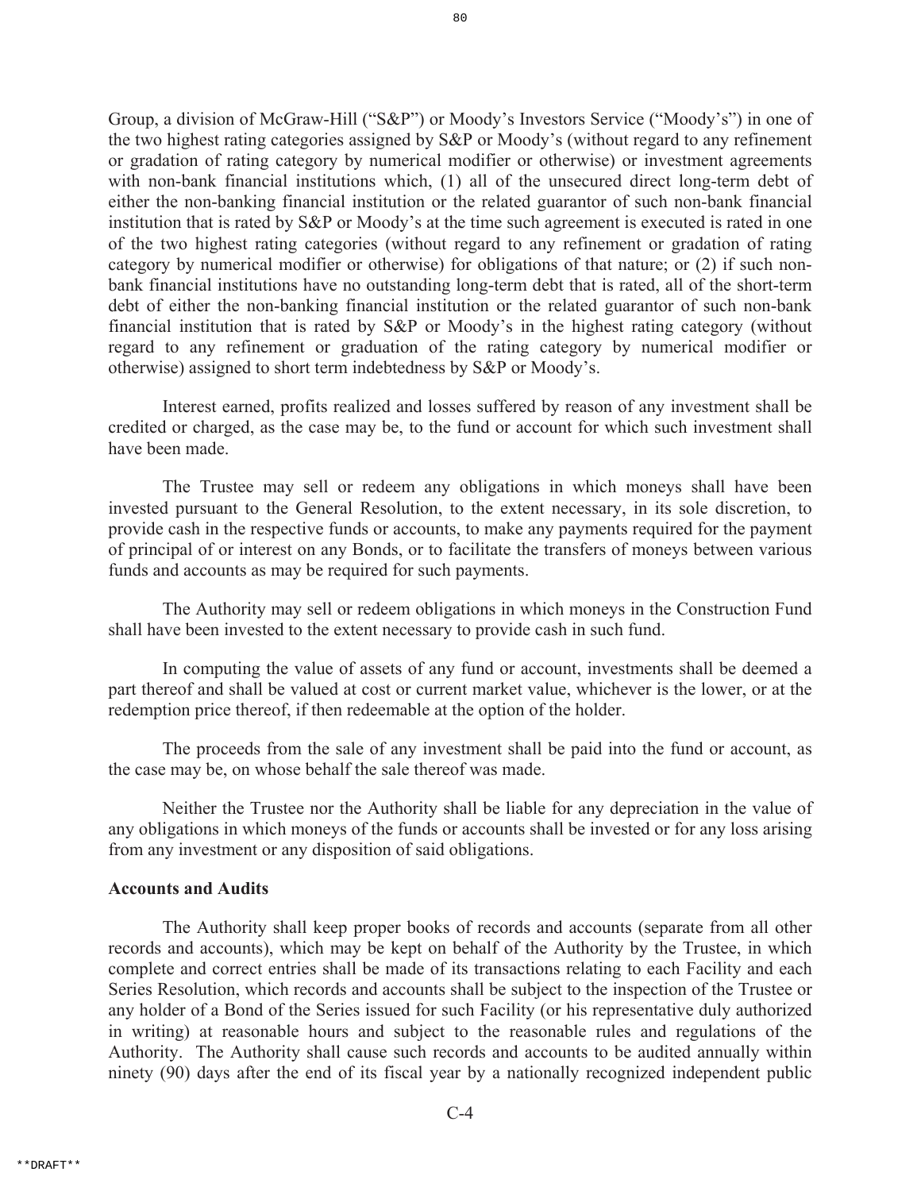Group, a division of McGraw-Hill ("S&P") or Moody's Investors Service ("Moody's") in one of the two highest rating categories assigned by S&P or Moody's (without regard to any refinement or gradation of rating category by numerical modifier or otherwise) or investment agreements with non-bank financial institutions which, (1) all of the unsecured direct long-term debt of either the non-banking financial institution or the related guarantor of such non-bank financial institution that is rated by S&P or Moody's at the time such agreement is executed is rated in one of the two highest rating categories (without regard to any refinement or gradation of rating category by numerical modifier or otherwise) for obligations of that nature; or (2) if such nonbank financial institutions have no outstanding long-term debt that is rated, all of the short-term debt of either the non-banking financial institution or the related guarantor of such non-bank financial institution that is rated by S&P or Moody's in the highest rating category (without regard to any refinement or graduation of the rating category by numerical modifier or otherwise) assigned to short term indebtedness by S&P or Moody's.

Interest earned, profits realized and losses suffered by reason of any investment shall be credited or charged, as the case may be, to the fund or account for which such investment shall have been made.

The Trustee may sell or redeem any obligations in which moneys shall have been invested pursuant to the General Resolution, to the extent necessary, in its sole discretion, to provide cash in the respective funds or accounts, to make any payments required for the payment of principal of or interest on any Bonds, or to facilitate the transfers of moneys between various funds and accounts as may be required for such payments.

The Authority may sell or redeem obligations in which moneys in the Construction Fund shall have been invested to the extent necessary to provide cash in such fund.

In computing the value of assets of any fund or account, investments shall be deemed a part thereof and shall be valued at cost or current market value, whichever is the lower, or at the redemption price thereof, if then redeemable at the option of the holder.

The proceeds from the sale of any investment shall be paid into the fund or account, as the case may be, on whose behalf the sale thereof was made.

Neither the Trustee nor the Authority shall be liable for any depreciation in the value of any obligations in which moneys of the funds or accounts shall be invested or for any loss arising from any investment or any disposition of said obligations.

## **Accounts and Audits**

The Authority shall keep proper books of records and accounts (separate from all other records and accounts), which may be kept on behalf of the Authority by the Trustee, in which complete and correct entries shall be made of its transactions relating to each Facility and each Series Resolution, which records and accounts shall be subject to the inspection of the Trustee or any holder of a Bond of the Series issued for such Facility (or his representative duly authorized in writing) at reasonable hours and subject to the reasonable rules and regulations of the Authority. The Authority shall cause such records and accounts to be audited annually within ninety (90) days after the end of its fiscal year by a nationally recognized independent public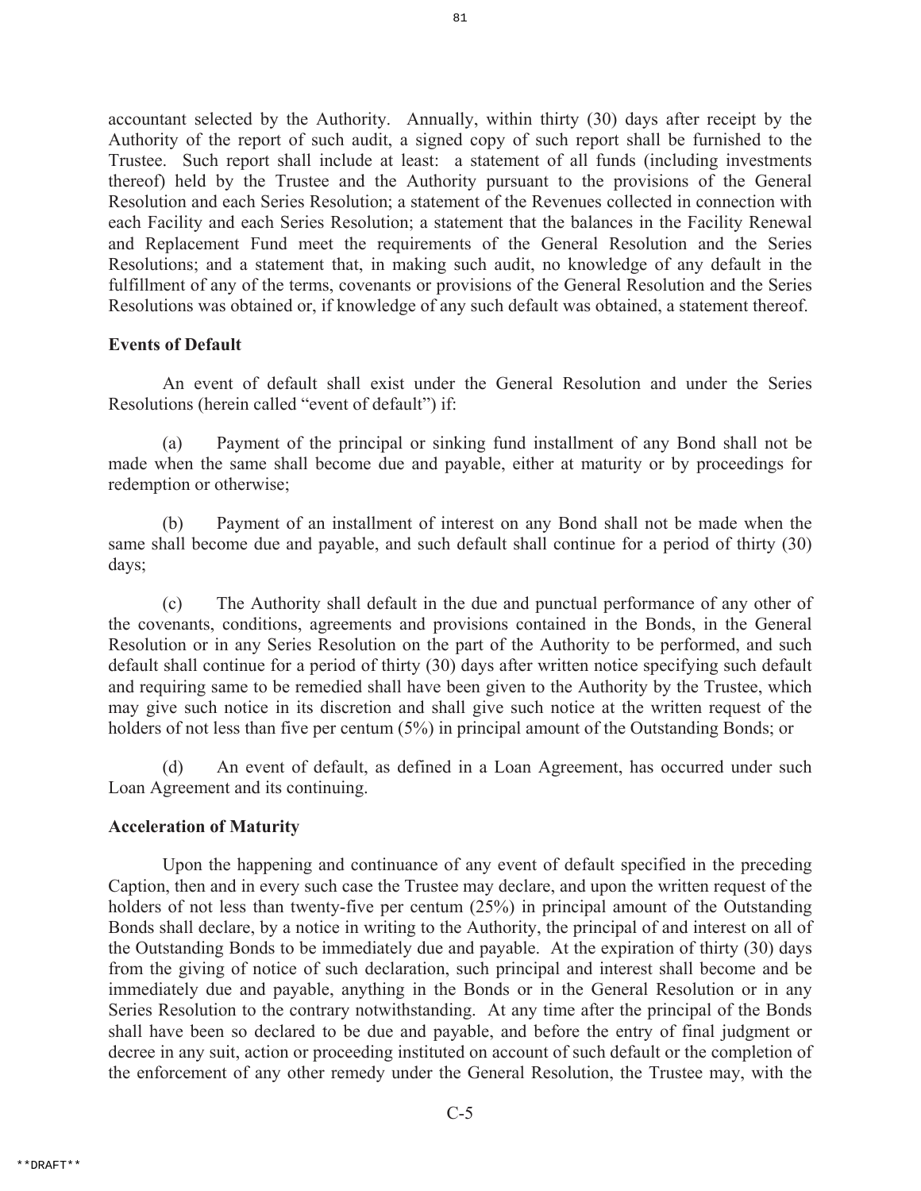accountant selected by the Authority. Annually, within thirty (30) days after receipt by the Authority of the report of such audit, a signed copy of such report shall be furnished to the Trustee. Such report shall include at least: a statement of all funds (including investments thereof) held by the Trustee and the Authority pursuant to the provisions of the General Resolution and each Series Resolution; a statement of the Revenues collected in connection with each Facility and each Series Resolution; a statement that the balances in the Facility Renewal and Replacement Fund meet the requirements of the General Resolution and the Series Resolutions; and a statement that, in making such audit, no knowledge of any default in the fulfillment of any of the terms, covenants or provisions of the General Resolution and the Series Resolutions was obtained or, if knowledge of any such default was obtained, a statement thereof.

## **Events of Default**

An event of default shall exist under the General Resolution and under the Series Resolutions (herein called "event of default") if:

(a) Payment of the principal or sinking fund installment of any Bond shall not be made when the same shall become due and payable, either at maturity or by proceedings for redemption or otherwise;

(b) Payment of an installment of interest on any Bond shall not be made when the same shall become due and payable, and such default shall continue for a period of thirty (30) days;

(c) The Authority shall default in the due and punctual performance of any other of the covenants, conditions, agreements and provisions contained in the Bonds, in the General Resolution or in any Series Resolution on the part of the Authority to be performed, and such default shall continue for a period of thirty (30) days after written notice specifying such default and requiring same to be remedied shall have been given to the Authority by the Trustee, which may give such notice in its discretion and shall give such notice at the written request of the holders of not less than five per centum (5%) in principal amount of the Outstanding Bonds; or

(d) An event of default, as defined in a Loan Agreement, has occurred under such Loan Agreement and its continuing.

## **Acceleration of Maturity**

Upon the happening and continuance of any event of default specified in the preceding Caption, then and in every such case the Trustee may declare, and upon the written request of the holders of not less than twenty-five per centum (25%) in principal amount of the Outstanding Bonds shall declare, by a notice in writing to the Authority, the principal of and interest on all of the Outstanding Bonds to be immediately due and payable. At the expiration of thirty (30) days from the giving of notice of such declaration, such principal and interest shall become and be immediately due and payable, anything in the Bonds or in the General Resolution or in any Series Resolution to the contrary notwithstanding. At any time after the principal of the Bonds shall have been so declared to be due and payable, and before the entry of final judgment or decree in any suit, action or proceeding instituted on account of such default or the completion of the enforcement of any other remedy under the General Resolution, the Trustee may, with the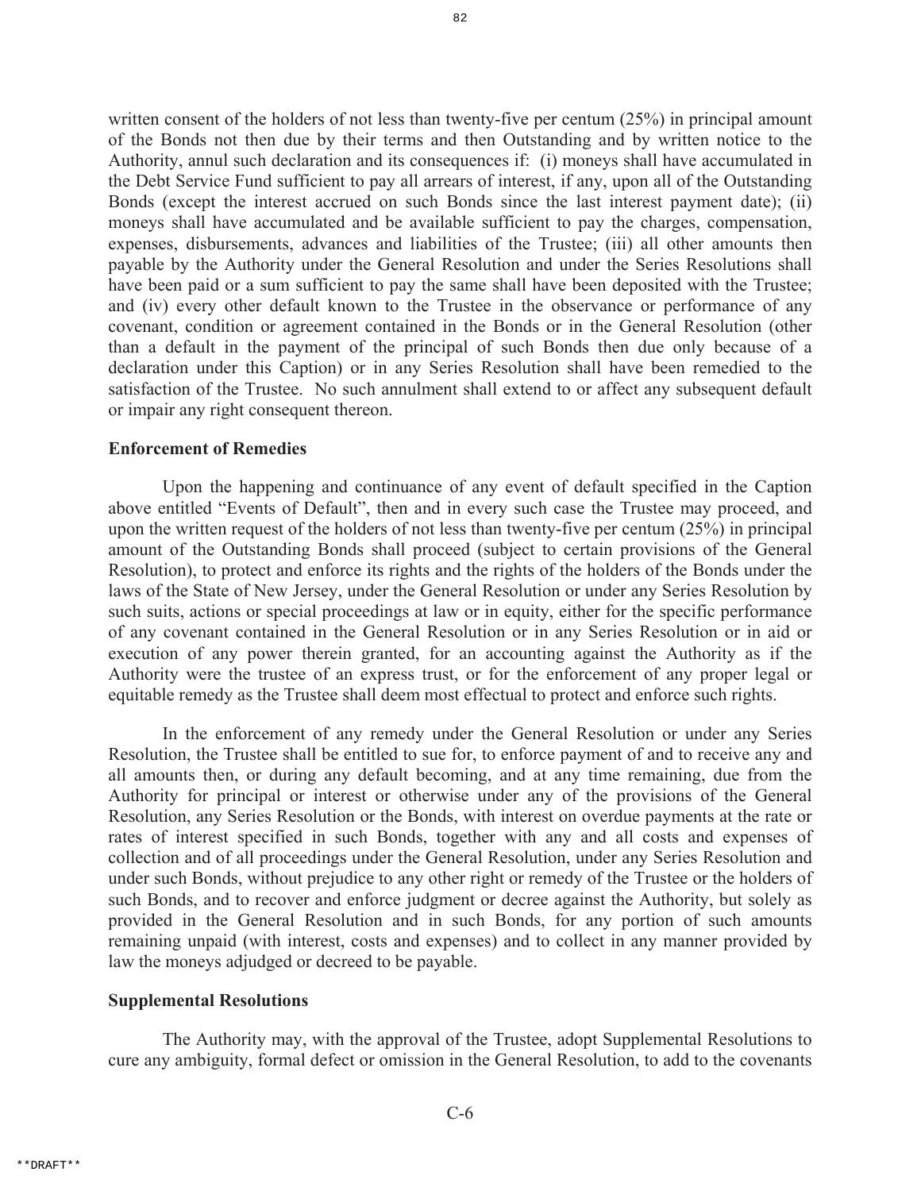written consent of the holders of not less than twenty-five per centum (25%) in principal amount of the Bonds not then due by their terms and then Outstanding and by written notice to the Authority, annul such declaration and its consequences if: (i) moneys shall have accumulated in the Debt Service Fund sufficient to pay all arrears of interest, if any, upon all of the Outstanding Bonds (except the interest accrued on such Bonds since the last interest payment date); (ii) moneys shall have accumulated and be available sufficient to pay the charges, compensation, expenses, disbursements, advances and liabilities of the Trustee; (iii) all other amounts then payable by the Authority under the General Resolution and under the Series Resolutions shall have been paid or a sum sufficient to pay the same shall have been deposited with the Trustee; and (iv) every other default known to the Trustee in the observance or performance of any covenant, condition or agreement contained in the Bonds or in the General Resolution (other than a default in the payment of the principal of such Bonds then due only because of a declaration under this Caption) or in any Series Resolution shall have been remedied to the satisfaction of the Trustee. No such annulment shall extend to or affect any subsequent default or impair any right consequent thereon.

## **Enforcement of Remedies**

Upon the happening and continuance of any event of default specified in the Caption above entitled "Events of Default", then and in every such case the Trustee may proceed, and upon the written request of the holders of not less than twenty-five per centum (25%) in principal amount of the Outstanding Bonds shall proceed (subject to certain provisions of the General Resolution), to protect and enforce its rights and the rights of the holders of the Bonds under the laws of the State of New Jersey, under the General Resolution or under any Series Resolution by such suits, actions or special proceedings at law or in equity, either for the specific performance of any covenant contained in the General Resolution or in any Series Resolution or in aid or execution of any power therein granted, for an accounting against the Authority as if the Authority were the trustee of an express trust, or for the enforcement of any proper legal or equitable remedy as the Trustee shall deem most effectual to protect and enforce such rights.

In the enforcement of any remedy under the General Resolution or under any Series Resolution, the Trustee shall be entitled to sue for, to enforce payment of and to receive any and all amounts then, or during any default becoming, and at any time remaining, due from the Authority for principal or interest or otherwise under any of the provisions of the General Resolution, any Series Resolution or the Bonds, with interest on overdue payments at the rate or rates of interest specified in such Bonds, together with any and all costs and expenses of collection and of all proceedings under the General Resolution, under any Series Resolution and under such Bonds, without prejudice to any other right or remedy of the Trustee or the holders of such Bonds, and to recover and enforce judgment or decree against the Authority, but solely as provided in the General Resolution and in such Bonds, for any portion of such amounts remaining unpaid (with interest, costs and expenses) and to collect in any manner provided by law the moneys adjudged or decreed to be payable.

### **Supplemental Resolutions**

The Authority may, with the approval of the Trustee, adopt Supplemental Resolutions to cure any ambiguity, formal defect or omission in the General Resolution, to add to the covenants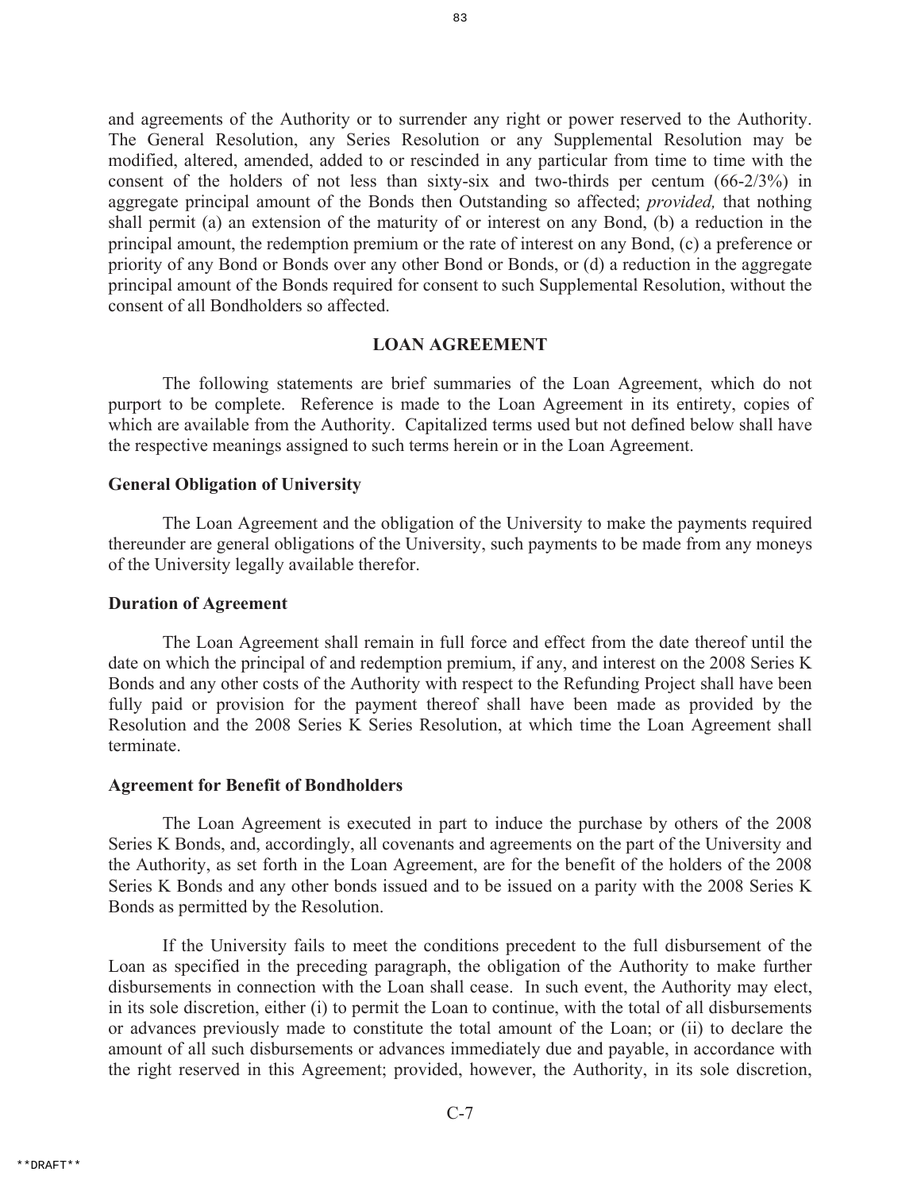principal amount, the redemption premium or the rate of interest on any Bond, (c) a preference or priority of any Bond or Bonds over any other Bond or Bonds, or (d) a reduction in the aggregate principal amount of the Bonds required for consent to such Supplemental Resolution, without the consent of all Bondholders so affected.

## **LOAN AGREEMENT**

The following statements are brief summaries of the Loan Agreement, which do not purport to be complete. Reference is made to the Loan Agreement in its entirety, copies of which are available from the Authority. Capitalized terms used but not defined below shall have the respective meanings assigned to such terms herein or in the Loan Agreement.

## **General Obligation of University**

The Loan Agreement and the obligation of the University to make the payments required thereunder are general obligations of the University, such payments to be made from any moneys of the University legally available therefor.

### **Duration of Agreement**

The Loan Agreement shall remain in full force and effect from the date thereof until the date on which the principal of and redemption premium, if any, and interest on the 2008 Series K Bonds and any other costs of the Authority with respect to the Refunding Project shall have been fully paid or provision for the payment thereof shall have been made as provided by the Resolution and the 2008 Series K Series Resolution, at which time the Loan Agreement shall terminate.

### **Agreement for Benefit of Bondholders**

The Loan Agreement is executed in part to induce the purchase by others of the 2008 Series K Bonds, and, accordingly, all covenants and agreements on the part of the University and the Authority, as set forth in the Loan Agreement, are for the benefit of the holders of the 2008 Series K Bonds and any other bonds issued and to be issued on a parity with the 2008 Series K Bonds as permitted by the Resolution.

If the University fails to meet the conditions precedent to the full disbursement of the Loan as specified in the preceding paragraph, the obligation of the Authority to make further disbursements in connection with the Loan shall cease. In such event, the Authority may elect, in its sole discretion, either (i) to permit the Loan to continue, with the total of all disbursements or advances previously made to constitute the total amount of the Loan; or (ii) to declare the amount of all such disbursements or advances immediately due and payable, in accordance with the right reserved in this Agreement; provided, however, the Authority, in its sole discretion,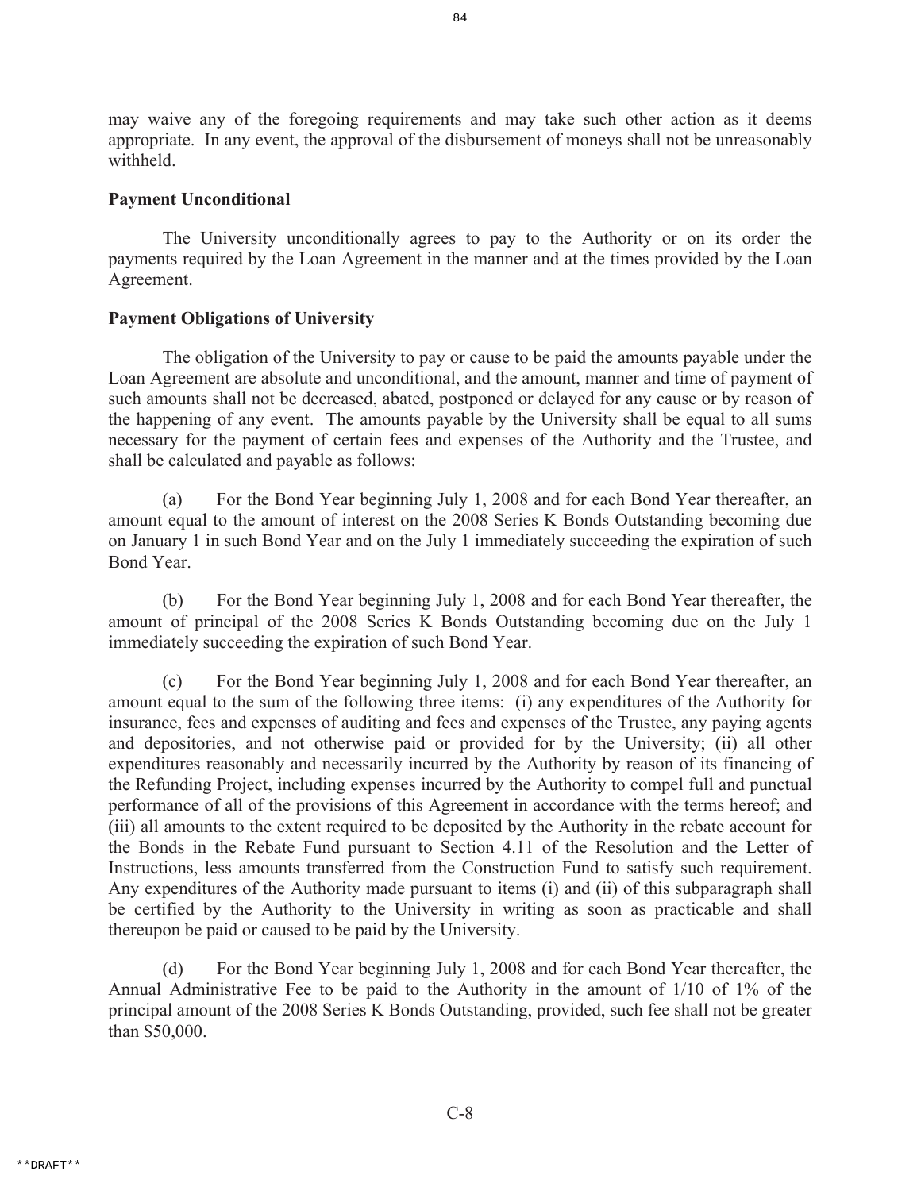may waive any of the foregoing requirements and may take such other action as it deems appropriate. In any event, the approval of the disbursement of moneys shall not be unreasonably withheld.

## **Payment Unconditional**

The University unconditionally agrees to pay to the Authority or on its order the payments required by the Loan Agreement in the manner and at the times provided by the Loan Agreement.

## **Payment Obligations of University**

The obligation of the University to pay or cause to be paid the amounts payable under the Loan Agreement are absolute and unconditional, and the amount, manner and time of payment of such amounts shall not be decreased, abated, postponed or delayed for any cause or by reason of the happening of any event. The amounts payable by the University shall be equal to all sums necessary for the payment of certain fees and expenses of the Authority and the Trustee, and shall be calculated and payable as follows:

(a) For the Bond Year beginning July 1, 2008 and for each Bond Year thereafter, an amount equal to the amount of interest on the 2008 Series K Bonds Outstanding becoming due on January 1 in such Bond Year and on the July 1 immediately succeeding the expiration of such Bond Year.

(b) For the Bond Year beginning July 1, 2008 and for each Bond Year thereafter, the amount of principal of the 2008 Series K Bonds Outstanding becoming due on the July 1 immediately succeeding the expiration of such Bond Year.

(c) For the Bond Year beginning July 1, 2008 and for each Bond Year thereafter, an amount equal to the sum of the following three items: (i) any expenditures of the Authority for insurance, fees and expenses of auditing and fees and expenses of the Trustee, any paying agents and depositories, and not otherwise paid or provided for by the University; (ii) all other expenditures reasonably and necessarily incurred by the Authority by reason of its financing of the Refunding Project, including expenses incurred by the Authority to compel full and punctual performance of all of the provisions of this Agreement in accordance with the terms hereof; and (iii) all amounts to the extent required to be deposited by the Authority in the rebate account for the Bonds in the Rebate Fund pursuant to Section 4.11 of the Resolution and the Letter of Instructions, less amounts transferred from the Construction Fund to satisfy such requirement. Any expenditures of the Authority made pursuant to items (i) and (ii) of this subparagraph shall be certified by the Authority to the University in writing as soon as practicable and shall thereupon be paid or caused to be paid by the University.

(d) For the Bond Year beginning July 1, 2008 and for each Bond Year thereafter, the Annual Administrative Fee to be paid to the Authority in the amount of 1/10 of 1% of the principal amount of the 2008 Series K Bonds Outstanding, provided, such fee shall not be greater than \$50,000.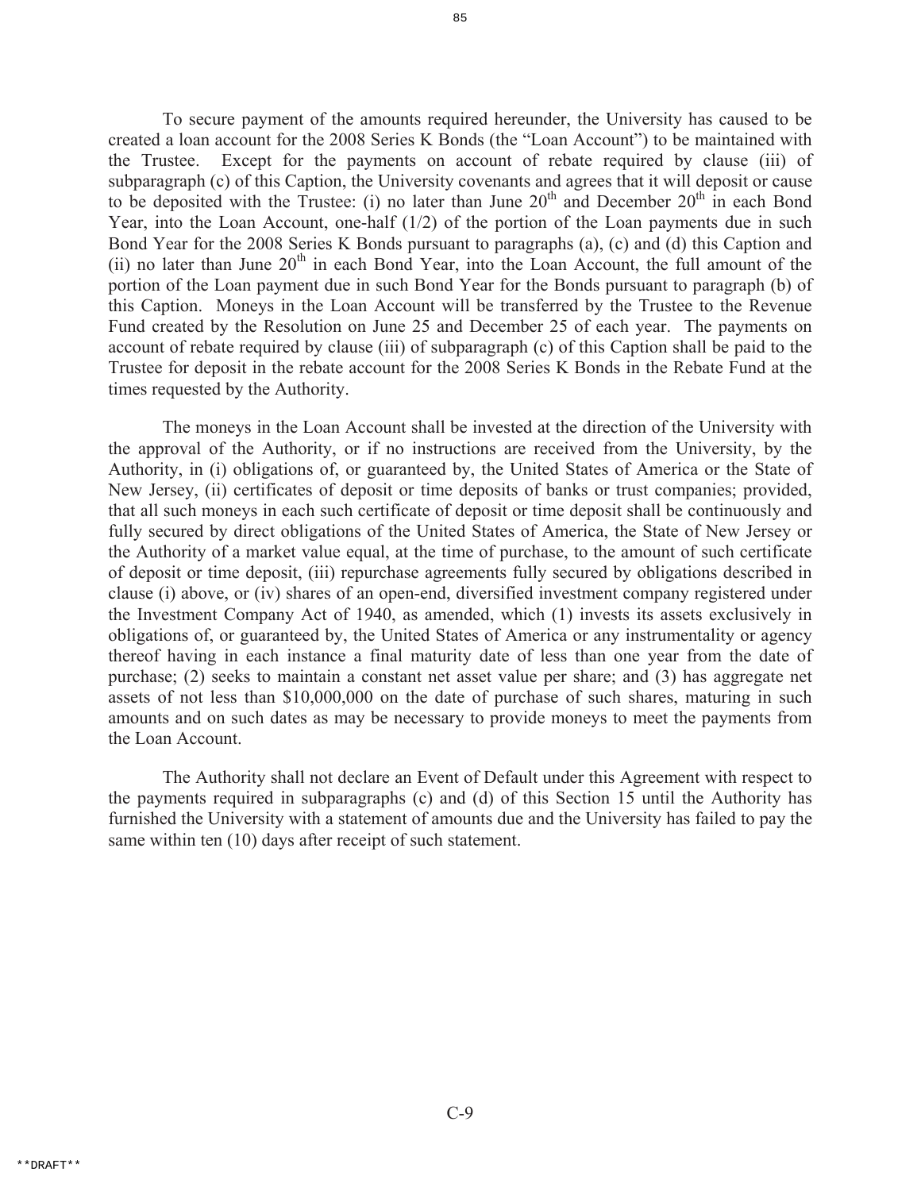To secure payment of the amounts required hereunder, the University has caused to be created a loan account for the 2008 Series K Bonds (the "Loan Account") to be maintained with the Trustee. Except for the payments on account of rebate required by clause (iii) of subparagraph (c) of this Caption, the University covenants and agrees that it will deposit or cause to be deposited with the Trustee: (i) no later than June  $20<sup>th</sup>$  and December  $20<sup>th</sup>$  in each Bond Year, into the Loan Account, one-half (1/2) of the portion of the Loan payments due in such Bond Year for the 2008 Series K Bonds pursuant to paragraphs (a), (c) and (d) this Caption and (ii) no later than June  $20<sup>th</sup>$  in each Bond Year, into the Loan Account, the full amount of the portion of the Loan payment due in such Bond Year for the Bonds pursuant to paragraph (b) of this Caption. Moneys in the Loan Account will be transferred by the Trustee to the Revenue Fund created by the Resolution on June 25 and December 25 of each year. The payments on account of rebate required by clause (iii) of subparagraph (c) of this Caption shall be paid to the Trustee for deposit in the rebate account for the 2008 Series K Bonds in the Rebate Fund at the times requested by the Authority.

The moneys in the Loan Account shall be invested at the direction of the University with the approval of the Authority, or if no instructions are received from the University, by the Authority, in (i) obligations of, or guaranteed by, the United States of America or the State of New Jersey, (ii) certificates of deposit or time deposits of banks or trust companies; provided, that all such moneys in each such certificate of deposit or time deposit shall be continuously and fully secured by direct obligations of the United States of America, the State of New Jersey or the Authority of a market value equal, at the time of purchase, to the amount of such certificate of deposit or time deposit, (iii) repurchase agreements fully secured by obligations described in clause (i) above, or (iv) shares of an open-end, diversified investment company registered under the Investment Company Act of 1940, as amended, which (1) invests its assets exclusively in obligations of, or guaranteed by, the United States of America or any instrumentality or agency thereof having in each instance a final maturity date of less than one year from the date of purchase; (2) seeks to maintain a constant net asset value per share; and (3) has aggregate net assets of not less than \$10,000,000 on the date of purchase of such shares, maturing in such amounts and on such dates as may be necessary to provide moneys to meet the payments from the Loan Account.

The Authority shall not declare an Event of Default under this Agreement with respect to the payments required in subparagraphs (c) and (d) of this Section 15 until the Authority has furnished the University with a statement of amounts due and the University has failed to pay the same within ten (10) days after receipt of such statement.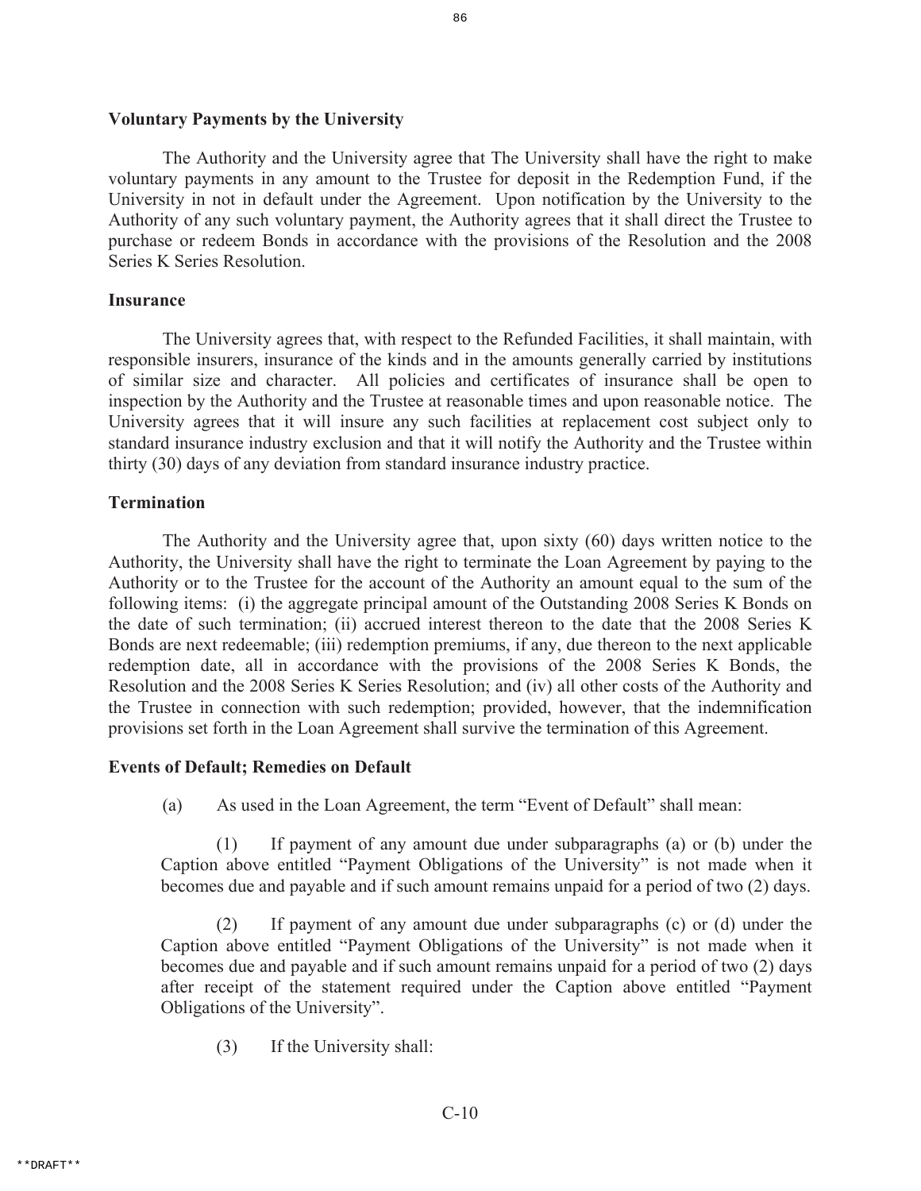## **Voluntary Payments by the University**

The Authority and the University agree that The University shall have the right to make voluntary payments in any amount to the Trustee for deposit in the Redemption Fund, if the University in not in default under the Agreement. Upon notification by the University to the Authority of any such voluntary payment, the Authority agrees that it shall direct the Trustee to purchase or redeem Bonds in accordance with the provisions of the Resolution and the 2008 Series K Series Resolution.

#### **Insurance**

The University agrees that, with respect to the Refunded Facilities, it shall maintain, with responsible insurers, insurance of the kinds and in the amounts generally carried by institutions of similar size and character. All policies and certificates of insurance shall be open to inspection by the Authority and the Trustee at reasonable times and upon reasonable notice. The University agrees that it will insure any such facilities at replacement cost subject only to standard insurance industry exclusion and that it will notify the Authority and the Trustee within thirty (30) days of any deviation from standard insurance industry practice.

### **Termination**

The Authority and the University agree that, upon sixty (60) days written notice to the Authority, the University shall have the right to terminate the Loan Agreement by paying to the Authority or to the Trustee for the account of the Authority an amount equal to the sum of the following items: (i) the aggregate principal amount of the Outstanding 2008 Series K Bonds on the date of such termination; (ii) accrued interest thereon to the date that the 2008 Series K Bonds are next redeemable; (iii) redemption premiums, if any, due thereon to the next applicable redemption date, all in accordance with the provisions of the 2008 Series K Bonds, the Resolution and the 2008 Series K Series Resolution; and (iv) all other costs of the Authority and the Trustee in connection with such redemption; provided, however, that the indemnification provisions set forth in the Loan Agreement shall survive the termination of this Agreement.

### **Events of Default; Remedies on Default**

(a) As used in the Loan Agreement, the term "Event of Default" shall mean:

(1) If payment of any amount due under subparagraphs (a) or (b) under the Caption above entitled "Payment Obligations of the University" is not made when it becomes due and payable and if such amount remains unpaid for a period of two (2) days.

(2) If payment of any amount due under subparagraphs (c) or (d) under the Caption above entitled "Payment Obligations of the University" is not made when it becomes due and payable and if such amount remains unpaid for a period of two (2) days after receipt of the statement required under the Caption above entitled "Payment Obligations of the University".

(3) If the University shall: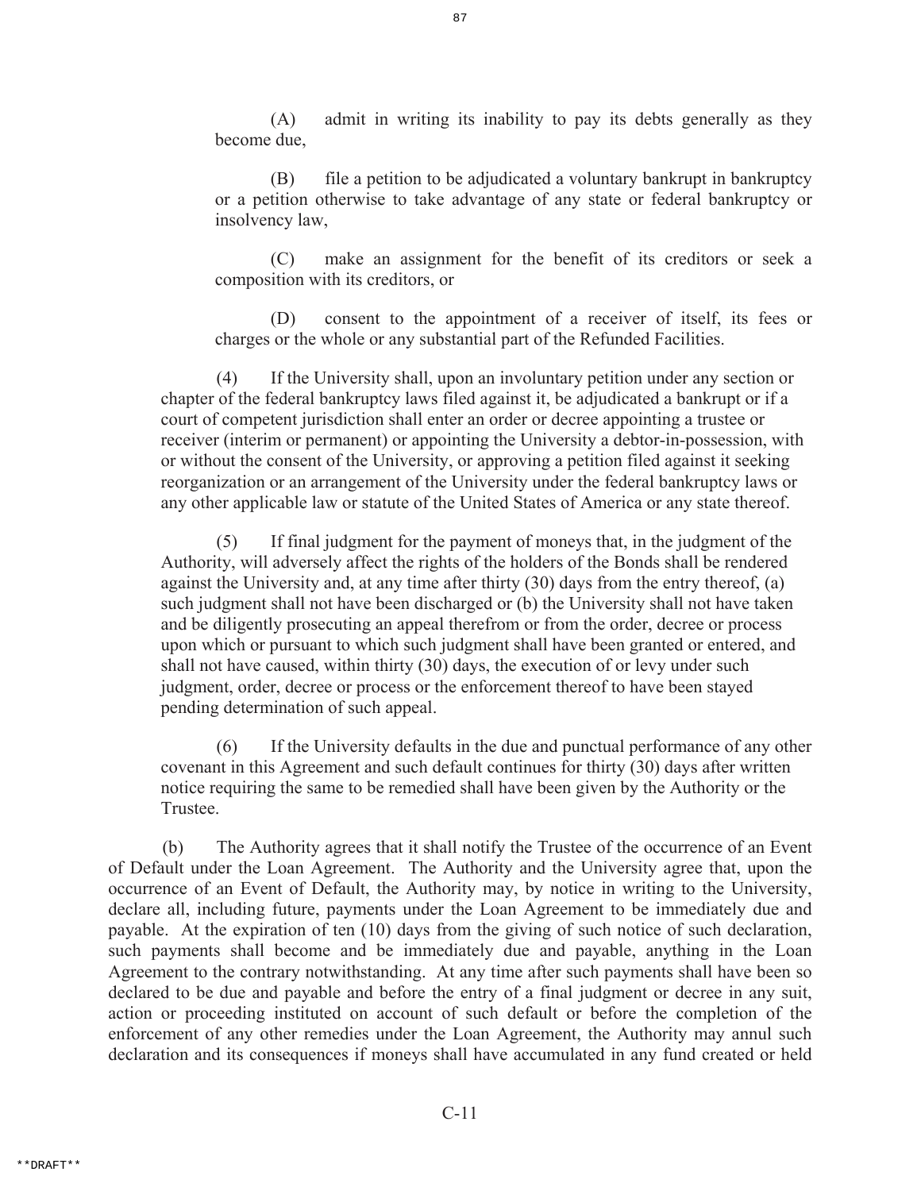(A) admit in writing its inability to pay its debts generally as they become due,

(B) file a petition to be adjudicated a voluntary bankrupt in bankruptcy or a petition otherwise to take advantage of any state or federal bankruptcy or insolvency law,

(C) make an assignment for the benefit of its creditors or seek a composition with its creditors, or

(D) consent to the appointment of a receiver of itself, its fees or charges or the whole or any substantial part of the Refunded Facilities.

(4) If the University shall, upon an involuntary petition under any section or chapter of the federal bankruptcy laws filed against it, be adjudicated a bankrupt or if a court of competent jurisdiction shall enter an order or decree appointing a trustee or receiver (interim or permanent) or appointing the University a debtor-in-possession, with or without the consent of the University, or approving a petition filed against it seeking reorganization or an arrangement of the University under the federal bankruptcy laws or any other applicable law or statute of the United States of America or any state thereof.

(5) If final judgment for the payment of moneys that, in the judgment of the Authority, will adversely affect the rights of the holders of the Bonds shall be rendered against the University and, at any time after thirty (30) days from the entry thereof, (a) such judgment shall not have been discharged or (b) the University shall not have taken and be diligently prosecuting an appeal therefrom or from the order, decree or process upon which or pursuant to which such judgment shall have been granted or entered, and shall not have caused, within thirty (30) days, the execution of or levy under such judgment, order, decree or process or the enforcement thereof to have been stayed pending determination of such appeal.

(6) If the University defaults in the due and punctual performance of any other covenant in this Agreement and such default continues for thirty (30) days after written notice requiring the same to be remedied shall have been given by the Authority or the Trustee.

(b) The Authority agrees that it shall notify the Trustee of the occurrence of an Event of Default under the Loan Agreement. The Authority and the University agree that, upon the occurrence of an Event of Default, the Authority may, by notice in writing to the University, declare all, including future, payments under the Loan Agreement to be immediately due and payable. At the expiration of ten (10) days from the giving of such notice of such declaration, such payments shall become and be immediately due and payable, anything in the Loan Agreement to the contrary notwithstanding. At any time after such payments shall have been so declared to be due and payable and before the entry of a final judgment or decree in any suit, action or proceeding instituted on account of such default or before the completion of the enforcement of any other remedies under the Loan Agreement, the Authority may annul such declaration and its consequences if moneys shall have accumulated in any fund created or held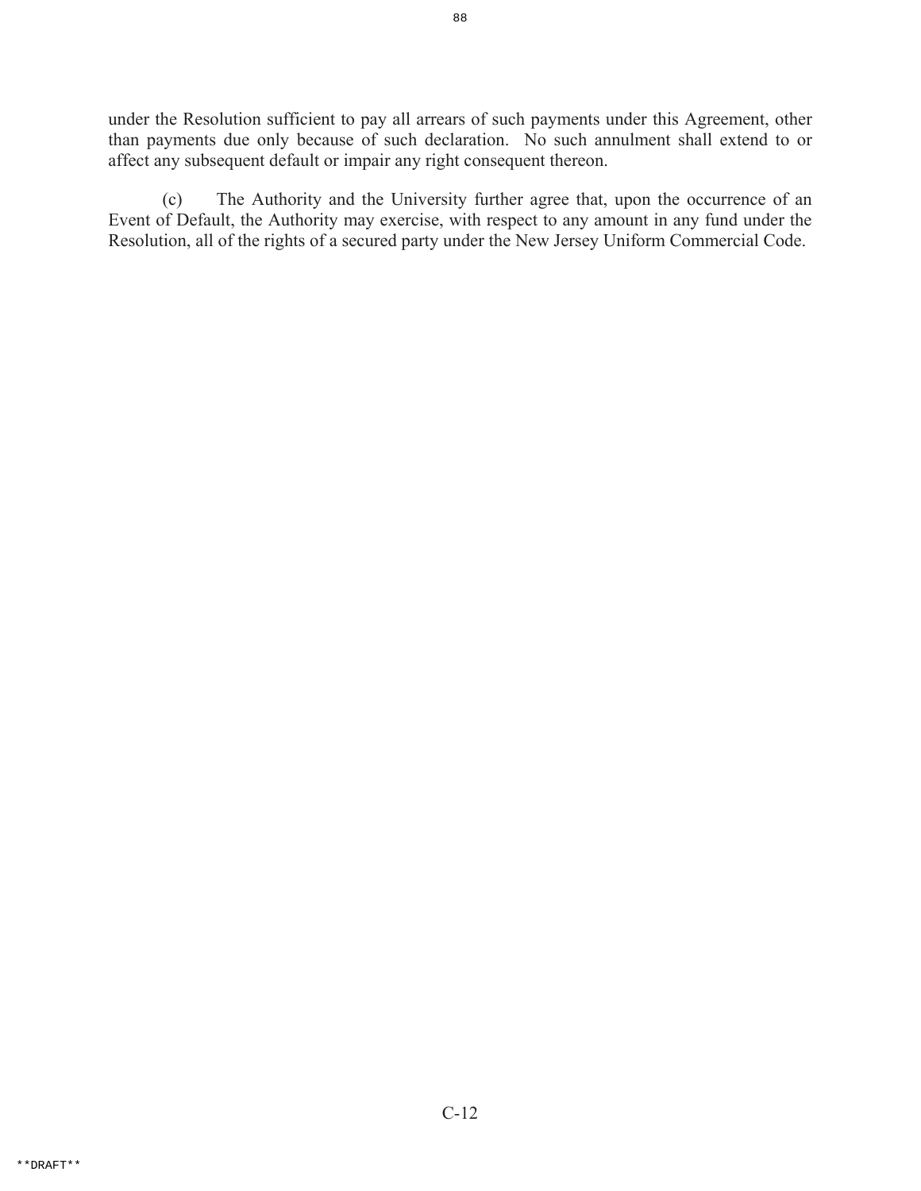under the Resolution sufficient to pay all arrears of such payments under this Agreement, other than payments due only because of such declaration. No such annulment shall extend to or affect any subsequent default or impair any right consequent thereon.

(c) The Authority and the University further agree that, upon the occurrence of an Event of Default, the Authority may exercise, with respect to any amount in any fund under the Resolution, all of the rights of a secured party under the New Jersey Uniform Commercial Code.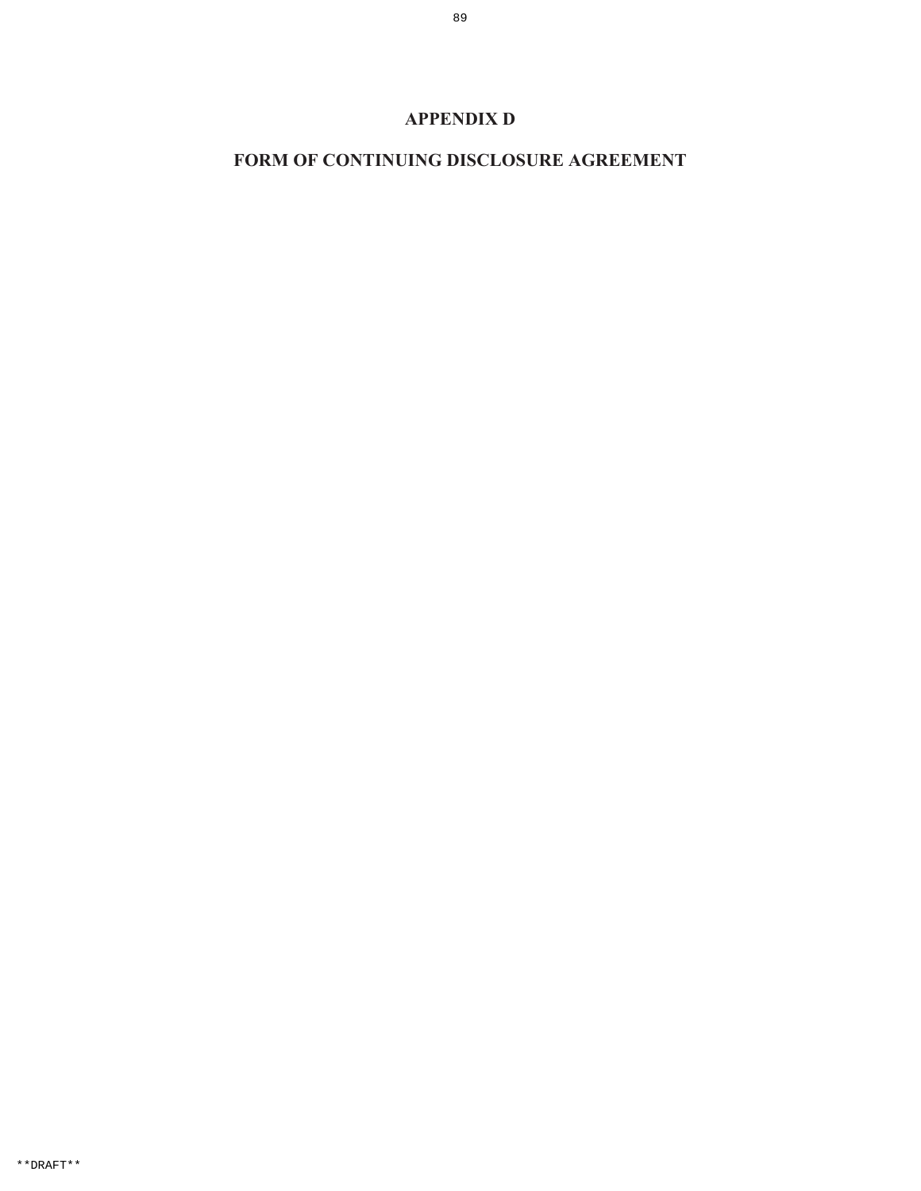## **APPENDIX D**

# **FORM OF CONTINUING DISCLOSURE AGREEMENT**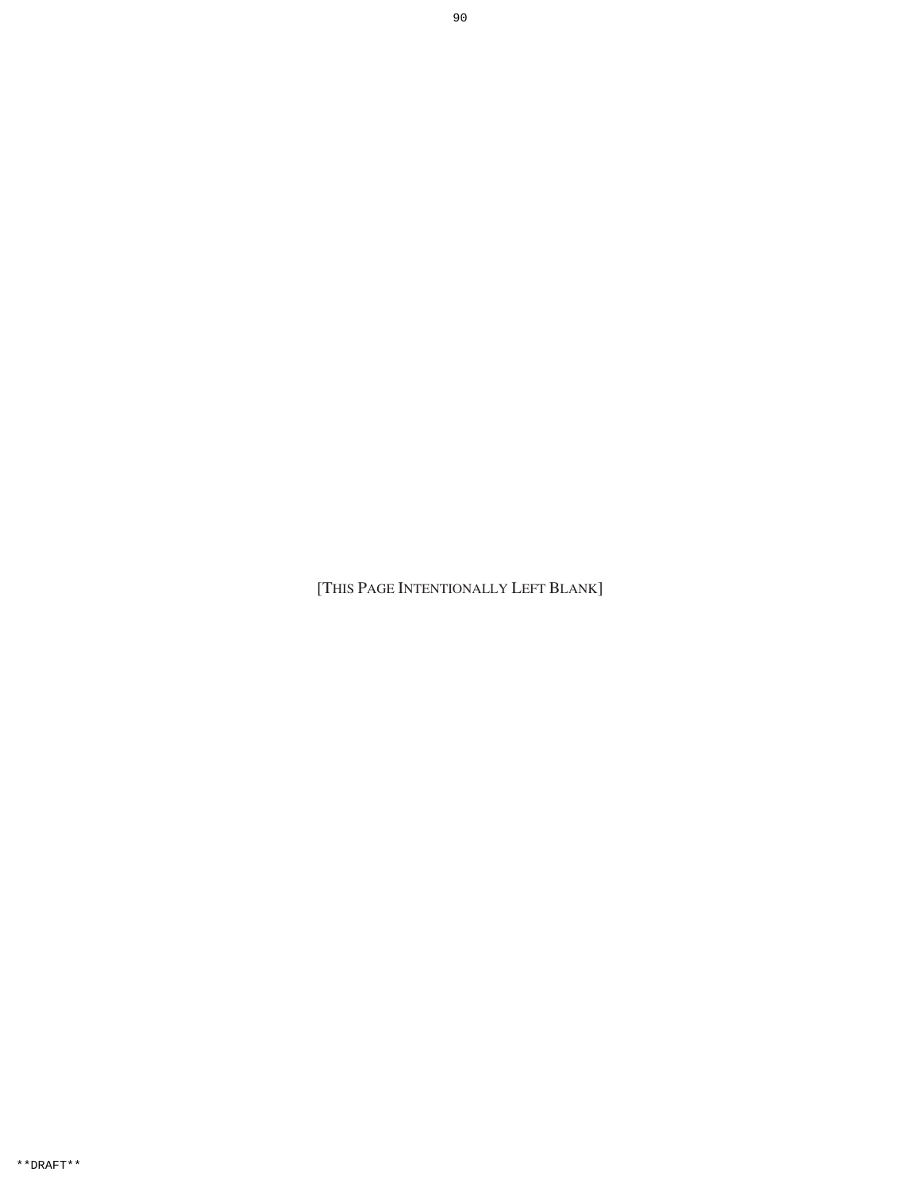[THIS PAGE INTENTIONALLY LEFT BLANK]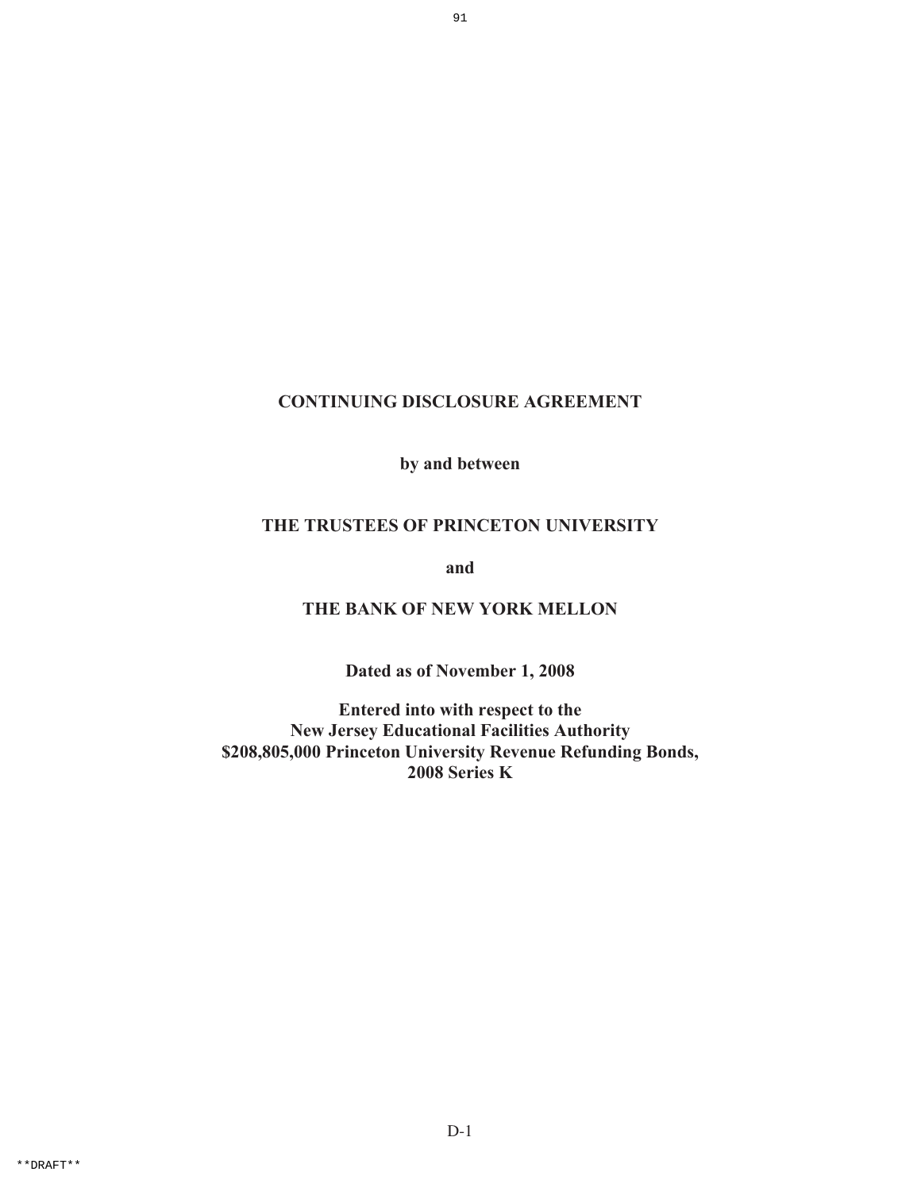## **CONTINUING DISCLOSURE AGREEMENT**

91

**by and between** 

## **THE TRUSTEES OF PRINCETON UNIVERSITY**

**and** 

## **THE BANK OF NEW YORK MELLON**

## **Dated as of November 1, 2008**

**Entered into with respect to the New Jersey Educational Facilities Authority \$208,805,000 Princeton University Revenue Refunding Bonds, 2008 Series K**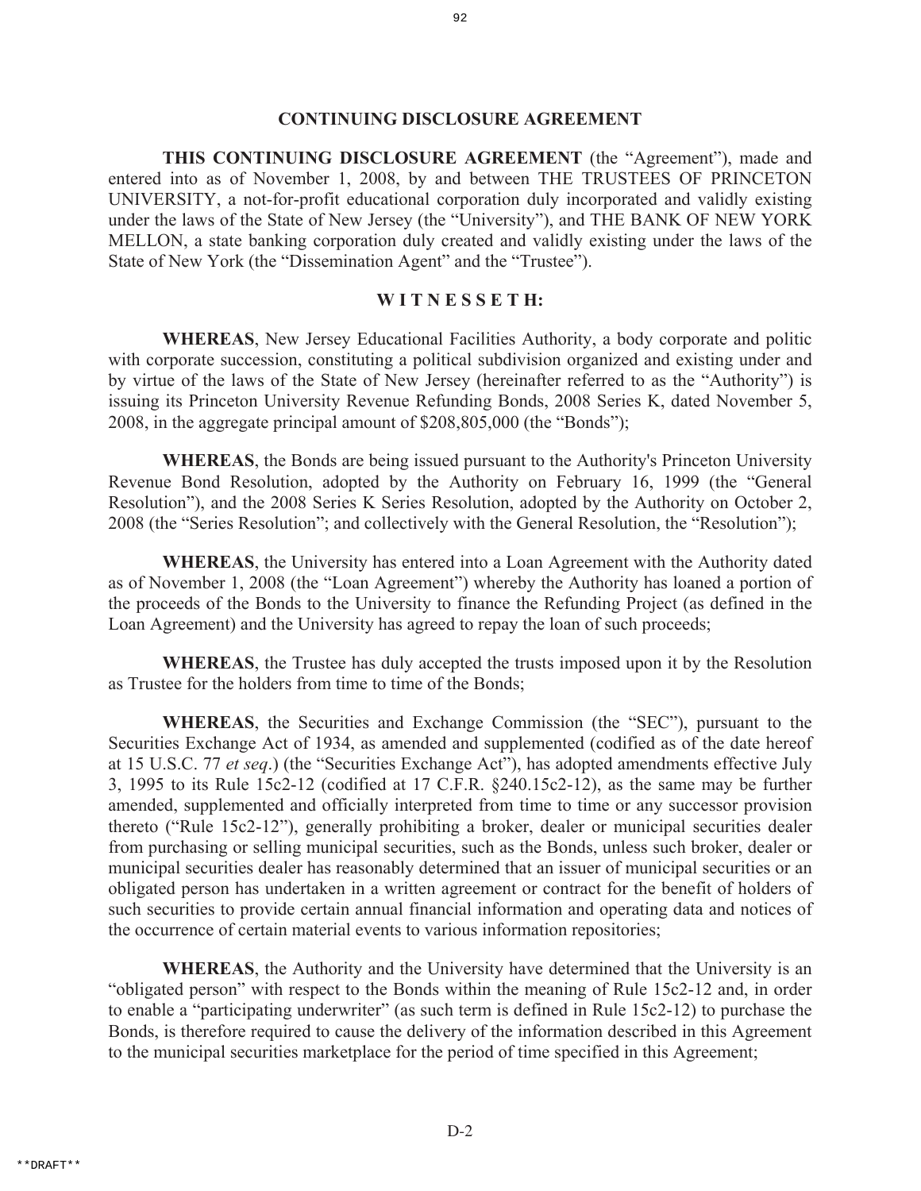### **CONTINUING DISCLOSURE AGREEMENT**

**THIS CONTINUING DISCLOSURE AGREEMENT** (the "Agreement"), made and entered into as of November 1, 2008, by and between THE TRUSTEES OF PRINCETON UNIVERSITY, a not-for-profit educational corporation duly incorporated and validly existing under the laws of the State of New Jersey (the "University"), and THE BANK OF NEW YORK MELLON, a state banking corporation duly created and validly existing under the laws of the State of New York (the "Dissemination Agent" and the "Trustee").

## **W I T N E S S E T H:**

**WHEREAS**, New Jersey Educational Facilities Authority, a body corporate and politic with corporate succession, constituting a political subdivision organized and existing under and by virtue of the laws of the State of New Jersey (hereinafter referred to as the "Authority") is issuing its Princeton University Revenue Refunding Bonds, 2008 Series K, dated November 5, 2008, in the aggregate principal amount of \$208,805,000 (the "Bonds");

**WHEREAS**, the Bonds are being issued pursuant to the Authority's Princeton University Revenue Bond Resolution, adopted by the Authority on February 16, 1999 (the "General Resolution"), and the 2008 Series K Series Resolution, adopted by the Authority on October 2, 2008 (the "Series Resolution"; and collectively with the General Resolution, the "Resolution");

**WHEREAS**, the University has entered into a Loan Agreement with the Authority dated as of November 1, 2008 (the "Loan Agreement") whereby the Authority has loaned a portion of the proceeds of the Bonds to the University to finance the Refunding Project (as defined in the Loan Agreement) and the University has agreed to repay the loan of such proceeds;

**WHEREAS**, the Trustee has duly accepted the trusts imposed upon it by the Resolution as Trustee for the holders from time to time of the Bonds;

**WHEREAS**, the Securities and Exchange Commission (the "SEC"), pursuant to the Securities Exchange Act of 1934, as amended and supplemented (codified as of the date hereof at 15 U.S.C. 77 *et seq*.) (the "Securities Exchange Act"), has adopted amendments effective July 3, 1995 to its Rule 15c2-12 (codified at 17 C.F.R. §240.15c2-12), as the same may be further amended, supplemented and officially interpreted from time to time or any successor provision thereto ("Rule 15c2-12"), generally prohibiting a broker, dealer or municipal securities dealer from purchasing or selling municipal securities, such as the Bonds, unless such broker, dealer or municipal securities dealer has reasonably determined that an issuer of municipal securities or an obligated person has undertaken in a written agreement or contract for the benefit of holders of such securities to provide certain annual financial information and operating data and notices of the occurrence of certain material events to various information repositories;

**WHEREAS**, the Authority and the University have determined that the University is an "obligated person" with respect to the Bonds within the meaning of Rule 15c2-12 and, in order to enable a "participating underwriter" (as such term is defined in Rule 15c2-12) to purchase the Bonds, is therefore required to cause the delivery of the information described in this Agreement to the municipal securities marketplace for the period of time specified in this Agreement;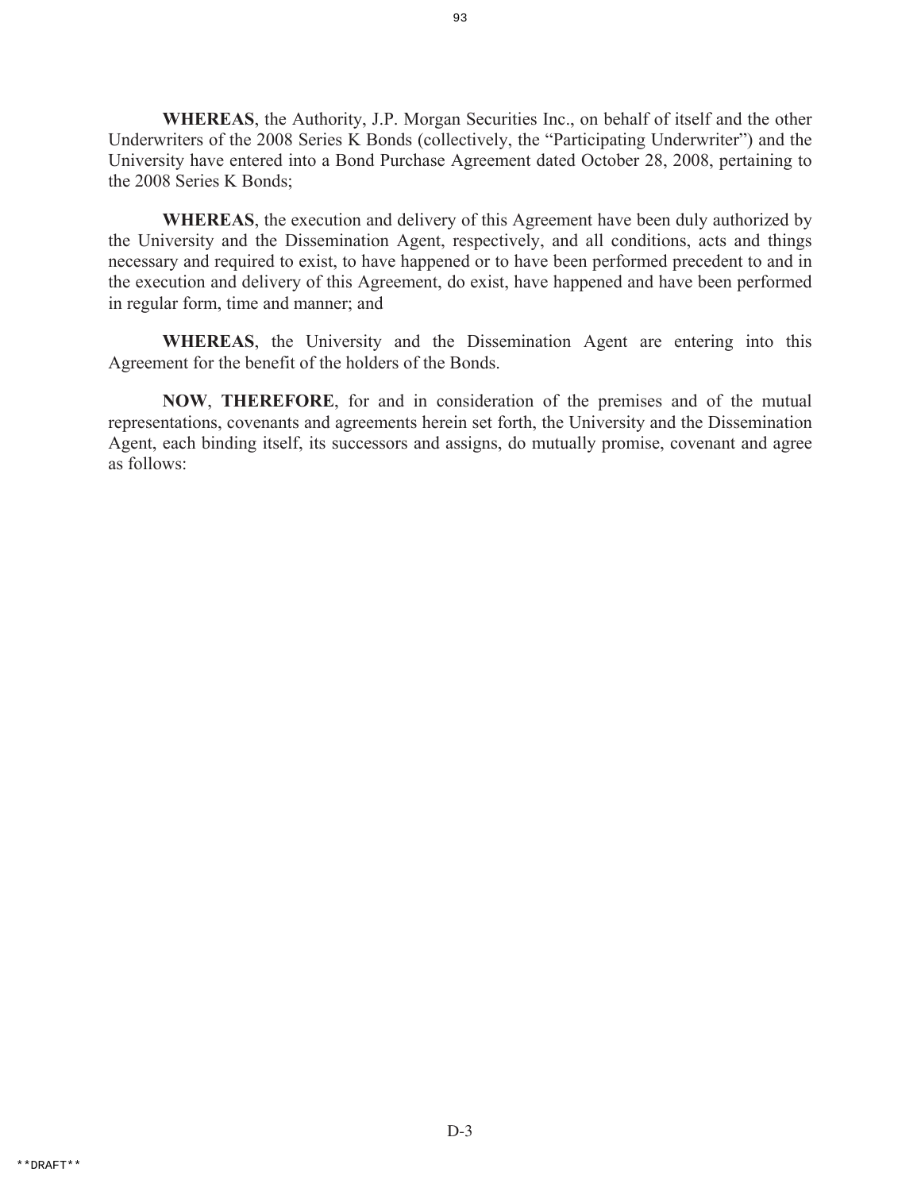**WHEREAS**, the Authority, J.P. Morgan Securities Inc., on behalf of itself and the other Underwriters of the 2008 Series K Bonds (collectively, the "Participating Underwriter") and the University have entered into a Bond Purchase Agreement dated October 28, 2008, pertaining to the 2008 Series K Bonds;

**WHEREAS**, the execution and delivery of this Agreement have been duly authorized by the University and the Dissemination Agent, respectively, and all conditions, acts and things necessary and required to exist, to have happened or to have been performed precedent to and in the execution and delivery of this Agreement, do exist, have happened and have been performed in regular form, time and manner; and

**WHEREAS**, the University and the Dissemination Agent are entering into this Agreement for the benefit of the holders of the Bonds.

**NOW**, **THEREFORE**, for and in consideration of the premises and of the mutual representations, covenants and agreements herein set forth, the University and the Dissemination Agent, each binding itself, its successors and assigns, do mutually promise, covenant and agree as follows: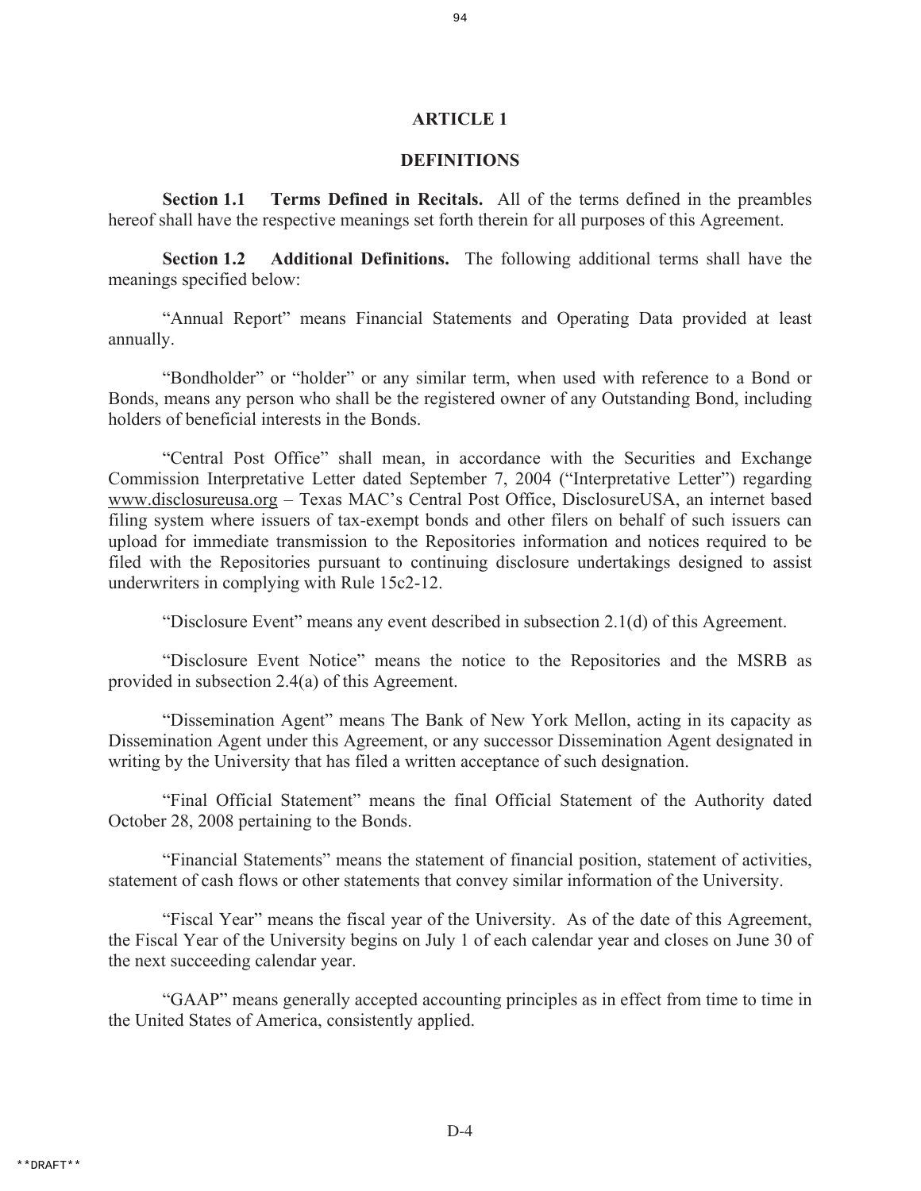### **ARTICLE 1**

94

#### **DEFINITIONS**

**Section 1.1 Terms Defined in Recitals.** All of the terms defined in the preambles hereof shall have the respective meanings set forth therein for all purposes of this Agreement.

**Section 1.2 Additional Definitions.** The following additional terms shall have the meanings specified below:

"Annual Report" means Financial Statements and Operating Data provided at least annually.

"Bondholder" or "holder" or any similar term, when used with reference to a Bond or Bonds, means any person who shall be the registered owner of any Outstanding Bond, including holders of beneficial interests in the Bonds.

"Central Post Office" shall mean, in accordance with the Securities and Exchange Commission Interpretative Letter dated September 7, 2004 ("Interpretative Letter") regarding www.disclosureusa.org – Texas MAC's Central Post Office, DisclosureUSA, an internet based filing system where issuers of tax-exempt bonds and other filers on behalf of such issuers can upload for immediate transmission to the Repositories information and notices required to be filed with the Repositories pursuant to continuing disclosure undertakings designed to assist underwriters in complying with Rule 15c2-12.

"Disclosure Event" means any event described in subsection 2.1(d) of this Agreement.

"Disclosure Event Notice" means the notice to the Repositories and the MSRB as provided in subsection 2.4(a) of this Agreement.

"Dissemination Agent" means The Bank of New York Mellon, acting in its capacity as Dissemination Agent under this Agreement, or any successor Dissemination Agent designated in writing by the University that has filed a written acceptance of such designation.

"Final Official Statement" means the final Official Statement of the Authority dated October 28, 2008 pertaining to the Bonds.

"Financial Statements" means the statement of financial position, statement of activities, statement of cash flows or other statements that convey similar information of the University.

"Fiscal Year" means the fiscal year of the University. As of the date of this Agreement, the Fiscal Year of the University begins on July 1 of each calendar year and closes on June 30 of the next succeeding calendar year.

"GAAP" means generally accepted accounting principles as in effect from time to time in the United States of America, consistently applied.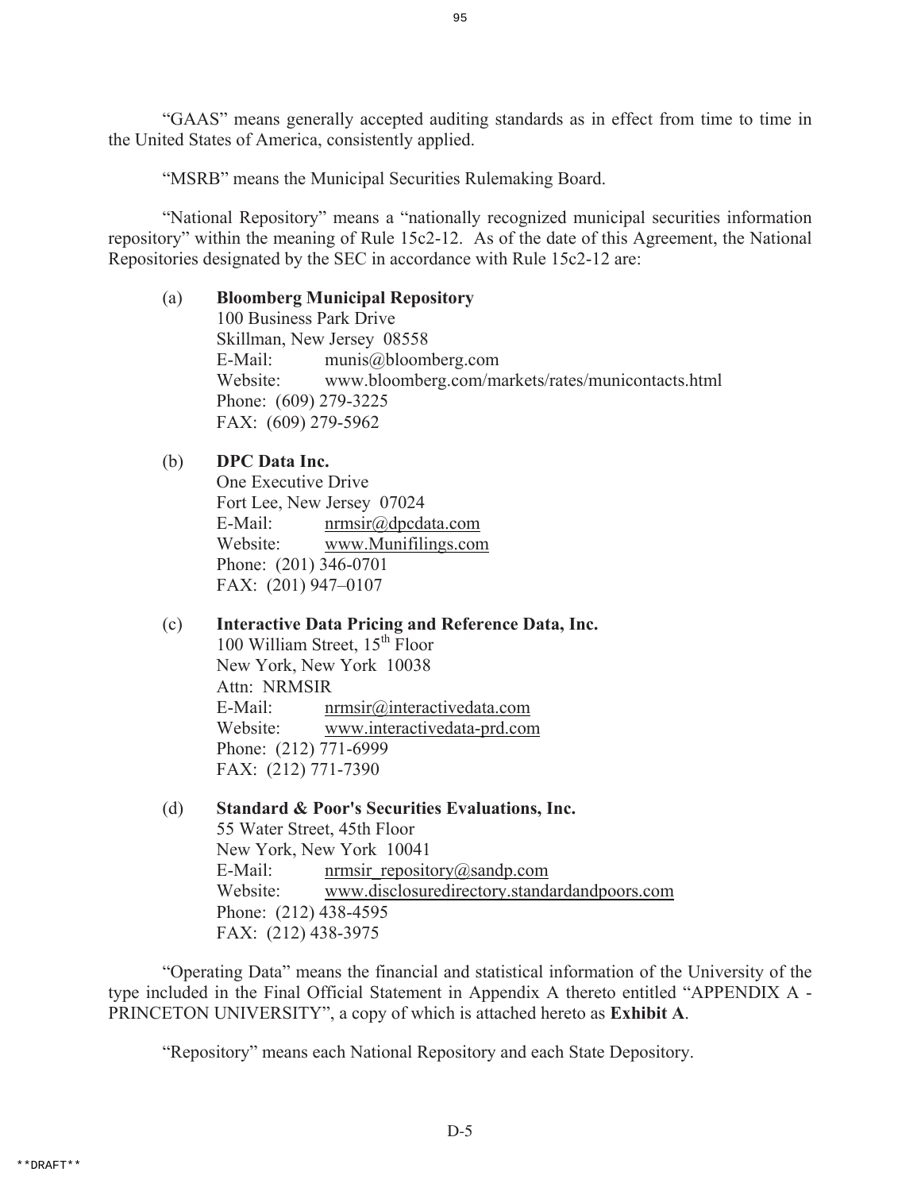"GAAS" means generally accepted auditing standards as in effect from time to time in the United States of America, consistently applied.

"MSRB" means the Municipal Securities Rulemaking Board.

"National Repository" means a "nationally recognized municipal securities information repository" within the meaning of Rule 15c2-12. As of the date of this Agreement, the National Repositories designated by the SEC in accordance with Rule 15c2-12 are:

## (a) **Bloomberg Municipal Repository**

100 Business Park Drive Skillman, New Jersey 08558 E-Mail: munis@bloomberg.com Website: www.bloomberg.com/markets/rates/municontacts.html Phone: (609) 279-3225 FAX: (609) 279-5962

## (b) **DPC Data Inc.**

One Executive Drive Fort Lee, New Jersey 07024 E-Mail: nrmsir@dpcdata.com Website: www.Munifilings.com Phone: (201) 346-0701 FAX: (201) 947–0107

## (c) **Interactive Data Pricing and Reference Data, Inc.**

100 William Street, 15<sup>th</sup> Floor New York, New York 10038 Attn: NRMSIR E-Mail: nrmsir@interactivedata.com Website: www.interactivedata-prd.com Phone: (212) 771-6999 FAX: (212) 771-7390

## (d) **Standard & Poor's Securities Evaluations, Inc.** 55 Water Street, 45th Floor New York, New York 10041 E-Mail: nrmsir\_repository@sandp.com Website: www.disclosuredirectory.standardandpoors.com Phone: (212) 438-4595 FAX: (212) 438-3975

"Operating Data" means the financial and statistical information of the University of the type included in the Final Official Statement in Appendix A thereto entitled "APPENDIX A - PRINCETON UNIVERSITY", a copy of which is attached hereto as **Exhibit A**.

"Repository" means each National Repository and each State Depository.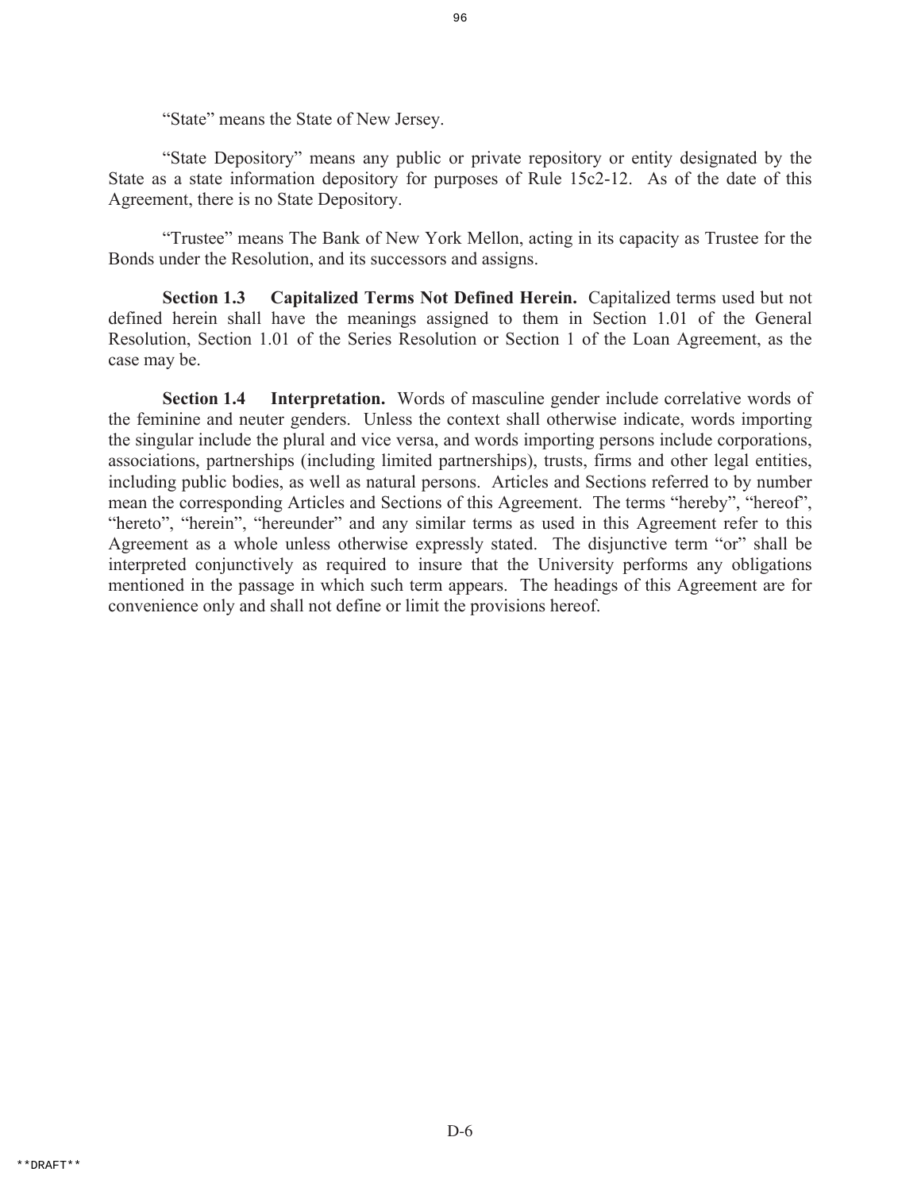"State" means the State of New Jersey.

"State Depository" means any public or private repository or entity designated by the State as a state information depository for purposes of Rule 15c2-12. As of the date of this Agreement, there is no State Depository.

"Trustee" means The Bank of New York Mellon, acting in its capacity as Trustee for the Bonds under the Resolution, and its successors and assigns.

**Section 1.3 Capitalized Terms Not Defined Herein.** Capitalized terms used but not defined herein shall have the meanings assigned to them in Section 1.01 of the General Resolution, Section 1.01 of the Series Resolution or Section 1 of the Loan Agreement, as the case may be.

**Section 1.4 Interpretation.** Words of masculine gender include correlative words of the feminine and neuter genders. Unless the context shall otherwise indicate, words importing the singular include the plural and vice versa, and words importing persons include corporations, associations, partnerships (including limited partnerships), trusts, firms and other legal entities, including public bodies, as well as natural persons. Articles and Sections referred to by number mean the corresponding Articles and Sections of this Agreement. The terms "hereby", "hereof", "hereto", "herein", "hereunder" and any similar terms as used in this Agreement refer to this Agreement as a whole unless otherwise expressly stated. The disjunctive term "or" shall be interpreted conjunctively as required to insure that the University performs any obligations mentioned in the passage in which such term appears. The headings of this Agreement are for convenience only and shall not define or limit the provisions hereof.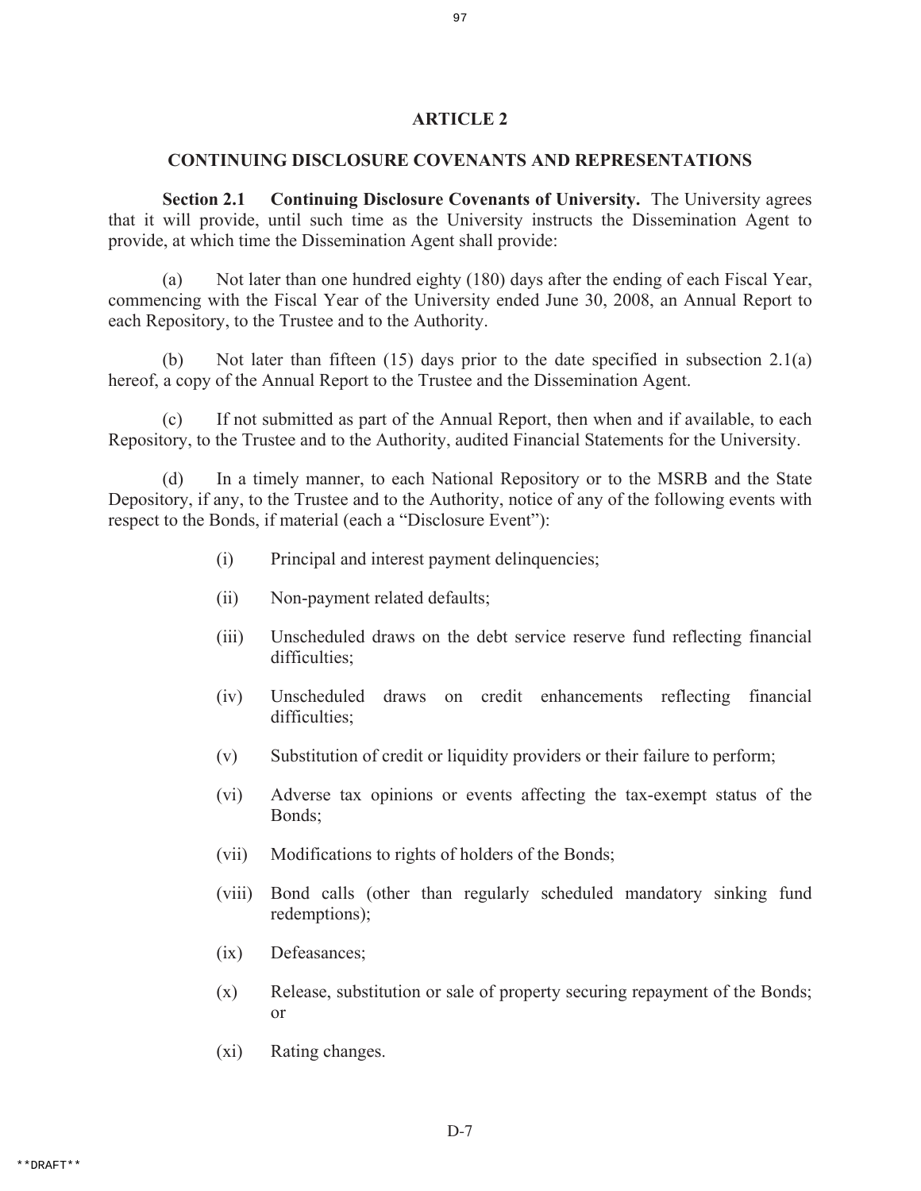### **ARTICLE 2**

97

### **CONTINUING DISCLOSURE COVENANTS AND REPRESENTATIONS**

**Section 2.1 Continuing Disclosure Covenants of University.** The University agrees that it will provide, until such time as the University instructs the Dissemination Agent to provide, at which time the Dissemination Agent shall provide:

(a) Not later than one hundred eighty (180) days after the ending of each Fiscal Year, commencing with the Fiscal Year of the University ended June 30, 2008, an Annual Report to each Repository, to the Trustee and to the Authority.

(b) Not later than fifteen (15) days prior to the date specified in subsection 2.1(a) hereof, a copy of the Annual Report to the Trustee and the Dissemination Agent.

(c) If not submitted as part of the Annual Report, then when and if available, to each Repository, to the Trustee and to the Authority, audited Financial Statements for the University.

(d) In a timely manner, to each National Repository or to the MSRB and the State Depository, if any, to the Trustee and to the Authority, notice of any of the following events with respect to the Bonds, if material (each a "Disclosure Event"):

- (i) Principal and interest payment delinquencies;
- (ii) Non-payment related defaults;
- (iii) Unscheduled draws on the debt service reserve fund reflecting financial difficulties;
- (iv) Unscheduled draws on credit enhancements reflecting financial difficulties;
- (v) Substitution of credit or liquidity providers or their failure to perform;
- (vi) Adverse tax opinions or events affecting the tax-exempt status of the Bonds;
- (vii) Modifications to rights of holders of the Bonds;
- (viii) Bond calls (other than regularly scheduled mandatory sinking fund redemptions);
- (ix) Defeasances;
- (x) Release, substitution or sale of property securing repayment of the Bonds; or
- (xi) Rating changes.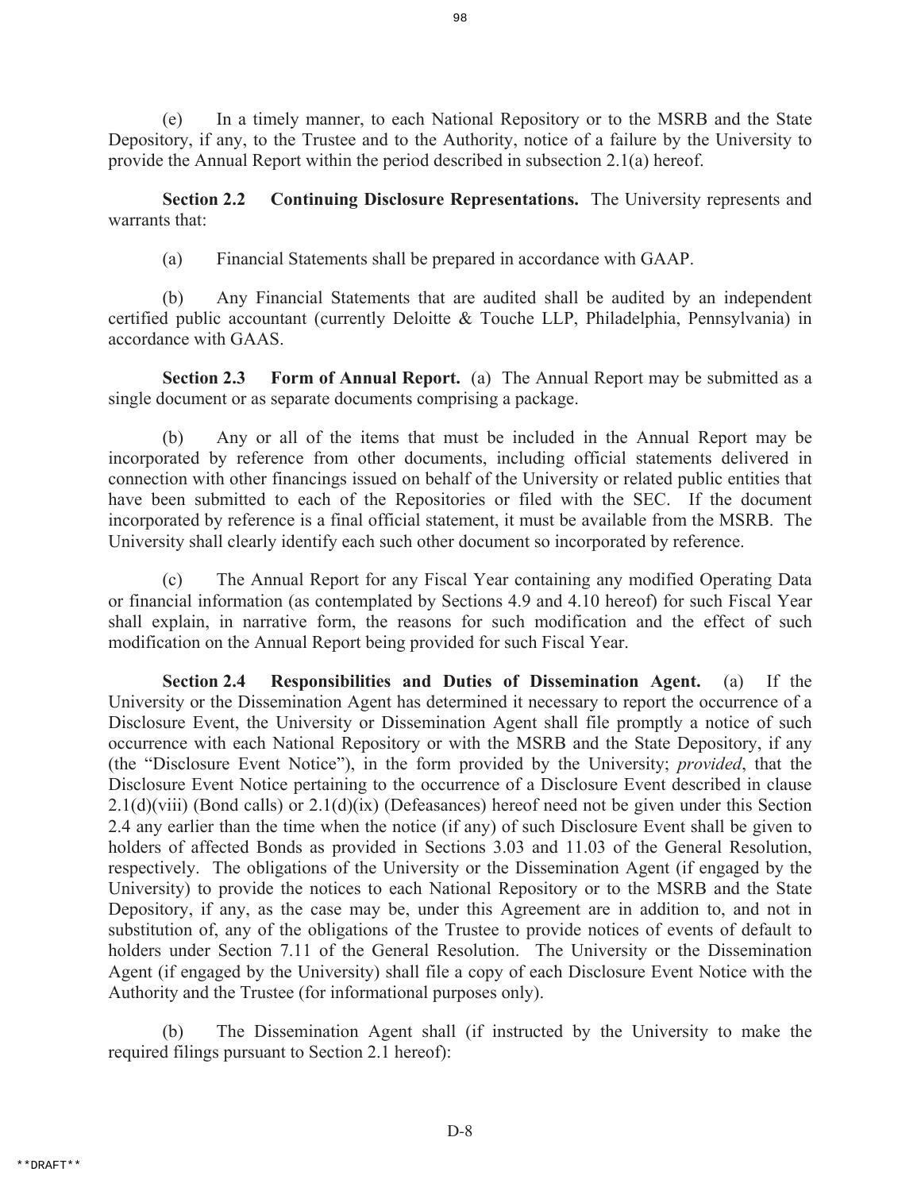(e) In a timely manner, to each National Repository or to the MSRB and the State Depository, if any, to the Trustee and to the Authority, notice of a failure by the University to provide the Annual Report within the period described in subsection 2.1(a) hereof.

**Section 2.2 Continuing Disclosure Representations.** The University represents and warrants that:

(a) Financial Statements shall be prepared in accordance with GAAP.

(b) Any Financial Statements that are audited shall be audited by an independent certified public accountant (currently Deloitte & Touche LLP, Philadelphia, Pennsylvania) in accordance with GAAS.

**Section 2.3 Form of Annual Report.** (a) The Annual Report may be submitted as a single document or as separate documents comprising a package.

(b) Any or all of the items that must be included in the Annual Report may be incorporated by reference from other documents, including official statements delivered in connection with other financings issued on behalf of the University or related public entities that have been submitted to each of the Repositories or filed with the SEC. If the document incorporated by reference is a final official statement, it must be available from the MSRB. The University shall clearly identify each such other document so incorporated by reference.

(c) The Annual Report for any Fiscal Year containing any modified Operating Data or financial information (as contemplated by Sections 4.9 and 4.10 hereof) for such Fiscal Year shall explain, in narrative form, the reasons for such modification and the effect of such modification on the Annual Report being provided for such Fiscal Year.

**Section 2.4 Responsibilities and Duties of Dissemination Agent.** (a) If the University or the Dissemination Agent has determined it necessary to report the occurrence of a Disclosure Event, the University or Dissemination Agent shall file promptly a notice of such occurrence with each National Repository or with the MSRB and the State Depository, if any (the "Disclosure Event Notice"), in the form provided by the University; *provided*, that the Disclosure Event Notice pertaining to the occurrence of a Disclosure Event described in clause  $2.1(d)(viii)$  (Bond calls) or  $2.1(d)(ix)$  (Defeasances) hereof need not be given under this Section 2.4 any earlier than the time when the notice (if any) of such Disclosure Event shall be given to holders of affected Bonds as provided in Sections 3.03 and 11.03 of the General Resolution, respectively. The obligations of the University or the Dissemination Agent (if engaged by the University) to provide the notices to each National Repository or to the MSRB and the State Depository, if any, as the case may be, under this Agreement are in addition to, and not in substitution of, any of the obligations of the Trustee to provide notices of events of default to holders under Section 7.11 of the General Resolution. The University or the Dissemination Agent (if engaged by the University) shall file a copy of each Disclosure Event Notice with the Authority and the Trustee (for informational purposes only).

(b) The Dissemination Agent shall (if instructed by the University to make the required filings pursuant to Section 2.1 hereof):

98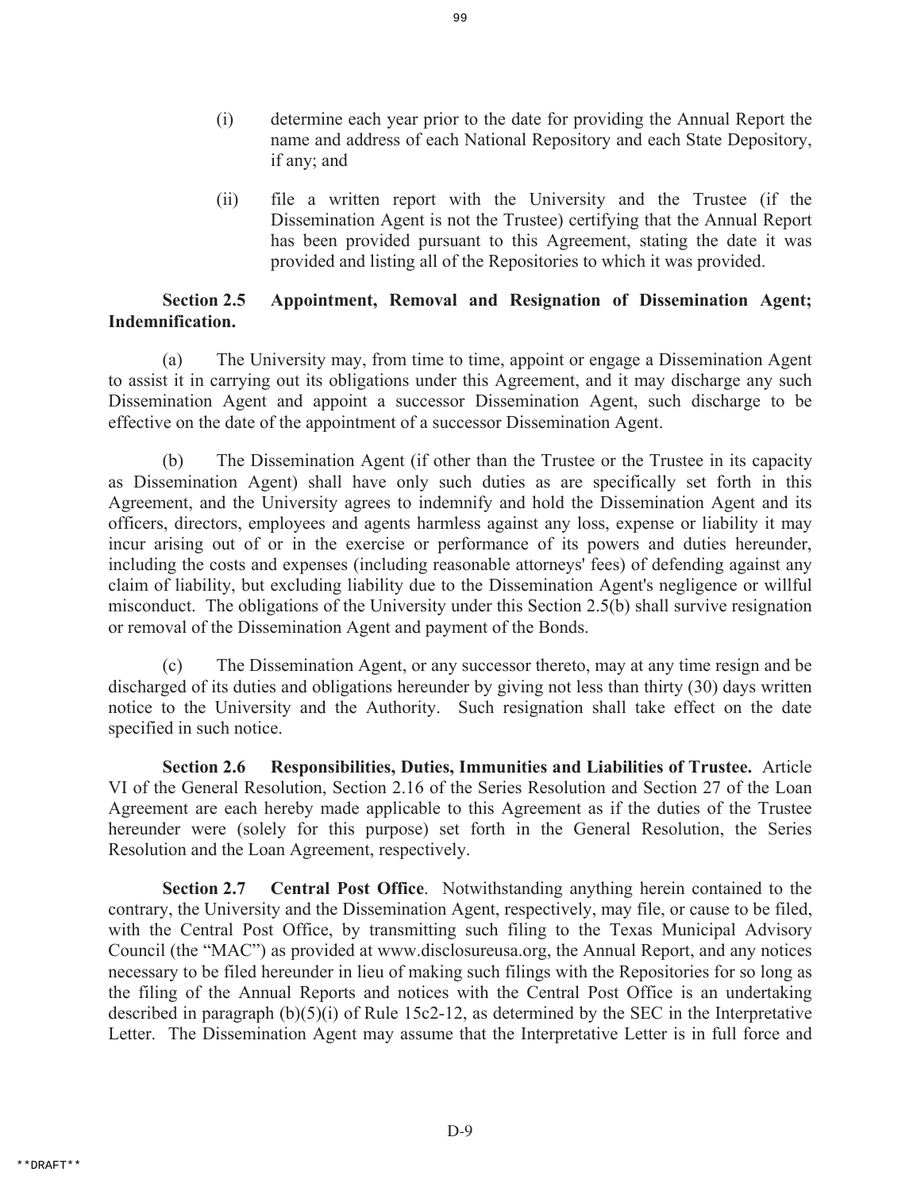- (i) determine each year prior to the date for providing the Annual Report the name and address of each National Repository and each State Depository, if any; and
- (ii) file a written report with the University and the Trustee (if the Dissemination Agent is not the Trustee) certifying that the Annual Report has been provided pursuant to this Agreement, stating the date it was provided and listing all of the Repositories to which it was provided.

## **Section 2.5 Appointment, Removal and Resignation of Dissemination Agent; Indemnification.**

(a) The University may, from time to time, appoint or engage a Dissemination Agent to assist it in carrying out its obligations under this Agreement, and it may discharge any such Dissemination Agent and appoint a successor Dissemination Agent, such discharge to be effective on the date of the appointment of a successor Dissemination Agent.

(b) The Dissemination Agent (if other than the Trustee or the Trustee in its capacity as Dissemination Agent) shall have only such duties as are specifically set forth in this Agreement, and the University agrees to indemnify and hold the Dissemination Agent and its officers, directors, employees and agents harmless against any loss, expense or liability it may incur arising out of or in the exercise or performance of its powers and duties hereunder, including the costs and expenses (including reasonable attorneys' fees) of defending against any claim of liability, but excluding liability due to the Dissemination Agent's negligence or willful misconduct. The obligations of the University under this Section 2.5(b) shall survive resignation or removal of the Dissemination Agent and payment of the Bonds.

(c) The Dissemination Agent, or any successor thereto, may at any time resign and be discharged of its duties and obligations hereunder by giving not less than thirty (30) days written notice to the University and the Authority. Such resignation shall take effect on the date specified in such notice.

**Section 2.6 Responsibilities, Duties, Immunities and Liabilities of Trustee.** Article VI of the General Resolution, Section 2.16 of the Series Resolution and Section 27 of the Loan Agreement are each hereby made applicable to this Agreement as if the duties of the Trustee hereunder were (solely for this purpose) set forth in the General Resolution, the Series Resolution and the Loan Agreement, respectively.

**Section 2.7 Central Post Office**. Notwithstanding anything herein contained to the contrary, the University and the Dissemination Agent, respectively, may file, or cause to be filed, with the Central Post Office, by transmitting such filing to the Texas Municipal Advisory Council (the "MAC") as provided at www.disclosureusa.org, the Annual Report, and any notices necessary to be filed hereunder in lieu of making such filings with the Repositories for so long as the filing of the Annual Reports and notices with the Central Post Office is an undertaking described in paragraph (b)(5)(i) of Rule 15c2-12, as determined by the SEC in the Interpretative Letter. The Dissemination Agent may assume that the Interpretative Letter is in full force and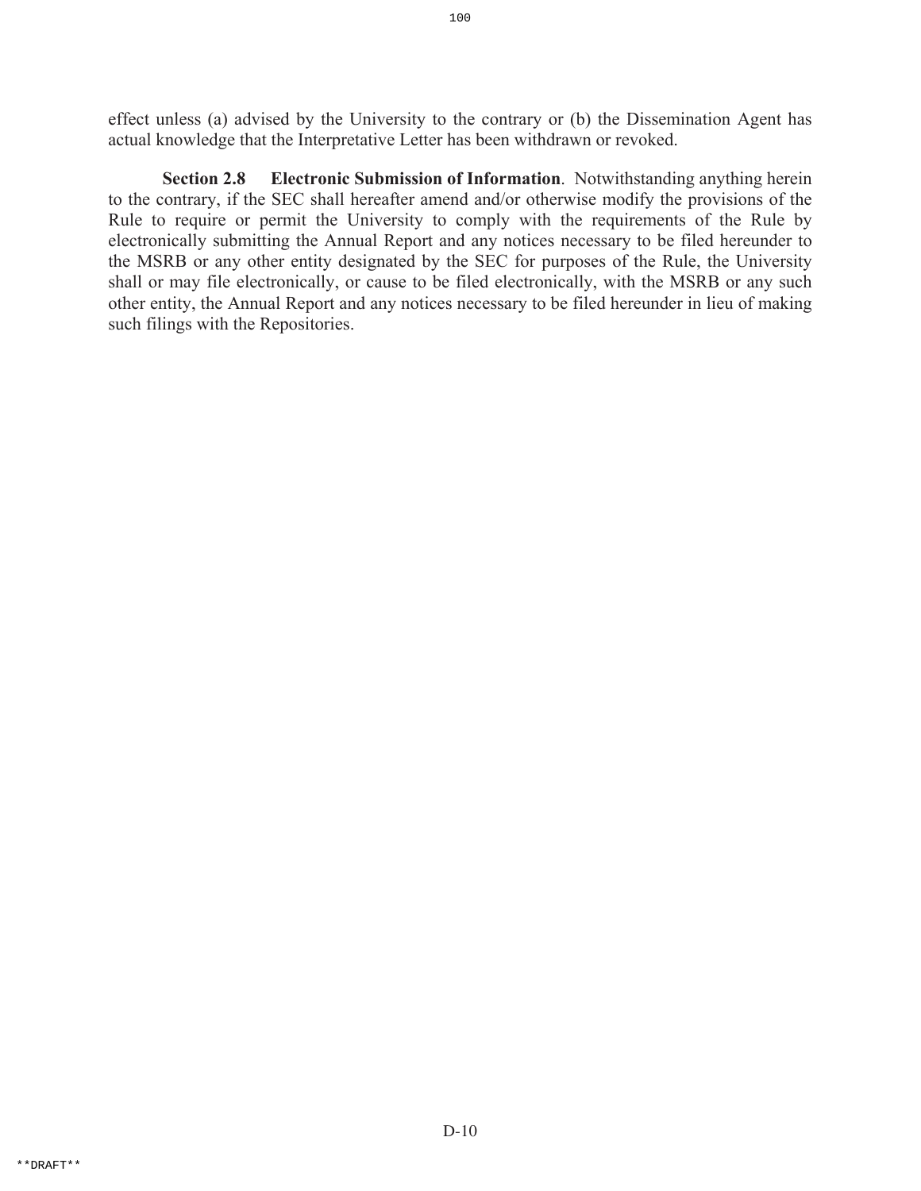effect unless (a) advised by the University to the contrary or (b) the Dissemination Agent has actual knowledge that the Interpretative Letter has been withdrawn or revoked.

**Section 2.8 Electronic Submission of Information**. Notwithstanding anything herein to the contrary, if the SEC shall hereafter amend and/or otherwise modify the provisions of the Rule to require or permit the University to comply with the requirements of the Rule by electronically submitting the Annual Report and any notices necessary to be filed hereunder to the MSRB or any other entity designated by the SEC for purposes of the Rule, the University shall or may file electronically, or cause to be filed electronically, with the MSRB or any such other entity, the Annual Report and any notices necessary to be filed hereunder in lieu of making such filings with the Repositories.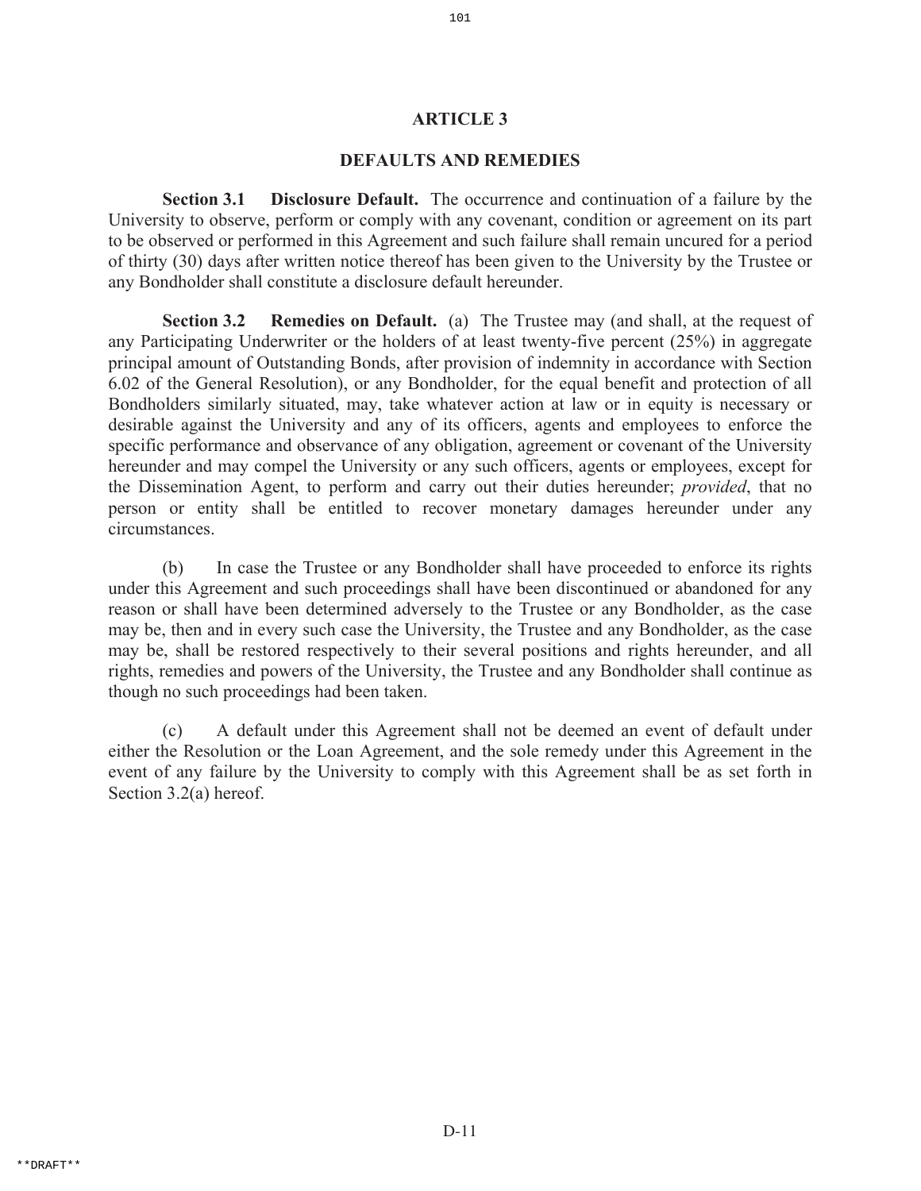## **ARTICLE 3**

### **DEFAULTS AND REMEDIES**

**Section 3.1 Disclosure Default.** The occurrence and continuation of a failure by the University to observe, perform or comply with any covenant, condition or agreement on its part to be observed or performed in this Agreement and such failure shall remain uncured for a period of thirty (30) days after written notice thereof has been given to the University by the Trustee or any Bondholder shall constitute a disclosure default hereunder.

**Section 3.2 Remedies on Default.** (a) The Trustee may (and shall, at the request of any Participating Underwriter or the holders of at least twenty-five percent (25%) in aggregate principal amount of Outstanding Bonds, after provision of indemnity in accordance with Section 6.02 of the General Resolution), or any Bondholder, for the equal benefit and protection of all Bondholders similarly situated, may, take whatever action at law or in equity is necessary or desirable against the University and any of its officers, agents and employees to enforce the specific performance and observance of any obligation, agreement or covenant of the University hereunder and may compel the University or any such officers, agents or employees, except for the Dissemination Agent, to perform and carry out their duties hereunder; *provided*, that no person or entity shall be entitled to recover monetary damages hereunder under any circumstances.

(b) In case the Trustee or any Bondholder shall have proceeded to enforce its rights under this Agreement and such proceedings shall have been discontinued or abandoned for any reason or shall have been determined adversely to the Trustee or any Bondholder, as the case may be, then and in every such case the University, the Trustee and any Bondholder, as the case may be, shall be restored respectively to their several positions and rights hereunder, and all rights, remedies and powers of the University, the Trustee and any Bondholder shall continue as though no such proceedings had been taken.

(c) A default under this Agreement shall not be deemed an event of default under either the Resolution or the Loan Agreement, and the sole remedy under this Agreement in the event of any failure by the University to comply with this Agreement shall be as set forth in Section 3.2(a) hereof.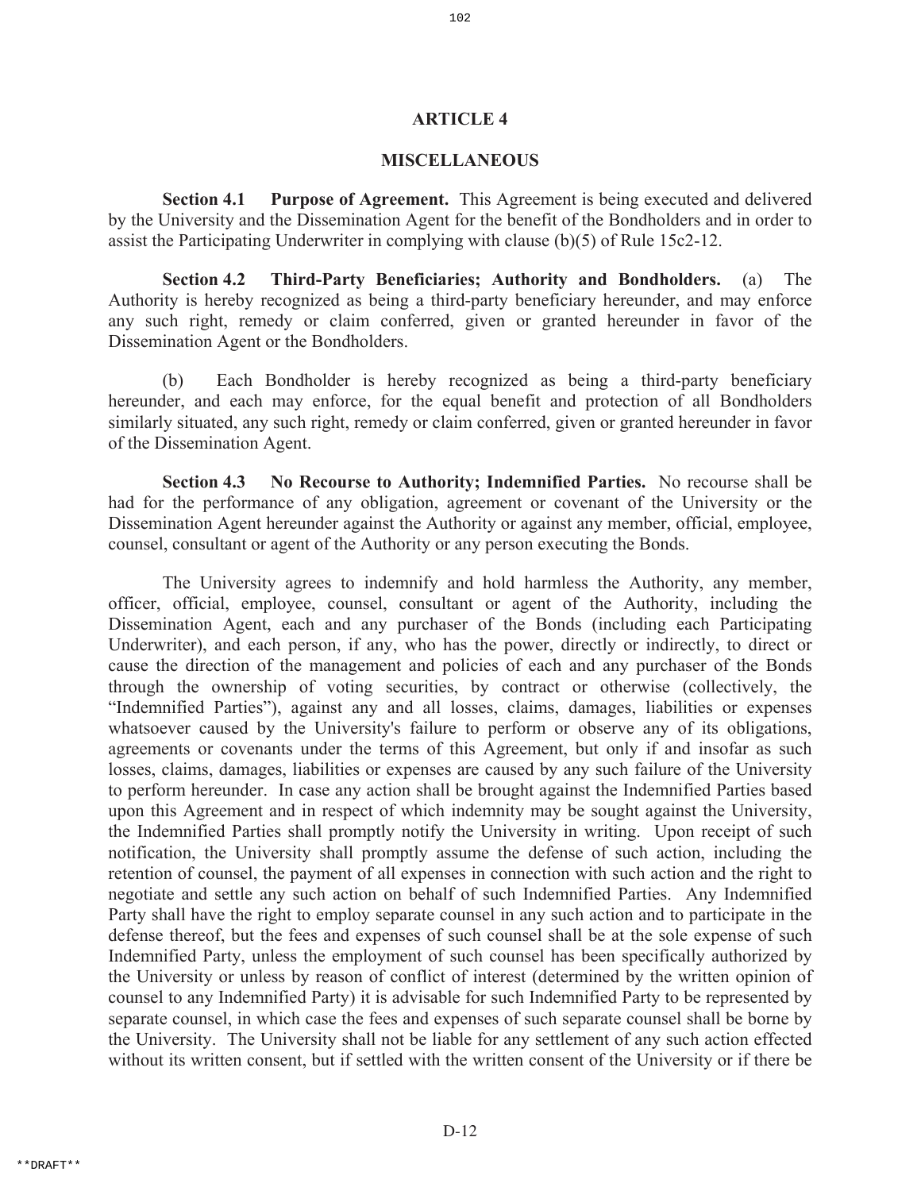### **ARTICLE 4**

### **MISCELLANEOUS**

**Section 4.1 Purpose of Agreement.** This Agreement is being executed and delivered by the University and the Dissemination Agent for the benefit of the Bondholders and in order to assist the Participating Underwriter in complying with clause (b)(5) of Rule 15c2-12.

**Section 4.2 Third-Party Beneficiaries; Authority and Bondholders.** (a) The Authority is hereby recognized as being a third-party beneficiary hereunder, and may enforce any such right, remedy or claim conferred, given or granted hereunder in favor of the Dissemination Agent or the Bondholders.

(b) Each Bondholder is hereby recognized as being a third-party beneficiary hereunder, and each may enforce, for the equal benefit and protection of all Bondholders similarly situated, any such right, remedy or claim conferred, given or granted hereunder in favor of the Dissemination Agent.

**Section 4.3 No Recourse to Authority; Indemnified Parties.** No recourse shall be had for the performance of any obligation, agreement or covenant of the University or the Dissemination Agent hereunder against the Authority or against any member, official, employee, counsel, consultant or agent of the Authority or any person executing the Bonds.

The University agrees to indemnify and hold harmless the Authority, any member, officer, official, employee, counsel, consultant or agent of the Authority, including the Dissemination Agent, each and any purchaser of the Bonds (including each Participating Underwriter), and each person, if any, who has the power, directly or indirectly, to direct or cause the direction of the management and policies of each and any purchaser of the Bonds through the ownership of voting securities, by contract or otherwise (collectively, the "Indemnified Parties"), against any and all losses, claims, damages, liabilities or expenses whatsoever caused by the University's failure to perform or observe any of its obligations, agreements or covenants under the terms of this Agreement, but only if and insofar as such losses, claims, damages, liabilities or expenses are caused by any such failure of the University to perform hereunder. In case any action shall be brought against the Indemnified Parties based upon this Agreement and in respect of which indemnity may be sought against the University, the Indemnified Parties shall promptly notify the University in writing. Upon receipt of such notification, the University shall promptly assume the defense of such action, including the retention of counsel, the payment of all expenses in connection with such action and the right to negotiate and settle any such action on behalf of such Indemnified Parties. Any Indemnified Party shall have the right to employ separate counsel in any such action and to participate in the defense thereof, but the fees and expenses of such counsel shall be at the sole expense of such Indemnified Party, unless the employment of such counsel has been specifically authorized by the University or unless by reason of conflict of interest (determined by the written opinion of counsel to any Indemnified Party) it is advisable for such Indemnified Party to be represented by separate counsel, in which case the fees and expenses of such separate counsel shall be borne by the University. The University shall not be liable for any settlement of any such action effected without its written consent, but if settled with the written consent of the University or if there be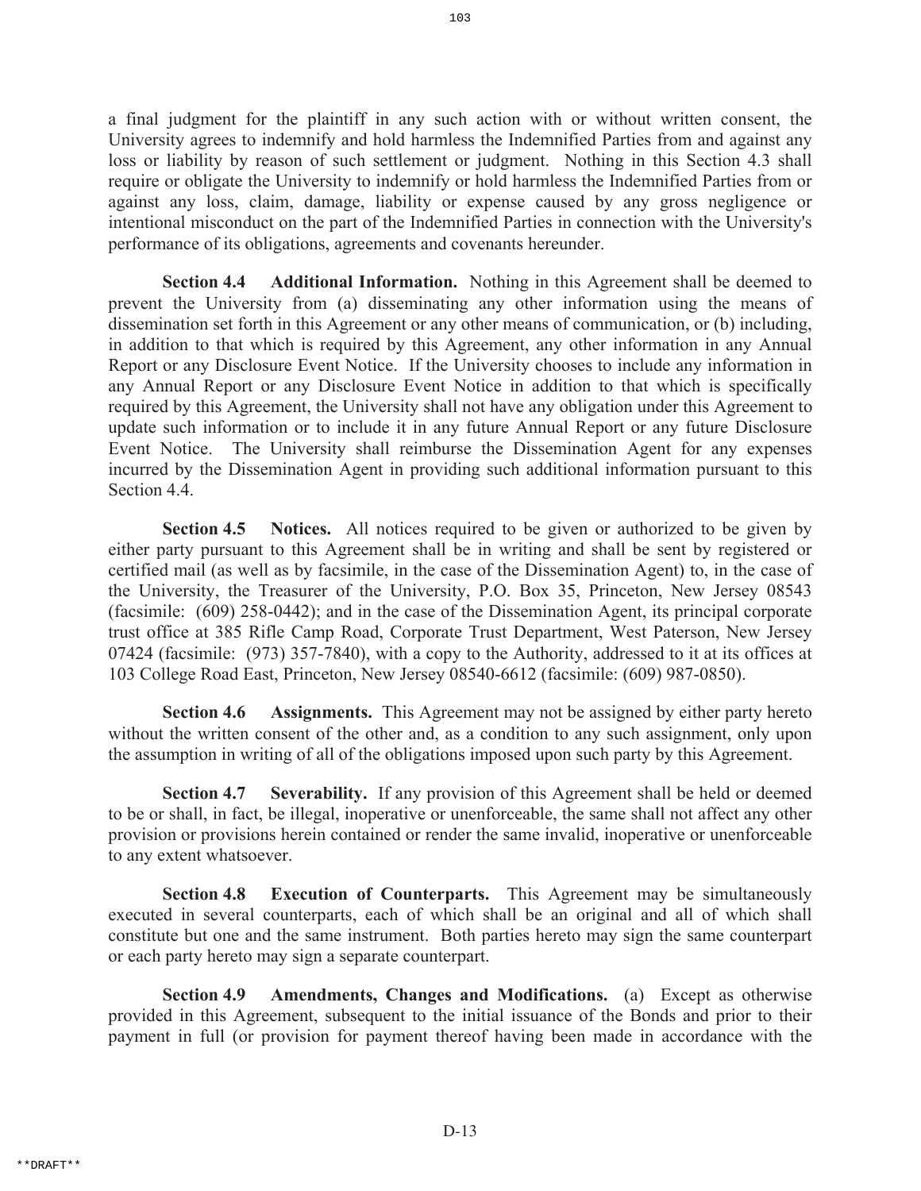a final judgment for the plaintiff in any such action with or without written consent, the University agrees to indemnify and hold harmless the Indemnified Parties from and against any loss or liability by reason of such settlement or judgment. Nothing in this Section 4.3 shall require or obligate the University to indemnify or hold harmless the Indemnified Parties from or against any loss, claim, damage, liability or expense caused by any gross negligence or intentional misconduct on the part of the Indemnified Parties in connection with the University's performance of its obligations, agreements and covenants hereunder.

**Section 4.4 Additional Information.** Nothing in this Agreement shall be deemed to prevent the University from (a) disseminating any other information using the means of dissemination set forth in this Agreement or any other means of communication, or (b) including, in addition to that which is required by this Agreement, any other information in any Annual Report or any Disclosure Event Notice. If the University chooses to include any information in any Annual Report or any Disclosure Event Notice in addition to that which is specifically required by this Agreement, the University shall not have any obligation under this Agreement to update such information or to include it in any future Annual Report or any future Disclosure Event Notice. The University shall reimburse the Dissemination Agent for any expenses incurred by the Dissemination Agent in providing such additional information pursuant to this Section 4.4.

**Section 4.5 Notices.** All notices required to be given or authorized to be given by either party pursuant to this Agreement shall be in writing and shall be sent by registered or certified mail (as well as by facsimile, in the case of the Dissemination Agent) to, in the case of the University, the Treasurer of the University, P.O. Box 35, Princeton, New Jersey 08543 (facsimile: (609) 258-0442); and in the case of the Dissemination Agent, its principal corporate trust office at 385 Rifle Camp Road, Corporate Trust Department, West Paterson, New Jersey 07424 (facsimile: (973) 357-7840), with a copy to the Authority, addressed to it at its offices at 103 College Road East, Princeton, New Jersey 08540-6612 (facsimile: (609) 987-0850).

**Section 4.6 Assignments.** This Agreement may not be assigned by either party hereto without the written consent of the other and, as a condition to any such assignment, only upon the assumption in writing of all of the obligations imposed upon such party by this Agreement.

**Section 4.7 Severability.** If any provision of this Agreement shall be held or deemed to be or shall, in fact, be illegal, inoperative or unenforceable, the same shall not affect any other provision or provisions herein contained or render the same invalid, inoperative or unenforceable to any extent whatsoever.

**Section 4.8 Execution of Counterparts.** This Agreement may be simultaneously executed in several counterparts, each of which shall be an original and all of which shall constitute but one and the same instrument. Both parties hereto may sign the same counterpart or each party hereto may sign a separate counterpart.

**Section 4.9 Amendments, Changes and Modifications.** (a) Except as otherwise provided in this Agreement, subsequent to the initial issuance of the Bonds and prior to their payment in full (or provision for payment thereof having been made in accordance with the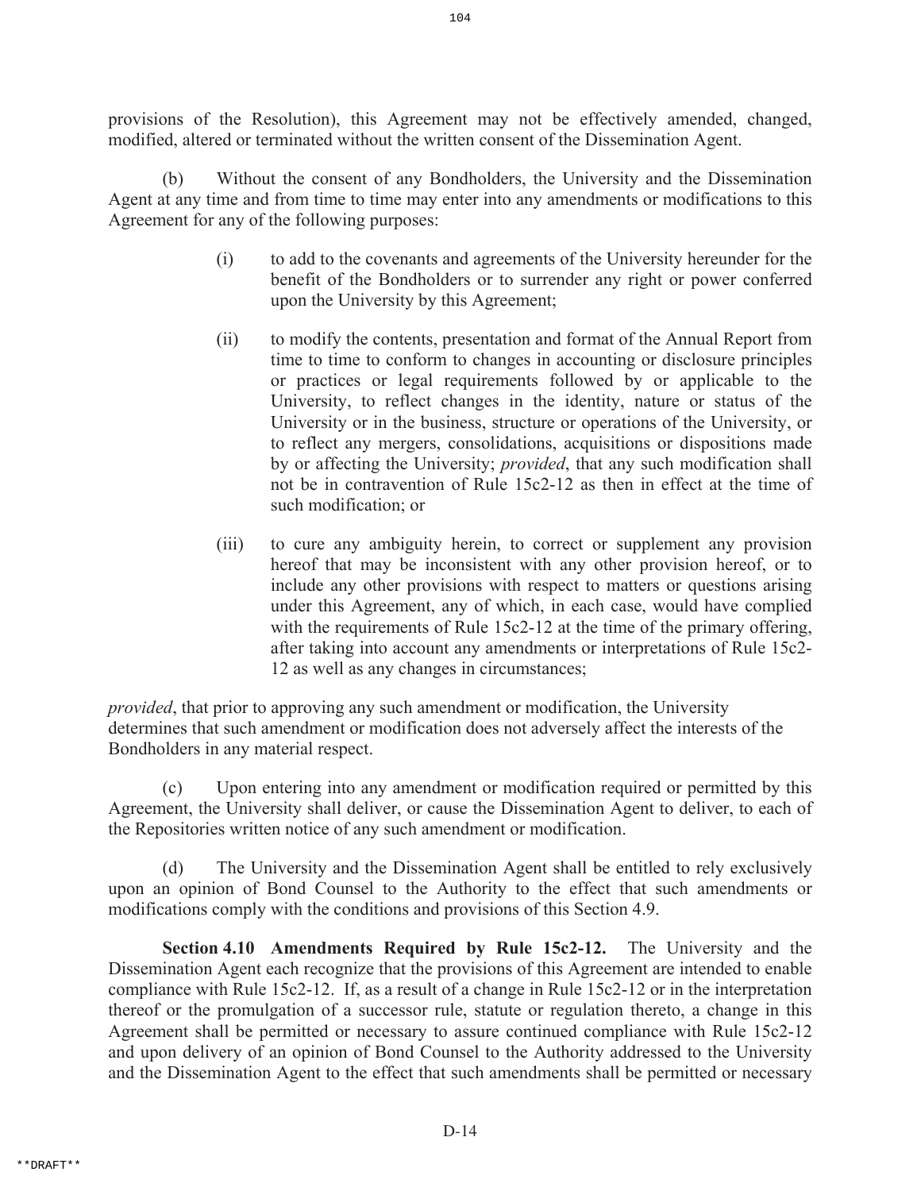provisions of the Resolution), this Agreement may not be effectively amended, changed, modified, altered or terminated without the written consent of the Dissemination Agent.

(b) Without the consent of any Bondholders, the University and the Dissemination Agent at any time and from time to time may enter into any amendments or modifications to this Agreement for any of the following purposes:

- (i) to add to the covenants and agreements of the University hereunder for the benefit of the Bondholders or to surrender any right or power conferred upon the University by this Agreement;
- (ii) to modify the contents, presentation and format of the Annual Report from time to time to conform to changes in accounting or disclosure principles or practices or legal requirements followed by or applicable to the University, to reflect changes in the identity, nature or status of the University or in the business, structure or operations of the University, or to reflect any mergers, consolidations, acquisitions or dispositions made by or affecting the University; *provided*, that any such modification shall not be in contravention of Rule 15c2-12 as then in effect at the time of such modification; or
- (iii) to cure any ambiguity herein, to correct or supplement any provision hereof that may be inconsistent with any other provision hereof, or to include any other provisions with respect to matters or questions arising under this Agreement, any of which, in each case, would have complied with the requirements of Rule 15c2-12 at the time of the primary offering, after taking into account any amendments or interpretations of Rule 15c2- 12 as well as any changes in circumstances;

*provided*, that prior to approving any such amendment or modification, the University determines that such amendment or modification does not adversely affect the interests of the Bondholders in any material respect.

(c) Upon entering into any amendment or modification required or permitted by this Agreement, the University shall deliver, or cause the Dissemination Agent to deliver, to each of the Repositories written notice of any such amendment or modification.

(d) The University and the Dissemination Agent shall be entitled to rely exclusively upon an opinion of Bond Counsel to the Authority to the effect that such amendments or modifications comply with the conditions and provisions of this Section 4.9.

**Section 4.10 Amendments Required by Rule 15c2-12.** The University and the Dissemination Agent each recognize that the provisions of this Agreement are intended to enable compliance with Rule 15c2-12. If, as a result of a change in Rule 15c2-12 or in the interpretation thereof or the promulgation of a successor rule, statute or regulation thereto, a change in this Agreement shall be permitted or necessary to assure continued compliance with Rule 15c2-12 and upon delivery of an opinion of Bond Counsel to the Authority addressed to the University and the Dissemination Agent to the effect that such amendments shall be permitted or necessary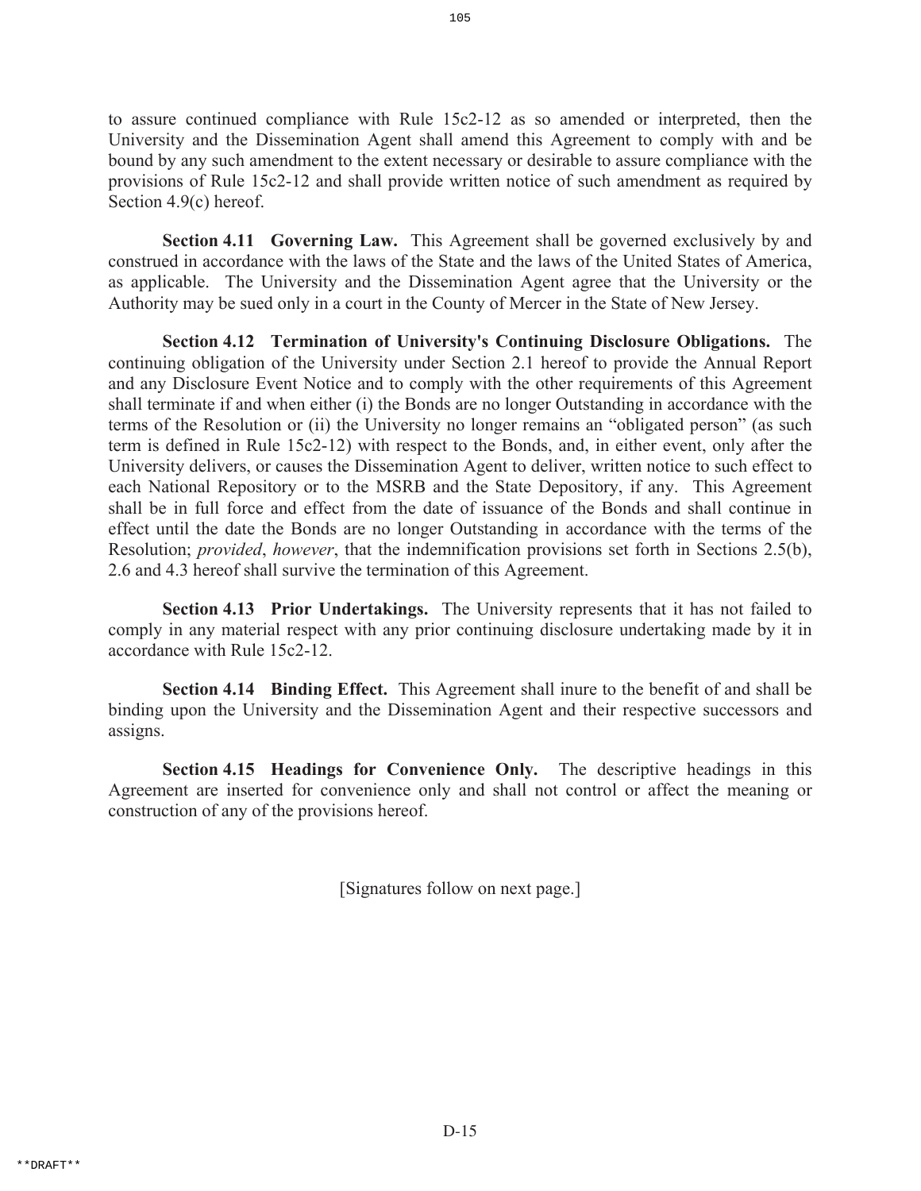to assure continued compliance with Rule 15c2-12 as so amended or interpreted, then the University and the Dissemination Agent shall amend this Agreement to comply with and be bound by any such amendment to the extent necessary or desirable to assure compliance with the provisions of Rule 15c2-12 and shall provide written notice of such amendment as required by Section 4.9(c) hereof.

**Section 4.11 Governing Law.** This Agreement shall be governed exclusively by and construed in accordance with the laws of the State and the laws of the United States of America, as applicable. The University and the Dissemination Agent agree that the University or the Authority may be sued only in a court in the County of Mercer in the State of New Jersey.

**Section 4.12 Termination of University's Continuing Disclosure Obligations.** The continuing obligation of the University under Section 2.1 hereof to provide the Annual Report and any Disclosure Event Notice and to comply with the other requirements of this Agreement shall terminate if and when either (i) the Bonds are no longer Outstanding in accordance with the terms of the Resolution or (ii) the University no longer remains an "obligated person" (as such term is defined in Rule 15c2-12) with respect to the Bonds, and, in either event, only after the University delivers, or causes the Dissemination Agent to deliver, written notice to such effect to each National Repository or to the MSRB and the State Depository, if any. This Agreement shall be in full force and effect from the date of issuance of the Bonds and shall continue in effect until the date the Bonds are no longer Outstanding in accordance with the terms of the Resolution; *provided*, *however*, that the indemnification provisions set forth in Sections 2.5(b), 2.6 and 4.3 hereof shall survive the termination of this Agreement.

**Section 4.13 Prior Undertakings.** The University represents that it has not failed to comply in any material respect with any prior continuing disclosure undertaking made by it in accordance with Rule 15c2-12.

**Section 4.14 Binding Effect.** This Agreement shall inure to the benefit of and shall be binding upon the University and the Dissemination Agent and their respective successors and assigns.

**Section 4.15 Headings for Convenience Only.** The descriptive headings in this Agreement are inserted for convenience only and shall not control or affect the meaning or construction of any of the provisions hereof.

[Signatures follow on next page.]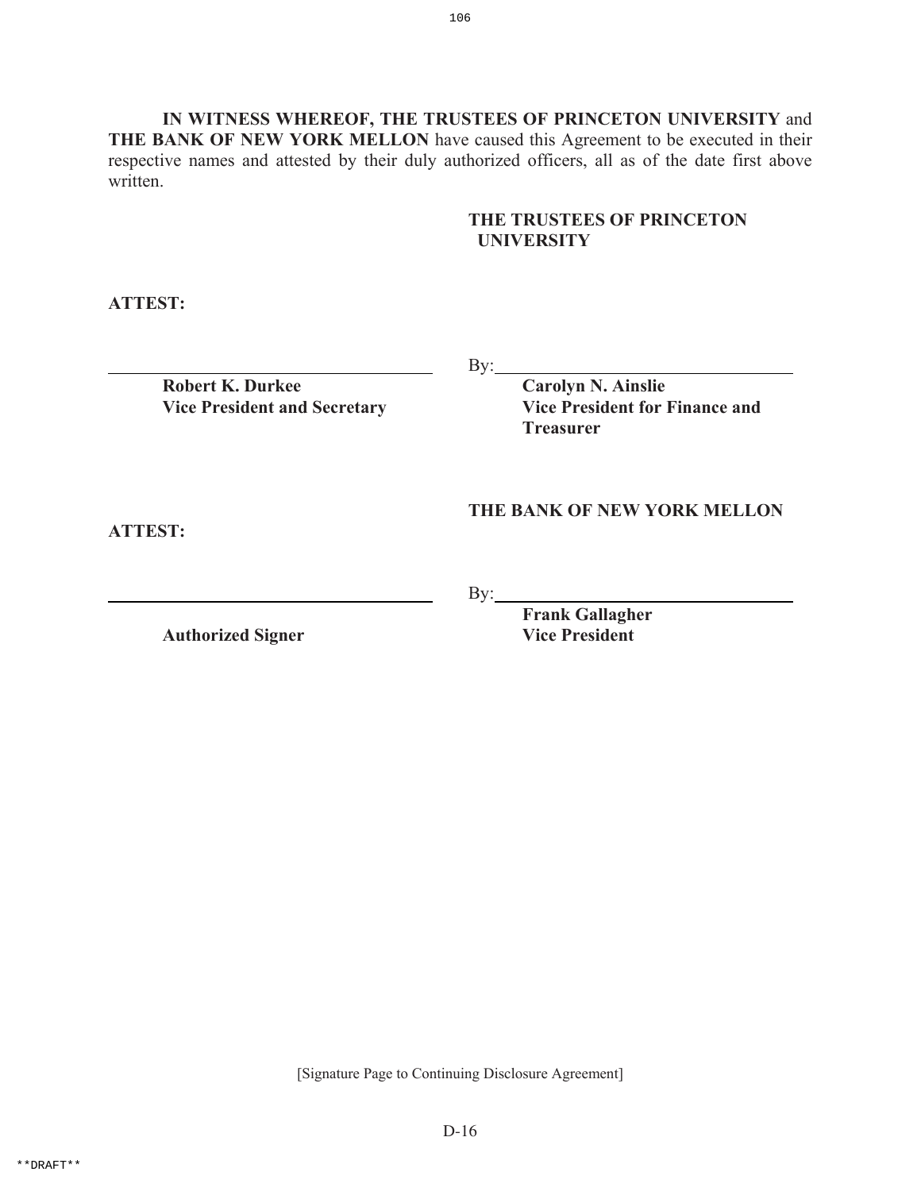**IN WITNESS WHEREOF, THE TRUSTEES OF PRINCETON UNIVERSITY** and **THE BANK OF NEW YORK MELLON** have caused this Agreement to be executed in their respective names and attested by their duly authorized officers, all as of the date first above written.

## **THE TRUSTEES OF PRINCETON UNIVERSITY**

**ATTEST:**

**ATTEST:** 

**Robert K. Durkee Carolyn N. Ainslie** 

By:

**Vice President and Secretary Vice President for Finance and Treasurer**

## **THE BANK OF NEW YORK MELLON**

By:

Authorized Signer Vice President

**Frank Gallagher** 

[Signature Page to Continuing Disclosure Agreement]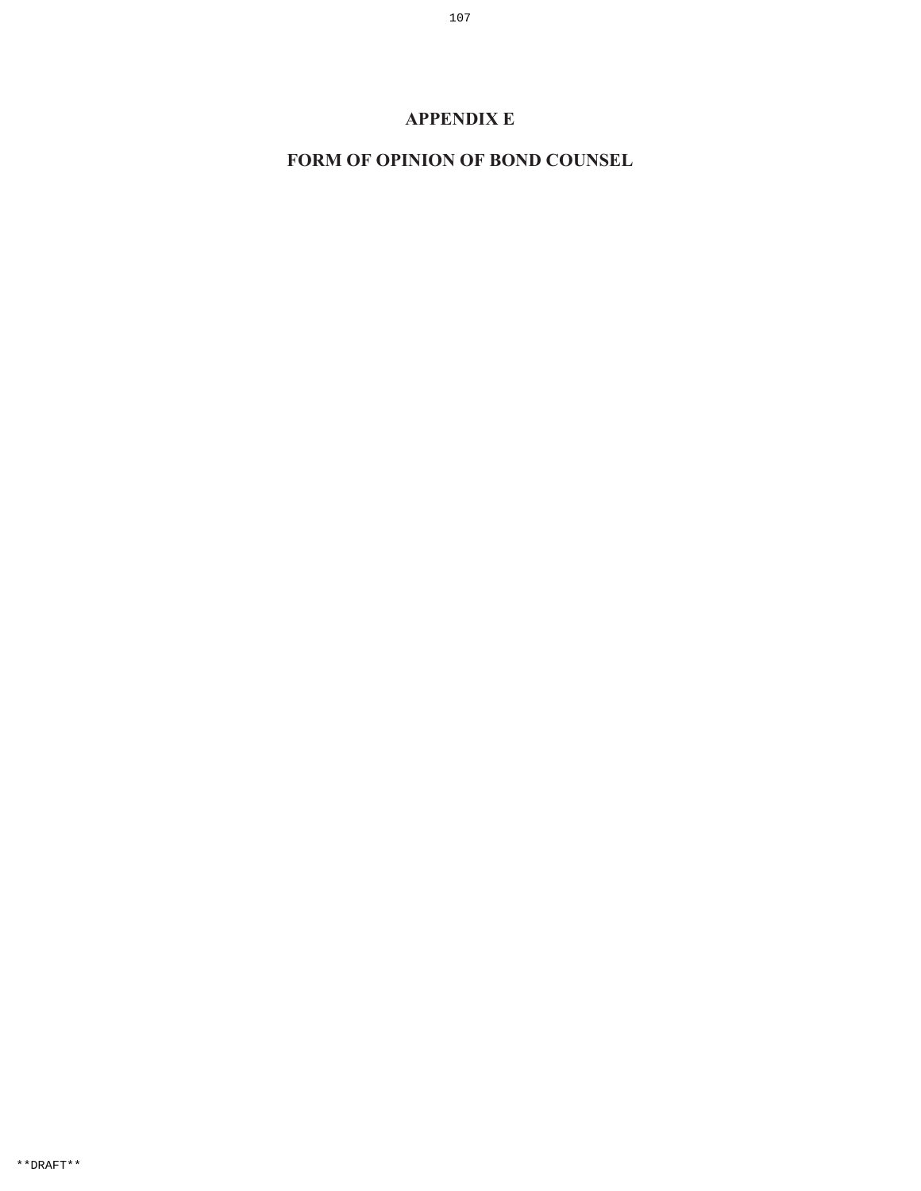## **APPENDIX E**

# **FORM OF OPINION OF BOND COUNSEL**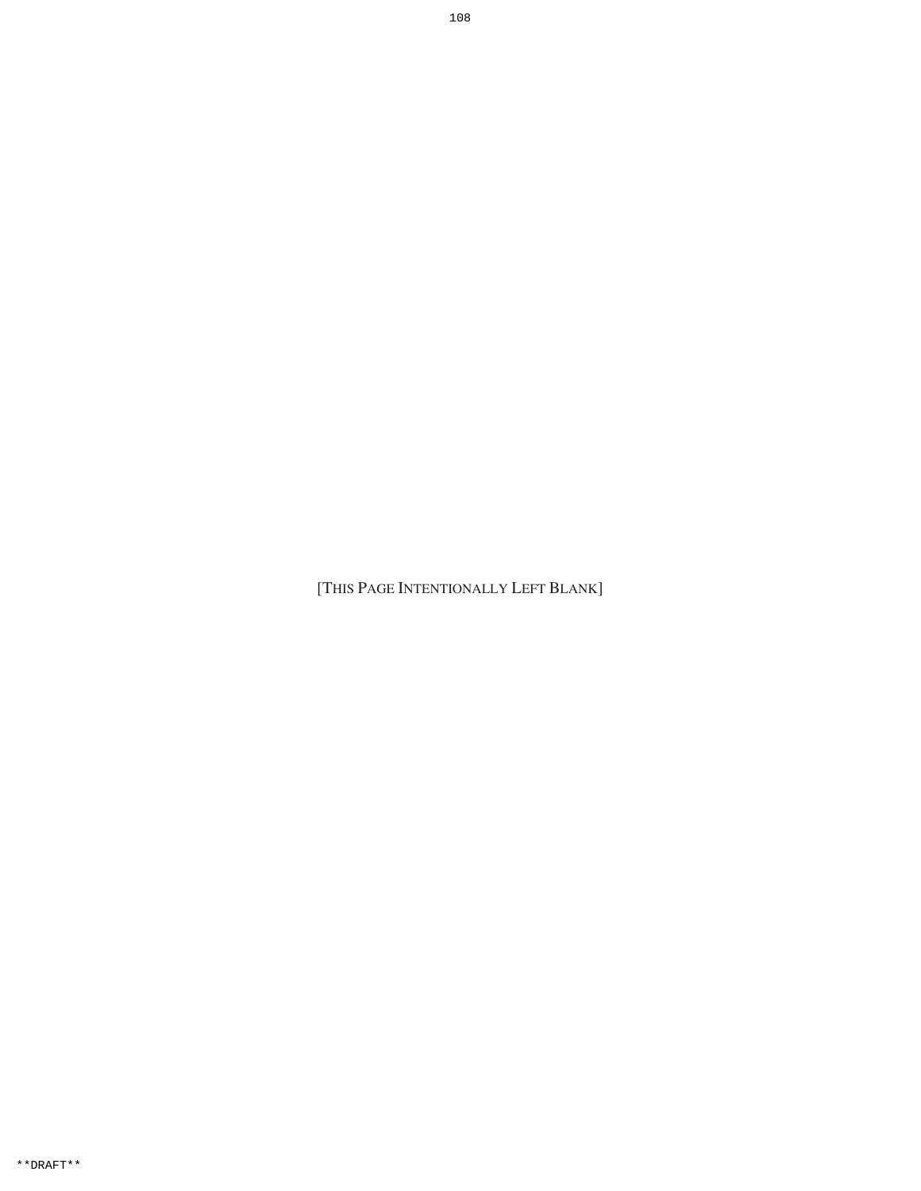[THIS PAGE INTENTIONALLY LEFT BLANK]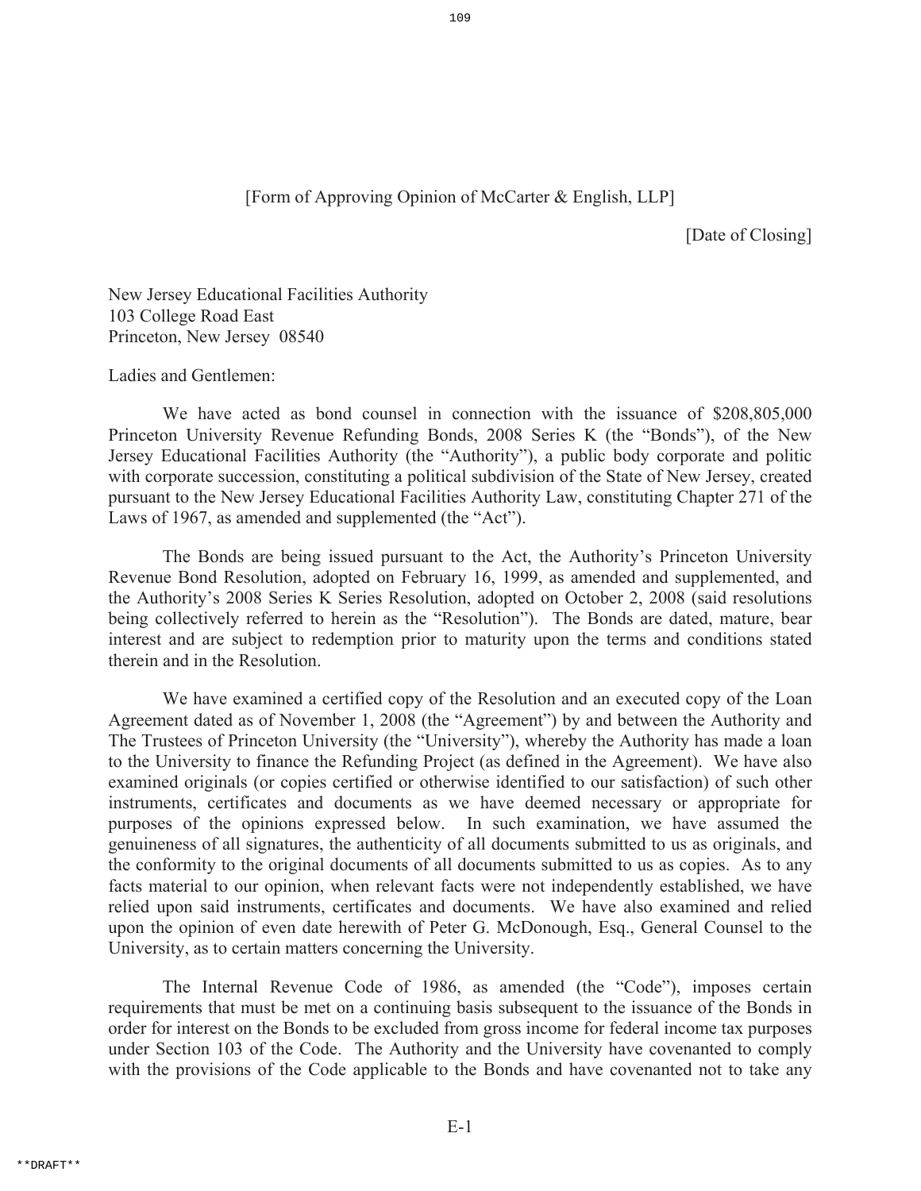[Form of Approving Opinion of McCarter & English, LLP]

[Date of Closing]

New Jersey Educational Facilities Authority 103 College Road East Princeton, New Jersey 08540

Ladies and Gentlemen:

We have acted as bond counsel in connection with the issuance of \$208,805,000 Princeton University Revenue Refunding Bonds, 2008 Series K (the "Bonds"), of the New Jersey Educational Facilities Authority (the "Authority"), a public body corporate and politic with corporate succession, constituting a political subdivision of the State of New Jersey, created pursuant to the New Jersey Educational Facilities Authority Law, constituting Chapter 271 of the Laws of 1967, as amended and supplemented (the "Act").

The Bonds are being issued pursuant to the Act, the Authority's Princeton University Revenue Bond Resolution, adopted on February 16, 1999, as amended and supplemented, and the Authority's 2008 Series K Series Resolution, adopted on October 2, 2008 (said resolutions being collectively referred to herein as the "Resolution"). The Bonds are dated, mature, bear interest and are subject to redemption prior to maturity upon the terms and conditions stated therein and in the Resolution.

We have examined a certified copy of the Resolution and an executed copy of the Loan Agreement dated as of November 1, 2008 (the "Agreement") by and between the Authority and The Trustees of Princeton University (the "University"), whereby the Authority has made a loan to the University to finance the Refunding Project (as defined in the Agreement). We have also examined originals (or copies certified or otherwise identified to our satisfaction) of such other instruments, certificates and documents as we have deemed necessary or appropriate for purposes of the opinions expressed below. In such examination, we have assumed the genuineness of all signatures, the authenticity of all documents submitted to us as originals, and the conformity to the original documents of all documents submitted to us as copies. As to any facts material to our opinion, when relevant facts were not independently established, we have relied upon said instruments, certificates and documents. We have also examined and relied upon the opinion of even date herewith of Peter G. McDonough, Esq., General Counsel to the University, as to certain matters concerning the University.

The Internal Revenue Code of 1986, as amended (the "Code"), imposes certain requirements that must be met on a continuing basis subsequent to the issuance of the Bonds in order for interest on the Bonds to be excluded from gross income for federal income tax purposes under Section 103 of the Code. The Authority and the University have covenanted to comply with the provisions of the Code applicable to the Bonds and have covenanted not to take any

E-1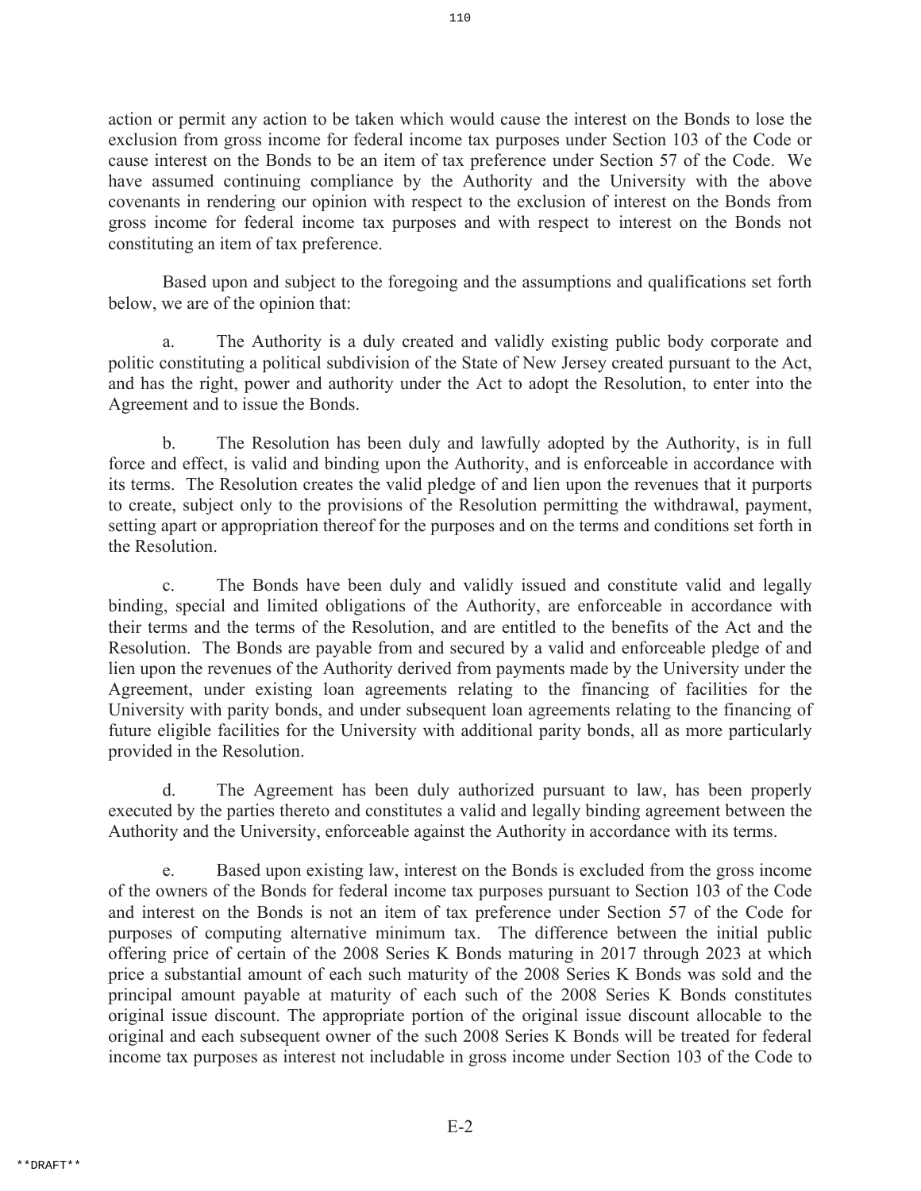action or permit any action to be taken which would cause the interest on the Bonds to lose the exclusion from gross income for federal income tax purposes under Section 103 of the Code or cause interest on the Bonds to be an item of tax preference under Section 57 of the Code. We have assumed continuing compliance by the Authority and the University with the above covenants in rendering our opinion with respect to the exclusion of interest on the Bonds from gross income for federal income tax purposes and with respect to interest on the Bonds not constituting an item of tax preference.

Based upon and subject to the foregoing and the assumptions and qualifications set forth below, we are of the opinion that:

a. The Authority is a duly created and validly existing public body corporate and politic constituting a political subdivision of the State of New Jersey created pursuant to the Act, and has the right, power and authority under the Act to adopt the Resolution, to enter into the Agreement and to issue the Bonds.

b. The Resolution has been duly and lawfully adopted by the Authority, is in full force and effect, is valid and binding upon the Authority, and is enforceable in accordance with its terms. The Resolution creates the valid pledge of and lien upon the revenues that it purports to create, subject only to the provisions of the Resolution permitting the withdrawal, payment, setting apart or appropriation thereof for the purposes and on the terms and conditions set forth in the Resolution.

c. The Bonds have been duly and validly issued and constitute valid and legally binding, special and limited obligations of the Authority, are enforceable in accordance with their terms and the terms of the Resolution, and are entitled to the benefits of the Act and the Resolution. The Bonds are payable from and secured by a valid and enforceable pledge of and lien upon the revenues of the Authority derived from payments made by the University under the Agreement, under existing loan agreements relating to the financing of facilities for the University with parity bonds, and under subsequent loan agreements relating to the financing of future eligible facilities for the University with additional parity bonds, all as more particularly provided in the Resolution.

d. The Agreement has been duly authorized pursuant to law, has been properly executed by the parties thereto and constitutes a valid and legally binding agreement between the Authority and the University, enforceable against the Authority in accordance with its terms.

e. Based upon existing law, interest on the Bonds is excluded from the gross income of the owners of the Bonds for federal income tax purposes pursuant to Section 103 of the Code and interest on the Bonds is not an item of tax preference under Section 57 of the Code for purposes of computing alternative minimum tax. The difference between the initial public offering price of certain of the 2008 Series K Bonds maturing in 2017 through 2023 at which price a substantial amount of each such maturity of the 2008 Series K Bonds was sold and the principal amount payable at maturity of each such of the 2008 Series K Bonds constitutes original issue discount. The appropriate portion of the original issue discount allocable to the original and each subsequent owner of the such 2008 Series K Bonds will be treated for federal income tax purposes as interest not includable in gross income under Section 103 of the Code to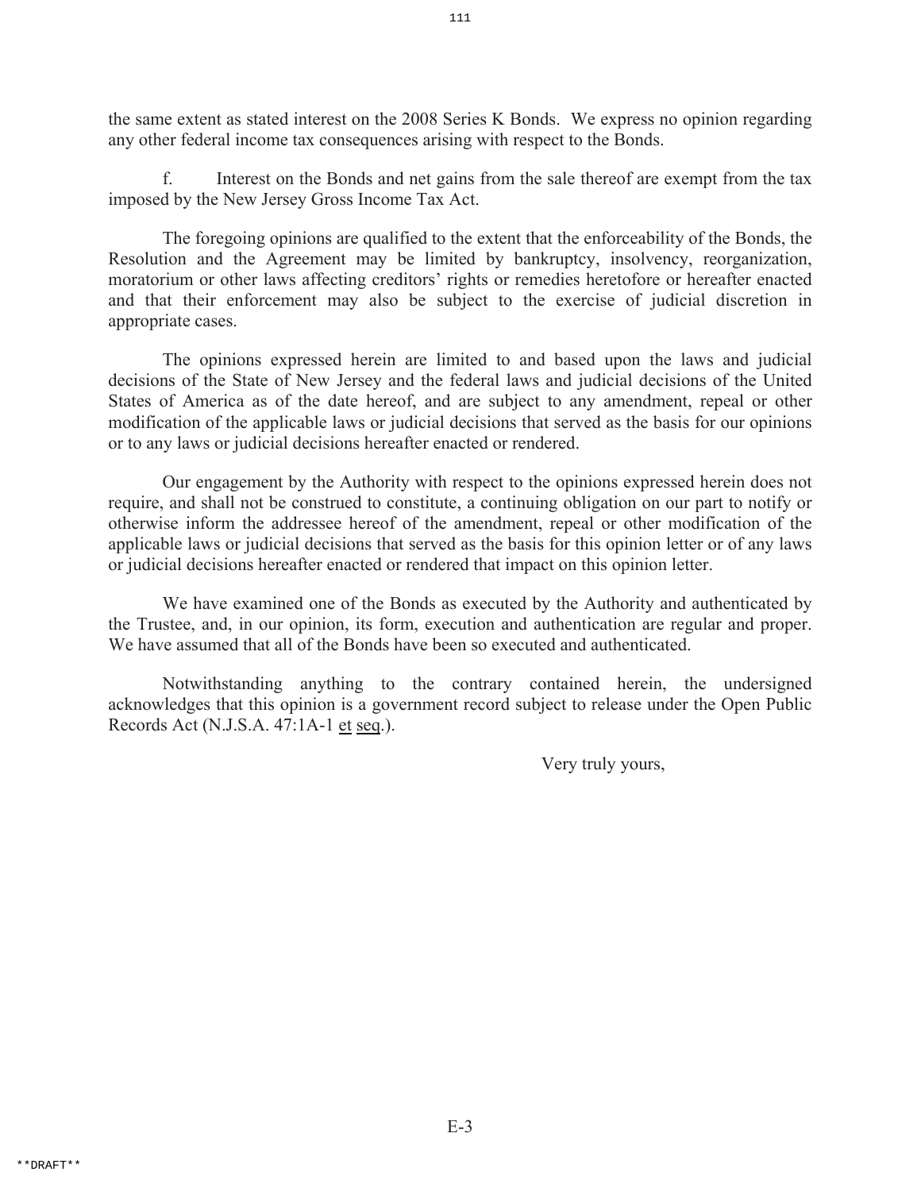the same extent as stated interest on the 2008 Series K Bonds. We express no opinion regarding any other federal income tax consequences arising with respect to the Bonds.

f. Interest on the Bonds and net gains from the sale thereof are exempt from the tax imposed by the New Jersey Gross Income Tax Act.

The foregoing opinions are qualified to the extent that the enforceability of the Bonds, the Resolution and the Agreement may be limited by bankruptcy, insolvency, reorganization, moratorium or other laws affecting creditors' rights or remedies heretofore or hereafter enacted and that their enforcement may also be subject to the exercise of judicial discretion in appropriate cases.

The opinions expressed herein are limited to and based upon the laws and judicial decisions of the State of New Jersey and the federal laws and judicial decisions of the United States of America as of the date hereof, and are subject to any amendment, repeal or other modification of the applicable laws or judicial decisions that served as the basis for our opinions or to any laws or judicial decisions hereafter enacted or rendered.

Our engagement by the Authority with respect to the opinions expressed herein does not require, and shall not be construed to constitute, a continuing obligation on our part to notify or otherwise inform the addressee hereof of the amendment, repeal or other modification of the applicable laws or judicial decisions that served as the basis for this opinion letter or of any laws or judicial decisions hereafter enacted or rendered that impact on this opinion letter.

We have examined one of the Bonds as executed by the Authority and authenticated by the Trustee, and, in our opinion, its form, execution and authentication are regular and proper. We have assumed that all of the Bonds have been so executed and authenticated.

Notwithstanding anything to the contrary contained herein, the undersigned acknowledges that this opinion is a government record subject to release under the Open Public Records Act (N.J.S.A. 47:1A-1 et seq.).

Very truly yours,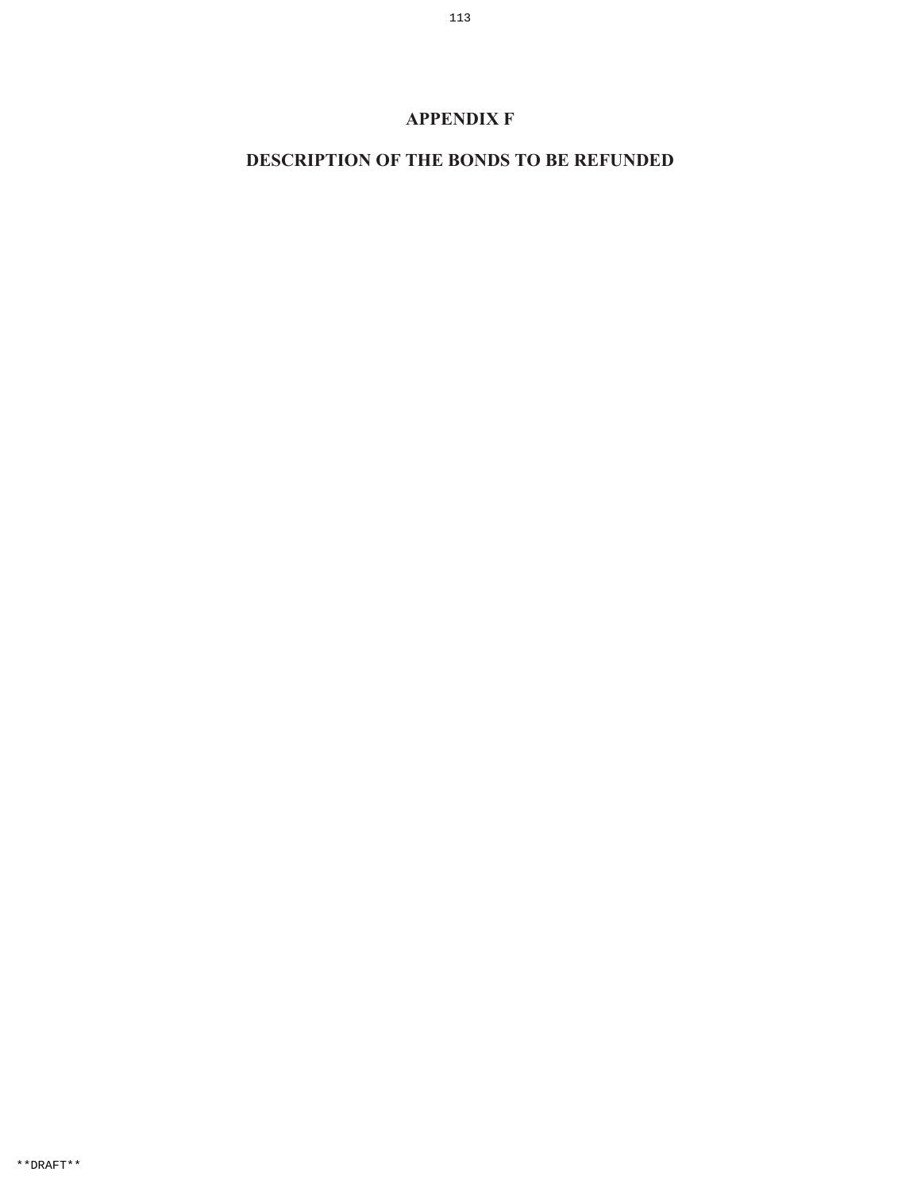## **APPENDIX F**

## **DESCRIPTION OF THE BONDS TO BE REFUNDED**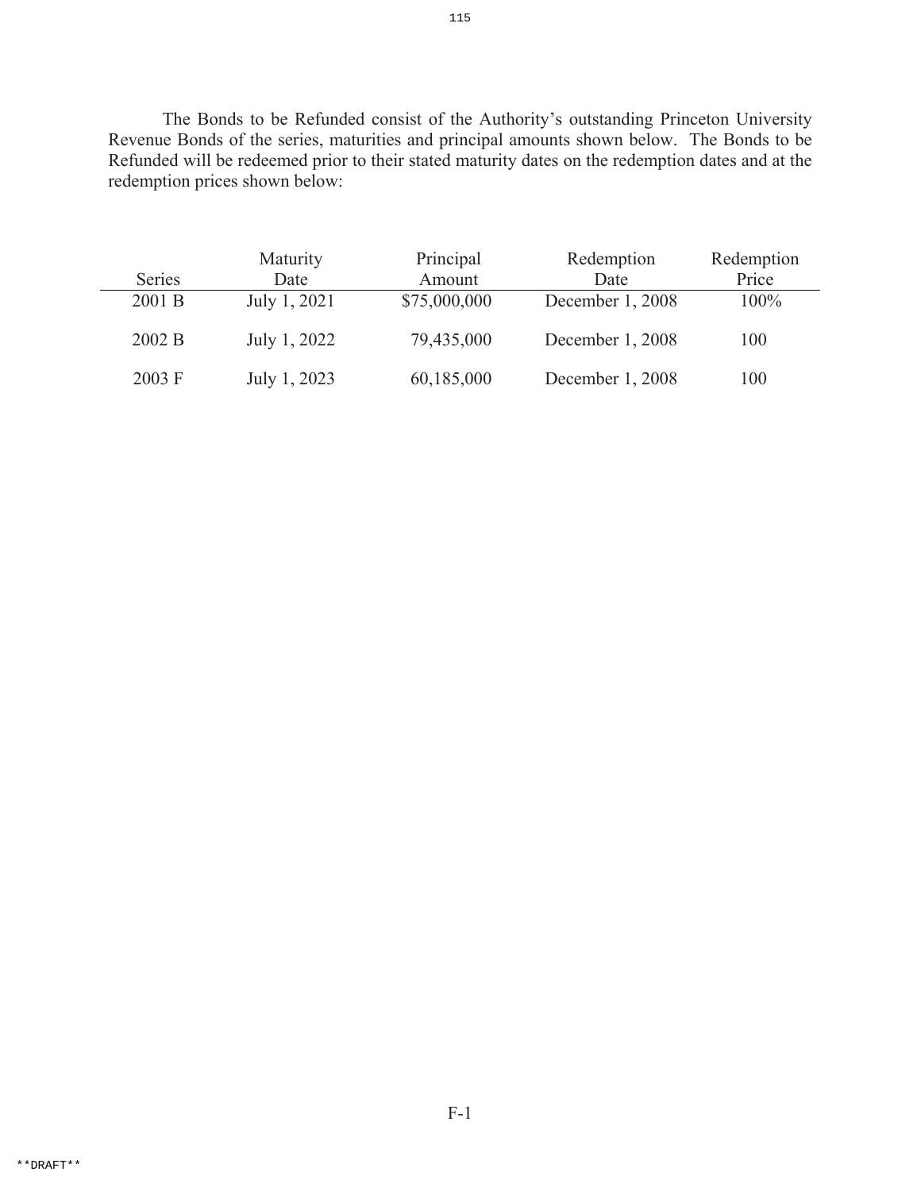The Bonds to be Refunded consist of the Authority's outstanding Princeton University Revenue Bonds of the series, maturities and principal amounts shown below. The Bonds to be Refunded will be redeemed prior to their stated maturity dates on the redemption dates and at the redemption prices shown below:

|        | Maturity     | Principal    | Redemption       | Redemption |
|--------|--------------|--------------|------------------|------------|
| Series | Date         | Amount       | Date             | Price      |
| 2001 B | July 1, 2021 | \$75,000,000 | December 1, 2008 | $100\%$    |
| 2002 B | July 1, 2022 | 79,435,000   | December 1, 2008 | 100        |
| 2003 F | July 1, 2023 | 60,185,000   | December 1, 2008 | 100        |